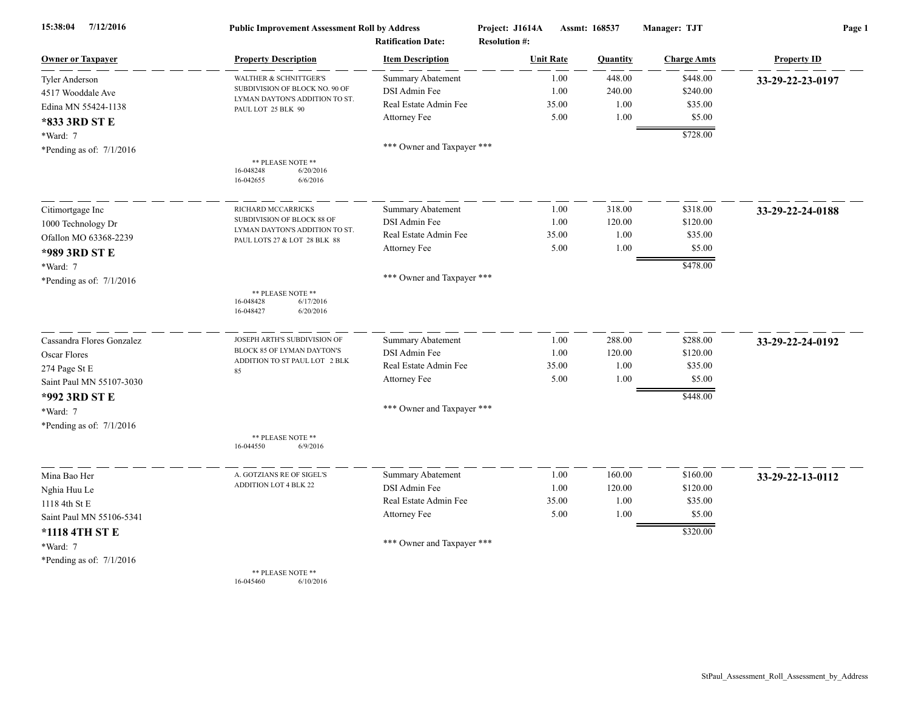| 15:38:04<br>7/12/2016      | <b>Public Improvement Assessment Roll by Address</b><br><b>Ratification Date:</b> |                            | Project: J1614A<br><b>Resolution #:</b> | Assmt: 168537 |                    | Page 1             |  |
|----------------------------|-----------------------------------------------------------------------------------|----------------------------|-----------------------------------------|---------------|--------------------|--------------------|--|
| <b>Owner or Taxpayer</b>   | <b>Property Description</b>                                                       | <b>Item Description</b>    | <b>Unit Rate</b>                        | Quantity      | <b>Charge Amts</b> | <b>Property ID</b> |  |
| <b>Tyler Anderson</b>      | WALTHER & SCHNITTGER'S                                                            | <b>Summary Abatement</b>   | 1.00                                    | 448.00        | \$448.00           | 33-29-22-23-0197   |  |
| 4517 Wooddale Ave          | SUBDIVISION OF BLOCK NO. 90 OF                                                    | DSI Admin Fee              | 1.00                                    | 240.00        | \$240.00           |                    |  |
| Edina MN 55424-1138        | LYMAN DAYTON'S ADDITION TO ST.<br>PAUL LOT 25 BLK 90                              | Real Estate Admin Fee      | 35.00                                   | 1.00          | \$35.00            |                    |  |
| *833 3RD ST E              |                                                                                   | Attorney Fee               | 5.00                                    | 1.00          | \$5.00             |                    |  |
| *Ward: 7                   |                                                                                   |                            |                                         |               | \$728.00           |                    |  |
| *Pending as of: $7/1/2016$ |                                                                                   | *** Owner and Taxpayer *** |                                         |               |                    |                    |  |
|                            | ** PLEASE NOTE **<br>6/20/2016<br>16-048248<br>16-042655<br>6/6/2016              |                            |                                         |               |                    |                    |  |
| Citimortgage Inc           | RICHARD MCCARRICKS                                                                | <b>Summary Abatement</b>   | 1.00                                    | 318.00        | \$318.00           | 33-29-22-24-0188   |  |
| 1000 Technology Dr         | SUBDIVISION OF BLOCK 88 OF                                                        | DSI Admin Fee              | 1.00                                    | 120.00        | \$120.00           |                    |  |
| Ofallon MO 63368-2239      | LYMAN DAYTON'S ADDITION TO ST.<br>PAUL LOTS 27 & LOT 28 BLK 88                    | Real Estate Admin Fee      | 35.00                                   | 1.00          | \$35.00            |                    |  |
| *989 3RD ST E              |                                                                                   | Attorney Fee               | 5.00                                    | 1.00          | \$5.00             |                    |  |
| *Ward: 7                   |                                                                                   |                            |                                         |               | \$478.00           |                    |  |
| *Pending as of: $7/1/2016$ |                                                                                   | *** Owner and Taxpayer *** |                                         |               |                    |                    |  |
|                            | ** PLEASE NOTE **<br>16-048428<br>6/17/2016<br>16-048427<br>6/20/2016             |                            |                                         |               |                    |                    |  |
| Cassandra Flores Gonzalez  | JOSEPH ARTH'S SUBDIVISION OF                                                      | <b>Summary Abatement</b>   | 1.00                                    | 288.00        | \$288.00           | 33-29-22-24-0192   |  |
| Oscar Flores               | BLOCK 85 OF LYMAN DAYTON'S                                                        | DSI Admin Fee              | 1.00                                    | 120.00        | \$120.00           |                    |  |
| 274 Page St E              | ADDITION TO ST PAUL LOT 2 BLK<br>85                                               | Real Estate Admin Fee      | 35.00                                   | 1.00          | \$35.00            |                    |  |
| Saint Paul MN 55107-3030   |                                                                                   | Attorney Fee               | 5.00                                    | 1.00          | \$5.00             |                    |  |
| *992 3RD ST E              |                                                                                   |                            |                                         |               | \$448.00           |                    |  |
| *Ward: 7                   |                                                                                   | *** Owner and Taxpayer *** |                                         |               |                    |                    |  |
| *Pending as of: $7/1/2016$ |                                                                                   |                            |                                         |               |                    |                    |  |
|                            | ** PLEASE NOTE **<br>16-044550<br>6/9/2016                                        |                            |                                         |               |                    |                    |  |
| Mina Bao Her               | A. GOTZIANS RE OF SIGEL'S                                                         | <b>Summary Abatement</b>   | 1.00                                    | 160.00        | \$160.00           | 33-29-22-13-0112   |  |
| Nghia Huu Le               | <b>ADDITION LOT 4 BLK 22</b>                                                      | DSI Admin Fee              | 1.00                                    | 120.00        | \$120.00           |                    |  |
| 1118 4th St E              |                                                                                   | Real Estate Admin Fee      | 35.00                                   | 1.00          | \$35.00            |                    |  |
| Saint Paul MN 55106-5341   |                                                                                   | Attorney Fee               | 5.00                                    | 1.00          | \$5.00             |                    |  |
| *1118 4TH ST E             |                                                                                   |                            |                                         |               | \$320.00           |                    |  |
| *Ward: 7                   |                                                                                   | *** Owner and Taxpayer *** |                                         |               |                    |                    |  |
| *Pending as of: $7/1/2016$ |                                                                                   |                            |                                         |               |                    |                    |  |
|                            | ** PLEASE NOTE **<br>16-045460<br>6/10/2016                                       |                            |                                         |               |                    |                    |  |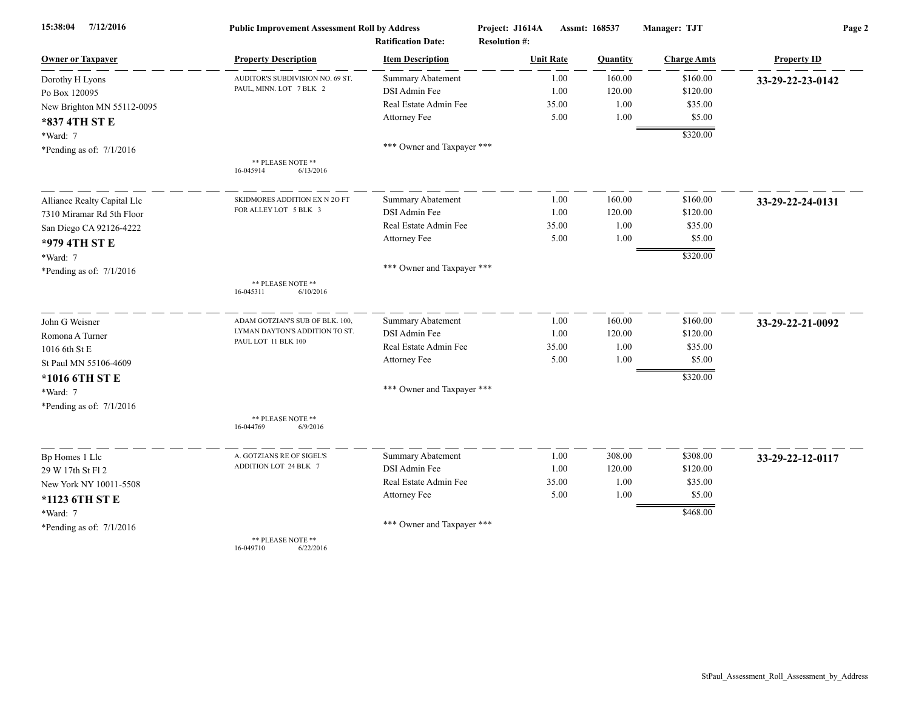| 7/12/2016<br>15:38:04       | <b>Public Improvement Assessment Roll by Address</b> |                            | Project: J1614A      | Assmt: 168537 |          | Manager: TJT       | Page 2             |  |
|-----------------------------|------------------------------------------------------|----------------------------|----------------------|---------------|----------|--------------------|--------------------|--|
|                             |                                                      | <b>Ratification Date:</b>  | <b>Resolution #:</b> |               |          |                    |                    |  |
| <b>Owner or Taxpayer</b>    | <b>Property Description</b>                          | <b>Item Description</b>    | <b>Unit Rate</b>     |               | Quantity | <b>Charge Amts</b> | <b>Property ID</b> |  |
| Dorothy H Lyons             | AUDITOR'S SUBDIVISION NO. 69 ST.                     | <b>Summary Abatement</b>   |                      | 1.00          | 160.00   | \$160.00           | 33-29-22-23-0142   |  |
| Po Box 120095               | PAUL, MINN. LOT 7 BLK 2                              | DSI Admin Fee              |                      | 1.00          | 120.00   | \$120.00           |                    |  |
| New Brighton MN 55112-0095  |                                                      | Real Estate Admin Fee      |                      | 35.00         | 1.00     | \$35.00            |                    |  |
| *837 4TH ST E               |                                                      | Attorney Fee               |                      | 5.00          | 1.00     | \$5.00             |                    |  |
| *Ward: 7                    |                                                      |                            |                      |               |          | \$320.00           |                    |  |
| *Pending as of: $7/1/2016$  |                                                      | *** Owner and Taxpayer *** |                      |               |          |                    |                    |  |
|                             | ** PLEASE NOTE **<br>16-045914<br>6/13/2016          |                            |                      |               |          |                    |                    |  |
| Alliance Realty Capital Llc | SKIDMORES ADDITION EX N 2O FT                        | <b>Summary Abatement</b>   |                      | 1.00          | 160.00   | \$160.00           | 33-29-22-24-0131   |  |
| 7310 Miramar Rd 5th Floor   | FOR ALLEY LOT 5 BLK 3                                | DSI Admin Fee              |                      | 1.00          | 120.00   | \$120.00           |                    |  |
| San Diego CA 92126-4222     |                                                      | Real Estate Admin Fee      |                      | 35.00         | 1.00     | \$35.00            |                    |  |
| *979 4TH ST E               |                                                      | Attorney Fee               |                      | 5.00          | 1.00     | \$5.00             |                    |  |
| *Ward: 7                    |                                                      |                            |                      |               |          | \$320.00           |                    |  |
| *Pending as of: 7/1/2016    |                                                      | *** Owner and Taxpayer *** |                      |               |          |                    |                    |  |
|                             | ** PLEASE NOTE **<br>16-045311<br>6/10/2016          |                            |                      |               |          |                    |                    |  |
| John G Weisner              | ADAM GOTZIAN'S SUB OF BLK. 100,                      | <b>Summary Abatement</b>   |                      | 1.00          | 160.00   | \$160.00           | 33-29-22-21-0092   |  |
| Romona A Turner             | LYMAN DAYTON'S ADDITION TO ST.                       | DSI Admin Fee              |                      | 1.00          | 120.00   | \$120.00           |                    |  |
| 1016 6th St E               | PAUL LOT 11 BLK 100                                  | Real Estate Admin Fee      |                      | 35.00         | 1.00     | \$35.00            |                    |  |
| St Paul MN 55106-4609       |                                                      | Attorney Fee               |                      | 5.00          | 1.00     | \$5.00             |                    |  |
| *1016 6TH ST E              |                                                      |                            |                      |               |          | \$320.00           |                    |  |
| *Ward: 7                    |                                                      | *** Owner and Taxpayer *** |                      |               |          |                    |                    |  |
| *Pending as of: $7/1/2016$  |                                                      |                            |                      |               |          |                    |                    |  |
|                             | ** PLEASE NOTE **<br>16-044769<br>6/9/2016           |                            |                      |               |          |                    |                    |  |
| Bp Homes 1 Llc              | A. GOTZIANS RE OF SIGEL'S                            | <b>Summary Abatement</b>   |                      | 1.00          | 308.00   | \$308.00           | 33-29-22-12-0117   |  |
| 29 W 17th St Fl 2           | ADDITION LOT 24 BLK 7                                | DSI Admin Fee              |                      | 1.00          | 120.00   | \$120.00           |                    |  |
| New York NY 10011-5508      |                                                      | Real Estate Admin Fee      |                      | 35.00         | 1.00     | \$35.00            |                    |  |
| *1123 6TH ST E              |                                                      | Attorney Fee               |                      | 5.00          | 1.00     | \$5.00             |                    |  |
| *Ward: 7                    |                                                      |                            |                      |               |          | \$468.00           |                    |  |
| *Pending as of: $7/1/2016$  |                                                      | *** Owner and Taxpayer *** |                      |               |          |                    |                    |  |
|                             | ** PLEASE NOTE **                                    |                            |                      |               |          |                    |                    |  |

16-049710 6/22/2016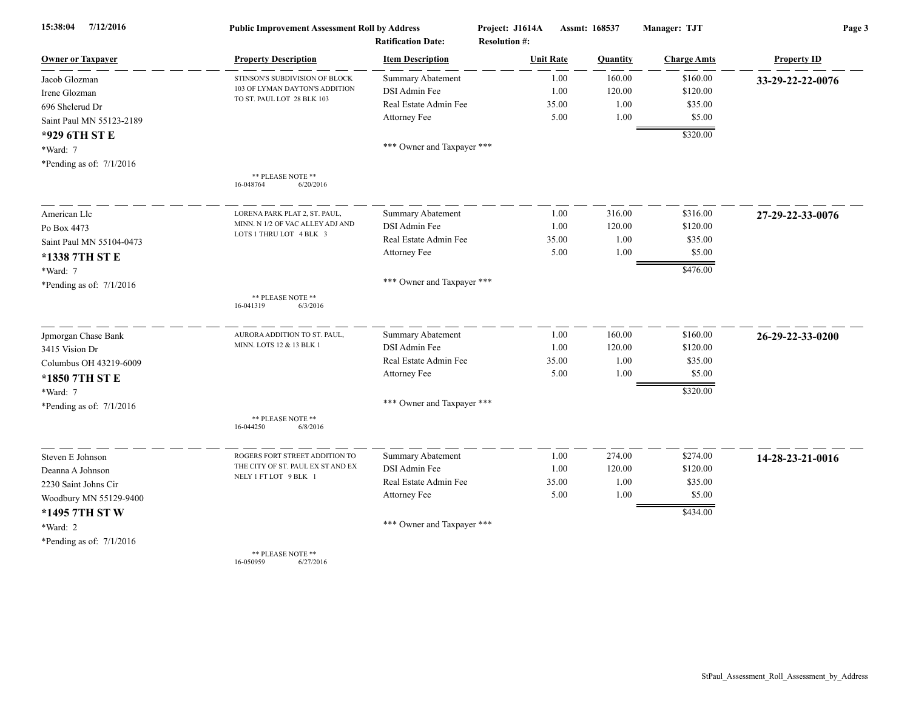| 15:38:04<br>7/12/2016      | <b>Public Improvement Assessment Roll by Address</b><br><b>Ratification Date:</b> |                            | Project: J1614A<br><b>Resolution #:</b> | Assmt: 168537 |                    | Page 3             |  |
|----------------------------|-----------------------------------------------------------------------------------|----------------------------|-----------------------------------------|---------------|--------------------|--------------------|--|
| <b>Owner or Taxpayer</b>   | <b>Property Description</b>                                                       | <b>Item Description</b>    | <b>Unit Rate</b>                        | Quantity      | <b>Charge Amts</b> | <b>Property ID</b> |  |
| Jacob Glozman              | STINSON'S SUBDIVISION OF BLOCK                                                    | <b>Summary Abatement</b>   | 1.00                                    | 160.00        | \$160.00           | 33-29-22-22-0076   |  |
| Irene Glozman              | 103 OF LYMAN DAYTON'S ADDITION                                                    | DSI Admin Fee              | 1.00                                    | 120.00        | \$120.00           |                    |  |
| 696 Shelerud Dr            | TO ST. PAUL LOT 28 BLK 103                                                        | Real Estate Admin Fee      | 35.00                                   | 1.00          | \$35.00            |                    |  |
| Saint Paul MN 55123-2189   |                                                                                   | Attorney Fee               | 5.00                                    | 1.00          | \$5.00             |                    |  |
| *929 6TH ST E              |                                                                                   |                            |                                         |               | \$320.00           |                    |  |
| *Ward: 7                   |                                                                                   | *** Owner and Taxpayer *** |                                         |               |                    |                    |  |
| *Pending as of: $7/1/2016$ |                                                                                   |                            |                                         |               |                    |                    |  |
|                            | ** PLEASE NOTE **<br>6/20/2016<br>16-048764                                       |                            |                                         |               |                    |                    |  |
| American Llc               | LORENA PARK PLAT 2, ST. PAUL,                                                     | Summary Abatement          | 1.00                                    | 316.00        | \$316.00           | 27-29-22-33-0076   |  |
| Po Box 4473                | MINN. N 1/2 OF VAC ALLEY ADJ AND                                                  | DSI Admin Fee              | 1.00                                    | 120.00        | \$120.00           |                    |  |
| Saint Paul MN 55104-0473   | LOTS 1 THRU LOT 4 BLK 3                                                           | Real Estate Admin Fee      | 35.00                                   | 1.00          | \$35.00            |                    |  |
| *1338 7TH ST E             |                                                                                   | Attorney Fee               | 5.00                                    | 1.00          | \$5.00             |                    |  |
| *Ward: 7                   |                                                                                   |                            |                                         |               | \$476.00           |                    |  |
| *Pending as of: $7/1/2016$ |                                                                                   | *** Owner and Taxpayer *** |                                         |               |                    |                    |  |
|                            | ** PLEASE NOTE **<br>16-041319<br>6/3/2016                                        |                            |                                         |               |                    |                    |  |
| Jpmorgan Chase Bank        | AURORA ADDITION TO ST. PAUL,                                                      | <b>Summary Abatement</b>   | 1.00                                    | 160.00        | \$160.00           | 26-29-22-33-0200   |  |
| 3415 Vision Dr             | MINN. LOTS 12 & 13 BLK 1                                                          | DSI Admin Fee              | 1.00                                    | 120.00        | \$120.00           |                    |  |
| Columbus OH 43219-6009     |                                                                                   | Real Estate Admin Fee      | 35.00                                   | 1.00          | \$35.00            |                    |  |
| *1850 7TH ST E             |                                                                                   | Attorney Fee               | 5.00                                    | 1.00          | \$5.00             |                    |  |
| *Ward: 7                   |                                                                                   |                            |                                         |               | \$320.00           |                    |  |
| *Pending as of: $7/1/2016$ |                                                                                   | *** Owner and Taxpayer *** |                                         |               |                    |                    |  |
|                            | ** PLEASE NOTE **<br>16-044250<br>6/8/2016                                        |                            |                                         |               |                    |                    |  |
| Steven E Johnson           | ROGERS FORT STREET ADDITION TO                                                    | Summary Abatement          | 1.00                                    | 274.00        | \$274.00           | 14-28-23-21-0016   |  |
| Deanna A Johnson           | THE CITY OF ST. PAUL EX ST AND EX                                                 | DSI Admin Fee              | 1.00                                    | 120.00        | \$120.00           |                    |  |
| 2230 Saint Johns Cir       | NELY 1 FT LOT 9 BLK 1                                                             | Real Estate Admin Fee      | 35.00                                   | 1.00          | \$35.00            |                    |  |
| Woodbury MN 55129-9400     |                                                                                   | Attorney Fee               | 5.00                                    | 1.00          | \$5.00             |                    |  |
| *1495 7TH ST W             |                                                                                   |                            |                                         |               | \$434.00           |                    |  |
| *Ward: 2                   |                                                                                   | *** Owner and Taxpayer *** |                                         |               |                    |                    |  |
| *Pending as of: $7/1/2016$ |                                                                                   |                            |                                         |               |                    |                    |  |
|                            | ** PLEASE NOTE **                                                                 |                            |                                         |               |                    |                    |  |

16-050959 6/27/2016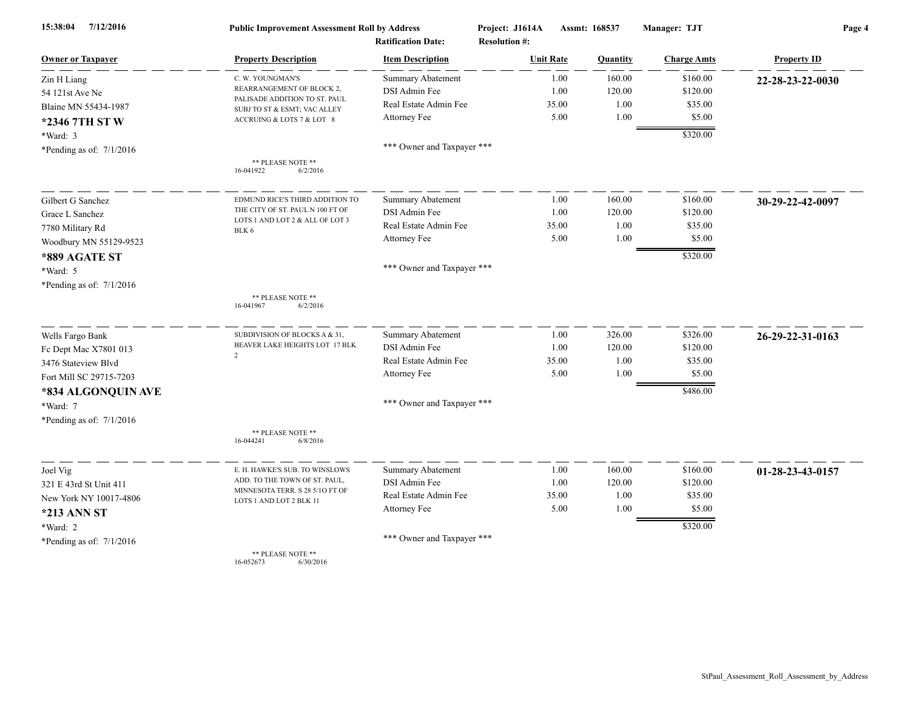| 15:38:04<br>7/12/2016      | <b>Public Improvement Assessment Roll by Address</b>       |                            | Project: J1614A      | Assmt: 168537 |          | Manager: TJT       | Page 4             |  |
|----------------------------|------------------------------------------------------------|----------------------------|----------------------|---------------|----------|--------------------|--------------------|--|
|                            |                                                            | <b>Ratification Date:</b>  | <b>Resolution #:</b> |               |          |                    |                    |  |
| <b>Owner or Taxpayer</b>   | <b>Property Description</b>                                | <b>Item Description</b>    | <b>Unit Rate</b>     |               | Quantity | <b>Charge Amts</b> | <b>Property ID</b> |  |
| Zin H Liang                | C. W. YOUNGMAN'S                                           | <b>Summary Abatement</b>   |                      | 1.00          | 160.00   | \$160.00           | 22-28-23-22-0030   |  |
| 54 121st Ave Ne            | REARRANGEMENT OF BLOCK 2,<br>PALISADE ADDITION TO ST. PAUL | DSI Admin Fee              |                      | 1.00          | 120.00   | \$120.00           |                    |  |
| Blaine MN 55434-1987       | SUBJ TO ST & ESMT; VAC ALLEY                               | Real Estate Admin Fee      |                      | 35.00         | 1.00     | \$35.00            |                    |  |
| *2346 7TH ST W             | ACCRUING & LOTS 7 & LOT 8                                  | Attorney Fee               |                      | 5.00          | 1.00     | \$5.00             |                    |  |
| *Ward: 3                   |                                                            |                            |                      |               |          | \$320.00           |                    |  |
| *Pending as of: $7/1/2016$ |                                                            | *** Owner and Taxpayer *** |                      |               |          |                    |                    |  |
|                            | ** PLEASE NOTE **<br>16-041922<br>6/2/2016                 |                            |                      |               |          |                    |                    |  |
| Gilbert G Sanchez          | EDMUND RICE'S THIRD ADDITION TO                            | <b>Summary Abatement</b>   |                      | 1.00          | 160.00   | \$160.00           | 30-29-22-42-0097   |  |
| Grace L Sanchez            | THE CITY OF ST. PAUL N 100 FT OF                           | DSI Admin Fee              |                      | 1.00          | 120.00   | \$120.00           |                    |  |
| 7780 Military Rd           | LOTS 1 AND LOT 2 & ALL OF LOT 3<br>BLK 6                   | Real Estate Admin Fee      |                      | 35.00         | 1.00     | \$35.00            |                    |  |
| Woodbury MN 55129-9523     |                                                            | Attorney Fee               |                      | 5.00          | 1.00     | \$5.00             |                    |  |
| *889 AGATE ST              |                                                            |                            |                      |               |          | \$320.00           |                    |  |
| *Ward: 5                   |                                                            | *** Owner and Taxpayer *** |                      |               |          |                    |                    |  |
| *Pending as of: $7/1/2016$ |                                                            |                            |                      |               |          |                    |                    |  |
|                            | ** PLEASE NOTE **<br>16-041967<br>6/2/2016                 |                            |                      |               |          |                    |                    |  |
| Wells Fargo Bank           | SUBDIVISION OF BLOCKS A & 31,                              | <b>Summary Abatement</b>   |                      | 1.00          | 326.00   | \$326.00           | 26-29-22-31-0163   |  |
| Fc Dept Mac X7801 013      | BEAVER LAKE HEIGHTS LOT 17 BLK                             | DSI Admin Fee              |                      | 1.00          | 120.00   | \$120.00           |                    |  |
| 3476 Stateview Blvd        | $\overline{2}$                                             | Real Estate Admin Fee      |                      | 35.00         | 1.00     | \$35.00            |                    |  |
| Fort Mill SC 29715-7203    |                                                            | Attorney Fee               |                      | 5.00          | 1.00     | \$5.00             |                    |  |
| *834 ALGONQUIN AVE         |                                                            |                            |                      |               |          | \$486.00           |                    |  |
| *Ward: 7                   |                                                            | *** Owner and Taxpayer *** |                      |               |          |                    |                    |  |
| *Pending as of: $7/1/2016$ |                                                            |                            |                      |               |          |                    |                    |  |
|                            | ** PLEASE NOTE **<br>16-044241<br>6/8/2016                 |                            |                      |               |          |                    |                    |  |
| Joel Vig                   | E. H. HAWKE'S SUB. TO WINSLOWS                             | Summary Abatement          |                      | 1.00          | 160.00   | \$160.00           | 01-28-23-43-0157   |  |
| 321 E 43rd St Unit 411     | ADD. TO THE TOWN OF ST. PAUL,                              | <b>DSI</b> Admin Fee       |                      | 1.00          | 120.00   | \$120.00           |                    |  |
| New York NY 10017-4806     | MINNESOTA TERR. S 28 5/10 FT OF<br>LOTS 1 AND LOT 2 BLK 11 | Real Estate Admin Fee      |                      | 35.00         | 1.00     | \$35.00            |                    |  |
| <b>*213 ANN ST</b>         |                                                            | Attorney Fee               |                      | 5.00          | 1.00     | \$5.00             |                    |  |
| *Ward: 2                   |                                                            |                            |                      |               |          | \$320.00           |                    |  |
| *Pending as of: $7/1/2016$ |                                                            | *** Owner and Taxpayer *** |                      |               |          |                    |                    |  |
|                            | ** PLEASE NOTE **                                          |                            |                      |               |          |                    |                    |  |

16-052673 6/30/2016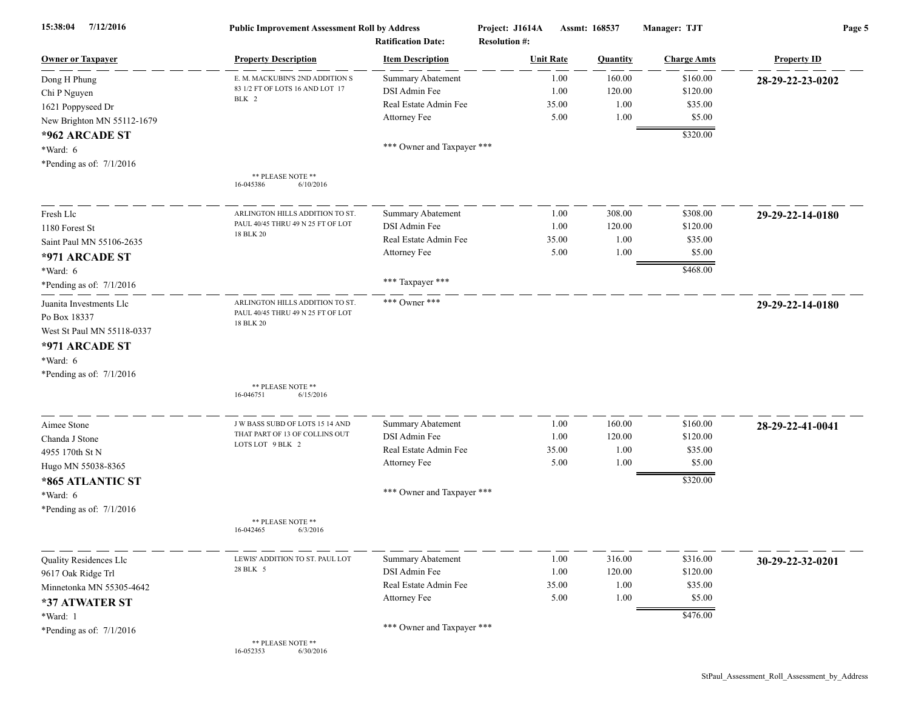| 7/12/2016<br>15:38:04      | <b>Public Improvement Assessment Roll by Address</b><br><b>Ratification Date:</b> |                            | Project: J1614A<br>Assmt: 168537<br><b>Resolution #:</b> |          | Manager: TJT       | Page 5             |  |
|----------------------------|-----------------------------------------------------------------------------------|----------------------------|----------------------------------------------------------|----------|--------------------|--------------------|--|
| <b>Owner or Taxpayer</b>   | <b>Property Description</b>                                                       | <b>Item Description</b>    | <b>Unit Rate</b>                                         | Quantity | <b>Charge Amts</b> | <b>Property ID</b> |  |
| Dong H Phung               | E. M. MACKUBIN'S 2ND ADDITION S                                                   | <b>Summary Abatement</b>   | 1.00                                                     | 160.00   | \$160.00           | 28-29-22-23-0202   |  |
| Chi P Nguyen               | 83 1/2 FT OF LOTS 16 AND LOT 17                                                   | DSI Admin Fee              | 1.00                                                     | 120.00   | \$120.00           |                    |  |
| 1621 Poppyseed Dr          | BLK 2                                                                             | Real Estate Admin Fee      | 35.00                                                    | 1.00     | \$35.00            |                    |  |
| New Brighton MN 55112-1679 |                                                                                   | Attorney Fee               | 5.00                                                     | 1.00     | \$5.00             |                    |  |
| *962 ARCADE ST             |                                                                                   |                            |                                                          |          | \$320.00           |                    |  |
| *Ward: 6                   |                                                                                   | *** Owner and Taxpayer *** |                                                          |          |                    |                    |  |
| *Pending as of: $7/1/2016$ |                                                                                   |                            |                                                          |          |                    |                    |  |
|                            | ** PLEASE NOTE **                                                                 |                            |                                                          |          |                    |                    |  |
|                            | 6/10/2016<br>16-045386                                                            |                            |                                                          |          |                    |                    |  |
| Fresh Llc                  | ARLINGTON HILLS ADDITION TO ST                                                    | <b>Summary Abatement</b>   | 1.00                                                     | 308.00   | \$308.00           | 29-29-22-14-0180   |  |
| 1180 Forest St             | PAUL 40/45 THRU 49 N 25 FT OF LOT<br>18 BLK 20                                    | DSI Admin Fee              | 1.00                                                     | 120.00   | \$120.00           |                    |  |
| Saint Paul MN 55106-2635   |                                                                                   | Real Estate Admin Fee      | 35.00                                                    | 1.00     | \$35.00            |                    |  |
| *971 ARCADE ST             |                                                                                   | Attorney Fee               | 5.00                                                     | 1.00     | \$5.00             |                    |  |
| *Ward: 6                   |                                                                                   |                            |                                                          |          | \$468.00           |                    |  |
| *Pending as of: $7/1/2016$ |                                                                                   | *** Taxpayer ***           |                                                          |          |                    |                    |  |
| Juanita Investments Llc    | ARLINGTON HILLS ADDITION TO ST.                                                   | *** Owner ***              |                                                          |          |                    | 29-29-22-14-0180   |  |
| Po Box 18337               | PAUL 40/45 THRU 49 N 25 FT OF LOT<br>18 BLK 20                                    |                            |                                                          |          |                    |                    |  |
| West St Paul MN 55118-0337 |                                                                                   |                            |                                                          |          |                    |                    |  |
| *971 ARCADE ST             |                                                                                   |                            |                                                          |          |                    |                    |  |
| *Ward: 6                   |                                                                                   |                            |                                                          |          |                    |                    |  |
| *Pending as of: $7/1/2016$ |                                                                                   |                            |                                                          |          |                    |                    |  |
|                            | ** PLEASE NOTE **<br>16-046751<br>6/15/2016                                       |                            |                                                          |          |                    |                    |  |
| Aimee Stone                | J W BASS SUBD OF LOTS 15 14 AND                                                   | Summary Abatement          | 1.00                                                     | 160.00   | \$160.00           | 28-29-22-41-0041   |  |
| Chanda J Stone             | THAT PART OF 13 OF COLLINS OUT                                                    | DSI Admin Fee              | 1.00                                                     | 120.00   | \$120.00           |                    |  |
| 4955 170th St N            | LOTS LOT 9 BLK 2                                                                  | Real Estate Admin Fee      | 35.00                                                    | 1.00     | \$35.00            |                    |  |
| Hugo MN 55038-8365         |                                                                                   | Attorney Fee               | 5.00                                                     | 1.00     | \$5.00             |                    |  |
| *865 ATLANTIC ST           |                                                                                   |                            |                                                          |          | \$320.00           |                    |  |
| *Ward: 6                   |                                                                                   | *** Owner and Taxpayer *** |                                                          |          |                    |                    |  |
| *Pending as of: $7/1/2016$ |                                                                                   |                            |                                                          |          |                    |                    |  |
|                            | ** PLEASE NOTE **<br>16-042465<br>6/3/2016                                        |                            |                                                          |          |                    |                    |  |
| Quality Residences Llc     | LEWIS' ADDITION TO ST. PAUL LOT                                                   | <b>Summary Abatement</b>   | 1.00                                                     | 316.00   | \$316.00           | 30-29-22-32-0201   |  |
| 9617 Oak Ridge Trl         | 28 BLK 5                                                                          | DSI Admin Fee              | 1.00                                                     | 120.00   | \$120.00           |                    |  |
| Minnetonka MN 55305-4642   |                                                                                   | Real Estate Admin Fee      | 35.00                                                    | 1.00     | \$35.00            |                    |  |
| *37 ATWATER ST             |                                                                                   | Attorney Fee               | 5.00                                                     | 1.00     | \$5.00             |                    |  |
| *Ward: 1                   |                                                                                   |                            |                                                          |          | \$476.00           |                    |  |
| *Pending as of: $7/1/2016$ |                                                                                   | *** Owner and Taxpayer *** |                                                          |          |                    |                    |  |
|                            | ** PLEASE NOTE **<br>16-052353<br>6/30/2016                                       |                            |                                                          |          |                    |                    |  |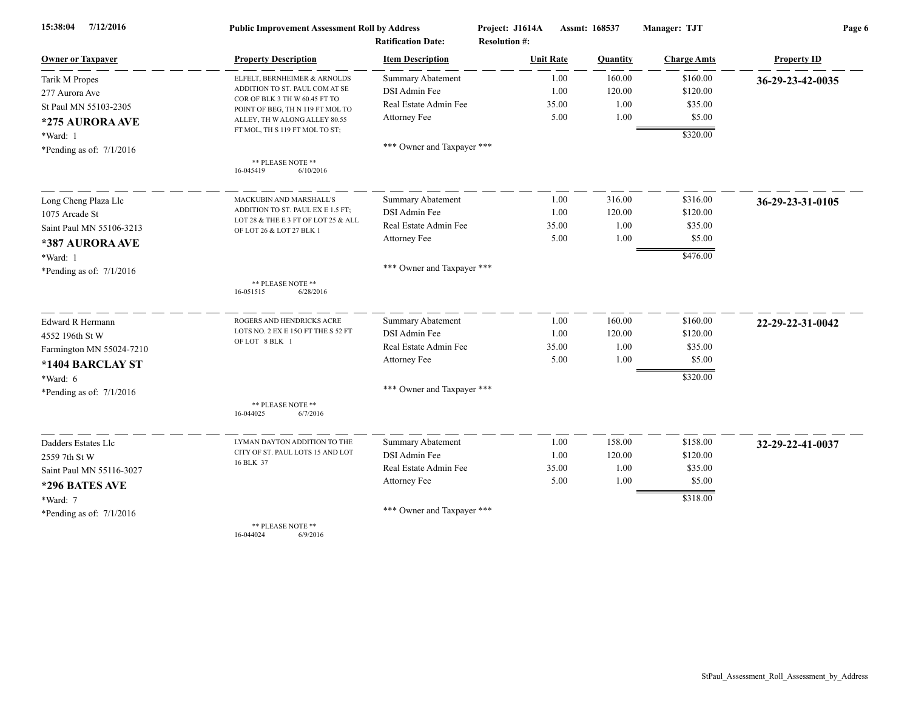| 7/12/2016<br>15:38:04      | <b>Public Improvement Assessment Roll by Address</b>              |                            | Project: J1614A      | Assmt: 168537 | Manager: TJT       | Page 6             |  |
|----------------------------|-------------------------------------------------------------------|----------------------------|----------------------|---------------|--------------------|--------------------|--|
|                            |                                                                   | <b>Ratification Date:</b>  | <b>Resolution #:</b> |               |                    |                    |  |
| <b>Owner or Taxpayer</b>   | <b>Property Description</b>                                       | <b>Item Description</b>    | <b>Unit Rate</b>     | Quantity      | <b>Charge Amts</b> | <b>Property ID</b> |  |
| Tarik M Propes             | ELFELT, BERNHEIMER & ARNOLDS                                      | <b>Summary Abatement</b>   | 1.00                 | 160.00        | \$160.00           | 36-29-23-42-0035   |  |
| 277 Aurora Ave             | ADDITION TO ST. PAUL COM AT SE                                    | DSI Admin Fee              | 1.00                 | 120.00        | \$120.00           |                    |  |
| St Paul MN 55103-2305      | COR OF BLK 3 TH W 60.45 FT TO<br>POINT OF BEG, TH N 119 FT MOL TO | Real Estate Admin Fee      | 35.00                | 1.00          | \$35.00            |                    |  |
| *275 AURORA AVE            | ALLEY, TH W ALONG ALLEY 80.55                                     | Attorney Fee               | 5.00                 | 1.00          | \$5.00             |                    |  |
| *Ward: 1                   | FT MOL, TH S 119 FT MOL TO ST;                                    |                            |                      |               | \$320.00           |                    |  |
| *Pending as of: $7/1/2016$ |                                                                   | *** Owner and Taxpayer *** |                      |               |                    |                    |  |
|                            | ** PLEASE NOTE **<br>6/10/2016<br>16-045419                       |                            |                      |               |                    |                    |  |
| Long Cheng Plaza Llc       | MACKUBIN AND MARSHALL'S                                           | <b>Summary Abatement</b>   | 1.00                 | 316.00        | \$316.00           | 36-29-23-31-0105   |  |
| 1075 Arcade St             | ADDITION TO ST. PAUL EX E 1.5 FT;                                 | DSI Admin Fee              | 1.00                 | 120.00        | \$120.00           |                    |  |
| Saint Paul MN 55106-3213   | LOT 28 & THE E 3 FT OF LOT 25 & ALL<br>OF LOT 26 & LOT 27 BLK 1   | Real Estate Admin Fee      | 35.00                | 1.00          | \$35.00            |                    |  |
| *387 AURORA AVE            |                                                                   | Attorney Fee               | 5.00                 | 1.00          | \$5.00             |                    |  |
| *Ward: 1                   |                                                                   |                            |                      |               | \$476.00           |                    |  |
| *Pending as of: $7/1/2016$ |                                                                   | *** Owner and Taxpayer *** |                      |               |                    |                    |  |
|                            | ** PLEASE NOTE **<br>16-051515<br>6/28/2016                       |                            |                      |               |                    |                    |  |
| Edward R Hermann           | ROGERS AND HENDRICKS ACRE                                         | Summary Abatement          | 1.00                 | 160.00        | \$160.00           | 22-29-22-31-0042   |  |
| 4552 196th St W            | LOTS NO. 2 EX E 15O FT THE S 52 FT<br>OF LOT 8 BLK 1              | DSI Admin Fee              | 1.00                 | 120.00        | \$120.00           |                    |  |
| Farmington MN 55024-7210   |                                                                   | Real Estate Admin Fee      | 35.00                | 1.00          | \$35.00            |                    |  |
| *1404 BARCLAY ST           |                                                                   | Attorney Fee               | 5.00                 | 1.00          | \$5.00             |                    |  |
| *Ward: 6                   |                                                                   |                            |                      |               | \$320.00           |                    |  |
| *Pending as of: $7/1/2016$ |                                                                   | *** Owner and Taxpayer *** |                      |               |                    |                    |  |
|                            | ** PLEASE NOTE **<br>16-044025<br>6/7/2016                        |                            |                      |               |                    |                    |  |
| Dadders Estates Llc        | LYMAN DAYTON ADDITION TO THE                                      | <b>Summary Abatement</b>   | 1.00                 | 158.00        | \$158.00           | 32-29-22-41-0037   |  |
| 2559 7th St W              | CITY OF ST. PAUL LOTS 15 AND LOT                                  | DSI Admin Fee              | 1.00                 | 120.00        | \$120.00           |                    |  |
| Saint Paul MN 55116-3027   | 16 BLK 37                                                         | Real Estate Admin Fee      | 35.00                | 1.00          | \$35.00            |                    |  |
| *296 BATES AVE             |                                                                   | Attorney Fee               | 5.00                 | 1.00          | \$5.00             |                    |  |
| *Ward: 7                   |                                                                   |                            |                      |               | \$318.00           |                    |  |
| *Pending as of: $7/1/2016$ |                                                                   | *** Owner and Taxpayer *** |                      |               |                    |                    |  |
|                            | ** PLEASE NOTE **                                                 |                            |                      |               |                    |                    |  |

16-044024 6/9/2016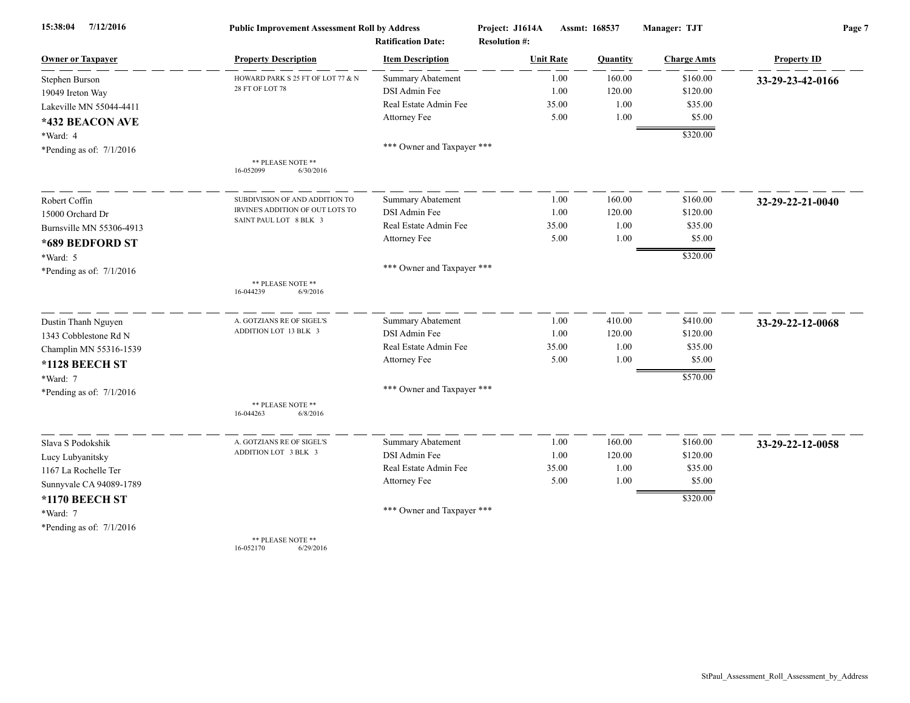| 15:38:04<br>7/12/2016      | <b>Public Improvement Assessment Roll by Address</b> |                            | Project: J1614A      | Assmt: 168537 | Manager: TJT       | Page 7             |
|----------------------------|------------------------------------------------------|----------------------------|----------------------|---------------|--------------------|--------------------|
|                            |                                                      | <b>Ratification Date:</b>  | <b>Resolution #:</b> |               |                    |                    |
| <b>Owner or Taxpayer</b>   | <b>Property Description</b>                          | <b>Item Description</b>    | <b>Unit Rate</b>     | Quantity      | <b>Charge Amts</b> | <b>Property ID</b> |
| Stephen Burson             | HOWARD PARK S 25 FT OF LOT 77 & N                    | <b>Summary Abatement</b>   | 1.00                 | 160.00        | \$160.00           | 33-29-23-42-0166   |
| 19049 Ireton Way           | 28 FT OF LOT 78                                      | DSI Admin Fee              | 1.00                 | 120.00        | \$120.00           |                    |
| Lakeville MN 55044-4411    |                                                      | Real Estate Admin Fee      | 35.00                | 1.00          | \$35.00            |                    |
| *432 BEACON AVE            |                                                      | Attorney Fee               | 5.00                 | 1.00          | \$5.00             |                    |
| *Ward: 4                   |                                                      |                            |                      |               | \$320.00           |                    |
| *Pending as of: $7/1/2016$ |                                                      | *** Owner and Taxpayer *** |                      |               |                    |                    |
|                            | ** PLEASE NOTE **<br>16-052099<br>6/30/2016          |                            |                      |               |                    |                    |
| Robert Coffin              | SUBDIVISION OF AND ADDITION TO                       | <b>Summary Abatement</b>   | 1.00                 | 160.00        | \$160.00           | 32-29-22-21-0040   |
| 15000 Orchard Dr           | IRVINE'S ADDITION OF OUT LOTS TO                     | DSI Admin Fee              | 1.00                 | 120.00        | \$120.00           |                    |
| Burnsville MN 55306-4913   | SAINT PAUL LOT 8 BLK 3                               | Real Estate Admin Fee      | 35.00                | 1.00          | \$35.00            |                    |
| *689 BEDFORD ST            |                                                      | Attorney Fee               | 5.00                 | 1.00          | \$5.00             |                    |
| *Ward: 5                   |                                                      |                            |                      |               | \$320.00           |                    |
| *Pending as of: $7/1/2016$ |                                                      | *** Owner and Taxpayer *** |                      |               |                    |                    |
|                            | ** PLEASE NOTE **<br>16-044239<br>6/9/2016           |                            |                      |               |                    |                    |
| Dustin Thanh Nguyen        | A. GOTZIANS RE OF SIGEL'S                            | Summary Abatement          | 1.00                 | 410.00        | \$410.00           | 33-29-22-12-0068   |
| 1343 Cobblestone Rd N      | ADDITION LOT 13 BLK 3                                | DSI Admin Fee              | 1.00                 | 120.00        | \$120.00           |                    |
| Champlin MN 55316-1539     |                                                      | Real Estate Admin Fee      | 35.00                | 1.00          | \$35.00            |                    |
| *1128 BEECH ST             |                                                      | Attorney Fee               | 5.00                 | 1.00          | \$5.00             |                    |
| *Ward: 7                   |                                                      |                            |                      |               | \$570.00           |                    |
| *Pending as of: $7/1/2016$ |                                                      | *** Owner and Taxpayer *** |                      |               |                    |                    |
|                            | ** PLEASE NOTE **<br>16-044263<br>6/8/2016           |                            |                      |               |                    |                    |
| Slava S Podokshik          | A. GOTZIANS RE OF SIGEL'S                            | Summary Abatement          | 1.00                 | 160.00        | \$160.00           | 33-29-22-12-0058   |
| Lucy Lubyanitsky           | ADDITION LOT 3 BLK 3                                 | DSI Admin Fee              | 1.00                 | 120.00        | \$120.00           |                    |
| 1167 La Rochelle Ter       |                                                      | Real Estate Admin Fee      | 35.00                | 1.00          | \$35.00            |                    |
| Sunnyvale CA 94089-1789    |                                                      | Attorney Fee               | 5.00                 | 1.00          | \$5.00             |                    |
| *1170 BEECH ST             |                                                      |                            |                      |               | \$320.00           |                    |
| *Ward: 7                   |                                                      | *** Owner and Taxpayer *** |                      |               |                    |                    |
| *Pending as of: $7/1/2016$ |                                                      |                            |                      |               |                    |                    |
|                            | ** PLEASE NOTE **                                    |                            |                      |               |                    |                    |

16-052170 6/29/2016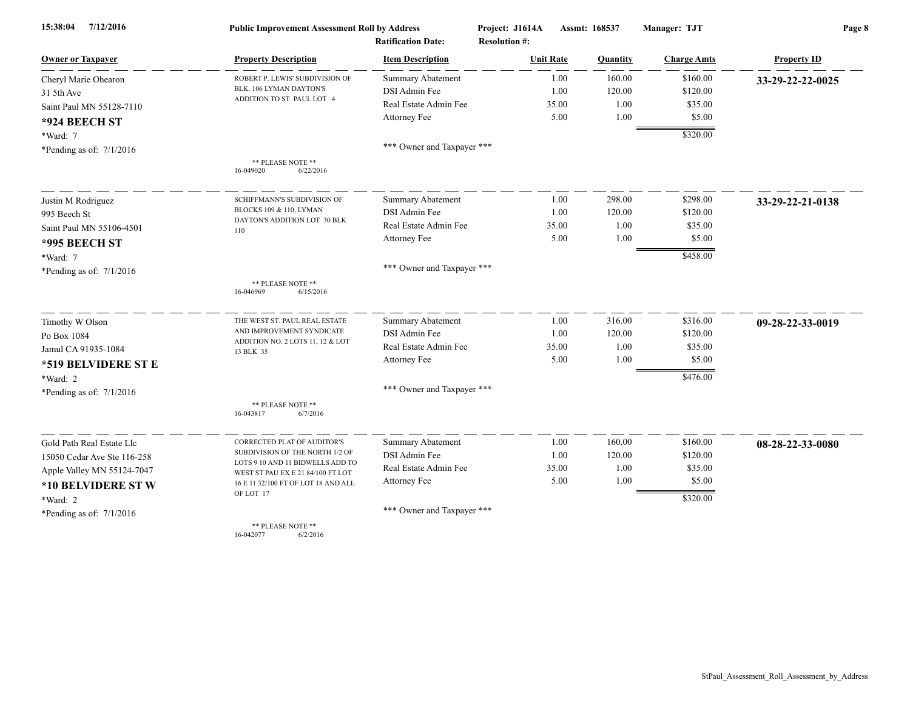| 7/12/2016<br>15:38:04       | <b>Public Improvement Assessment Roll by Address</b>                  |                            | Project: J1614A      | Assmt: 168537 | Manager: TJT       | Page 8             |  |
|-----------------------------|-----------------------------------------------------------------------|----------------------------|----------------------|---------------|--------------------|--------------------|--|
|                             |                                                                       | <b>Ratification Date:</b>  | <b>Resolution #:</b> |               |                    |                    |  |
| <b>Owner or Taxpayer</b>    | <b>Property Description</b>                                           | <b>Item Description</b>    | <b>Unit Rate</b>     | Quantity      | <b>Charge Amts</b> | <b>Property ID</b> |  |
| Cheryl Marie Ohearon        | ROBERT P. LEWIS' SUBDIVISION OF                                       | <b>Summary Abatement</b>   | 1.00                 | 160.00        | \$160.00           | 33-29-22-22-0025   |  |
| 31 5th Ave                  | BLK. 106 LYMAN DAYTON'S<br>ADDITION TO ST. PAUL LOT 4                 | DSI Admin Fee              | 1.00                 | 120.00        | \$120.00           |                    |  |
| Saint Paul MN 55128-7110    |                                                                       | Real Estate Admin Fee      | 35.00                | 1.00          | \$35.00            |                    |  |
| *924 BEECH ST               |                                                                       | Attorney Fee               | 5.00                 | 1.00          | \$5.00             |                    |  |
| *Ward: 7                    |                                                                       |                            |                      |               | \$320.00           |                    |  |
| *Pending as of: 7/1/2016    |                                                                       | *** Owner and Taxpayer *** |                      |               |                    |                    |  |
|                             | ** PLEASE NOTE **<br>16-049020<br>6/22/2016                           |                            |                      |               |                    |                    |  |
| Justin M Rodriguez          | SCHIFFMANN'S SUBDIVISION OF                                           | <b>Summary Abatement</b>   | 1.00                 | 298.00        | \$298.00           | 33-29-22-21-0138   |  |
| 995 Beech St                | BLOCKS 109 & 110, LYMAN                                               | DSI Admin Fee              | 1.00                 | 120.00        | \$120.00           |                    |  |
| Saint Paul MN 55106-4501    | DAYTON'S ADDITION LOT 30 BLK<br>110                                   | Real Estate Admin Fee      | 35.00                | 1.00          | \$35.00            |                    |  |
| <b>*995 BEECH ST</b>        |                                                                       | Attorney Fee               | 5.00                 | 1.00          | \$5.00             |                    |  |
| *Ward: 7                    |                                                                       |                            |                      |               | \$458.00           |                    |  |
| *Pending as of: $7/1/2016$  |                                                                       | *** Owner and Taxpayer *** |                      |               |                    |                    |  |
|                             | ** PLEASE NOTE **<br>16-046969<br>6/15/2016                           |                            |                      |               |                    |                    |  |
| Timothy W Olson             | THE WEST ST. PAUL REAL ESTATE                                         | <b>Summary Abatement</b>   | 1.00                 | 316.00        | \$316.00           | 09-28-22-33-0019   |  |
| Po Box 1084                 | AND IMPROVEMENT SYNDICATE                                             | DSI Admin Fee              | 1.00                 | 120.00        | \$120.00           |                    |  |
| Jamul CA 91935-1084         | ADDITION NO. 2 LOTS 11, 12 & LOT<br>13 BLK 35                         | Real Estate Admin Fee      | 35.00                | 1.00          | \$35.00            |                    |  |
| *519 BELVIDERE ST E         |                                                                       | Attorney Fee               | 5.00                 | 1.00          | \$5.00             |                    |  |
| *Ward: 2                    |                                                                       |                            |                      |               | \$476.00           |                    |  |
| *Pending as of: $7/1/2016$  |                                                                       | *** Owner and Taxpayer *** |                      |               |                    |                    |  |
|                             | ** PLEASE NOTE **<br>16-043817<br>6/7/2016                            |                            |                      |               |                    |                    |  |
| Gold Path Real Estate Llc   | CORRECTED PLAT OF AUDITOR'S                                           | Summary Abatement          | 1.00                 | 160.00        | \$160.00           | 08-28-22-33-0080   |  |
| 15050 Cedar Ave Ste 116-258 | SUBDIVISION OF THE NORTH 1/2 OF                                       | DSI Admin Fee              | 1.00                 | 120.00        | \$120.00           |                    |  |
| Apple Valley MN 55124-7047  | LOTS 9 10 AND 11 BIDWELLS ADD TO<br>WEST ST PAU EX E 21 84/100 FT LOT | Real Estate Admin Fee      | 35.00                | 1.00          | \$35.00            |                    |  |
| *10 BELVIDERE ST W          | 16 E 11 32/100 FT OF LOT 18 AND ALL                                   | Attorney Fee               | 5.00                 | 1.00          | \$5.00             |                    |  |
| *Ward: 2                    | OF LOT 17                                                             |                            |                      |               | \$320.00           |                    |  |
| *Pending as of: $7/1/2016$  |                                                                       | *** Owner and Taxpayer *** |                      |               |                    |                    |  |
|                             | ** PLEASE NOTE **<br>16.042077                                        |                            |                      |               |                    |                    |  |

16-042077 6/2/2016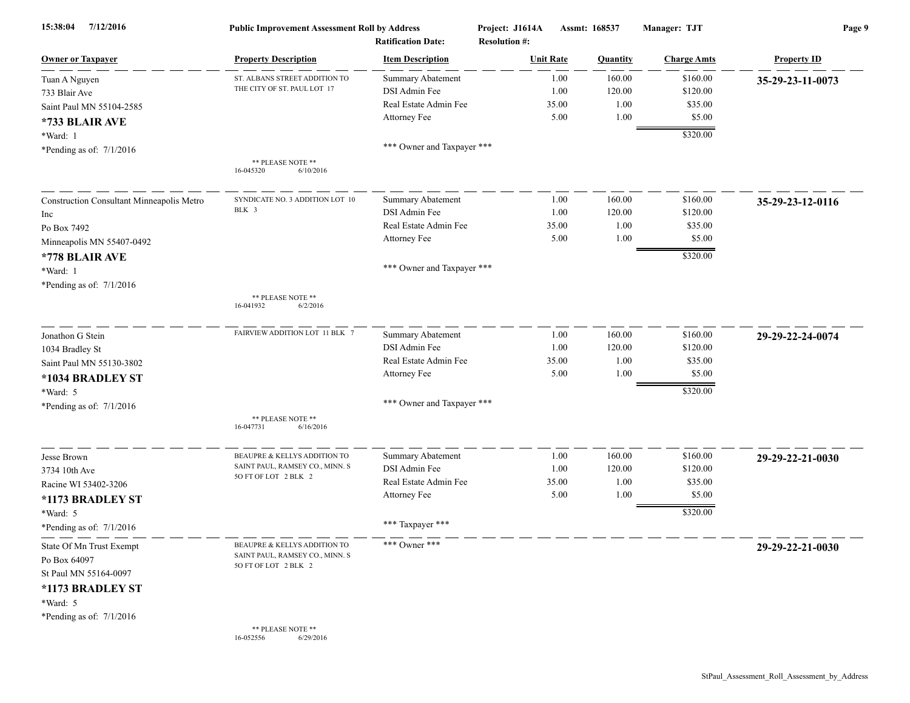| 15:38:04<br>7/12/2016                     | <b>Public Improvement Assessment Roll by Address</b> | <b>Ratification Date:</b>  | Project: J1614A<br><b>Resolution #:</b> |       | Assmt: 168537   | Manager: TJT       | Page 9             |
|-------------------------------------------|------------------------------------------------------|----------------------------|-----------------------------------------|-------|-----------------|--------------------|--------------------|
| <b>Owner or Taxpayer</b>                  | <b>Property Description</b>                          | <b>Item Description</b>    | <b>Unit Rate</b>                        |       | <b>Quantity</b> | <b>Charge Amts</b> | <b>Property ID</b> |
| Tuan A Nguyen                             | ST. ALBANS STREET ADDITION TO                        | <b>Summary Abatement</b>   |                                         | 1.00  | 160.00          | \$160.00           | 35-29-23-11-0073   |
| 733 Blair Ave                             | THE CITY OF ST. PAUL LOT 17                          | DSI Admin Fee              |                                         | 1.00  | 120.00          | \$120.00           |                    |
| Saint Paul MN 55104-2585                  |                                                      | Real Estate Admin Fee      |                                         | 35.00 | 1.00            | \$35.00            |                    |
| *733 BLAIR AVE                            |                                                      | Attorney Fee               |                                         | 5.00  | 1.00            | \$5.00             |                    |
| *Ward: 1                                  |                                                      |                            |                                         |       |                 | \$320.00           |                    |
| *Pending as of: $7/1/2016$                |                                                      | *** Owner and Taxpayer *** |                                         |       |                 |                    |                    |
|                                           | ** PLEASE NOTE **<br>16-045320<br>6/10/2016          |                            |                                         |       |                 |                    |                    |
| Construction Consultant Minneapolis Metro | SYNDICATE NO. 3 ADDITION LOT 10                      | <b>Summary Abatement</b>   |                                         | 1.00  | 160.00          | \$160.00           | 35-29-23-12-0116   |
| Inc                                       | BLK 3                                                | DSI Admin Fee              |                                         | 1.00  | 120.00          | \$120.00           |                    |
| Po Box 7492                               |                                                      | Real Estate Admin Fee      |                                         | 35.00 | 1.00            | \$35.00            |                    |
| Minneapolis MN 55407-0492                 |                                                      | Attorney Fee               |                                         | 5.00  | 1.00            | \$5.00             |                    |
| *778 BLAIR AVE                            |                                                      |                            |                                         |       |                 | \$320.00           |                    |
| *Ward: 1                                  |                                                      | *** Owner and Taxpayer *** |                                         |       |                 |                    |                    |
| *Pending as of: $7/1/2016$                |                                                      |                            |                                         |       |                 |                    |                    |
|                                           | ** PLEASE NOTE **<br>16-041932<br>6/2/2016           |                            |                                         |       |                 |                    |                    |
| Jonathon G Stein                          | FAIRVIEW ADDITION LOT 11 BLK 7                       | <b>Summary Abatement</b>   |                                         | 1.00  | 160.00          | \$160.00           | 29-29-22-24-0074   |
| 1034 Bradley St                           |                                                      | DSI Admin Fee              |                                         | 1.00  | 120.00          | \$120.00           |                    |
| Saint Paul MN 55130-3802                  |                                                      | Real Estate Admin Fee      |                                         | 35.00 | 1.00            | \$35.00            |                    |
| *1034 BRADLEY ST                          |                                                      | Attorney Fee               |                                         | 5.00  | 1.00            | \$5.00             |                    |
| *Ward: 5                                  |                                                      |                            |                                         |       |                 | \$320.00           |                    |
| *Pending as of: $7/1/2016$                |                                                      | *** Owner and Taxpayer *** |                                         |       |                 |                    |                    |
|                                           | ** PLEASE NOTE **<br>6/16/2016<br>16-047731          |                            |                                         |       |                 |                    |                    |
| Jesse Brown                               | BEAUPRE & KELLYS ADDITION TO                         | <b>Summary Abatement</b>   |                                         | 1.00  | 160.00          | \$160.00           | 29-29-22-21-0030   |
| 3734 10th Ave                             | SAINT PAUL, RAMSEY CO., MINN. S                      | DSI Admin Fee              |                                         | 1.00  | 120.00          | \$120.00           |                    |
| Racine WI 53402-3206                      | 50 FT OF LOT 2 BLK 2                                 | Real Estate Admin Fee      |                                         | 35.00 | 1.00            | \$35.00            |                    |
| *1173 BRADLEY ST                          |                                                      | Attorney Fee               |                                         | 5.00  | 1.00            | \$5.00             |                    |
| *Ward: 5                                  |                                                      |                            |                                         |       |                 | \$320.00           |                    |
| *Pending as of: $7/1/2016$                |                                                      | *** Taxpayer ***           |                                         |       |                 |                    |                    |
| State Of Mn Trust Exempt                  | BEAUPRE & KELLYS ADDITION TO                         | *** Owner ***              |                                         |       |                 |                    | 29-29-22-21-0030   |
| Po Box 64097                              | SAINT PAUL, RAMSEY CO., MINN. S                      |                            |                                         |       |                 |                    |                    |
| St Paul MN 55164-0097                     | 50 FT OF LOT 2 BLK 2                                 |                            |                                         |       |                 |                    |                    |
| *1173 BRADLEY ST                          |                                                      |                            |                                         |       |                 |                    |                    |
| $*Ward: 5$                                |                                                      |                            |                                         |       |                 |                    |                    |
| *Pending as of: $7/1/2016$                |                                                      |                            |                                         |       |                 |                    |                    |
|                                           | ** PLEASE NOTE **<br>16-052556<br>6/29/2016          |                            |                                         |       |                 |                    |                    |
|                                           |                                                      |                            |                                         |       |                 |                    |                    |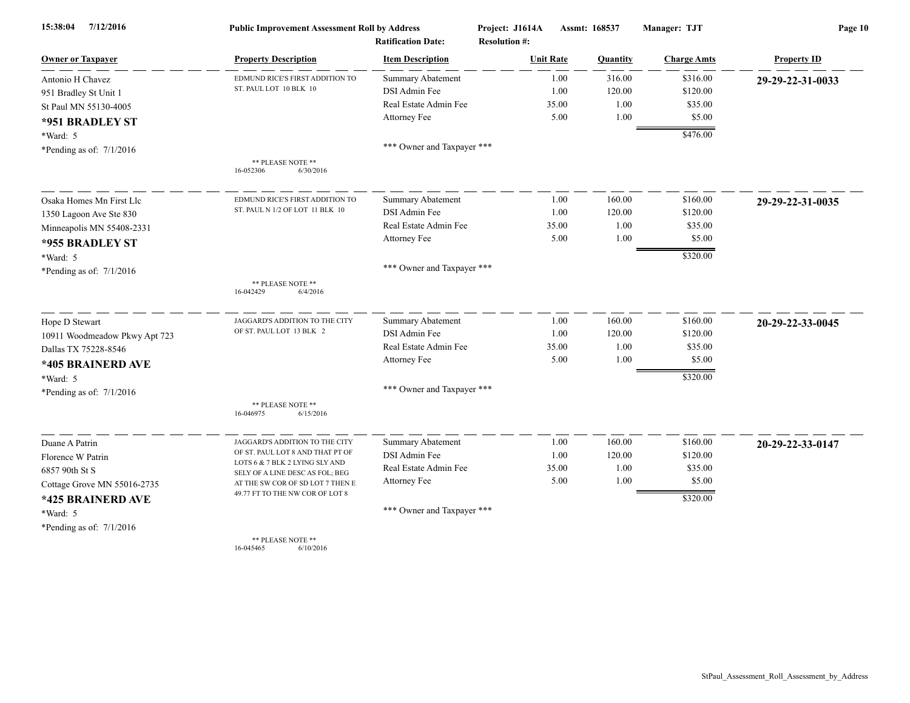| 7/12/2016<br>15:38:04         | <b>Public Improvement Assessment Roll by Address</b>              |                                                      | Project: J1614A                          | Assmt: 168537 |          | Manager: TJT       | Page 10            |  |
|-------------------------------|-------------------------------------------------------------------|------------------------------------------------------|------------------------------------------|---------------|----------|--------------------|--------------------|--|
| <b>Owner or Taxpayer</b>      | <b>Property Description</b>                                       | <b>Ratification Date:</b><br><b>Item Description</b> | <b>Resolution #:</b><br><b>Unit Rate</b> |               | Quantity | <b>Charge Amts</b> | <b>Property ID</b> |  |
| Antonio H Chavez              | EDMUND RICE'S FIRST ADDITION TO                                   | <b>Summary Abatement</b>                             |                                          | 1.00          | 316.00   | \$316.00           | 29-29-22-31-0033   |  |
| 951 Bradley St Unit 1         | ST. PAUL LOT 10 BLK 10                                            | DSI Admin Fee                                        |                                          | 1.00          | 120.00   | \$120.00           |                    |  |
| St Paul MN 55130-4005         |                                                                   | Real Estate Admin Fee                                |                                          | 35.00         | 1.00     | \$35.00            |                    |  |
| *951 BRADLEY ST               |                                                                   | Attorney Fee                                         |                                          | 5.00          | 1.00     | \$5.00             |                    |  |
| *Ward: 5                      |                                                                   |                                                      |                                          |               |          | \$476.00           |                    |  |
| *Pending as of: $7/1/2016$    |                                                                   | *** Owner and Taxpayer ***                           |                                          |               |          |                    |                    |  |
|                               | ** PLEASE NOTE **<br>16-052306<br>6/30/2016                       |                                                      |                                          |               |          |                    |                    |  |
| Osaka Homes Mn First Llc      | EDMUND RICE'S FIRST ADDITION TO                                   | <b>Summary Abatement</b>                             |                                          | 1.00          | 160.00   | \$160.00           | 29-29-22-31-0035   |  |
| 1350 Lagoon Ave Ste 830       | ST. PAUL N 1/2 OF LOT 11 BLK 10                                   | DSI Admin Fee                                        |                                          | 1.00          | 120.00   | \$120.00           |                    |  |
| Minneapolis MN 55408-2331     |                                                                   | Real Estate Admin Fee                                |                                          | 35.00         | 1.00     | \$35.00            |                    |  |
| *955 BRADLEY ST               |                                                                   | Attorney Fee                                         |                                          | 5.00          | 1.00     | \$5.00             |                    |  |
| *Ward: 5                      |                                                                   |                                                      |                                          |               |          | \$320.00           |                    |  |
| *Pending as of: $7/1/2016$    |                                                                   | *** Owner and Taxpayer ***                           |                                          |               |          |                    |                    |  |
|                               | ** PLEASE NOTE **<br>6/4/2016<br>16-042429                        |                                                      |                                          |               |          |                    |                    |  |
| Hope D Stewart                | JAGGARD'S ADDITION TO THE CITY                                    | Summary Abatement                                    |                                          | 1.00          | 160.00   | \$160.00           | 20-29-22-33-0045   |  |
| 10911 Woodmeadow Pkwy Apt 723 | OF ST. PAUL LOT 13 BLK 2                                          | DSI Admin Fee                                        |                                          | 1.00          | 120.00   | \$120.00           |                    |  |
| Dallas TX 75228-8546          |                                                                   | Real Estate Admin Fee                                |                                          | 35.00         | 1.00     | \$35.00            |                    |  |
| *405 BRAINERD AVE             |                                                                   | Attorney Fee                                         |                                          | 5.00          | 1.00     | \$5.00             |                    |  |
| *Ward: 5                      |                                                                   |                                                      |                                          |               |          | \$320.00           |                    |  |
| *Pending as of: 7/1/2016      |                                                                   | *** Owner and Taxpayer ***                           |                                          |               |          |                    |                    |  |
|                               | ** PLEASE NOTE **<br>16-046975<br>6/15/2016                       |                                                      |                                          |               |          |                    |                    |  |
| Duane A Patrin                | JAGGARD'S ADDITION TO THE CITY                                    | <b>Summary Abatement</b>                             |                                          | 1.00          | 160.00   | \$160.00           | 20-29-22-33-0147   |  |
| Florence W Patrin             | OF ST. PAUL LOT 8 AND THAT PT OF                                  | DSI Admin Fee                                        |                                          | 1.00          | 120.00   | \$120.00           |                    |  |
| 6857 90th St S                | LOTS 6 & 7 BLK 2 LYING SLY AND<br>SELY OF A LINE DESC AS FOL; BEG | Real Estate Admin Fee                                |                                          | 35.00         | 1.00     | \$35.00            |                    |  |
| Cottage Grove MN 55016-2735   | AT THE SW COR OF SD LOT 7 THEN E                                  | Attorney Fee                                         |                                          | 5.00          | 1.00     | \$5.00             |                    |  |
| *425 BRAINERD AVE             | 49.77 FT TO THE NW COR OF LOT 8                                   |                                                      |                                          |               |          | \$320.00           |                    |  |
| *Ward: 5                      |                                                                   | *** Owner and Taxpayer ***                           |                                          |               |          |                    |                    |  |
| *Pending as of: $7/1/2016$    |                                                                   |                                                      |                                          |               |          |                    |                    |  |
|                               | ** PLEASE NOTE **                                                 |                                                      |                                          |               |          |                    |                    |  |

16-045465 6/10/2016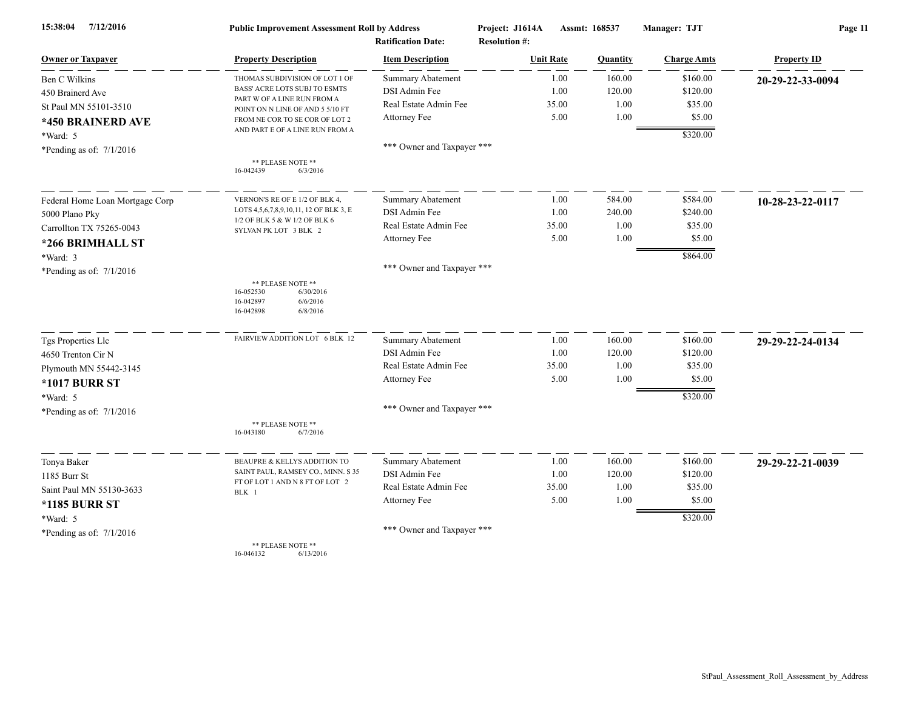| 7/12/2016<br>15:38:04           | <b>Public Improvement Assessment Roll by Address</b><br><b>Ratification Date:</b>             |                            | Project: J1614A<br><b>Resolution #:</b> | Assmt: 168537 |                 | Manager: TJT       | Page 11            |  |
|---------------------------------|-----------------------------------------------------------------------------------------------|----------------------------|-----------------------------------------|---------------|-----------------|--------------------|--------------------|--|
| <b>Owner or Taxpayer</b>        | <b>Property Description</b>                                                                   | <b>Item Description</b>    | <b>Unit Rate</b>                        |               | <b>Ouantity</b> | <b>Charge Amts</b> | <b>Property ID</b> |  |
| Ben C Wilkins                   | THOMAS SUBDIVISION OF LOT 1 OF                                                                | <b>Summary Abatement</b>   |                                         | 1.00          | 160.00          | \$160.00           | 20-29-22-33-0094   |  |
| 450 Brainerd Ave                | BASS' ACRE LOTS SUBJ TO ESMTS<br>PART W OF A LINE RUN FROM A                                  | DSI Admin Fee              |                                         | 1.00          | 120.00          | \$120.00           |                    |  |
| St Paul MN 55101-3510           | POINT ON N LINE OF AND 5 5/10 FT                                                              | Real Estate Admin Fee      |                                         | 35.00         | 1.00            | \$35.00            |                    |  |
| *450 BRAINERD AVE               | FROM NE COR TO SE COR OF LOT 2                                                                | Attorney Fee               |                                         | 5.00          | 1.00            | \$5.00             |                    |  |
| *Ward: 5                        | AND PART E OF A LINE RUN FROM A                                                               |                            |                                         |               |                 | \$320.00           |                    |  |
| *Pending as of: $7/1/2016$      |                                                                                               | *** Owner and Taxpayer *** |                                         |               |                 |                    |                    |  |
|                                 | ** PLEASE NOTE **<br>16-042439<br>6/3/2016                                                    |                            |                                         |               |                 |                    |                    |  |
| Federal Home Loan Mortgage Corp | VERNON'S RE OF E 1/2 OF BLK 4,                                                                | Summary Abatement          |                                         | 1.00          | 584.00          | \$584.00           | 10-28-23-22-0117   |  |
| 5000 Plano Pky                  | LOTS 4,5,6,7,8,9,10,11, 12 OF BLK 3, E                                                        | DSI Admin Fee              |                                         | 1.00          | 240.00          | \$240.00           |                    |  |
| Carrollton TX 75265-0043        | 1/2 OF BLK 5 & W 1/2 OF BLK 6<br>SYLVAN PK LOT 3 BLK 2                                        | Real Estate Admin Fee      |                                         | 35.00         | 1.00            | \$35.00            |                    |  |
| *266 BRIMHALL ST                |                                                                                               | Attorney Fee               |                                         | 5.00          | 1.00            | \$5.00             |                    |  |
| *Ward: 3                        |                                                                                               |                            |                                         |               |                 | \$864.00           |                    |  |
| *Pending as of: $7/1/2016$      |                                                                                               | *** Owner and Taxpayer *** |                                         |               |                 |                    |                    |  |
|                                 | ** PLEASE NOTE **<br>6/30/2016<br>16-052530<br>16-042897<br>6/6/2016<br>16-042898<br>6/8/2016 |                            |                                         |               |                 |                    |                    |  |
| Tgs Properties Llc              | FAIRVIEW ADDITION LOT 6 BLK 12                                                                | <b>Summary Abatement</b>   |                                         | 1.00          | 160.00          | \$160.00           | 29-29-22-24-0134   |  |
| 4650 Trenton Cir N              |                                                                                               | DSI Admin Fee              |                                         | 1.00          | 120.00          | \$120.00           |                    |  |
| Plymouth MN 55442-3145          |                                                                                               | Real Estate Admin Fee      |                                         | 35.00         | 1.00            | \$35.00            |                    |  |
| <b>*1017 BURR ST</b>            |                                                                                               | Attorney Fee               |                                         | 5.00          | 1.00            | \$5.00             |                    |  |
| *Ward: 5                        |                                                                                               |                            |                                         |               |                 | \$320.00           |                    |  |
| *Pending as of: 7/1/2016        |                                                                                               | *** Owner and Taxpayer *** |                                         |               |                 |                    |                    |  |
|                                 | ** PLEASE NOTE **<br>16-043180<br>6/7/2016                                                    |                            |                                         |               |                 |                    |                    |  |
| Tonya Baker                     | BEAUPRE & KELLYS ADDITION TO                                                                  | <b>Summary Abatement</b>   |                                         | 1.00          | 160.00          | \$160.00           | 29-29-22-21-0039   |  |
| 1185 Burr St                    | SAINT PAUL, RAMSEY CO., MINN. S 35                                                            | DSI Admin Fee              |                                         | 1.00          | 120.00          | \$120.00           |                    |  |
| Saint Paul MN 55130-3633        | FT OF LOT 1 AND N 8 FT OF LOT 2<br>BLK 1                                                      | Real Estate Admin Fee      |                                         | 35.00         | 1.00            | \$35.00            |                    |  |
| <b>*1185 BURR ST</b>            |                                                                                               | Attorney Fee               |                                         | 5.00          | 1.00            | \$5.00             |                    |  |
| *Ward: 5                        |                                                                                               |                            |                                         |               |                 | \$320.00           |                    |  |
| *Pending as of: $7/1/2016$      |                                                                                               | *** Owner and Taxpayer *** |                                         |               |                 |                    |                    |  |
|                                 | ** PLEASE NOTE **                                                                             |                            |                                         |               |                 |                    |                    |  |

16-046132 6/13/2016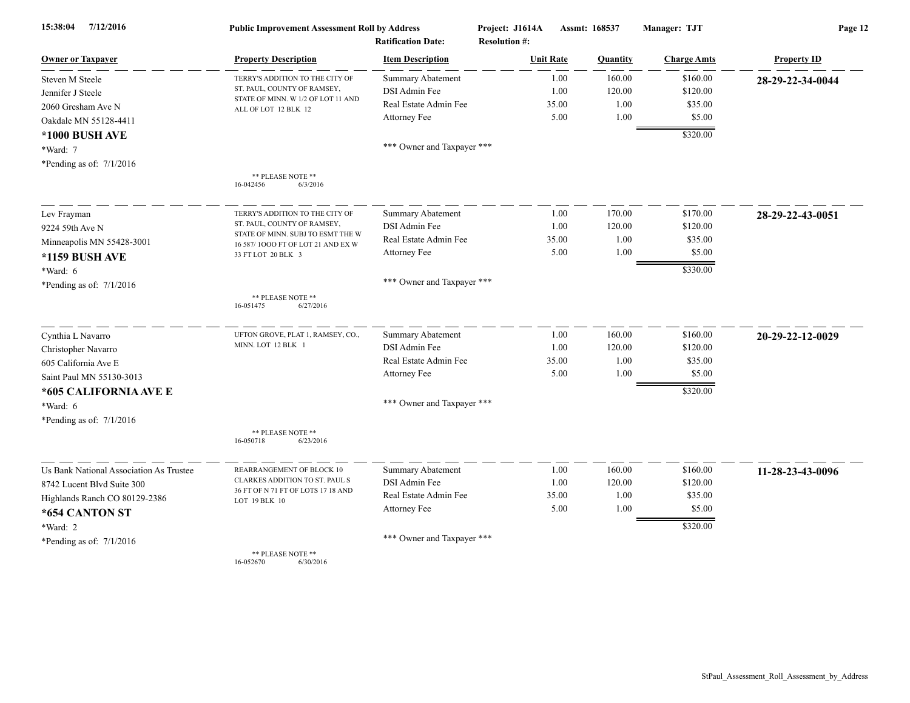| 7/12/2016<br>15:38:04                   | <b>Public Improvement Assessment Roll by Address</b>                   |                            | Project: J1614A<br>Assmt: 168537 |          | Manager: TJT       | Page 12            |  |
|-----------------------------------------|------------------------------------------------------------------------|----------------------------|----------------------------------|----------|--------------------|--------------------|--|
|                                         |                                                                        | <b>Ratification Date:</b>  | <b>Resolution #:</b>             |          |                    |                    |  |
| <b>Owner or Taxpayer</b>                | <b>Property Description</b>                                            | <b>Item Description</b>    | <b>Unit Rate</b>                 | Quantity | <b>Charge Amts</b> | <b>Property ID</b> |  |
| Steven M Steele                         | TERRY'S ADDITION TO THE CITY OF                                        | <b>Summary Abatement</b>   | 1.00                             | 160.00   | \$160.00           | 28-29-22-34-0044   |  |
| Jennifer J Steele                       | ST. PAUL, COUNTY OF RAMSEY,<br>STATE OF MINN. W 1/2 OF LOT 11 AND      | DSI Admin Fee              | 1.00                             | 120.00   | \$120.00           |                    |  |
| 2060 Gresham Ave N                      | ALL OF LOT 12 BLK 12                                                   | Real Estate Admin Fee      | 35.00                            | 1.00     | \$35.00            |                    |  |
| Oakdale MN 55128-4411                   |                                                                        | Attorney Fee               | 5.00                             | 1.00     | \$5.00             |                    |  |
| *1000 BUSH AVE                          |                                                                        |                            |                                  |          | \$320.00           |                    |  |
| *Ward: 7                                |                                                                        | *** Owner and Taxpayer *** |                                  |          |                    |                    |  |
| *Pending as of: $7/1/2016$              |                                                                        |                            |                                  |          |                    |                    |  |
|                                         | ** PLEASE NOTE **<br>16-042456<br>6/3/2016                             |                            |                                  |          |                    |                    |  |
| Lev Frayman                             | TERRY'S ADDITION TO THE CITY OF                                        | <b>Summary Abatement</b>   | 1.00                             | 170.00   | \$170.00           | 28-29-22-43-0051   |  |
| 9224 59th Ave N                         | ST. PAUL, COUNTY OF RAMSEY,                                            | DSI Admin Fee              | 1.00                             | 120.00   | \$120.00           |                    |  |
| Minneapolis MN 55428-3001               | STATE OF MINN. SUBJ TO ESMT THE W<br>16 587/1000 FT OF LOT 21 AND EX W | Real Estate Admin Fee      | 35.00                            | 1.00     | \$35.00            |                    |  |
| *1159 BUSH AVE                          | 33 FT LOT 20 BLK 3                                                     | Attorney Fee               | 5.00                             | 1.00     | \$5.00             |                    |  |
| *Ward: 6                                |                                                                        |                            |                                  |          | \$330.00           |                    |  |
| *Pending as of: $7/1/2016$              |                                                                        | *** Owner and Taxpayer *** |                                  |          |                    |                    |  |
|                                         | ** PLEASE NOTE **<br>6/27/2016<br>16-051475                            |                            |                                  |          |                    |                    |  |
| Cynthia L Navarro                       | UFTON GROVE, PLAT 1, RAMSEY, CO.,                                      | <b>Summary Abatement</b>   | 1.00                             | 160.00   | \$160.00           | 20-29-22-12-0029   |  |
| Christopher Navarro                     | MINN. LOT 12 BLK 1                                                     | <b>DSI</b> Admin Fee       | 1.00                             | 120.00   | \$120.00           |                    |  |
| 605 California Ave E                    |                                                                        | Real Estate Admin Fee      | 35.00                            | 1.00     | \$35.00            |                    |  |
| Saint Paul MN 55130-3013                |                                                                        | Attorney Fee               | 5.00                             | 1.00     | \$5.00             |                    |  |
| *605 CALIFORNIA AVE E                   |                                                                        |                            |                                  |          | \$320.00           |                    |  |
| *Ward: 6                                |                                                                        | *** Owner and Taxpayer *** |                                  |          |                    |                    |  |
| *Pending as of: 7/1/2016                |                                                                        |                            |                                  |          |                    |                    |  |
|                                         | ** PLEASE NOTE **<br>16-050718<br>6/23/2016                            |                            |                                  |          |                    |                    |  |
| Us Bank National Association As Trustee | REARRANGEMENT OF BLOCK 10                                              | <b>Summary Abatement</b>   | 1.00                             | 160.00   | \$160.00           | 11-28-23-43-0096   |  |
| 8742 Lucent Blvd Suite 300              | CLARKES ADDITION TO ST. PAUL S                                         | DSI Admin Fee              | 1.00                             | 120.00   | \$120.00           |                    |  |
| Highlands Ranch CO 80129-2386           | 36 FT OF N 71 FT OF LOTS 17 18 AND<br>LOT 19 BLK 10                    | Real Estate Admin Fee      | 35.00                            | 1.00     | \$35.00            |                    |  |
| *654 CANTON ST                          |                                                                        | Attorney Fee               | 5.00                             | 1.00     | \$5.00             |                    |  |
| *Ward: 2                                |                                                                        |                            |                                  |          | \$320.00           |                    |  |
| *Pending as of: $7/1/2016$              |                                                                        | *** Owner and Taxpayer *** |                                  |          |                    |                    |  |
|                                         | ** PLEASE NOTE **<br>16-052670<br>6/30/2016                            |                            |                                  |          |                    |                    |  |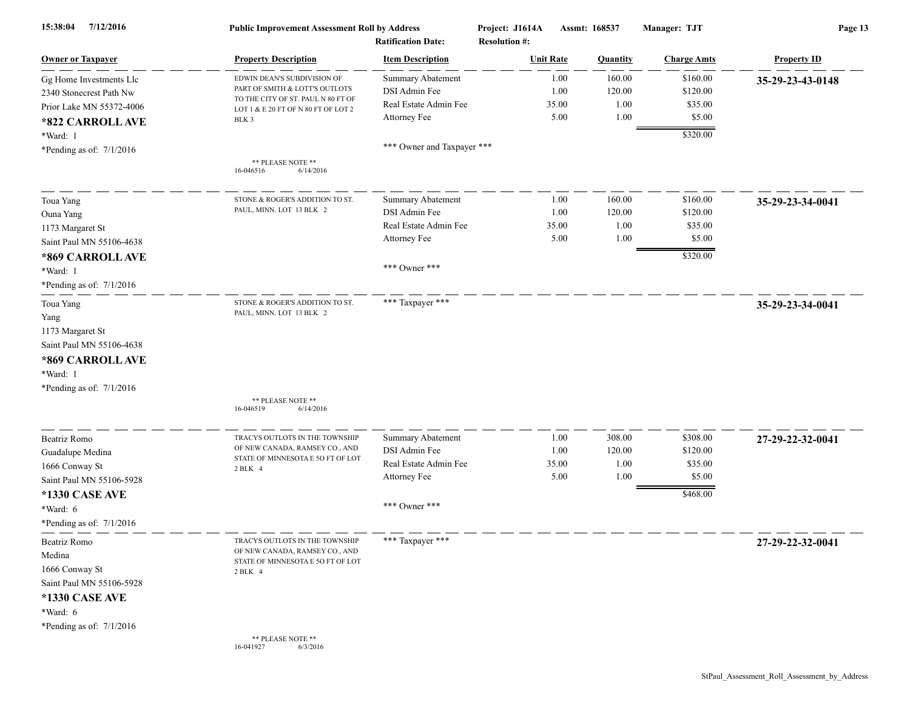| 7/12/2016<br>15:38:04      | <b>Public Improvement Assessment Roll by Address</b><br><b>Ratification Date:</b> |                            | Project: J1614A<br><b>Resolution #:</b> | Assmt: 168537 |                 |                    | Page 13            |  |
|----------------------------|-----------------------------------------------------------------------------------|----------------------------|-----------------------------------------|---------------|-----------------|--------------------|--------------------|--|
| <b>Owner or Taxpayer</b>   | <b>Property Description</b>                                                       | <b>Item Description</b>    | <b>Unit Rate</b>                        |               | <b>Quantity</b> | <b>Charge Amts</b> | <b>Property ID</b> |  |
| Gg Home Investments Llc    | EDWIN DEAN'S SUBDIVISION OF                                                       | <b>Summary Abatement</b>   |                                         | 1.00          | 160.00          | \$160.00           | 35-29-23-43-0148   |  |
| 2340 Stonecrest Path Nw    | PART OF SMITH & LOTT'S OUTLOTS                                                    | DSI Admin Fee              |                                         | 1.00          | 120.00          | \$120.00           |                    |  |
| Prior Lake MN 55372-4006   | TO THE CITY OF ST. PAUL N 80 FT OF<br>LOT 1 & E 20 FT OF N 80 FT OF LOT 2         | Real Estate Admin Fee      | 35.00                                   |               | 1.00            | \$35.00            |                    |  |
| *822 CARROLLAVE            | BLK 3                                                                             | Attorney Fee               |                                         | 5.00          | 1.00            | \$5.00             |                    |  |
| *Ward: 1                   |                                                                                   |                            |                                         |               |                 | \$320.00           |                    |  |
| *Pending as of: $7/1/2016$ |                                                                                   | *** Owner and Taxpayer *** |                                         |               |                 |                    |                    |  |
|                            | ** PLEASE NOTE **<br>16-046516<br>6/14/2016                                       |                            |                                         |               |                 |                    |                    |  |
| Toua Yang                  | STONE & ROGER'S ADDITION TO ST                                                    | Summary Abatement          |                                         | 1.00          | 160.00          | \$160.00           | 35-29-23-34-0041   |  |
| Ouna Yang                  | PAUL, MINN. LOT 13 BLK 2                                                          | DSI Admin Fee              |                                         | 1.00          | 120.00          | \$120.00           |                    |  |
| 1173 Margaret St           |                                                                                   | Real Estate Admin Fee      | 35.00                                   |               | 1.00            | \$35.00            |                    |  |
| Saint Paul MN 55106-4638   |                                                                                   | Attorney Fee               |                                         | 5.00          | 1.00            | \$5.00             |                    |  |
|                            |                                                                                   |                            |                                         |               |                 |                    |                    |  |
| *869 CARROLL AVE           |                                                                                   | *** Owner ***              |                                         |               |                 | \$320.00           |                    |  |
| *Ward: 1                   |                                                                                   |                            |                                         |               |                 |                    |                    |  |
| *Pending as of: $7/1/2016$ |                                                                                   |                            |                                         |               |                 |                    |                    |  |
| Toua Yang                  | STONE & ROGER'S ADDITION TO ST.                                                   | *** Taxpayer ***           |                                         |               |                 |                    | 35-29-23-34-0041   |  |
| Yang                       | PAUL, MINN. LOT 13 BLK 2                                                          |                            |                                         |               |                 |                    |                    |  |
| 1173 Margaret St           |                                                                                   |                            |                                         |               |                 |                    |                    |  |
| Saint Paul MN 55106-4638   |                                                                                   |                            |                                         |               |                 |                    |                    |  |
| *869 CARROLL AVE           |                                                                                   |                            |                                         |               |                 |                    |                    |  |
| *Ward: 1                   |                                                                                   |                            |                                         |               |                 |                    |                    |  |
| *Pending as of: $7/1/2016$ |                                                                                   |                            |                                         |               |                 |                    |                    |  |
|                            | ** PLEASE NOTE **                                                                 |                            |                                         |               |                 |                    |                    |  |
|                            | 16-046519<br>6/14/2016                                                            |                            |                                         |               |                 |                    |                    |  |
| Beatriz Romo               | TRACYS OUTLOTS IN THE TOWNSHIP                                                    | <b>Summary Abatement</b>   |                                         | 1.00          | 308.00          | \$308.00           | 27-29-22-32-0041   |  |
| Guadalupe Medina           | OF NEW CANADA, RAMSEY CO., AND                                                    | DSI Admin Fee              |                                         | 1.00          | 120.00          | \$120.00           |                    |  |
| 1666 Conway St             | STATE OF MINNESOTA E 50 FT OF LOT                                                 | Real Estate Admin Fee      | 35.00                                   |               | 1.00            | \$35.00            |                    |  |
| Saint Paul MN 55106-5928   | 2 BLK 4                                                                           | Attorney Fee               |                                         | 5.00          | 1.00            | \$5.00             |                    |  |
|                            |                                                                                   |                            |                                         |               |                 | \$468.00           |                    |  |
| *1330 CASE AVE             |                                                                                   | *** Owner ***              |                                         |               |                 |                    |                    |  |
| *Ward: 6                   |                                                                                   |                            |                                         |               |                 |                    |                    |  |
| *Pending as of: 7/1/2016   |                                                                                   |                            |                                         |               |                 |                    |                    |  |
| Beatriz Romo               | TRACYS OUTLOTS IN THE TOWNSHIP                                                    | *** Taxpayer ***           |                                         |               |                 |                    | 27-29-22-32-0041   |  |
| Medina                     | OF NEW CANADA, RAMSEY CO., AND<br>STATE OF MINNESOTA E 50 FT OF LOT               |                            |                                         |               |                 |                    |                    |  |
| 1666 Conway St             | 2 BLK 4                                                                           |                            |                                         |               |                 |                    |                    |  |
| Saint Paul MN 55106-5928   |                                                                                   |                            |                                         |               |                 |                    |                    |  |
| *1330 CASE AVE             |                                                                                   |                            |                                         |               |                 |                    |                    |  |
| *Ward: 6                   |                                                                                   |                            |                                         |               |                 |                    |                    |  |
| *Pending as of: $7/1/2016$ |                                                                                   |                            |                                         |               |                 |                    |                    |  |
|                            | ** PLEASE NOTE **<br>16-041927<br>6/3/2016                                        |                            |                                         |               |                 |                    |                    |  |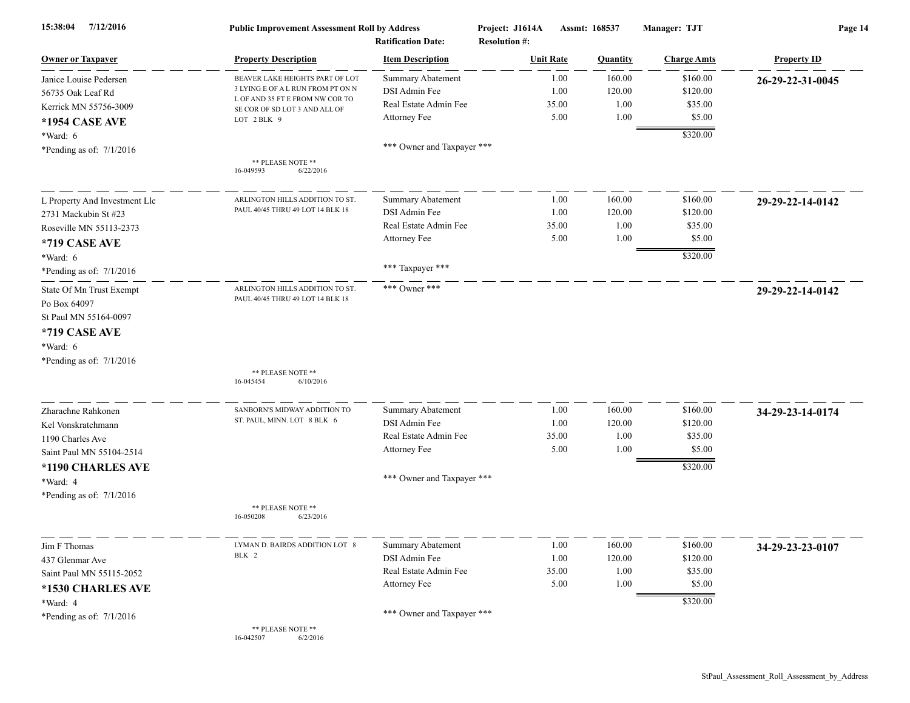| 7/12/2016<br>15:38:04                    | <b>Public Improvement Assessment Roll by Address</b><br><b>Ratification Date:</b> |                            | Project: J1614A<br>Assmt: 168537<br><b>Resolution #:</b> |          | Manager: TJT       | Page 14            |  |
|------------------------------------------|-----------------------------------------------------------------------------------|----------------------------|----------------------------------------------------------|----------|--------------------|--------------------|--|
| <b>Owner or Taxpayer</b>                 | <b>Property Description</b>                                                       | <b>Item Description</b>    | <b>Unit Rate</b>                                         | Quantity | <b>Charge Amts</b> | <b>Property ID</b> |  |
| Janice Louise Pedersen                   | BEAVER LAKE HEIGHTS PART OF LOT                                                   | Summary Abatement          | 1.00                                                     | 160.00   | \$160.00           | 26-29-22-31-0045   |  |
| 56735 Oak Leaf Rd                        | 3 LYING E OF A L RUN FROM PT ON N                                                 | DSI Admin Fee              | 1.00                                                     | 120.00   | \$120.00           |                    |  |
| Kerrick MN 55756-3009                    | L OF AND 35 FT E FROM NW COR TO<br>SE COR OF SD LOT 3 AND ALL OF                  | Real Estate Admin Fee      | 35.00                                                    | 1.00     | \$35.00            |                    |  |
| *1954 CASE AVE                           | LOT 2 BLK 9                                                                       | Attorney Fee               | 5.00                                                     | 1.00     | \$5.00             |                    |  |
| *Ward: 6                                 |                                                                                   |                            |                                                          |          | \$320.00           |                    |  |
| *Pending as of: $7/1/2016$               |                                                                                   | *** Owner and Taxpayer *** |                                                          |          |                    |                    |  |
|                                          | ** PLEASE NOTE **<br>16-049593<br>6/22/2016                                       |                            |                                                          |          |                    |                    |  |
| L Property And Investment Llc            | ARLINGTON HILLS ADDITION TO ST                                                    | <b>Summary Abatement</b>   | 1.00                                                     | 160.00   | \$160.00           | 29-29-22-14-0142   |  |
| 2731 Mackubin St #23                     | PAUL 40/45 THRU 49 LOT 14 BLK 18                                                  | DSI Admin Fee              | 1.00                                                     | 120.00   | \$120.00           |                    |  |
| Roseville MN 55113-2373                  |                                                                                   | Real Estate Admin Fee      | 35.00                                                    | 1.00     | \$35.00            |                    |  |
| *719 CASE AVE                            |                                                                                   | Attorney Fee               | 5.00                                                     | 1.00     | \$5.00             |                    |  |
| *Ward: 6                                 |                                                                                   |                            |                                                          |          | \$320.00           |                    |  |
| *Pending as of: $7/1/2016$               |                                                                                   | *** Taxpayer ***           |                                                          |          |                    |                    |  |
| State Of Mn Trust Exempt<br>Po Box 64097 | ARLINGTON HILLS ADDITION TO ST.<br>PAUL 40/45 THRU 49 LOT 14 BLK 18               | *** Owner ***              |                                                          |          |                    | 29-29-22-14-0142   |  |
| St Paul MN 55164-0097                    |                                                                                   |                            |                                                          |          |                    |                    |  |
| *719 CASE AVE                            |                                                                                   |                            |                                                          |          |                    |                    |  |
| *Ward: 6                                 |                                                                                   |                            |                                                          |          |                    |                    |  |
| *Pending as of: $7/1/2016$               |                                                                                   |                            |                                                          |          |                    |                    |  |
|                                          | ** PLEASE NOTE **<br>16-045454<br>6/10/2016                                       |                            |                                                          |          |                    |                    |  |
| Zharachne Rahkonen                       | SANBORN'S MIDWAY ADDITION TO                                                      | <b>Summary Abatement</b>   | 1.00                                                     | 160.00   | \$160.00           | 34-29-23-14-0174   |  |
| Kel Vonskratchmann                       | ST. PAUL, MINN. LOT 8 BLK 6                                                       | DSI Admin Fee              | 1.00                                                     | 120.00   | \$120.00           |                    |  |
| 1190 Charles Ave                         |                                                                                   | Real Estate Admin Fee      | 35.00                                                    | 1.00     | \$35.00            |                    |  |
| Saint Paul MN 55104-2514                 |                                                                                   | Attorney Fee               | 5.00                                                     | 1.00     | \$5.00             |                    |  |
| *1190 CHARLES AVE                        |                                                                                   |                            |                                                          |          | \$320.00           |                    |  |
| *Ward: 4                                 |                                                                                   | *** Owner and Taxpayer *** |                                                          |          |                    |                    |  |
| *Pending as of: $7/1/2016$               |                                                                                   |                            |                                                          |          |                    |                    |  |
|                                          | ** PLEASE NOTE **<br>6/23/2016<br>16-050208                                       |                            |                                                          |          |                    |                    |  |
| Jim F Thomas                             | LYMAN D. BAIRDS ADDITION LOT 8                                                    | <b>Summary Abatement</b>   | 1.00                                                     | 160.00   | \$160.00           | 34-29-23-23-0107   |  |
| 437 Glenmar Ave                          | BLK 2                                                                             | DSI Admin Fee              | 1.00                                                     | 120.00   | \$120.00           |                    |  |
| Saint Paul MN 55115-2052                 |                                                                                   | Real Estate Admin Fee      | 35.00                                                    | 1.00     | \$35.00            |                    |  |
| *1530 CHARLES AVE                        |                                                                                   | Attorney Fee               | 5.00                                                     | 1.00     | \$5.00             |                    |  |
| *Ward: 4                                 |                                                                                   |                            |                                                          |          | \$320.00           |                    |  |
| *Pending as of: $7/1/2016$               |                                                                                   | *** Owner and Taxpayer *** |                                                          |          |                    |                    |  |
|                                          | ** PLEASE NOTE **<br>16-042507<br>6/2/2016                                        |                            |                                                          |          |                    |                    |  |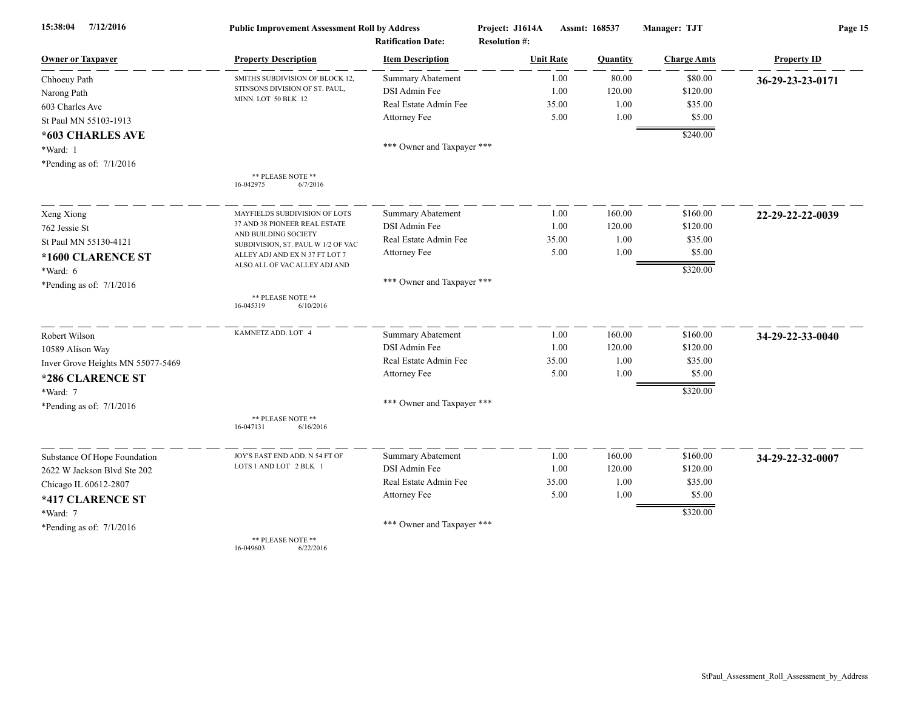| 15:38:04<br>7/12/2016             | <b>Public Improvement Assessment Roll by Address</b>                                                                  |                                                      | Project: J1614A                          | Assmt: 168537 | Manager: TJT       | Page 15            |  |
|-----------------------------------|-----------------------------------------------------------------------------------------------------------------------|------------------------------------------------------|------------------------------------------|---------------|--------------------|--------------------|--|
| <b>Owner or Taxpayer</b>          | <b>Property Description</b>                                                                                           | <b>Ratification Date:</b><br><b>Item Description</b> | <b>Resolution #:</b><br><b>Unit Rate</b> | Quantity      | <b>Charge Amts</b> | <b>Property ID</b> |  |
|                                   |                                                                                                                       |                                                      | 1.00                                     | 80.00         | \$80.00            |                    |  |
| Chhoeuy Path                      | SMITHS SUBDIVISION OF BLOCK 12,<br>STINSONS DIVISION OF ST. PAUL,                                                     | <b>Summary Abatement</b><br>DSI Admin Fee            | 1.00                                     | 120.00        | \$120.00           | 36-29-23-23-0171   |  |
| Narong Path                       | MINN. LOT 50 BLK 12                                                                                                   | Real Estate Admin Fee                                | 35.00                                    | 1.00          | \$35.00            |                    |  |
| 603 Charles Ave                   |                                                                                                                       | Attorney Fee                                         | 5.00                                     | 1.00          | \$5.00             |                    |  |
| St Paul MN 55103-1913             |                                                                                                                       |                                                      |                                          |               |                    |                    |  |
| *603 CHARLES AVE                  |                                                                                                                       |                                                      |                                          |               | \$240.00           |                    |  |
| *Ward: 1                          |                                                                                                                       | *** Owner and Taxpayer ***                           |                                          |               |                    |                    |  |
| *Pending as of: $7/1/2016$        |                                                                                                                       |                                                      |                                          |               |                    |                    |  |
|                                   | ** PLEASE NOTE **<br>16-042975<br>6/7/2016                                                                            |                                                      |                                          |               |                    |                    |  |
| Xeng Xiong                        | MAYFIELDS SUBDIVISION OF LOTS                                                                                         | <b>Summary Abatement</b>                             | 1.00                                     | 160.00        | \$160.00           | 22-29-22-22-0039   |  |
| 762 Jessie St                     | 37 AND 38 PIONEER REAL ESTATE                                                                                         | DSI Admin Fee                                        | 1.00                                     | 120.00        | \$120.00           |                    |  |
|                                   | AND BUILDING SOCIETY<br>St Paul MN 55130-4121<br>SUBDIVISION, ST. PAUL W 1/2 OF VAC<br>ALLEY ADJ AND EX N 37 FT LOT 7 | Real Estate Admin Fee                                | 35.00                                    | 1.00          | \$35.00            |                    |  |
| *1600 CLARENCE ST                 |                                                                                                                       | Attorney Fee                                         | 5.00                                     | 1.00          | \$5.00             |                    |  |
|                                   | ALSO ALL OF VAC ALLEY ADJ AND                                                                                         |                                                      |                                          |               | \$320.00           |                    |  |
| *Ward: 6                          |                                                                                                                       | *** Owner and Taxpayer ***                           |                                          |               |                    |                    |  |
| *Pending as of: $7/1/2016$        |                                                                                                                       |                                                      |                                          |               |                    |                    |  |
|                                   | ** PLEASE NOTE **<br>16-045319<br>6/10/2016                                                                           |                                                      |                                          |               |                    |                    |  |
| Robert Wilson                     | KAMNETZ ADD. LOT 4                                                                                                    | Summary Abatement                                    | 1.00                                     | 160.00        | \$160.00           | 34-29-22-33-0040   |  |
| 10589 Alison Way                  |                                                                                                                       | DSI Admin Fee                                        | 1.00                                     | 120.00        | \$120.00           |                    |  |
| Inver Grove Heights MN 55077-5469 |                                                                                                                       | Real Estate Admin Fee                                | 35.00                                    | 1.00          | \$35.00            |                    |  |
| *286 CLARENCE ST                  |                                                                                                                       | Attorney Fee                                         | 5.00                                     | 1.00          | \$5.00             |                    |  |
| *Ward: 7                          |                                                                                                                       |                                                      |                                          |               | \$320.00           |                    |  |
| *Pending as of: $7/1/2016$        |                                                                                                                       | *** Owner and Taxpayer ***                           |                                          |               |                    |                    |  |
|                                   | ** PLEASE NOTE **<br>16-047131<br>6/16/2016                                                                           |                                                      |                                          |               |                    |                    |  |
| Substance Of Hope Foundation      | JOY'S EAST END ADD. N 54 FT OF                                                                                        | Summary Abatement                                    | 1.00                                     | 160.00        | \$160.00           | 34-29-22-32-0007   |  |
| 2622 W Jackson Blvd Ste 202       | LOTS 1 AND LOT 2 BLK 1                                                                                                | DSI Admin Fee                                        | 1.00                                     | 120.00        | \$120.00           |                    |  |
| Chicago IL 60612-2807             |                                                                                                                       | Real Estate Admin Fee                                | 35.00                                    | 1.00          | \$35.00            |                    |  |
|                                   |                                                                                                                       | Attorney Fee                                         | 5.00                                     | 1.00          | \$5.00             |                    |  |
| *417 CLARENCE ST                  |                                                                                                                       |                                                      |                                          |               |                    |                    |  |
| *Ward: 7                          |                                                                                                                       | *** Owner and Taxpayer ***                           |                                          |               | \$320.00           |                    |  |
| *Pending as of: $7/1/2016$        |                                                                                                                       |                                                      |                                          |               |                    |                    |  |
|                                   | ** PLEASE NOTE **                                                                                                     |                                                      |                                          |               |                    |                    |  |

16-049603 6/22/2016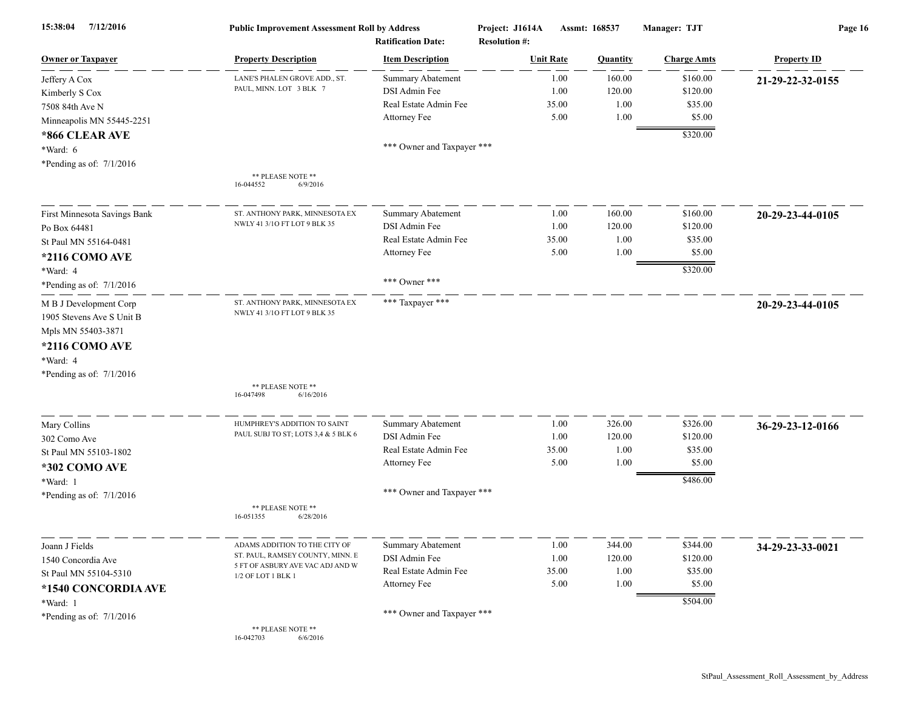| 7/12/2016<br>15:38:04        | <b>Public Improvement Assessment Roll by Address</b><br><b>Ratification Date:</b> |                            | Project: J1614A<br><b>Resolution #:</b> | Assmt: 168537 |                 | Manager: TJT       | Page 16            |  |
|------------------------------|-----------------------------------------------------------------------------------|----------------------------|-----------------------------------------|---------------|-----------------|--------------------|--------------------|--|
| <b>Owner or Taxpayer</b>     | <b>Property Description</b>                                                       | <b>Item Description</b>    | <b>Unit Rate</b>                        |               | <b>Quantity</b> | <b>Charge Amts</b> | <b>Property ID</b> |  |
| Jeffery A Cox                | LANE'S PHALEN GROVE ADD., ST.                                                     | <b>Summary Abatement</b>   |                                         | 1.00          | 160.00          | \$160.00           | 21-29-22-32-0155   |  |
| Kimberly S Cox               | PAUL, MINN. LOT 3 BLK 7                                                           | DSI Admin Fee              |                                         | 1.00          | 120.00          | \$120.00           |                    |  |
| 7508 84th Ave N              |                                                                                   | Real Estate Admin Fee      |                                         | 35.00         | 1.00            | \$35.00            |                    |  |
| Minneapolis MN 55445-2251    |                                                                                   | Attorney Fee               |                                         | 5.00          | 1.00            | \$5.00             |                    |  |
| *866 CLEAR AVE               |                                                                                   |                            |                                         |               |                 | \$320.00           |                    |  |
| *Ward: 6                     |                                                                                   | *** Owner and Taxpayer *** |                                         |               |                 |                    |                    |  |
| *Pending as of: 7/1/2016     |                                                                                   |                            |                                         |               |                 |                    |                    |  |
|                              | ** PLEASE NOTE **<br>6/9/2016<br>16-044552                                        |                            |                                         |               |                 |                    |                    |  |
| First Minnesota Savings Bank | ST. ANTHONY PARK, MINNESOTA EX                                                    | <b>Summary Abatement</b>   |                                         | 1.00          | 160.00          | \$160.00           | 20-29-23-44-0105   |  |
| Po Box 64481                 | NWLY 41 3/10 FT LOT 9 BLK 35                                                      | DSI Admin Fee              |                                         | 1.00          | 120.00          | \$120.00           |                    |  |
| St Paul MN 55164-0481        |                                                                                   | Real Estate Admin Fee      |                                         | 35.00         | 1.00            | \$35.00            |                    |  |
| *2116 COMO AVE               |                                                                                   | Attorney Fee               |                                         | 5.00          | 1.00            | \$5.00             |                    |  |
| *Ward: 4                     |                                                                                   |                            |                                         |               |                 | \$320.00           |                    |  |
| *Pending as of: $7/1/2016$   |                                                                                   | *** Owner ***              |                                         |               |                 |                    |                    |  |
| M B J Development Corp       | ST. ANTHONY PARK, MINNESOTA EX                                                    | *** Taxpayer ***           |                                         |               |                 |                    | 20-29-23-44-0105   |  |
| 1905 Stevens Ave S Unit B    | NWLY 41 3/10 FT LOT 9 BLK 35                                                      |                            |                                         |               |                 |                    |                    |  |
| Mpls MN 55403-3871           |                                                                                   |                            |                                         |               |                 |                    |                    |  |
| *2116 COMO AVE               |                                                                                   |                            |                                         |               |                 |                    |                    |  |
| *Ward: 4                     |                                                                                   |                            |                                         |               |                 |                    |                    |  |
| *Pending as of: 7/1/2016     |                                                                                   |                            |                                         |               |                 |                    |                    |  |
|                              | ** PLEASE NOTE **<br>16-047498<br>6/16/2016                                       |                            |                                         |               |                 |                    |                    |  |
| Mary Collins                 | HUMPHREY'S ADDITION TO SAINT                                                      | Summary Abatement          |                                         | 1.00          | 326.00          | \$326.00           | 36-29-23-12-0166   |  |
| 302 Como Ave                 | PAUL SUBJ TO ST; LOTS 3,4 & 5 BLK 6                                               | DSI Admin Fee              |                                         | 1.00          | 120.00          | \$120.00           |                    |  |
| St Paul MN 55103-1802        |                                                                                   | Real Estate Admin Fee      |                                         | 35.00         | 1.00            | \$35.00            |                    |  |
| *302 COMO AVE                |                                                                                   | Attorney Fee               |                                         | 5.00          | 1.00            | \$5.00             |                    |  |
| *Ward: 1                     |                                                                                   |                            |                                         |               |                 | \$486.00           |                    |  |
| *Pending as of: 7/1/2016     |                                                                                   | *** Owner and Taxpayer *** |                                         |               |                 |                    |                    |  |
|                              | ** PLEASE NOTE **<br>16-051355<br>6/28/2016                                       |                            |                                         |               |                 |                    |                    |  |
| Joann J Fields               | ADAMS ADDITION TO THE CITY OF                                                     | Summary Abatement          |                                         | 1.00          | 344.00          | \$344.00           | 34-29-23-33-0021   |  |
| 1540 Concordia Ave           | ST. PAUL, RAMSEY COUNTY, MINN. E                                                  | DSI Admin Fee              |                                         | 1.00          | 120.00          | \$120.00           |                    |  |
| St Paul MN 55104-5310        | 5 FT OF ASBURY AVE VAC ADJ AND W<br>1/2 OF LOT 1 BLK 1                            | Real Estate Admin Fee      |                                         | 35.00         | 1.00            | \$35.00            |                    |  |
| *1540 CONCORDIA AVE          |                                                                                   | Attorney Fee               |                                         | 5.00          | 1.00            | \$5.00             |                    |  |
| *Ward: 1                     |                                                                                   |                            |                                         |               |                 | \$504.00           |                    |  |
| *Pending as of: $7/1/2016$   |                                                                                   | *** Owner and Taxpayer *** |                                         |               |                 |                    |                    |  |
|                              | ** PLEASE NOTE **<br>6/6/2016<br>16-042703                                        |                            |                                         |               |                 |                    |                    |  |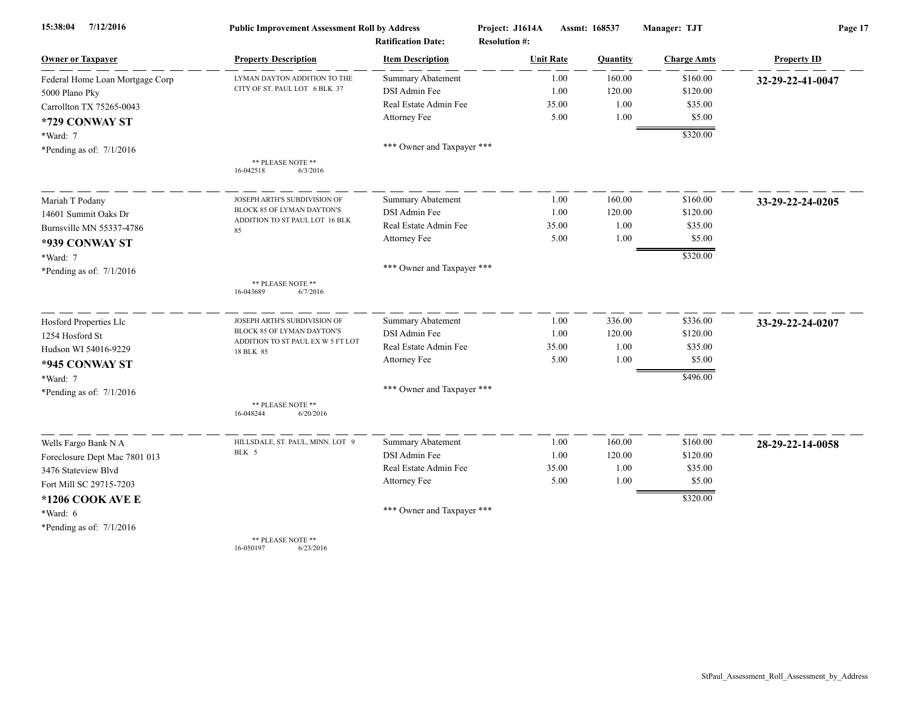| 15:38:04<br>7/12/2016           | <b>Public Improvement Assessment Roll by Address</b> |                                                      | Project: J1614A<br><b>Resolution #:</b> | Assmt: 168537 |          | Manager: TJT       | Page 17            |  |
|---------------------------------|------------------------------------------------------|------------------------------------------------------|-----------------------------------------|---------------|----------|--------------------|--------------------|--|
| <b>Owner or Taxpayer</b>        | <b>Property Description</b>                          | <b>Ratification Date:</b><br><b>Item Description</b> | <b>Unit Rate</b>                        |               | Quantity | <b>Charge Amts</b> | <b>Property ID</b> |  |
| Federal Home Loan Mortgage Corp | LYMAN DAYTON ADDITION TO THE                         | <b>Summary Abatement</b>                             |                                         | 1.00          | 160.00   | \$160.00           | 32-29-22-41-0047   |  |
| 5000 Plano Pky                  | CITY OF ST. PAUL LOT 6 BLK 37                        | DSI Admin Fee                                        |                                         | 1.00          | 120.00   | \$120.00           |                    |  |
| Carrollton TX 75265-0043        |                                                      | Real Estate Admin Fee                                |                                         | 35.00         | 1.00     | \$35.00            |                    |  |
| *729 CONWAY ST                  |                                                      | Attorney Fee                                         |                                         | 5.00          | 1.00     | \$5.00             |                    |  |
| *Ward: 7                        |                                                      |                                                      |                                         |               |          | \$320.00           |                    |  |
| *Pending as of: $7/1/2016$      |                                                      | *** Owner and Taxpayer ***                           |                                         |               |          |                    |                    |  |
|                                 | ** PLEASE NOTE **<br>16-042518<br>6/3/2016           |                                                      |                                         |               |          |                    |                    |  |
| Mariah T Podany                 | JOSEPH ARTH'S SUBDIVISION OF                         | <b>Summary Abatement</b>                             |                                         | 1.00          | 160.00   | \$160.00           | 33-29-22-24-0205   |  |
| 14601 Summit Oaks Dr            | BLOCK 85 OF LYMAN DAYTON'S                           | DSI Admin Fee                                        |                                         | 1.00          | 120.00   | \$120.00           |                    |  |
| Burnsville MN 55337-4786        | ADDITION TO ST PAUL LOT 16 BLK<br>85                 | Real Estate Admin Fee                                |                                         | 35.00         | 1.00     | \$35.00            |                    |  |
| *939 CONWAY ST                  |                                                      | Attorney Fee                                         |                                         | 5.00          | 1.00     | \$5.00             |                    |  |
| *Ward: 7                        |                                                      |                                                      |                                         |               |          | \$320.00           |                    |  |
| *Pending as of: 7/1/2016        |                                                      | *** Owner and Taxpayer ***                           |                                         |               |          |                    |                    |  |
|                                 | ** PLEASE NOTE **<br>16-043689<br>6/7/2016           |                                                      |                                         |               |          |                    |                    |  |
| Hosford Properties Llc          | JOSEPH ARTH'S SUBDIVISION OF                         | <b>Summary Abatement</b>                             |                                         | 1.00          | 336.00   | \$336.00           | 33-29-22-24-0207   |  |
| 1254 Hosford St                 | BLOCK 85 OF LYMAN DAYTON'S                           | DSI Admin Fee                                        |                                         | 1.00          | 120.00   | \$120.00           |                    |  |
| Hudson WI 54016-9229            | ADDITION TO ST PAUL EX W 5 FT LOT<br>18 BLK 85       | Real Estate Admin Fee                                |                                         | 35.00         | 1.00     | \$35.00            |                    |  |
| *945 CONWAY ST                  |                                                      | Attorney Fee                                         |                                         | 5.00          | 1.00     | \$5.00             |                    |  |
| *Ward: 7                        |                                                      |                                                      |                                         |               |          | \$496.00           |                    |  |
| *Pending as of: 7/1/2016        |                                                      | *** Owner and Taxpayer ***                           |                                         |               |          |                    |                    |  |
|                                 | ** PLEASE NOTE **<br>6/20/2016<br>16-048244          |                                                      |                                         |               |          |                    |                    |  |
| Wells Fargo Bank N A            | HILLSDALE, ST. PAUL, MINN. LOT 9                     | <b>Summary Abatement</b>                             |                                         | 1.00          | 160.00   | \$160.00           | 28-29-22-14-0058   |  |
| Foreclosure Dept Mac 7801 013   | BLK 5                                                | DSI Admin Fee                                        |                                         | 1.00          | 120.00   | \$120.00           |                    |  |
| 3476 Stateview Blvd             |                                                      | Real Estate Admin Fee                                |                                         | 35.00         | 1.00     | \$35.00            |                    |  |
| Fort Mill SC 29715-7203         |                                                      | Attorney Fee                                         |                                         | 5.00          | 1.00     | \$5.00             |                    |  |
| *1206 COOK AVE E                |                                                      |                                                      |                                         |               |          | \$320.00           |                    |  |
| *Ward: 6                        |                                                      | *** Owner and Taxpayer ***                           |                                         |               |          |                    |                    |  |
| *Pending as of: $7/1/2016$      |                                                      |                                                      |                                         |               |          |                    |                    |  |
|                                 | ** PLEASE NOTE **                                    |                                                      |                                         |               |          |                    |                    |  |

16-050197 6/23/2016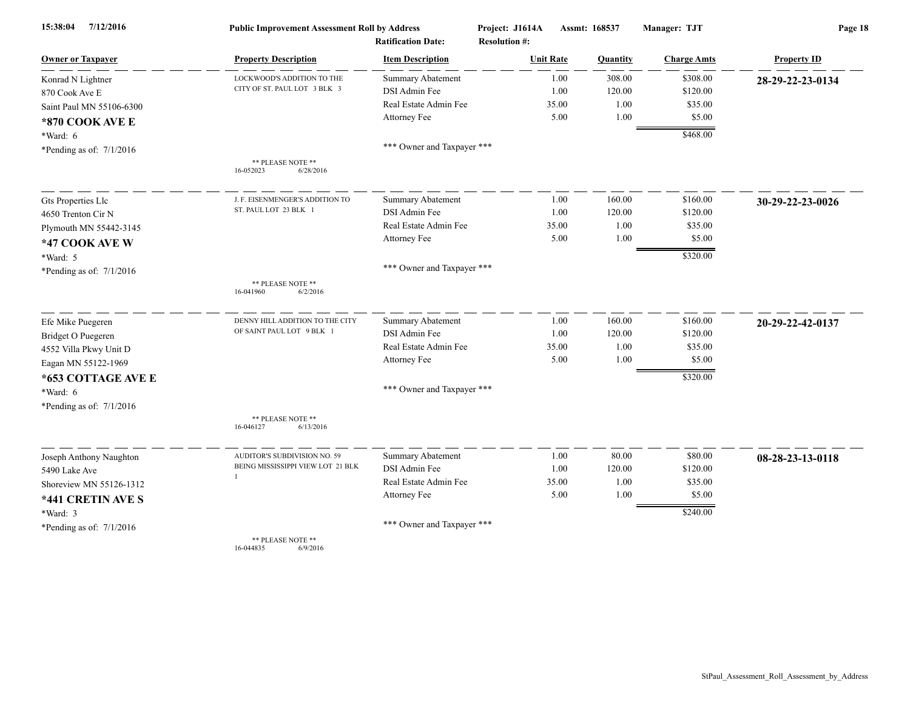| 7/12/2016<br>15:38:04      | <b>Public Improvement Assessment Roll by Address</b> |                            | Project: J1614A      | Assmt: 168537 |                 | Manager: TJT       | Page 18            |  |
|----------------------------|------------------------------------------------------|----------------------------|----------------------|---------------|-----------------|--------------------|--------------------|--|
|                            |                                                      | <b>Ratification Date:</b>  | <b>Resolution #:</b> |               |                 |                    |                    |  |
| <b>Owner or Taxpayer</b>   | <b>Property Description</b>                          | <b>Item Description</b>    | <b>Unit Rate</b>     |               | <b>Quantity</b> | <b>Charge Amts</b> | <b>Property ID</b> |  |
| Konrad N Lightner          | LOCKWOOD'S ADDITION TO THE                           | <b>Summary Abatement</b>   |                      | 1.00          | 308.00          | \$308.00           | 28-29-22-23-0134   |  |
| 870 Cook Ave E             | CITY OF ST. PAUL LOT 3 BLK 3                         | DSI Admin Fee              |                      | 1.00          | 120.00          | \$120.00           |                    |  |
| Saint Paul MN 55106-6300   |                                                      | Real Estate Admin Fee      |                      | 35.00         | 1.00            | \$35.00            |                    |  |
| *870 COOK AVE E            |                                                      | Attorney Fee               |                      | 5.00          | 1.00            | \$5.00             |                    |  |
| *Ward: 6                   |                                                      |                            |                      |               |                 | \$468.00           |                    |  |
| *Pending as of: $7/1/2016$ |                                                      | *** Owner and Taxpayer *** |                      |               |                 |                    |                    |  |
|                            | ** PLEASE NOTE **<br>16-052023<br>6/28/2016          |                            |                      |               |                 |                    |                    |  |
| Gts Properties Llc         | J. F. EISENMENGER'S ADDITION TO                      | Summary Abatement          |                      | 1.00          | 160.00          | \$160.00           | 30-29-22-23-0026   |  |
| 4650 Trenton Cir N         | ST. PAUL LOT 23 BLK 1                                | DSI Admin Fee              |                      | 1.00          | 120.00          | \$120.00           |                    |  |
| Plymouth MN 55442-3145     |                                                      | Real Estate Admin Fee      |                      | 35.00         | 1.00            | \$35.00            |                    |  |
| *47 COOK AVE W             |                                                      | Attorney Fee               |                      | 5.00          | 1.00            | \$5.00             |                    |  |
| *Ward: 5                   |                                                      |                            |                      |               |                 | \$320.00           |                    |  |
| *Pending as of: $7/1/2016$ |                                                      | *** Owner and Taxpayer *** |                      |               |                 |                    |                    |  |
|                            | ** PLEASE NOTE **<br>16-041960<br>6/2/2016           |                            |                      |               |                 |                    |                    |  |
| Efe Mike Puegeren          | DENNY HILL ADDITION TO THE CITY                      | <b>Summary Abatement</b>   |                      | 1.00          | 160.00          | \$160.00           | 20-29-22-42-0137   |  |
| Bridget O Puegeren         | OF SAINT PAUL LOT 9 BLK 1                            | DSI Admin Fee              |                      | 1.00          | 120.00          | \$120.00           |                    |  |
| 4552 Villa Pkwy Unit D     |                                                      | Real Estate Admin Fee      |                      | 35.00         | 1.00            | \$35.00            |                    |  |
| Eagan MN 55122-1969        |                                                      | Attorney Fee               |                      | 5.00          | 1.00            | \$5.00             |                    |  |
| *653 COTTAGE AVE E         |                                                      |                            |                      |               |                 | \$320.00           |                    |  |
| *Ward: 6                   |                                                      | *** Owner and Taxpayer *** |                      |               |                 |                    |                    |  |
| *Pending as of: 7/1/2016   |                                                      |                            |                      |               |                 |                    |                    |  |
|                            | ** PLEASE NOTE **<br>16-046127<br>6/13/2016          |                            |                      |               |                 |                    |                    |  |
| Joseph Anthony Naughton    | AUDITOR'S SUBDIVISION NO. 59                         | Summary Abatement          |                      | 1.00          | 80.00           | \$80.00            | 08-28-23-13-0118   |  |
| 5490 Lake Ave              | BEING MISSISSIPPI VIEW LOT 21 BLK                    | DSI Admin Fee              |                      | 1.00          | 120.00          | \$120.00           |                    |  |
| Shoreview MN 55126-1312    | $\mathbf{1}$                                         | Real Estate Admin Fee      |                      | 35.00         | 1.00            | \$35.00            |                    |  |
| *441 CRETIN AVE S          |                                                      | Attorney Fee               |                      | 5.00          | 1.00            | \$5.00             |                    |  |
| *Ward: 3                   |                                                      |                            |                      |               |                 | \$240.00           |                    |  |
| *Pending as of: $7/1/2016$ |                                                      | *** Owner and Taxpayer *** |                      |               |                 |                    |                    |  |
|                            | ** PLEASE NOTE **                                    |                            |                      |               |                 |                    |                    |  |

16-044835 6/9/2016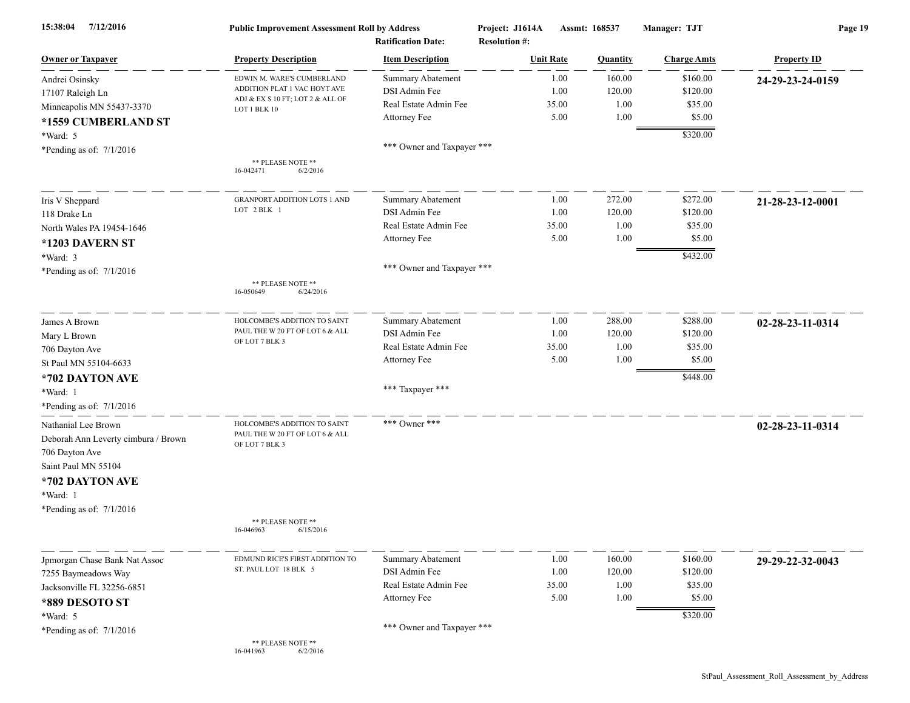| 7/12/2016<br>15:38:04               | <b>Public Improvement Assessment Roll by Address</b><br><b>Ratification Date:</b> |                            | Project: J1614A<br>Assmt: 168537<br><b>Resolution #:</b> |          | Manager: TJT       | Page 19            |  |
|-------------------------------------|-----------------------------------------------------------------------------------|----------------------------|----------------------------------------------------------|----------|--------------------|--------------------|--|
| <b>Owner or Taxpayer</b>            | <b>Property Description</b>                                                       | <b>Item Description</b>    | <b>Unit Rate</b>                                         | Quantity | <b>Charge Amts</b> | <b>Property ID</b> |  |
| Andrei Osinsky                      | EDWIN M. WARE'S CUMBERLAND                                                        | <b>Summary Abatement</b>   | 1.00                                                     | 160.00   | \$160.00           | 24-29-23-24-0159   |  |
| 17107 Raleigh Ln                    | ADDITION PLAT 1 VAC HOYT AVE                                                      | DSI Admin Fee              | 1.00                                                     | 120.00   | \$120.00           |                    |  |
| Minneapolis MN 55437-3370           | ADJ & EX S 10 FT; LOT 2 & ALL OF<br>LOT 1 BLK 10                                  | Real Estate Admin Fee      | 35.00                                                    | 1.00     | \$35.00            |                    |  |
| *1559 CUMBERLAND ST                 |                                                                                   | Attorney Fee               | 5.00                                                     | 1.00     | \$5.00             |                    |  |
| *Ward: 5                            |                                                                                   |                            |                                                          |          | \$320.00           |                    |  |
| *Pending as of: $7/1/2016$          |                                                                                   | *** Owner and Taxpayer *** |                                                          |          |                    |                    |  |
|                                     | ** PLEASE NOTE **<br>16-042471<br>6/2/2016                                        |                            |                                                          |          |                    |                    |  |
| Iris V Sheppard                     | <b>GRANPORT ADDITION LOTS 1 AND</b>                                               | <b>Summary Abatement</b>   | 1.00                                                     | 272.00   | \$272.00           | 21-28-23-12-0001   |  |
| 118 Drake Ln                        | LOT 2 BLK 1                                                                       | DSI Admin Fee              | 1.00                                                     | 120.00   | \$120.00           |                    |  |
| North Wales PA 19454-1646           |                                                                                   | Real Estate Admin Fee      | 35.00                                                    | 1.00     | \$35.00            |                    |  |
| *1203 DAVERN ST                     |                                                                                   | Attorney Fee               | 5.00                                                     | 1.00     | \$5.00             |                    |  |
| *Ward: 3                            |                                                                                   |                            |                                                          |          | \$432.00           |                    |  |
| *Pending as of: $7/1/2016$          |                                                                                   | *** Owner and Taxpayer *** |                                                          |          |                    |                    |  |
|                                     | ** PLEASE NOTE **<br>16-050649<br>6/24/2016                                       |                            |                                                          |          |                    |                    |  |
| James A Brown                       | HOLCOMBE'S ADDITION TO SAINT                                                      | Summary Abatement          | 1.00                                                     | 288.00   | \$288.00           | 02-28-23-11-0314   |  |
| Mary L Brown                        | PAUL THE W 20 FT OF LOT 6 & ALL                                                   | DSI Admin Fee              | 1.00                                                     | 120.00   | \$120.00           |                    |  |
| 706 Dayton Ave                      | OF LOT 7 BLK 3                                                                    | Real Estate Admin Fee      | 35.00                                                    | 1.00     | \$35.00            |                    |  |
| St Paul MN 55104-6633               |                                                                                   | Attorney Fee               | 5.00                                                     | 1.00     | \$5.00             |                    |  |
| *702 DAYTON AVE                     |                                                                                   |                            |                                                          |          | \$448.00           |                    |  |
| *Ward: 1                            |                                                                                   | *** Taxpayer ***           |                                                          |          |                    |                    |  |
| *Pending as of: 7/1/2016            |                                                                                   |                            |                                                          |          |                    |                    |  |
|                                     |                                                                                   |                            |                                                          |          |                    |                    |  |
| Nathanial Lee Brown                 | HOLCOMBE'S ADDITION TO SAINT<br>PAUL THE W 20 FT OF LOT 6 & ALL                   | *** Owner ***              |                                                          |          |                    | 02-28-23-11-0314   |  |
| Deborah Ann Leverty cimbura / Brown | OF LOT 7 BLK 3                                                                    |                            |                                                          |          |                    |                    |  |
| 706 Dayton Ave                      |                                                                                   |                            |                                                          |          |                    |                    |  |
| Saint Paul MN 55104                 |                                                                                   |                            |                                                          |          |                    |                    |  |
| *702 DAYTON AVE                     |                                                                                   |                            |                                                          |          |                    |                    |  |
| *Ward: 1                            |                                                                                   |                            |                                                          |          |                    |                    |  |
| *Pending as of: 7/1/2016            |                                                                                   |                            |                                                          |          |                    |                    |  |
|                                     | ** PLEASE NOTE **<br>16-046963<br>6/15/2016                                       |                            |                                                          |          |                    |                    |  |
| Jpmorgan Chase Bank Nat Assoc       | EDMUND RICE'S FIRST ADDITION TO                                                   | <b>Summary Abatement</b>   | 1.00                                                     | 160.00   | \$160.00           | 29-29-22-32-0043   |  |
| 7255 Baymeadows Way                 | ST. PAUL LOT 18 BLK 5                                                             | DSI Admin Fee              | 1.00                                                     | 120.00   | \$120.00           |                    |  |
| Jacksonville FL 32256-6851          |                                                                                   | Real Estate Admin Fee      | 35.00                                                    | 1.00     | \$35.00            |                    |  |
| *889 DESOTO ST                      |                                                                                   | Attorney Fee               | 5.00                                                     | 1.00     | \$5.00             |                    |  |
| *Ward: 5                            |                                                                                   |                            |                                                          |          | \$320.00           |                    |  |
|                                     |                                                                                   | *** Owner and Taxpayer *** |                                                          |          |                    |                    |  |
| *Pending as of: $7/1/2016$          | ** PLEASE NOTE **<br>16-041963<br>6/2/2016                                        |                            |                                                          |          |                    |                    |  |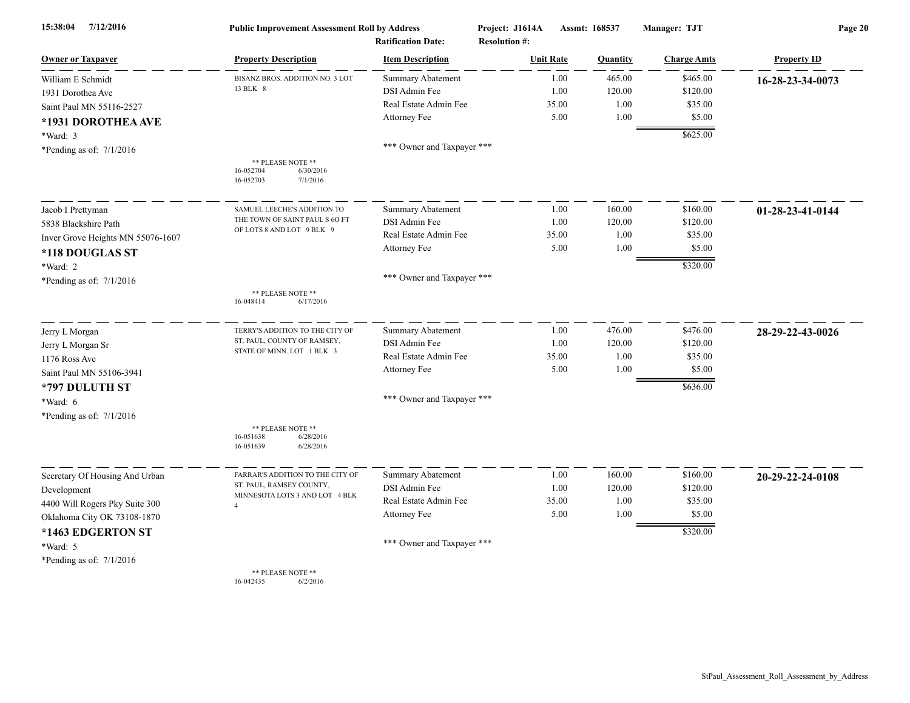| 7/12/2016<br>15:38:04             | <b>Public Improvement Assessment Roll by Address</b><br><b>Ratification Date:</b> |                            | Project: J1614A<br><b>Resolution #:</b> | Assmt: 168537 |          | Manager: TJT       | Page 20                    |  |
|-----------------------------------|-----------------------------------------------------------------------------------|----------------------------|-----------------------------------------|---------------|----------|--------------------|----------------------------|--|
| <b>Owner or Taxpayer</b>          | <b>Property Description</b>                                                       | <b>Item Description</b>    | <b>Unit Rate</b>                        |               | Quantity | <b>Charge Amts</b> | <b>Property ID</b>         |  |
| William E Schmidt                 | BISANZ BROS. ADDITION NO. 3 LOT                                                   | Summary Abatement          |                                         | 1.00          | 465.00   | \$465.00           | 16-28-23-34-0073           |  |
| 1931 Dorothea Ave                 | 13 BLK 8                                                                          | DSI Admin Fee              |                                         | 1.00          | 120.00   | \$120.00           |                            |  |
| Saint Paul MN 55116-2527          |                                                                                   | Real Estate Admin Fee      |                                         | 35.00         | 1.00     | \$35.00            |                            |  |
| *1931 DOROTHEA AVE                |                                                                                   | Attorney Fee               |                                         | 5.00          | 1.00     | \$5.00             |                            |  |
| $*Ward: 3$                        |                                                                                   |                            |                                         |               |          | \$625.00           |                            |  |
| *Pending as of: $7/1/2016$        |                                                                                   | *** Owner and Taxpayer *** |                                         |               |          |                    |                            |  |
|                                   | ** PLEASE NOTE **<br>16-052704<br>6/30/2016<br>16-052703<br>7/1/2016              |                            |                                         |               |          |                    |                            |  |
| Jacob I Prettyman                 | SAMUEL LEECHE'S ADDITION TO                                                       | <b>Summary Abatement</b>   |                                         | 1.00          | 160.00   | \$160.00           | $01 - 28 - 23 - 41 - 0144$ |  |
| 5838 Blackshire Path              | THE TOWN OF SAINT PAUL S 60 FT                                                    | DSI Admin Fee              |                                         | 1.00          | 120.00   | \$120.00           |                            |  |
| Inver Grove Heights MN 55076-1607 | OF LOTS 8 AND LOT 9 BLK 9                                                         | Real Estate Admin Fee      |                                         | 35.00         | 1.00     | \$35.00            |                            |  |
| *118 DOUGLAS ST                   |                                                                                   | Attorney Fee               |                                         | 5.00          | 1.00     | \$5.00             |                            |  |
| *Ward: 2                          |                                                                                   |                            |                                         |               |          | \$320.00           |                            |  |
| *Pending as of: 7/1/2016          |                                                                                   | *** Owner and Taxpayer *** |                                         |               |          |                    |                            |  |
|                                   | ** PLEASE NOTE **<br>16-048414<br>6/17/2016                                       |                            |                                         |               |          |                    |                            |  |
| Jerry L Morgan                    | TERRY'S ADDITION TO THE CITY OF                                                   | <b>Summary Abatement</b>   |                                         | 1.00          | 476.00   | \$476.00           | 28-29-22-43-0026           |  |
| Jerry L Morgan Sr                 | ST. PAUL, COUNTY OF RAMSEY,                                                       | DSI Admin Fee              |                                         | 1.00          | 120.00   | \$120.00           |                            |  |
| 1176 Ross Ave                     | STATE OF MINN. LOT 1 BLK 3                                                        | Real Estate Admin Fee      |                                         | 35.00         | 1.00     | \$35.00            |                            |  |
| Saint Paul MN 55106-3941          |                                                                                   | Attorney Fee               |                                         | 5.00          | 1.00     | \$5.00             |                            |  |
| *797 DULUTH ST                    |                                                                                   |                            |                                         |               |          | \$636.00           |                            |  |
| *Ward: 6                          |                                                                                   | *** Owner and Taxpayer *** |                                         |               |          |                    |                            |  |
| *Pending as of: $7/1/2016$        |                                                                                   |                            |                                         |               |          |                    |                            |  |
|                                   | ** PLEASE NOTE **<br>16-051638<br>6/28/2016<br>16-051639<br>6/28/2016             |                            |                                         |               |          |                    |                            |  |
| Secretary Of Housing And Urban    | FARRAR'S ADDITION TO THE CITY OF                                                  | <b>Summary Abatement</b>   |                                         | 1.00          | 160.00   | \$160.00           | 20-29-22-24-0108           |  |
| Development                       | ST. PAUL, RAMSEY COUNTY,                                                          | DSI Admin Fee              |                                         | 1.00          | 120.00   | \$120.00           |                            |  |
| 4400 Will Rogers Pky Suite 300    | MINNESOTA LOTS 3 AND LOT 4 BLK<br>$\overline{A}$                                  | Real Estate Admin Fee      |                                         | 35.00         | 1.00     | \$35.00            |                            |  |
| Oklahoma City OK 73108-1870       |                                                                                   | Attorney Fee               |                                         | 5.00          | 1.00     | \$5.00             |                            |  |
| *1463 EDGERTON ST                 |                                                                                   |                            |                                         |               |          | \$320.00           |                            |  |
| *Ward: 5                          |                                                                                   | *** Owner and Taxpayer *** |                                         |               |          |                    |                            |  |
| *Pending as of: 7/1/2016          |                                                                                   |                            |                                         |               |          |                    |                            |  |
|                                   | ** PLEASE NOTE **<br>16-042435<br>6/2/2016                                        |                            |                                         |               |          |                    |                            |  |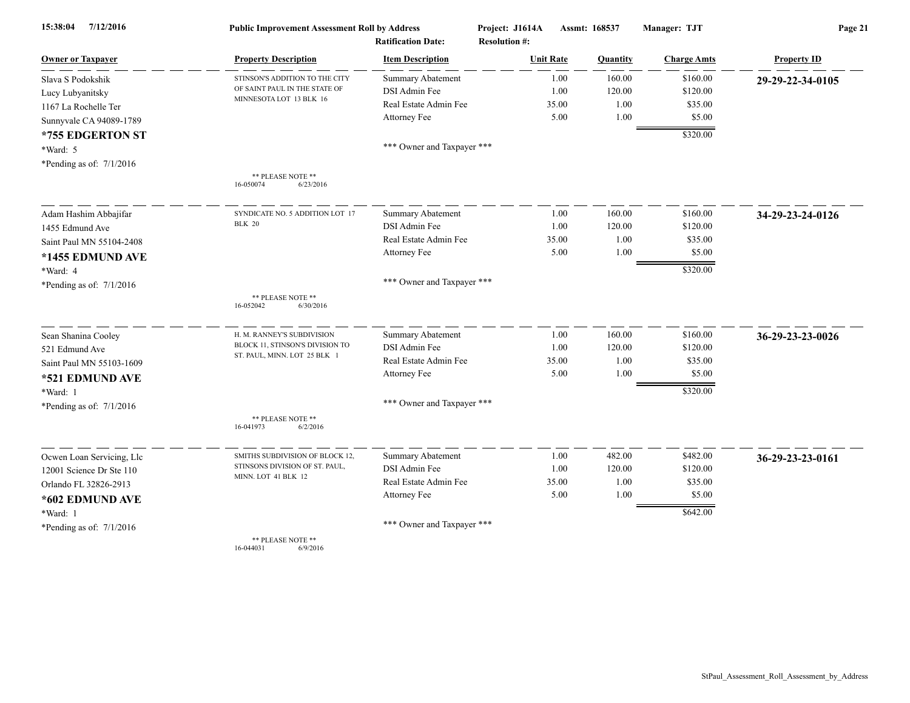| 7/12/2016<br>15:38:04      | <b>Public Improvement Assessment Roll by Address</b>     |                            | Project: J1614A      | Assmt: 168537 |          | Manager: TJT       | Page 21            |  |
|----------------------------|----------------------------------------------------------|----------------------------|----------------------|---------------|----------|--------------------|--------------------|--|
|                            |                                                          | <b>Ratification Date:</b>  | <b>Resolution #:</b> |               |          |                    |                    |  |
| <b>Owner or Taxpayer</b>   | <b>Property Description</b>                              | <b>Item Description</b>    | <b>Unit Rate</b>     |               | Quantity | <b>Charge Amts</b> | <b>Property ID</b> |  |
| Slava S Podokshik          | STINSON'S ADDITION TO THE CITY                           | <b>Summary Abatement</b>   |                      | 1.00          | 160.00   | \$160.00           | 29-29-22-34-0105   |  |
| Lucy Lubyanitsky           | OF SAINT PAUL IN THE STATE OF<br>MINNESOTA LOT 13 BLK 16 | DSI Admin Fee              |                      | 1.00          | 120.00   | \$120.00           |                    |  |
| 1167 La Rochelle Ter       |                                                          | Real Estate Admin Fee      |                      | 35.00         | 1.00     | \$35.00            |                    |  |
| Sunnyvale CA 94089-1789    |                                                          | Attorney Fee               |                      | 5.00          | 1.00     | \$5.00             |                    |  |
| *755 EDGERTON ST           |                                                          |                            |                      |               |          | \$320.00           |                    |  |
| *Ward: 5                   |                                                          | *** Owner and Taxpayer *** |                      |               |          |                    |                    |  |
| *Pending as of: $7/1/2016$ |                                                          |                            |                      |               |          |                    |                    |  |
|                            | ** PLEASE NOTE **<br>16-050074<br>6/23/2016              |                            |                      |               |          |                    |                    |  |
| Adam Hashim Abbajifar      | SYNDICATE NO. 5 ADDITION LOT 17                          | <b>Summary Abatement</b>   |                      | 1.00          | 160.00   | \$160.00           | 34-29-23-24-0126   |  |
| 1455 Edmund Ave            | <b>BLK 20</b>                                            | DSI Admin Fee              |                      | 1.00          | 120.00   | \$120.00           |                    |  |
| Saint Paul MN 55104-2408   |                                                          | Real Estate Admin Fee      |                      | 35.00         | 1.00     | \$35.00            |                    |  |
| *1455 EDMUND AVE           |                                                          | Attorney Fee               |                      | 5.00          | 1.00     | \$5.00             |                    |  |
| *Ward: 4                   |                                                          |                            |                      |               |          | \$320.00           |                    |  |
| *Pending as of: $7/1/2016$ |                                                          | *** Owner and Taxpayer *** |                      |               |          |                    |                    |  |
|                            | ** PLEASE NOTE **<br>16-052042<br>6/30/2016              |                            |                      |               |          |                    |                    |  |
| Sean Shanina Cooley        | H. M. RANNEY'S SUBDIVISION                               | Summary Abatement          |                      | 1.00          | 160.00   | \$160.00           | 36-29-23-23-0026   |  |
| 521 Edmund Ave             | BLOCK 11, STINSON'S DIVISION TO                          | DSI Admin Fee              |                      | 1.00          | 120.00   | \$120.00           |                    |  |
| Saint Paul MN 55103-1609   | ST. PAUL, MINN. LOT 25 BLK 1                             | Real Estate Admin Fee      |                      | 35.00         | 1.00     | \$35.00            |                    |  |
| *521 EDMUND AVE            |                                                          | Attorney Fee               |                      | 5.00          | 1.00     | \$5.00             |                    |  |
| *Ward: 1                   |                                                          |                            |                      |               |          | \$320.00           |                    |  |
| *Pending as of: $7/1/2016$ |                                                          | *** Owner and Taxpayer *** |                      |               |          |                    |                    |  |
|                            | ** PLEASE NOTE **<br>16-041973<br>6/2/2016               |                            |                      |               |          |                    |                    |  |
| Ocwen Loan Servicing, Llc  | SMITHS SUBDIVISION OF BLOCK 12,                          | <b>Summary Abatement</b>   |                      | 1.00          | 482.00   | \$482.00           | 36-29-23-23-0161   |  |
| 12001 Science Dr Ste 110   | STINSONS DIVISION OF ST. PAUL,                           | DSI Admin Fee              |                      | 1.00          | 120.00   | \$120.00           |                    |  |
| Orlando FL 32826-2913      | MINN. LOT 41 BLK 12                                      | Real Estate Admin Fee      |                      | 35.00         | 1.00     | \$35.00            |                    |  |
| *602 EDMUND AVE            |                                                          | Attorney Fee               |                      | 5.00          | 1.00     | \$5.00             |                    |  |
| *Ward: 1                   |                                                          |                            |                      |               |          | \$642.00           |                    |  |
| *Pending as of: $7/1/2016$ |                                                          | *** Owner and Taxpayer *** |                      |               |          |                    |                    |  |
|                            | ** PLEASE NOTE **                                        |                            |                      |               |          |                    |                    |  |

16-044031 6/9/2016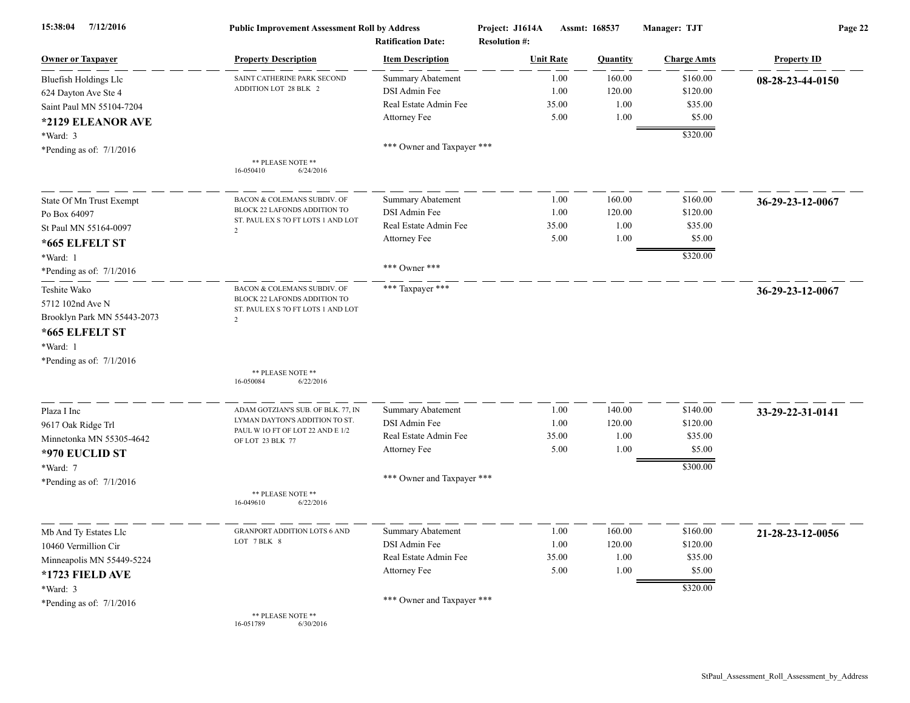| 7/12/2016<br>15:38:04       | <b>Public Improvement Assessment Roll by Address</b><br><b>Ratification Date:</b> |                            | Project: J1614A<br><b>Resolution #:</b> | Assmt: 168537 |          | Manager: TJT       | Page 22            |  |
|-----------------------------|-----------------------------------------------------------------------------------|----------------------------|-----------------------------------------|---------------|----------|--------------------|--------------------|--|
| <b>Owner or Taxpayer</b>    | <b>Property Description</b>                                                       | <b>Item Description</b>    | <b>Unit Rate</b>                        |               | Quantity | <b>Charge Amts</b> | <b>Property ID</b> |  |
| Bluefish Holdings Llc       | SAINT CATHERINE PARK SECOND                                                       | Summary Abatement          |                                         | 1.00          | 160.00   | \$160.00           | 08-28-23-44-0150   |  |
| 624 Dayton Ave Ste 4        | ADDITION LOT 28 BLK 2                                                             | DSI Admin Fee              |                                         | 1.00          | 120.00   | \$120.00           |                    |  |
| Saint Paul MN 55104-7204    |                                                                                   | Real Estate Admin Fee      |                                         | 35.00         | 1.00     | \$35.00            |                    |  |
| *2129 ELEANOR AVE           |                                                                                   | Attorney Fee               |                                         | 5.00          | 1.00     | \$5.00             |                    |  |
| *Ward: 3                    |                                                                                   |                            |                                         |               |          | \$320.00           |                    |  |
| *Pending as of: $7/1/2016$  |                                                                                   | *** Owner and Taxpayer *** |                                         |               |          |                    |                    |  |
|                             | ** PLEASE NOTE **<br>16-050410<br>6/24/2016                                       |                            |                                         |               |          |                    |                    |  |
| State Of Mn Trust Exempt    | BACON & COLEMANS SUBDIV. OF                                                       | Summary Abatement          |                                         | 1.00          | 160.00   | \$160.00           | 36-29-23-12-0067   |  |
| Po Box 64097                | BLOCK 22 LAFONDS ADDITION TO                                                      | DSI Admin Fee              |                                         | 1.00          | 120.00   | \$120.00           |                    |  |
| St Paul MN 55164-0097       | ST. PAUL EX S 70 FT LOTS 1 AND LOT<br>$\overline{2}$                              | Real Estate Admin Fee      |                                         | 35.00         | 1.00     | \$35.00            |                    |  |
| *665 ELFELT ST              |                                                                                   | Attorney Fee               |                                         | 5.00          | 1.00     | \$5.00             |                    |  |
| *Ward: 1                    |                                                                                   |                            |                                         |               |          | \$320.00           |                    |  |
| *Pending as of: $7/1/2016$  |                                                                                   | *** Owner ***              |                                         |               |          |                    |                    |  |
| Teshite Wako                | BACON & COLEMANS SUBDIV. OF                                                       | *** Taxpayer ***           |                                         |               |          |                    | 36-29-23-12-0067   |  |
| 5712 102nd Ave N            | BLOCK 22 LAFONDS ADDITION TO<br>ST. PAUL EX S 7O FT LOTS 1 AND LOT                |                            |                                         |               |          |                    |                    |  |
| Brooklyn Park MN 55443-2073 | $\overline{2}$                                                                    |                            |                                         |               |          |                    |                    |  |
| *665 ELFELT ST              |                                                                                   |                            |                                         |               |          |                    |                    |  |
| *Ward: 1                    |                                                                                   |                            |                                         |               |          |                    |                    |  |
| *Pending as of: $7/1/2016$  |                                                                                   |                            |                                         |               |          |                    |                    |  |
|                             | ** PLEASE NOTE **<br>16-050084<br>6/22/2016                                       |                            |                                         |               |          |                    |                    |  |
| Plaza I Inc                 | ADAM GOTZIAN'S SUB. OF BLK. 77, IN                                                | <b>Summary Abatement</b>   |                                         | 1.00          | 140.00   | \$140.00           | 33-29-22-31-0141   |  |
| 9617 Oak Ridge Trl          | LYMAN DAYTON'S ADDITION TO ST.                                                    | DSI Admin Fee              |                                         | 1.00          | 120.00   | \$120.00           |                    |  |
| Minnetonka MN 55305-4642    | PAUL W 10 FT OF LOT 22 AND E 1/2<br>OF LOT 23 BLK 77                              | Real Estate Admin Fee      |                                         | 35.00         | 1.00     | \$35.00            |                    |  |
| *970 EUCLID ST              |                                                                                   | Attorney Fee               |                                         | 5.00          | 1.00     | \$5.00             |                    |  |
| *Ward: 7                    |                                                                                   |                            |                                         |               |          | \$300.00           |                    |  |
| *Pending as of: $7/1/2016$  |                                                                                   | *** Owner and Taxpayer *** |                                         |               |          |                    |                    |  |
|                             | ** PLEASE NOTE **<br>16-049610<br>6/22/2016                                       |                            |                                         |               |          |                    |                    |  |
| Mb And Ty Estates Llc       | <b>GRANPORT ADDITION LOTS 6 AND</b>                                               | <b>Summary Abatement</b>   |                                         | 1.00          | 160.00   | \$160.00           | 21-28-23-12-0056   |  |
| 10460 Vermillion Cir        | LOT 7 BLK 8                                                                       | DSI Admin Fee              |                                         | 1.00          | 120.00   | \$120.00           |                    |  |
| Minneapolis MN 55449-5224   |                                                                                   | Real Estate Admin Fee      |                                         | 35.00         | 1.00     | \$35.00            |                    |  |
| *1723 FIELD AVE             |                                                                                   | Attorney Fee               |                                         | 5.00          | 1.00     | \$5.00             |                    |  |
| *Ward: 3                    |                                                                                   |                            |                                         |               |          | \$320.00           |                    |  |
| *Pending as of: $7/1/2016$  |                                                                                   | *** Owner and Taxpayer *** |                                         |               |          |                    |                    |  |
|                             | ** PLEASE NOTE **<br>6/30/2016<br>16-051789                                       |                            |                                         |               |          |                    |                    |  |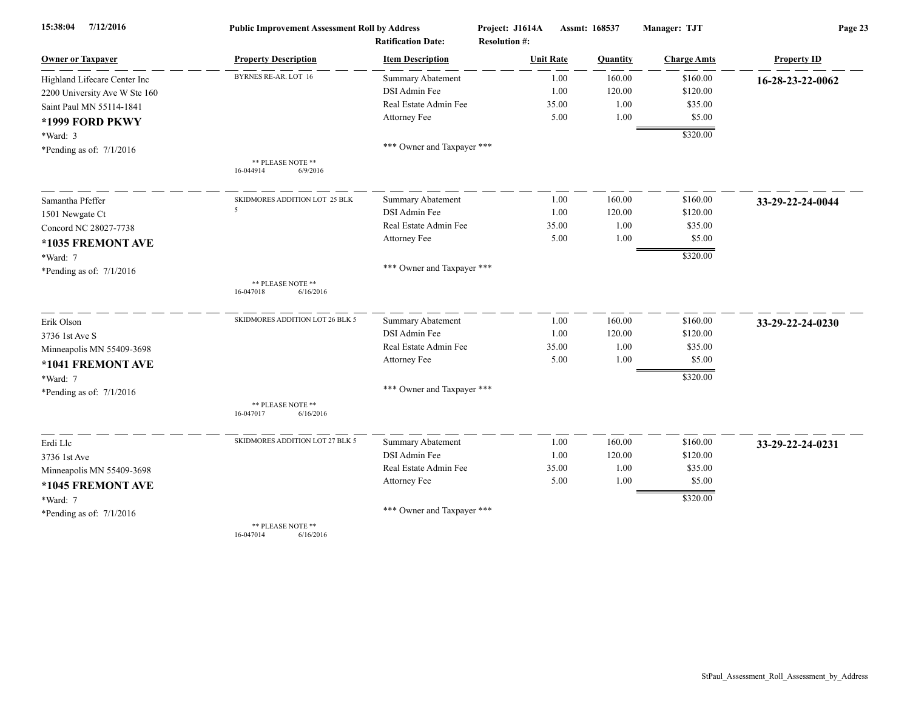| 7/12/2016<br>15:38:04         | <b>Public Improvement Assessment Roll by Address</b> |                            | Project: J1614A      | Assmt: 168537 |                    | Page 23            |  |
|-------------------------------|------------------------------------------------------|----------------------------|----------------------|---------------|--------------------|--------------------|--|
|                               |                                                      | <b>Ratification Date:</b>  | <b>Resolution #:</b> |               |                    |                    |  |
| <b>Owner or Taxpayer</b>      | <b>Property Description</b>                          | <b>Item Description</b>    | <b>Unit Rate</b>     | Quantity      | <b>Charge Amts</b> | <b>Property ID</b> |  |
| Highland Lifecare Center Inc  | BYRNES RE-AR. LOT 16                                 | <b>Summary Abatement</b>   | 1.00                 | 160.00        | \$160.00           | 16-28-23-22-0062   |  |
| 2200 University Ave W Ste 160 |                                                      | DSI Admin Fee              | 1.00                 | 120.00        | \$120.00           |                    |  |
| Saint Paul MN 55114-1841      |                                                      | Real Estate Admin Fee      | 35.00                | 1.00          | \$35.00            |                    |  |
| *1999 FORD PKWY               |                                                      | Attorney Fee               | 5.00                 | 1.00          | \$5.00             |                    |  |
| *Ward: 3                      |                                                      |                            |                      |               | \$320.00           |                    |  |
| *Pending as of: 7/1/2016      |                                                      | *** Owner and Taxpayer *** |                      |               |                    |                    |  |
|                               | ** PLEASE NOTE **<br>16-044914<br>6/9/2016           |                            |                      |               |                    |                    |  |
| Samantha Pfeffer              | SKIDMORES ADDITION LOT 25 BLK                        | <b>Summary Abatement</b>   | 1.00                 | 160.00        | \$160.00           | 33-29-22-24-0044   |  |
| 1501 Newgate Ct               | 5                                                    | DSI Admin Fee              | 1.00                 | 120.00        | \$120.00           |                    |  |
| Concord NC 28027-7738         |                                                      | Real Estate Admin Fee      | 35.00                | 1.00          | \$35.00            |                    |  |
| *1035 FREMONT AVE             |                                                      | Attorney Fee               | 5.00                 | 1.00          | \$5.00             |                    |  |
| *Ward: 7                      |                                                      |                            |                      |               | \$320.00           |                    |  |
| *Pending as of: $7/1/2016$    |                                                      | *** Owner and Taxpayer *** |                      |               |                    |                    |  |
|                               | ** PLEASE NOTE **<br>16-047018<br>6/16/2016          |                            |                      |               |                    |                    |  |
| Erik Olson                    | SKIDMORES ADDITION LOT 26 BLK 5                      | Summary Abatement          | 1.00                 | 160.00        | \$160.00           | 33-29-22-24-0230   |  |
| 3736 1st Ave S                |                                                      | DSI Admin Fee              | 1.00                 | 120.00        | \$120.00           |                    |  |
| Minneapolis MN 55409-3698     |                                                      | Real Estate Admin Fee      | 35.00                | 1.00          | \$35.00            |                    |  |
| *1041 FREMONT AVE             |                                                      | Attorney Fee               | 5.00                 | 1.00          | \$5.00             |                    |  |
| *Ward: 7                      |                                                      |                            |                      |               | \$320.00           |                    |  |
| *Pending as of: 7/1/2016      |                                                      | *** Owner and Taxpayer *** |                      |               |                    |                    |  |
|                               | ** PLEASE NOTE **<br>6/16/2016<br>16-047017          |                            |                      |               |                    |                    |  |
| Erdi Llc                      | SKIDMORES ADDITION LOT 27 BLK 5                      | Summary Abatement          | 1.00                 | 160.00        | \$160.00           | 33-29-22-24-0231   |  |
| 3736 1st Ave                  |                                                      | DSI Admin Fee              | 1.00                 | 120.00        | \$120.00           |                    |  |
| Minneapolis MN 55409-3698     |                                                      | Real Estate Admin Fee      | 35.00                | 1.00          | \$35.00            |                    |  |
| *1045 FREMONT AVE             |                                                      | Attorney Fee               | 5.00                 | 1.00          | \$5.00             |                    |  |
| *Ward: 7                      |                                                      |                            |                      |               | \$320.00           |                    |  |
| *Pending as of: 7/1/2016      |                                                      | *** Owner and Taxpayer *** |                      |               |                    |                    |  |
|                               | ** PLEASE NOTE **<br>16-047014<br>6/16/2016          |                            |                      |               |                    |                    |  |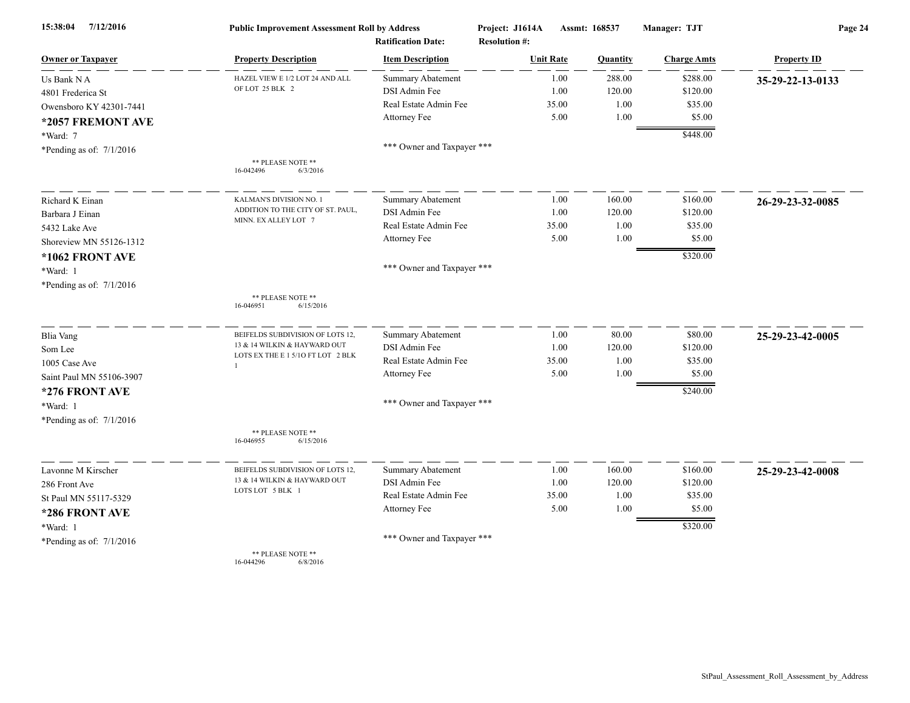| 7/12/2016<br>15:38:04      | <b>Public Improvement Assessment Roll by Address</b><br><b>Ratification Date:</b> |                            | Project: J1614A<br><b>Resolution #:</b> | Assmt: 168537 |          | Manager: TJT       | Page 24            |  |
|----------------------------|-----------------------------------------------------------------------------------|----------------------------|-----------------------------------------|---------------|----------|--------------------|--------------------|--|
| <b>Owner or Taxpayer</b>   | <b>Property Description</b>                                                       | <b>Item Description</b>    | <b>Unit Rate</b>                        |               | Quantity | <b>Charge Amts</b> | <b>Property ID</b> |  |
| Us Bank N A                | HAZEL VIEW E 1/2 LOT 24 AND ALL                                                   | <b>Summary Abatement</b>   |                                         | 1.00          | 288.00   | \$288.00           | 35-29-22-13-0133   |  |
| 4801 Frederica St          | OF LOT 25 BLK 2                                                                   | DSI Admin Fee              |                                         | 1.00          | 120.00   | \$120.00           |                    |  |
| Owensboro KY 42301-7441    |                                                                                   | Real Estate Admin Fee      |                                         | 35.00         | 1.00     | \$35.00            |                    |  |
| *2057 FREMONT AVE          |                                                                                   | Attorney Fee               |                                         | 5.00          | 1.00     | \$5.00             |                    |  |
| *Ward: 7                   |                                                                                   |                            |                                         |               |          | \$448.00           |                    |  |
| *Pending as of: $7/1/2016$ |                                                                                   | *** Owner and Taxpayer *** |                                         |               |          |                    |                    |  |
|                            | ** PLEASE NOTE **<br>16-042496<br>6/3/2016                                        |                            |                                         |               |          |                    |                    |  |
| Richard K Einan            | KALMAN'S DIVISION NO. 1                                                           | <b>Summary Abatement</b>   |                                         | 1.00          | 160.00   | \$160.00           | 26-29-23-32-0085   |  |
| Barbara J Einan            | ADDITION TO THE CITY OF ST. PAUL,                                                 | DSI Admin Fee              |                                         | 1.00          | 120.00   | \$120.00           |                    |  |
| 5432 Lake Ave              | MINN. EX ALLEY LOT 7                                                              | Real Estate Admin Fee      |                                         | 35.00         | 1.00     | \$35.00            |                    |  |
| Shoreview MN 55126-1312    |                                                                                   | Attorney Fee               |                                         | 5.00          | 1.00     | \$5.00             |                    |  |
| *1062 FRONT AVE            |                                                                                   |                            |                                         |               |          | \$320.00           |                    |  |
| *Ward: 1                   |                                                                                   | *** Owner and Taxpayer *** |                                         |               |          |                    |                    |  |
| *Pending as of: 7/1/2016   |                                                                                   |                            |                                         |               |          |                    |                    |  |
|                            | ** PLEASE NOTE **<br>16-046951<br>6/15/2016                                       |                            |                                         |               |          |                    |                    |  |
| <b>Blia Vang</b>           | BEIFELDS SUBDIVISION OF LOTS 12,                                                  | Summary Abatement          |                                         | 1.00          | 80.00    | \$80.00            | 25-29-23-42-0005   |  |
| Som Lee                    | 13 & 14 WILKIN & HAYWARD OUT                                                      | DSI Admin Fee              |                                         | 1.00          | 120.00   | \$120.00           |                    |  |
| 1005 Case Ave              | LOTS EX THE E 1 5/10 FT LOT 2 BLK<br>$\mathbf{1}$                                 | Real Estate Admin Fee      |                                         | 35.00         | 1.00     | \$35.00            |                    |  |
| Saint Paul MN 55106-3907   |                                                                                   | Attorney Fee               |                                         | 5.00          | 1.00     | \$5.00             |                    |  |
| *276 FRONT AVE             |                                                                                   |                            |                                         |               |          | \$240.00           |                    |  |
| *Ward: 1                   |                                                                                   | *** Owner and Taxpayer *** |                                         |               |          |                    |                    |  |
| *Pending as of: $7/1/2016$ |                                                                                   |                            |                                         |               |          |                    |                    |  |
|                            | ** PLEASE NOTE **<br>16-046955<br>6/15/2016                                       |                            |                                         |               |          |                    |                    |  |
| Lavonne M Kirscher         | BEIFELDS SUBDIVISION OF LOTS 12,                                                  | Summary Abatement          |                                         | 1.00          | 160.00   | \$160.00           | 25-29-23-42-0008   |  |
| 286 Front Ave              | 13 & 14 WILKIN & HAYWARD OUT                                                      | DSI Admin Fee              |                                         | 1.00          | 120.00   | \$120.00           |                    |  |
| St Paul MN 55117-5329      | LOTS LOT 5 BLK 1                                                                  | Real Estate Admin Fee      | 35.00                                   |               | 1.00     | \$35.00            |                    |  |
| *286 FRONT AVE             |                                                                                   | Attorney Fee               |                                         | 5.00          | 1.00     | \$5.00             |                    |  |
| *Ward: 1                   |                                                                                   |                            |                                         |               |          | \$320.00           |                    |  |
| *Pending as of: 7/1/2016   |                                                                                   | *** Owner and Taxpayer *** |                                         |               |          |                    |                    |  |
|                            | ** PLEASE NOTE **                                                                 |                            |                                         |               |          |                    |                    |  |

16-044296 6/8/2016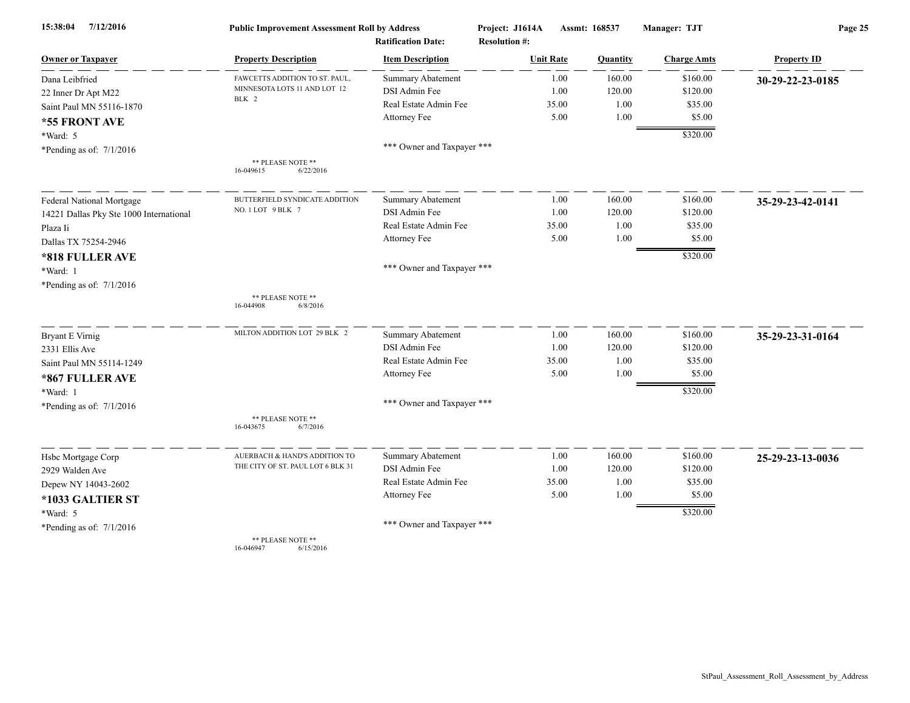| 15:38:04<br>7/12/2016                   | <b>Public Improvement Assessment Roll by Address</b> |                            | Project: J1614A<br>Assmt: 168537 |          | Manager: TJT       | Page 25            |  |
|-----------------------------------------|------------------------------------------------------|----------------------------|----------------------------------|----------|--------------------|--------------------|--|
|                                         |                                                      | <b>Ratification Date:</b>  | <b>Resolution #:</b>             |          |                    |                    |  |
| <b>Owner or Taxpayer</b>                | <b>Property Description</b>                          | <b>Item Description</b>    | <b>Unit Rate</b>                 | Quantity | <b>Charge Amts</b> | <b>Property ID</b> |  |
| Dana Leibfried                          | FAWCETTS ADDITION TO ST. PAUL.                       | Summary Abatement          | 1.00                             | 160.00   | \$160.00           | 30-29-22-23-0185   |  |
| 22 Inner Dr Apt M22                     | MINNESOTA LOTS 11 AND LOT 12<br>BLK 2                | DSI Admin Fee              | 1.00                             | 120.00   | \$120.00           |                    |  |
| Saint Paul MN 55116-1870                |                                                      | Real Estate Admin Fee      | 35.00                            | 1.00     | \$35.00            |                    |  |
| *55 FRONT AVE                           |                                                      | Attorney Fee               | 5.00                             | 1.00     | \$5.00             |                    |  |
| *Ward: 5                                |                                                      |                            |                                  |          | \$320.00           |                    |  |
| *Pending as of: $7/1/2016$              |                                                      | *** Owner and Taxpayer *** |                                  |          |                    |                    |  |
|                                         | ** PLEASE NOTE **<br>16-049615<br>6/22/2016          |                            |                                  |          |                    |                    |  |
| Federal National Mortgage               | BUTTERFIELD SYNDICATE ADDITION                       | <b>Summary Abatement</b>   | 1.00                             | 160.00   | \$160.00           | 35-29-23-42-0141   |  |
| 14221 Dallas Pky Ste 1000 International | NO.1LOT 9 BLK 7                                      | DSI Admin Fee              | 1.00                             | 120.00   | \$120.00           |                    |  |
| Plaza Ii                                |                                                      | Real Estate Admin Fee      | 35.00                            | 1.00     | \$35.00            |                    |  |
| Dallas TX 75254-2946                    |                                                      | Attorney Fee               | 5.00                             | 1.00     | \$5.00             |                    |  |
| *818 FULLER AVE                         |                                                      |                            |                                  |          | \$320.00           |                    |  |
| *Ward: 1                                |                                                      | *** Owner and Taxpayer *** |                                  |          |                    |                    |  |
| *Pending as of: 7/1/2016                |                                                      |                            |                                  |          |                    |                    |  |
|                                         | ** PLEASE NOTE **<br>16-044908<br>6/8/2016           |                            |                                  |          |                    |                    |  |
| <b>Bryant E Virnig</b>                  | MILTON ADDITION LOT 29 BLK 2                         | <b>Summary Abatement</b>   | 1.00                             | 160.00   | \$160.00           | 35-29-23-31-0164   |  |
| 2331 Ellis Ave                          |                                                      | DSI Admin Fee              | 1.00                             | 120.00   | \$120.00           |                    |  |
| Saint Paul MN 55114-1249                |                                                      | Real Estate Admin Fee      | 35.00                            | 1.00     | \$35.00            |                    |  |
| *867 FULLER AVE                         |                                                      | Attorney Fee               | 5.00                             | 1.00     | \$5.00             |                    |  |
| *Ward: 1                                |                                                      |                            |                                  |          | \$320.00           |                    |  |
| *Pending as of: $7/1/2016$              |                                                      | *** Owner and Taxpayer *** |                                  |          |                    |                    |  |
|                                         | ** PLEASE NOTE **<br>6/7/2016<br>16-043675           |                            |                                  |          |                    |                    |  |
| Hsbc Mortgage Corp                      | AUERBACH & HAND'S ADDITION TO                        | Summary Abatement          | 1.00                             | 160.00   | \$160.00           | 25-29-23-13-0036   |  |
| 2929 Walden Ave                         | THE CITY OF ST. PAUL LOT 6 BLK 31                    | DSI Admin Fee              | 1.00                             | 120.00   | \$120.00           |                    |  |
| Depew NY 14043-2602                     |                                                      | Real Estate Admin Fee      | 35.00                            | 1.00     | \$35.00            |                    |  |
| *1033 GALTIER ST                        |                                                      | Attorney Fee               | 5.00                             | 1.00     | \$5.00             |                    |  |
| *Ward: 5                                |                                                      |                            |                                  |          | \$320.00           |                    |  |
| *Pending as of: $7/1/2016$              |                                                      | *** Owner and Taxpayer *** |                                  |          |                    |                    |  |
|                                         | ** PLEASE NOTE **<br>16-046947<br>6/15/2016          |                            |                                  |          |                    |                    |  |

StPaul\_Assessment\_Roll\_Assessment\_by\_Address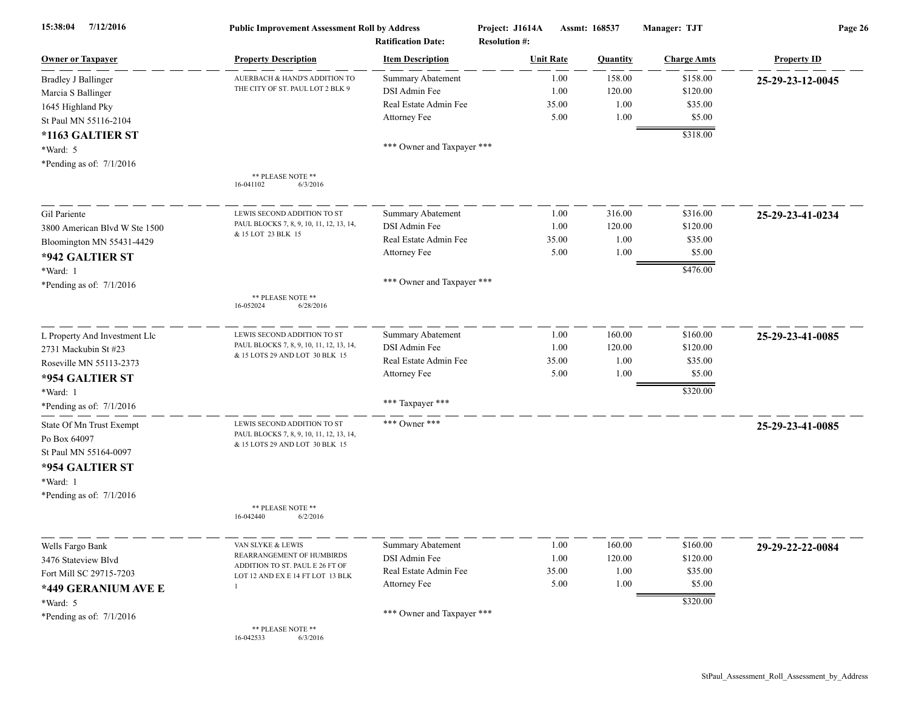| 7/12/2016<br>15:38:04         | <b>Public Improvement Assessment Roll by Address</b><br><b>Ratification Date:</b> |                            | Assmt: 168537<br>Project: J1614A<br><b>Resolution #:</b> |          | Manager: TJT       | Page 26            |  |
|-------------------------------|-----------------------------------------------------------------------------------|----------------------------|----------------------------------------------------------|----------|--------------------|--------------------|--|
| <b>Owner or Taxpayer</b>      | <b>Property Description</b>                                                       | <b>Item Description</b>    | <b>Unit Rate</b>                                         | Quantity | <b>Charge Amts</b> | <b>Property ID</b> |  |
| <b>Bradley J Ballinger</b>    | AUERBACH & HAND'S ADDITION TO                                                     | <b>Summary Abatement</b>   | 1.00                                                     | 158.00   | \$158.00           | 25-29-23-12-0045   |  |
| Marcia S Ballinger            | THE CITY OF ST. PAUL LOT 2 BLK 9                                                  | DSI Admin Fee              | 1.00                                                     | 120.00   | \$120.00           |                    |  |
| 1645 Highland Pky             |                                                                                   | Real Estate Admin Fee      | 35.00                                                    | 1.00     | \$35.00            |                    |  |
| St Paul MN 55116-2104         |                                                                                   | Attorney Fee               | 5.00                                                     | 1.00     | \$5.00             |                    |  |
| *1163 GALTIER ST              |                                                                                   |                            |                                                          |          | \$318.00           |                    |  |
| *Ward: 5                      |                                                                                   | *** Owner and Taxpayer *** |                                                          |          |                    |                    |  |
| *Pending as of: $7/1/2016$    |                                                                                   |                            |                                                          |          |                    |                    |  |
|                               | ** PLEASE NOTE **<br>16-041102<br>6/3/2016                                        |                            |                                                          |          |                    |                    |  |
| Gil Pariente                  | LEWIS SECOND ADDITION TO ST                                                       | <b>Summary Abatement</b>   | 1.00                                                     | 316.00   | \$316.00           | 25-29-23-41-0234   |  |
| 3800 American Blvd W Ste 1500 | PAUL BLOCKS 7, 8, 9, 10, 11, 12, 13, 14,                                          | DSI Admin Fee              | 1.00                                                     | 120.00   | \$120.00           |                    |  |
| Bloomington MN 55431-4429     | & 15 LOT 23 BLK 15                                                                | Real Estate Admin Fee      | 35.00                                                    | 1.00     | \$35.00            |                    |  |
| *942 GALTIER ST               |                                                                                   | Attorney Fee               | 5.00                                                     | 1.00     | \$5.00             |                    |  |
| *Ward: 1                      |                                                                                   |                            |                                                          |          | \$476.00           |                    |  |
| *Pending as of: $7/1/2016$    |                                                                                   | *** Owner and Taxpayer *** |                                                          |          |                    |                    |  |
|                               | ** PLEASE NOTE **<br>16-052024<br>6/28/2016                                       |                            |                                                          |          |                    |                    |  |
| L Property And Investment Llc | LEWIS SECOND ADDITION TO ST                                                       | Summary Abatement          | 1.00                                                     | 160.00   | \$160.00           | 25-29-23-41-0085   |  |
| 2731 Mackubin St #23          | PAUL BLOCKS 7, 8, 9, 10, 11, 12, 13, 14,                                          | DSI Admin Fee              | 1.00                                                     | 120.00   | \$120.00           |                    |  |
| Roseville MN 55113-2373       | & 15 LOTS 29 AND LOT 30 BLK 15                                                    | Real Estate Admin Fee      | 35.00                                                    | 1.00     | \$35.00            |                    |  |
| *954 GALTIER ST               |                                                                                   | Attorney Fee               | 5.00                                                     | 1.00     | \$5.00             |                    |  |
| *Ward: 1                      |                                                                                   |                            |                                                          |          | \$320.00           |                    |  |
| *Pending as of: 7/1/2016      |                                                                                   | *** Taxpayer ***           |                                                          |          |                    |                    |  |
| State Of Mn Trust Exempt      | LEWIS SECOND ADDITION TO ST<br>PAUL BLOCKS 7, 8, 9, 10, 11, 12, 13, 14,           | *** Owner ***              |                                                          |          |                    | 25-29-23-41-0085   |  |
| Po Box 64097                  | & 15 LOTS 29 AND LOT 30 BLK 15                                                    |                            |                                                          |          |                    |                    |  |
| St Paul MN 55164-0097         |                                                                                   |                            |                                                          |          |                    |                    |  |
| *954 GALTIER ST               |                                                                                   |                            |                                                          |          |                    |                    |  |
| *Ward: 1                      |                                                                                   |                            |                                                          |          |                    |                    |  |
| *Pending as of: $7/1/2016$    | ** PLEASE NOTE **                                                                 |                            |                                                          |          |                    |                    |  |
|                               | 6/2/2016<br>16-042440                                                             |                            |                                                          |          |                    |                    |  |
| Wells Fargo Bank              | VAN SLYKE & LEWIS                                                                 | <b>Summary Abatement</b>   | 1.00                                                     | 160.00   | \$160.00           | 29-29-22-22-0084   |  |
| 3476 Stateview Blvd           | REARRANGEMENT OF HUMBIRDS                                                         | DSI Admin Fee              | 1.00                                                     | 120.00   | \$120.00           |                    |  |
| Fort Mill SC 29715-7203       | ADDITION TO ST. PAUL E 26 FT OF<br>LOT 12 AND EX E 14 FT LOT 13 BLK               | Real Estate Admin Fee      | 35.00                                                    | 1.00     | \$35.00            |                    |  |
| *449 GERANIUM AVE E           |                                                                                   | Attorney Fee               | 5.00                                                     | 1.00     | \$5.00             |                    |  |
| $*Ward: 5$                    |                                                                                   |                            |                                                          |          | \$320.00           |                    |  |
| *Pending as of: $7/1/2016$    |                                                                                   | *** Owner and Taxpayer *** |                                                          |          |                    |                    |  |
|                               | ** PLEASE NOTE **<br>16-042533<br>6/3/2016                                        |                            |                                                          |          |                    |                    |  |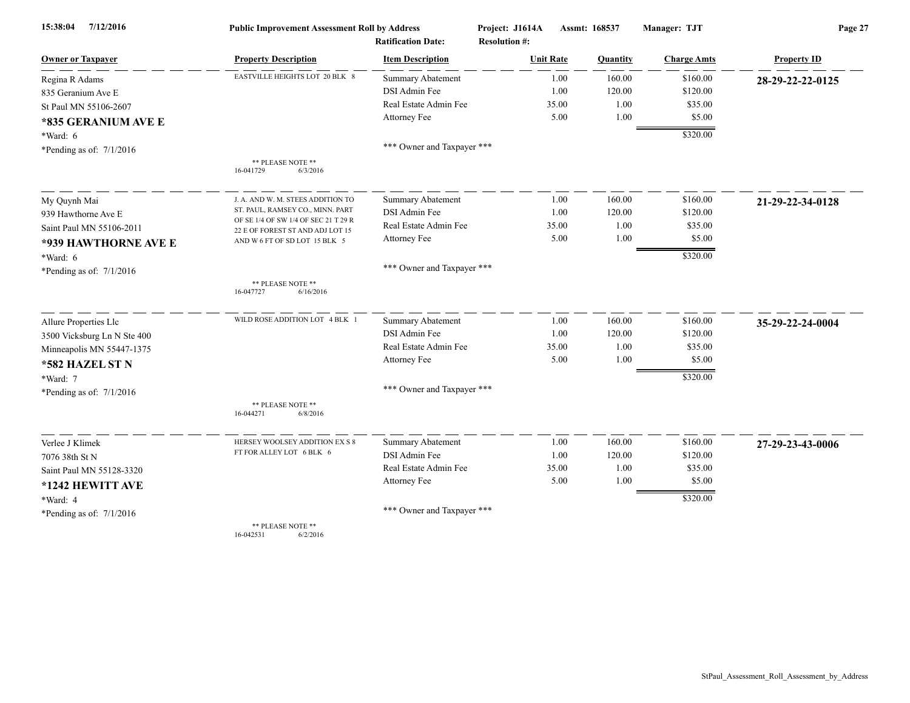| 7/12/2016<br>15:38:04                  | <b>Public Improvement Assessment Roll by Address</b>                     |                                                      | Project: J1614A                          | Assmt: 168537 | Manager: TJT       | Page 27            |  |
|----------------------------------------|--------------------------------------------------------------------------|------------------------------------------------------|------------------------------------------|---------------|--------------------|--------------------|--|
| <b>Owner or Taxpayer</b>               | <b>Property Description</b>                                              | <b>Ratification Date:</b><br><b>Item Description</b> | <b>Resolution #:</b><br><b>Unit Rate</b> |               |                    | <b>Property ID</b> |  |
|                                        | EASTVILLE HEIGHTS LOT 20 BLK 8                                           |                                                      |                                          | Quantity      | <b>Charge Amts</b> |                    |  |
| Regina R Adams                         |                                                                          | <b>Summary Abatement</b>                             | 1.00                                     | 160.00        | \$160.00           | 28-29-22-22-0125   |  |
| 835 Geranium Ave E                     |                                                                          | DSI Admin Fee                                        | 1.00                                     | 120.00        | \$120.00           |                    |  |
| St Paul MN 55106-2607                  |                                                                          | Real Estate Admin Fee                                | 35.00                                    | 1.00          | \$35.00            |                    |  |
| *835 GERANIUM AVE E                    |                                                                          | Attorney Fee                                         | 5.00                                     | 1.00          | \$5.00             |                    |  |
| *Ward: 6                               |                                                                          |                                                      |                                          |               | \$320.00           |                    |  |
| *Pending as of: $7/1/2016$             |                                                                          | *** Owner and Taxpayer ***                           |                                          |               |                    |                    |  |
|                                        | ** PLEASE NOTE **<br>6/3/2016<br>16-041729                               |                                                      |                                          |               |                    |                    |  |
| My Quynh Mai                           | J. A. AND W. M. STEES ADDITION TO                                        | <b>Summary Abatement</b>                             | 1.00                                     | 160.00        | \$160.00           | 21-29-22-34-0128   |  |
| 939 Hawthorne Ave E                    | ST. PAUL, RAMSEY CO., MINN. PART                                         | DSI Admin Fee                                        | 1.00                                     | 120.00        | \$120.00           |                    |  |
| Saint Paul MN 55106-2011               | OF SE 1/4 OF SW 1/4 OF SEC 21 T 29 R<br>22 E OF FOREST ST AND ADJ LOT 15 | Real Estate Admin Fee                                | 35.00                                    | 1.00          | \$35.00            |                    |  |
| *939 HAWTHORNE AVE E                   | AND W 6 FT OF SD LOT 15 BLK 5                                            | Attorney Fee                                         | 5.00                                     | 1.00          | \$5.00             |                    |  |
| *Ward: 6                               |                                                                          |                                                      |                                          |               | \$320.00           |                    |  |
| *Pending as of: $7/1/2016$             |                                                                          | *** Owner and Taxpayer ***                           |                                          |               |                    |                    |  |
|                                        | ** PLEASE NOTE **<br>16-047727<br>6/16/2016                              |                                                      |                                          |               |                    |                    |  |
| Allure Properties Llc                  | WILD ROSE ADDITION LOT 4 BLK 1                                           | Summary Abatement                                    | 1.00                                     | 160.00        | \$160.00           | 35-29-22-24-0004   |  |
| 3500 Vicksburg Ln N Ste 400            |                                                                          | DSI Admin Fee                                        | 1.00                                     | 120.00        | \$120.00           |                    |  |
| Minneapolis MN 55447-1375              |                                                                          | Real Estate Admin Fee                                | 35.00                                    | 1.00          | \$35.00            |                    |  |
| *582 HAZEL ST N                        |                                                                          | Attorney Fee                                         | 5.00                                     | 1.00          | \$5.00             |                    |  |
| *Ward: 7                               |                                                                          |                                                      |                                          |               | \$320.00           |                    |  |
| *Pending as of: $7/1/2016$             |                                                                          | *** Owner and Taxpayer ***                           |                                          |               |                    |                    |  |
|                                        | ** PLEASE NOTE **<br>16-044271<br>6/8/2016                               |                                                      |                                          |               |                    |                    |  |
| Verlee J Klimek                        | HERSEY WOOLSEY ADDITION EX S 8                                           | Summary Abatement                                    | 1.00                                     | 160.00        | \$160.00           | 27-29-23-43-0006   |  |
| 7076 38th St N                         | FT FOR ALLEY LOT 6 BLK 6                                                 | DSI Admin Fee                                        | 1.00                                     | 120.00        | \$120.00           |                    |  |
| Saint Paul MN 55128-3320               |                                                                          | Real Estate Admin Fee                                | 35.00                                    | 1.00          | \$35.00            |                    |  |
| *1242 HEWITT AVE                       |                                                                          | Attorney Fee                                         | 5.00                                     | 1.00          | \$5.00             |                    |  |
|                                        |                                                                          |                                                      |                                          |               | \$320.00           |                    |  |
| *Ward: 4<br>*Pending as of: $7/1/2016$ |                                                                          | *** Owner and Taxpayer ***                           |                                          |               |                    |                    |  |
|                                        | ** PLEASE NOTE **                                                        |                                                      |                                          |               |                    |                    |  |

16-042531 6/2/2016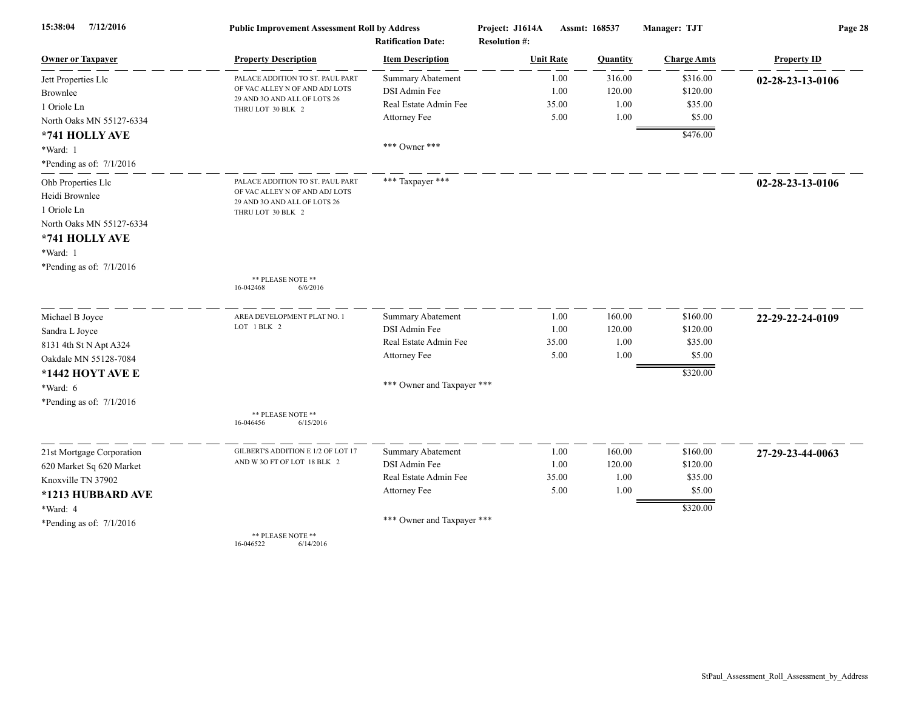| 7/12/2016<br>15:38:04      | <b>Public Improvement Assessment Roll by Address</b><br><b>Ratification Date:</b> |                            | Project: J1614A<br><b>Resolution #:</b> | Assmt: 168537 |          | Manager: TJT       | Page 28            |  |
|----------------------------|-----------------------------------------------------------------------------------|----------------------------|-----------------------------------------|---------------|----------|--------------------|--------------------|--|
| <b>Owner or Taxpayer</b>   | <b>Property Description</b>                                                       | <b>Item Description</b>    | <b>Unit Rate</b>                        |               | Quantity | <b>Charge Amts</b> | <b>Property ID</b> |  |
| Jett Properties Llc        | PALACE ADDITION TO ST. PAUL PART                                                  | <b>Summary Abatement</b>   |                                         | 1.00          | 316.00   | \$316.00           | 02-28-23-13-0106   |  |
| Brownlee                   | OF VAC ALLEY N OF AND ADJ LOTS<br>29 AND 30 AND ALL OF LOTS 26                    | DSI Admin Fee              |                                         | 1.00          | 120.00   | \$120.00           |                    |  |
| 1 Oriole Ln                | THRU LOT 30 BLK 2                                                                 | Real Estate Admin Fee      |                                         | 35.00         | 1.00     | \$35.00            |                    |  |
| North Oaks MN 55127-6334   |                                                                                   | Attorney Fee               |                                         | 5.00          | 1.00     | \$5.00             |                    |  |
| *741 HOLLY AVE             |                                                                                   |                            |                                         |               |          | \$476.00           |                    |  |
| *Ward: 1                   |                                                                                   | *** Owner ***              |                                         |               |          |                    |                    |  |
| *Pending as of: $7/1/2016$ |                                                                                   |                            |                                         |               |          |                    |                    |  |
| Ohb Properties Llc         | PALACE ADDITION TO ST. PAUL PART                                                  | *** Taxpayer ***           |                                         |               |          |                    | 02-28-23-13-0106   |  |
| Heidi Brownlee             | OF VAC ALLEY N OF AND ADJ LOTS<br>29 AND 30 AND ALL OF LOTS 26                    |                            |                                         |               |          |                    |                    |  |
| 1 Oriole Ln                | THRU LOT 30 BLK 2                                                                 |                            |                                         |               |          |                    |                    |  |
| North Oaks MN 55127-6334   |                                                                                   |                            |                                         |               |          |                    |                    |  |
| *741 HOLLY AVE             |                                                                                   |                            |                                         |               |          |                    |                    |  |
| *Ward: 1                   |                                                                                   |                            |                                         |               |          |                    |                    |  |
| *Pending as of: 7/1/2016   |                                                                                   |                            |                                         |               |          |                    |                    |  |
|                            | ** PLEASE NOTE **<br>6/6/2016<br>16-042468                                        |                            |                                         |               |          |                    |                    |  |
| Michael B Joyce            | AREA DEVELOPMENT PLAT NO. 1                                                       | <b>Summary Abatement</b>   |                                         | 1.00          | 160.00   | \$160.00           | 22-29-22-24-0109   |  |
| Sandra L Joyce             | LOT 1 BLK 2                                                                       | DSI Admin Fee              |                                         | 1.00          | 120.00   | \$120.00           |                    |  |
| 8131 4th St N Apt A324     |                                                                                   | Real Estate Admin Fee      |                                         | 35.00         | 1.00     | \$35.00            |                    |  |
| Oakdale MN 55128-7084      |                                                                                   | Attorney Fee               |                                         | 5.00          | 1.00     | \$5.00             |                    |  |
| *1442 HOYT AVE E           |                                                                                   |                            |                                         |               |          | \$320.00           |                    |  |
| *Ward: 6                   |                                                                                   | *** Owner and Taxpayer *** |                                         |               |          |                    |                    |  |
| *Pending as of: $7/1/2016$ |                                                                                   |                            |                                         |               |          |                    |                    |  |
|                            | ** PLEASE NOTE **<br>16-046456<br>6/15/2016                                       |                            |                                         |               |          |                    |                    |  |
| 21st Mortgage Corporation  | GILBERT'S ADDITION E 1/2 OF LOT 17                                                | Summary Abatement          |                                         | 1.00          | 160.00   | \$160.00           | 27-29-23-44-0063   |  |
| 620 Market Sq 620 Market   | AND W 3O FT OF LOT 18 BLK 2                                                       | DSI Admin Fee              |                                         | 1.00          | 120.00   | \$120.00           |                    |  |
| Knoxville TN 37902         |                                                                                   | Real Estate Admin Fee      |                                         | 35.00         | 1.00     | \$35.00            |                    |  |
| *1213 HUBBARD AVE          |                                                                                   | Attorney Fee               |                                         | 5.00          | 1.00     | \$5.00             |                    |  |
| *Ward: 4                   |                                                                                   |                            |                                         |               |          | \$320.00           |                    |  |
| *Pending as of: 7/1/2016   |                                                                                   | *** Owner and Taxpayer *** |                                         |               |          |                    |                    |  |
|                            | ** PLEASE NOTE **<br>16-046522<br>6/14/2016                                       |                            |                                         |               |          |                    |                    |  |

16-046522 6/14/2016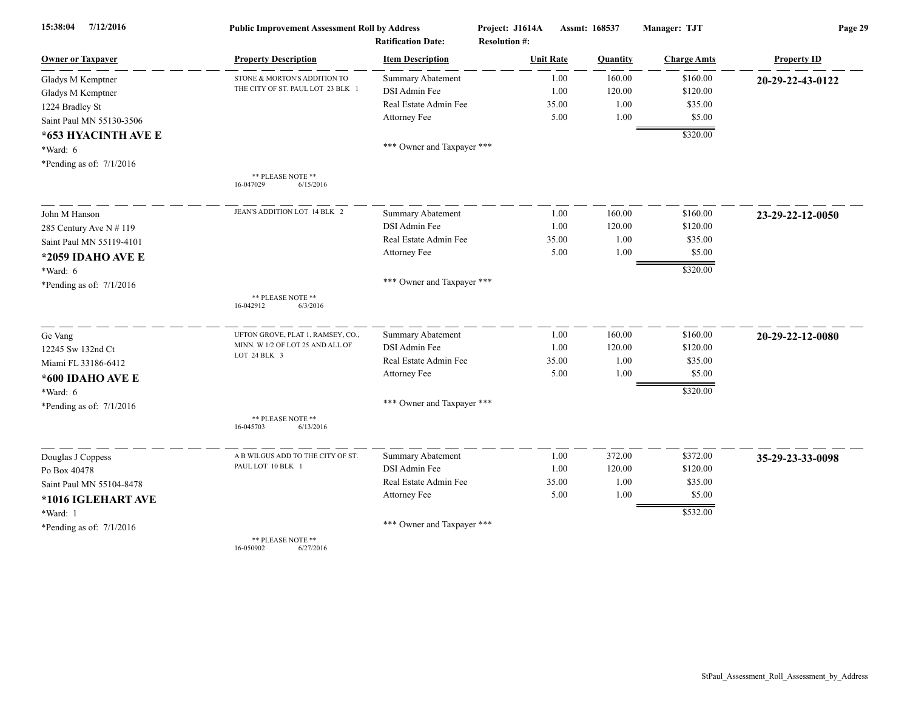| 15:38:04<br>7/12/2016      | <b>Public Improvement Assessment Roll by Address</b> |                                                      | Project: J1614A                          | Assmt: 168537  | Manager: TJT       | Page 29            |  |
|----------------------------|------------------------------------------------------|------------------------------------------------------|------------------------------------------|----------------|--------------------|--------------------|--|
| <b>Owner or Taxpayer</b>   | <b>Property Description</b>                          | <b>Ratification Date:</b><br><b>Item Description</b> | <b>Resolution #:</b><br><b>Unit Rate</b> | Quantity       | <b>Charge Amts</b> | <b>Property ID</b> |  |
| Gladys M Kemptner          | STONE & MORTON'S ADDITION TO                         | <b>Summary Abatement</b>                             |                                          | 160.00<br>1.00 | \$160.00           | 20-29-22-43-0122   |  |
| Gladys M Kemptner          | THE CITY OF ST. PAUL LOT 23 BLK 1                    | DSI Admin Fee                                        |                                          | 1.00<br>120.00 | \$120.00           |                    |  |
| 1224 Bradley St            |                                                      | Real Estate Admin Fee                                | 35.00                                    | 1.00           | \$35.00            |                    |  |
| Saint Paul MN 55130-3506   |                                                      | Attorney Fee                                         |                                          | 5.00<br>1.00   | \$5.00             |                    |  |
|                            |                                                      |                                                      |                                          |                | \$320.00           |                    |  |
| *653 HYACINTH AVE E        |                                                      | *** Owner and Taxpayer ***                           |                                          |                |                    |                    |  |
| *Ward: 6                   |                                                      |                                                      |                                          |                |                    |                    |  |
| *Pending as of: $7/1/2016$ |                                                      |                                                      |                                          |                |                    |                    |  |
|                            | ** PLEASE NOTE **<br>16-047029<br>6/15/2016          |                                                      |                                          |                |                    |                    |  |
| John M Hanson              | JEAN'S ADDITION LOT 14 BLK 2                         | <b>Summary Abatement</b>                             |                                          | 160.00<br>1.00 | \$160.00           | 23-29-22-12-0050   |  |
| 285 Century Ave N # 119    |                                                      | DSI Admin Fee                                        |                                          | 1.00<br>120.00 | \$120.00           |                    |  |
| Saint Paul MN 55119-4101   |                                                      | Real Estate Admin Fee                                | 35.00                                    | 1.00           | \$35.00            |                    |  |
| *2059 IDAHO AVE E          |                                                      | Attorney Fee                                         |                                          | 5.00<br>1.00   | \$5.00             |                    |  |
| *Ward: 6                   |                                                      |                                                      |                                          |                | \$320.00           |                    |  |
| *Pending as of: $7/1/2016$ |                                                      | *** Owner and Taxpayer ***                           |                                          |                |                    |                    |  |
|                            | ** PLEASE NOTE **                                    |                                                      |                                          |                |                    |                    |  |
|                            | 16-042912<br>6/3/2016                                |                                                      |                                          |                |                    |                    |  |
| Ge Vang                    | UFTON GROVE, PLAT 1, RAMSEY, CO.,                    | <b>Summary Abatement</b>                             |                                          | 160.00<br>1.00 | \$160.00           | 20-29-22-12-0080   |  |
| 12245 Sw 132nd Ct          | MINN. W 1/2 OF LOT 25 AND ALL OF<br>LOT 24 BLK 3     | DSI Admin Fee                                        |                                          | 1.00<br>120.00 | \$120.00           |                    |  |
| Miami FL 33186-6412        |                                                      | Real Estate Admin Fee                                | 35.00                                    | 1.00           | \$35.00            |                    |  |
| *600 IDAHO AVE E           |                                                      | Attorney Fee                                         |                                          | 1.00<br>5.00   | \$5.00             |                    |  |
| *Ward: 6                   |                                                      |                                                      |                                          |                | \$320.00           |                    |  |
| *Pending as of: $7/1/2016$ |                                                      | *** Owner and Taxpayer ***                           |                                          |                |                    |                    |  |
|                            | ** PLEASE NOTE **<br>16-045703<br>6/13/2016          |                                                      |                                          |                |                    |                    |  |
| Douglas J Coppess          | A B WILGUS ADD TO THE CITY OF ST.                    | <b>Summary Abatement</b>                             |                                          | 372.00<br>1.00 | \$372.00           | 35-29-23-33-0098   |  |
| Po Box 40478               | PAUL LOT 10 BLK 1                                    | DSI Admin Fee                                        |                                          | 1.00<br>120.00 | \$120.00           |                    |  |
| Saint Paul MN 55104-8478   |                                                      | Real Estate Admin Fee                                | 35.00                                    | 1.00           | \$35.00            |                    |  |
| *1016 IGLEHART AVE         |                                                      | Attorney Fee                                         |                                          | 5.00<br>1.00   | \$5.00             |                    |  |
| *Ward: 1                   |                                                      |                                                      |                                          |                | \$532.00           |                    |  |
| *Pending as of: $7/1/2016$ |                                                      | *** Owner and Taxpayer ***                           |                                          |                |                    |                    |  |
|                            | ** PLEASE NOTE **<br>16-050902<br>6/27/2016          |                                                      |                                          |                |                    |                    |  |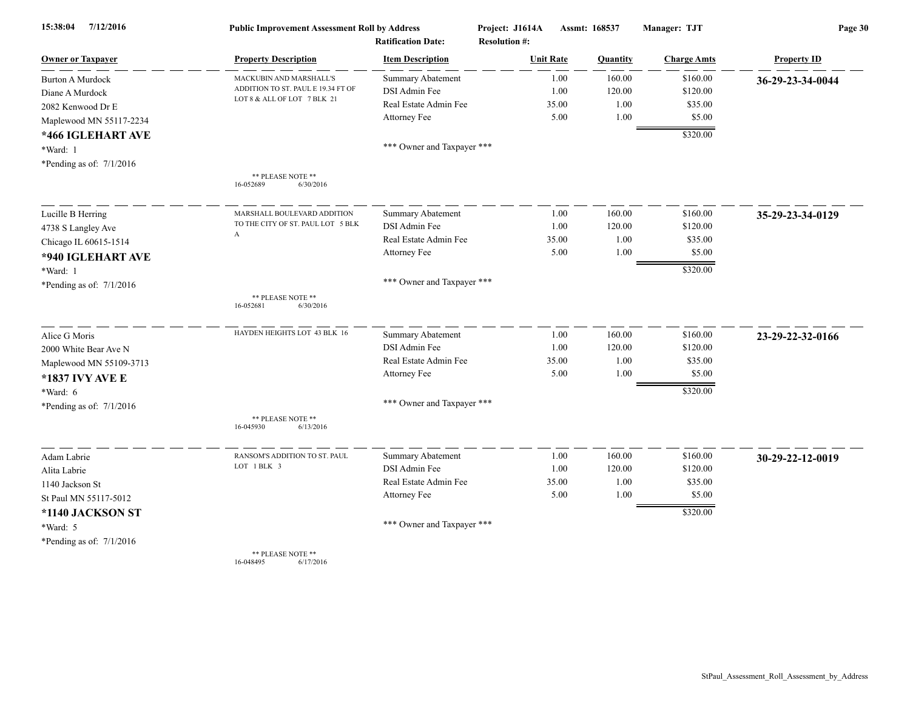| 15:38:04<br>7/12/2016      | <b>Public Improvement Assessment Roll by Address</b> |                                                      | Project: J1614A                          | Assmt: 168537 |          | Manager: TJT       | Page 30            |  |
|----------------------------|------------------------------------------------------|------------------------------------------------------|------------------------------------------|---------------|----------|--------------------|--------------------|--|
| <b>Owner or Taxpayer</b>   | <b>Property Description</b>                          | <b>Ratification Date:</b><br><b>Item Description</b> | <b>Resolution #:</b><br><b>Unit Rate</b> |               | Quantity | <b>Charge Amts</b> | <b>Property ID</b> |  |
| <b>Burton A Murdock</b>    | MACKUBIN AND MARSHALL'S                              | <b>Summary Abatement</b>                             |                                          | 1.00          | 160.00   | \$160.00           | 36-29-23-34-0044   |  |
| Diane A Murdock            | ADDITION TO ST. PAUL E 19.34 FT OF                   | DSI Admin Fee                                        |                                          | 1.00          | 120.00   | \$120.00           |                    |  |
| 2082 Kenwood Dr E          | LOT 8 & ALL OF LOT 7 BLK 21                          | Real Estate Admin Fee                                |                                          | 35.00         | 1.00     | \$35.00            |                    |  |
| Maplewood MN 55117-2234    |                                                      | Attorney Fee                                         |                                          | 5.00          | 1.00     | \$5.00             |                    |  |
|                            |                                                      |                                                      |                                          |               |          | \$320.00           |                    |  |
| *466 IGLEHART AVE          |                                                      | *** Owner and Taxpayer ***                           |                                          |               |          |                    |                    |  |
| *Ward: 1                   |                                                      |                                                      |                                          |               |          |                    |                    |  |
| *Pending as of: $7/1/2016$ |                                                      |                                                      |                                          |               |          |                    |                    |  |
|                            | ** PLEASE NOTE **<br>6/30/2016<br>16-052689          |                                                      |                                          |               |          |                    |                    |  |
| Lucille B Herring          | MARSHALL BOULEVARD ADDITION                          | Summary Abatement                                    |                                          | 1.00          | 160.00   | \$160.00           | 35-29-23-34-0129   |  |
| 4738 S Langley Ave         | TO THE CITY OF ST. PAUL LOT 5 BLK                    | DSI Admin Fee                                        |                                          | 1.00          | 120.00   | \$120.00           |                    |  |
| Chicago IL 60615-1514      | $\boldsymbol{A}$                                     | Real Estate Admin Fee                                |                                          | 35.00         | 1.00     | \$35.00            |                    |  |
| *940 IGLEHART AVE          |                                                      | Attorney Fee                                         |                                          | 5.00          | 1.00     | \$5.00             |                    |  |
| *Ward: 1                   |                                                      |                                                      |                                          |               |          | \$320.00           |                    |  |
| *Pending as of: $7/1/2016$ |                                                      | *** Owner and Taxpayer ***                           |                                          |               |          |                    |                    |  |
|                            | ** PLEASE NOTE **<br>6/30/2016<br>16-052681          |                                                      |                                          |               |          |                    |                    |  |
| Alice G Moris              | HAYDEN HEIGHTS LOT 43 BLK 16                         | Summary Abatement                                    |                                          | 1.00          | 160.00   | \$160.00           | 23-29-22-32-0166   |  |
| 2000 White Bear Ave N      |                                                      | DSI Admin Fee                                        |                                          | 1.00          | 120.00   | \$120.00           |                    |  |
| Maplewood MN 55109-3713    |                                                      | Real Estate Admin Fee                                |                                          | 35.00         | 1.00     | \$35.00            |                    |  |
| *1837 IVY AVE E            |                                                      | Attorney Fee                                         |                                          | 5.00          | 1.00     | \$5.00             |                    |  |
| *Ward: 6                   |                                                      |                                                      |                                          |               |          | \$320.00           |                    |  |
| *Pending as of: $7/1/2016$ |                                                      | *** Owner and Taxpayer ***                           |                                          |               |          |                    |                    |  |
|                            | ** PLEASE NOTE **<br>16-045930<br>6/13/2016          |                                                      |                                          |               |          |                    |                    |  |
| Adam Labrie                | RANSOM'S ADDITION TO ST. PAUL                        | <b>Summary Abatement</b>                             |                                          | 1.00          | 160.00   | \$160.00           | 30-29-22-12-0019   |  |
| Alita Labrie               | LOT 1 BLK 3                                          | DSI Admin Fee                                        |                                          | 1.00          | 120.00   | \$120.00           |                    |  |
| 1140 Jackson St            |                                                      | Real Estate Admin Fee                                |                                          | 35.00         | 1.00     | \$35.00            |                    |  |
| St Paul MN 55117-5012      |                                                      | Attorney Fee                                         |                                          | 5.00          | 1.00     | \$5.00             |                    |  |
| *1140 JACKSON ST           |                                                      |                                                      |                                          |               |          | \$320.00           |                    |  |
| *Ward: 5                   |                                                      | *** Owner and Taxpayer ***                           |                                          |               |          |                    |                    |  |
| *Pending as of: $7/1/2016$ |                                                      |                                                      |                                          |               |          |                    |                    |  |
|                            | ** PLEASE NOTE **                                    |                                                      |                                          |               |          |                    |                    |  |

16-048495 6/17/2016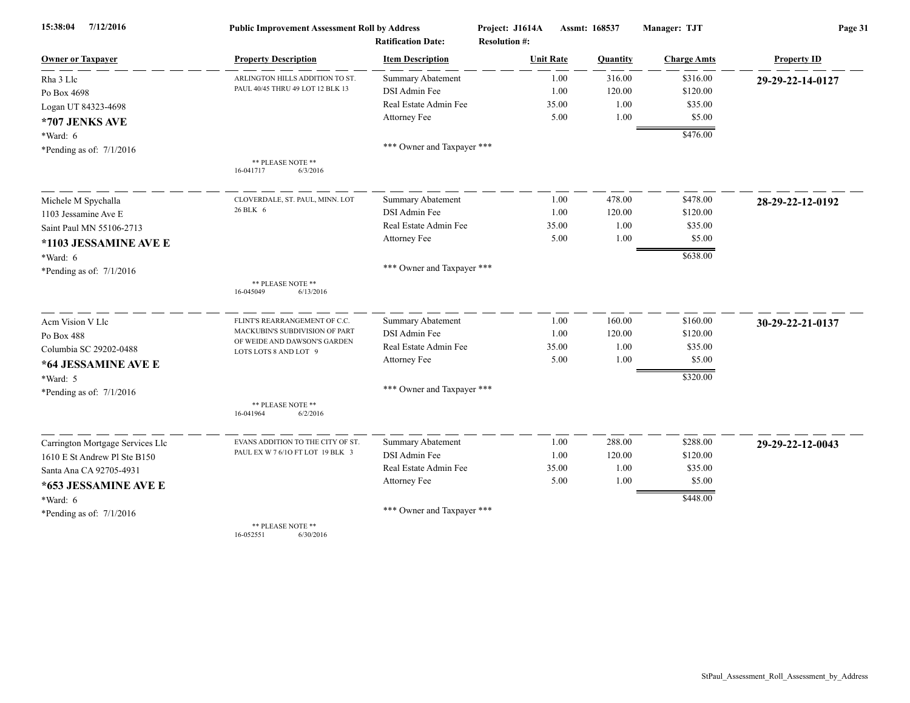| 7/12/2016<br>15:38:04            | <b>Public Improvement Assessment Roll by Address</b>  |                            | Project: J1614A      | Assmt: 168537<br>Manager: TJT |                    | Page 31            |  |
|----------------------------------|-------------------------------------------------------|----------------------------|----------------------|-------------------------------|--------------------|--------------------|--|
|                                  |                                                       | <b>Ratification Date:</b>  | <b>Resolution #:</b> |                               |                    |                    |  |
| <b>Owner or Taxpayer</b>         | <b>Property Description</b>                           | <b>Item Description</b>    | <b>Unit Rate</b>     | Quantity                      | <b>Charge Amts</b> | <b>Property ID</b> |  |
| Rha 3 Llc                        | ARLINGTON HILLS ADDITION TO ST.                       | <b>Summary Abatement</b>   | 1.00                 | 316.00                        | \$316.00           | 29-29-22-14-0127   |  |
| Po Box 4698                      | PAUL 40/45 THRU 49 LOT 12 BLK 13                      | DSI Admin Fee              | 1.00                 | 120.00                        | \$120.00           |                    |  |
| Logan UT 84323-4698              |                                                       | Real Estate Admin Fee      | 35.00                | 1.00                          | \$35.00            |                    |  |
| *707 JENKS AVE                   |                                                       | Attorney Fee               | 5.00                 | 1.00                          | \$5.00             |                    |  |
| *Ward: 6                         |                                                       |                            |                      |                               | \$476.00           |                    |  |
| *Pending as of: 7/1/2016         |                                                       | *** Owner and Taxpayer *** |                      |                               |                    |                    |  |
|                                  | ** PLEASE NOTE **<br>16-041717<br>6/3/2016            |                            |                      |                               |                    |                    |  |
| Michele M Spychalla              | CLOVERDALE, ST. PAUL, MINN. LOT                       | <b>Summary Abatement</b>   | 1.00                 | 478.00                        | \$478.00           | 28-29-22-12-0192   |  |
| 1103 Jessamine Ave E             | 26 BLK 6                                              | DSI Admin Fee              | 1.00                 | 120.00                        | \$120.00           |                    |  |
| Saint Paul MN 55106-2713         |                                                       | Real Estate Admin Fee      | 35.00                | 1.00                          | \$35.00            |                    |  |
| *1103 JESSAMINE AVE E            |                                                       | Attorney Fee               | 5.00                 | 1.00                          | \$5.00             |                    |  |
| *Ward: 6                         |                                                       |                            |                      |                               | \$638.00           |                    |  |
| *Pending as of: $7/1/2016$       |                                                       | *** Owner and Taxpayer *** |                      |                               |                    |                    |  |
|                                  | ** PLEASE NOTE **<br>16-045049<br>6/13/2016           |                            |                      |                               |                    |                    |  |
| Acm Vision V Llc                 | FLINT'S REARRANGEMENT OF C.C.                         | Summary Abatement          | 1.00                 | 160.00                        | \$160.00           | 30-29-22-21-0137   |  |
| Po Box 488                       | MACKUBIN'S SUBDIVISION OF PART                        | DSI Admin Fee              | 1.00                 | 120.00                        | \$120.00           |                    |  |
| Columbia SC 29202-0488           | OF WEIDE AND DAWSON'S GARDEN<br>LOTS LOTS 8 AND LOT 9 | Real Estate Admin Fee      | 35.00                | 1.00                          | \$35.00            |                    |  |
| *64 JESSAMINE AVE E              |                                                       | Attorney Fee               | 5.00                 | 1.00                          | \$5.00             |                    |  |
| *Ward: 5                         |                                                       |                            |                      |                               | \$320.00           |                    |  |
| *Pending as of: $7/1/2016$       |                                                       | *** Owner and Taxpayer *** |                      |                               |                    |                    |  |
|                                  | ** PLEASE NOTE **<br>16-041964<br>6/2/2016            |                            |                      |                               |                    |                    |  |
| Carrington Mortgage Services Llc | EVANS ADDITION TO THE CITY OF ST.                     | Summary Abatement          | 1.00                 | 288.00                        | \$288.00           | 29-29-22-12-0043   |  |
| 1610 E St Andrew Pl Ste B150     | PAUL EX W 7 6/10 FT LOT 19 BLK 3                      | DSI Admin Fee              | 1.00                 | 120.00                        | \$120.00           |                    |  |
| Santa Ana CA 92705-4931          |                                                       | Real Estate Admin Fee      | 35.00                | 1.00                          | \$35.00            |                    |  |
| *653 JESSAMINE AVE E             |                                                       | Attorney Fee               | 5.00                 | 1.00                          | \$5.00             |                    |  |
| *Ward: 6                         |                                                       |                            |                      |                               | \$448.00           |                    |  |
| *Pending as of: $7/1/2016$       |                                                       | *** Owner and Taxpayer *** |                      |                               |                    |                    |  |
|                                  | ** PLEASE NOTE **                                     |                            |                      |                               |                    |                    |  |

16-052551 6/30/2016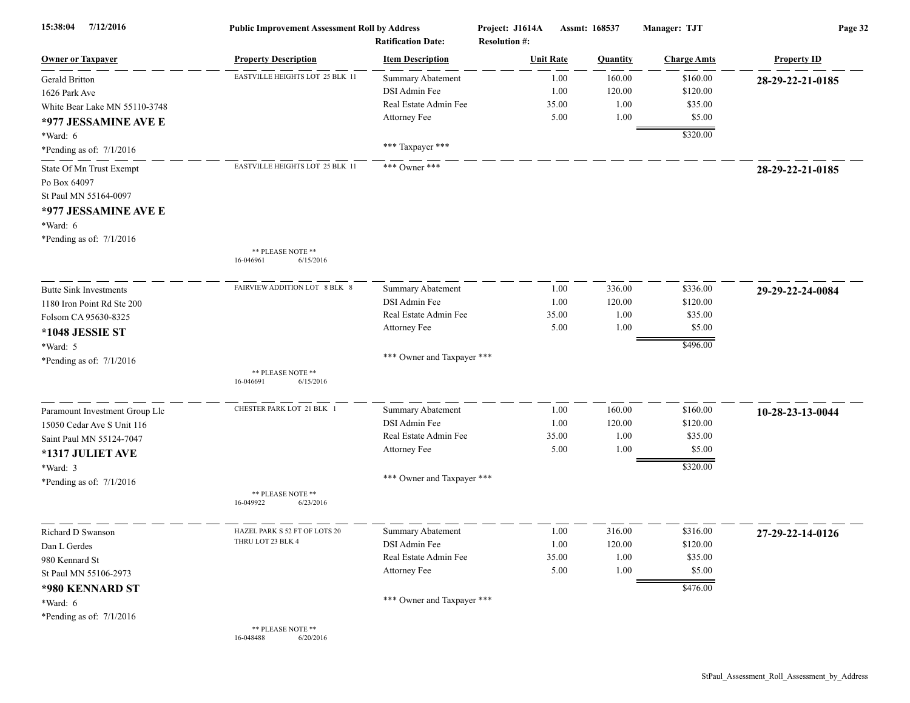| 7/12/2016<br>15:38:04          | <b>Public Improvement Assessment Roll by Address</b><br><b>Ratification Date:</b> |                            | Project: J1614A<br><b>Resolution #:</b> | Assmt: 168537    |          | Manager: TJT       | Page 32            |  |
|--------------------------------|-----------------------------------------------------------------------------------|----------------------------|-----------------------------------------|------------------|----------|--------------------|--------------------|--|
| <b>Owner or Taxpayer</b>       | <b>Property Description</b>                                                       | <b>Item Description</b>    |                                         | <b>Unit Rate</b> | Quantity | <b>Charge Amts</b> | <b>Property ID</b> |  |
| Gerald Britton                 | EASTVILLE HEIGHTS LOT 25 BLK 11                                                   | <b>Summary Abatement</b>   |                                         | 1.00             | 160.00   | \$160.00           | 28-29-22-21-0185   |  |
| 1626 Park Ave                  |                                                                                   | DSI Admin Fee              |                                         | 1.00             | 120.00   | \$120.00           |                    |  |
| White Bear Lake MN 55110-3748  |                                                                                   | Real Estate Admin Fee      |                                         | 35.00            | 1.00     | \$35.00            |                    |  |
| *977 JESSAMINE AVE E           |                                                                                   | Attorney Fee               |                                         | 5.00             | 1.00     | \$5.00             |                    |  |
| $*Ward: 6$                     |                                                                                   |                            |                                         |                  |          | \$320.00           |                    |  |
| *Pending as of: $7/1/2016$     |                                                                                   | *** Taxpayer ***           |                                         |                  |          |                    |                    |  |
| State Of Mn Trust Exempt       | EASTVILLE HEIGHTS LOT 25 BLK 11                                                   | *** Owner ***              |                                         |                  |          |                    | 28-29-22-21-0185   |  |
| Po Box 64097                   |                                                                                   |                            |                                         |                  |          |                    |                    |  |
| St Paul MN 55164-0097          |                                                                                   |                            |                                         |                  |          |                    |                    |  |
| *977 JESSAMINE AVE E           |                                                                                   |                            |                                         |                  |          |                    |                    |  |
| *Ward: 6                       |                                                                                   |                            |                                         |                  |          |                    |                    |  |
| *Pending as of: 7/1/2016       |                                                                                   |                            |                                         |                  |          |                    |                    |  |
|                                | ** PLEASE NOTE **<br>6/15/2016<br>16-046961                                       |                            |                                         |                  |          |                    |                    |  |
| <b>Butte Sink Investments</b>  | FAIRVIEW ADDITION LOT 8 BLK 8                                                     | Summary Abatement          |                                         | 1.00             | 336.00   | \$336.00           | 29-29-22-24-0084   |  |
| 1180 Iron Point Rd Ste 200     |                                                                                   | DSI Admin Fee              |                                         | 1.00             | 120.00   | \$120.00           |                    |  |
| Folsom CA 95630-8325           |                                                                                   | Real Estate Admin Fee      |                                         | 35.00            | 1.00     | \$35.00            |                    |  |
| *1048 JESSIE ST                |                                                                                   | Attorney Fee               |                                         | 5.00             | 1.00     | \$5.00             |                    |  |
| *Ward: 5                       |                                                                                   |                            |                                         |                  |          | \$496.00           |                    |  |
| *Pending as of: 7/1/2016       |                                                                                   | *** Owner and Taxpayer *** |                                         |                  |          |                    |                    |  |
|                                | ** PLEASE NOTE **                                                                 |                            |                                         |                  |          |                    |                    |  |
|                                | 6/15/2016<br>16-046691                                                            |                            |                                         |                  |          |                    |                    |  |
| Paramount Investment Group Llc | CHESTER PARK LOT 21 BLK 1                                                         | Summary Abatement          |                                         | 1.00             | 160.00   | \$160.00           | 10-28-23-13-0044   |  |
| 15050 Cedar Ave S Unit 116     |                                                                                   | DSI Admin Fee              |                                         | 1.00             | 120.00   | \$120.00           |                    |  |
| Saint Paul MN 55124-7047       |                                                                                   | Real Estate Admin Fee      |                                         | 35.00            | 1.00     | \$35.00            |                    |  |
| *1317 JULIET AVE               |                                                                                   | Attorney Fee               |                                         | 5.00             | 1.00     | \$5.00             |                    |  |
| *Ward: 3                       |                                                                                   |                            |                                         |                  |          | \$320.00           |                    |  |
| *Pending as of: 7/1/2016       |                                                                                   | *** Owner and Taxpayer *** |                                         |                  |          |                    |                    |  |
|                                | ** PLEASE NOTE **<br>16-049922<br>6/23/2016                                       |                            |                                         |                  |          |                    |                    |  |
| Richard D Swanson              | HAZEL PARK S 52 FT OF LOTS 20                                                     | <b>Summary Abatement</b>   |                                         | 1.00             | 316.00   | \$316.00           | 27-29-22-14-0126   |  |
| Dan L Gerdes                   | THRU LOT 23 BLK 4                                                                 | DSI Admin Fee              |                                         | 1.00             | 120.00   | \$120.00           |                    |  |
| 980 Kennard St                 |                                                                                   | Real Estate Admin Fee      |                                         | 35.00            | $1.00\,$ | \$35.00            |                    |  |
| St Paul MN 55106-2973          |                                                                                   | Attorney Fee               |                                         | 5.00             | 1.00     | \$5.00             |                    |  |
| *980 KENNARD ST                |                                                                                   |                            |                                         |                  |          | \$476.00           |                    |  |
| *Ward: $6$                     |                                                                                   | *** Owner and Taxpayer *** |                                         |                  |          |                    |                    |  |
| *Pending as of: $7/1/2016$     |                                                                                   |                            |                                         |                  |          |                    |                    |  |
|                                | ** PLEASE NOTE **<br>16-048488<br>6/20/2016                                       |                            |                                         |                  |          |                    |                    |  |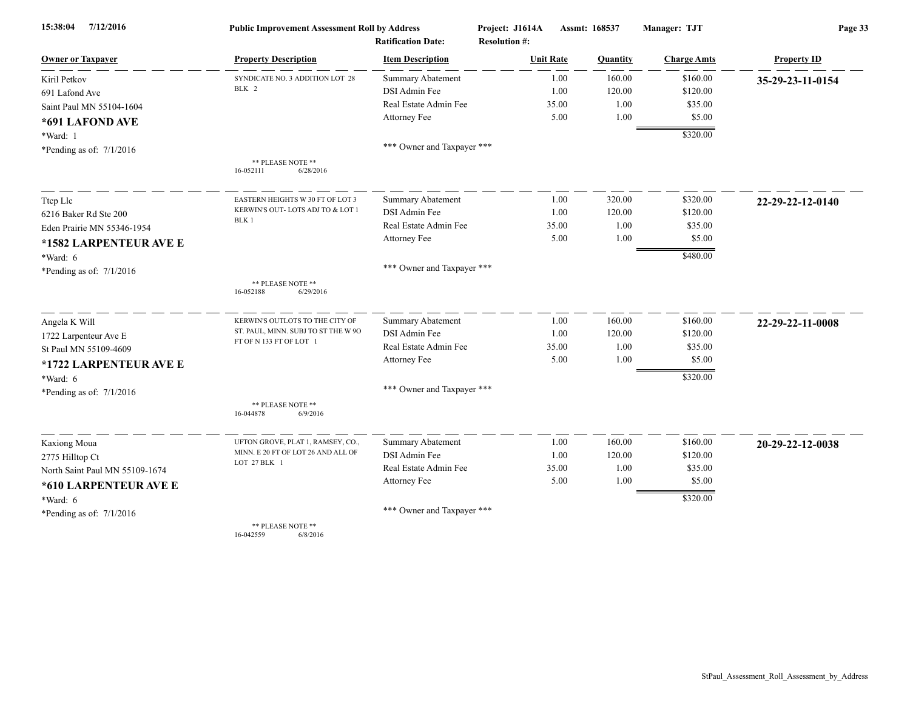| 15:38:04<br>7/12/2016          | <b>Public Improvement Assessment Roll by Address</b><br><b>Ratification Date:</b> |                            | Project: J1614A<br>Assmt: 168537<br><b>Resolution #:</b> |                | Manager: TJT       | Page 33            |  |
|--------------------------------|-----------------------------------------------------------------------------------|----------------------------|----------------------------------------------------------|----------------|--------------------|--------------------|--|
| <b>Owner or Taxpayer</b>       | <b>Property Description</b>                                                       | <b>Item Description</b>    | <b>Unit Rate</b>                                         | Quantity       | <b>Charge Amts</b> | <b>Property ID</b> |  |
| Kiril Petkov                   | SYNDICATE NO. 3 ADDITION LOT 28                                                   | <b>Summary Abatement</b>   |                                                          | 160.00<br>1.00 | \$160.00           | 35-29-23-11-0154   |  |
| 691 Lafond Ave                 | BLK 2                                                                             | DSI Admin Fee              |                                                          | 120.00<br>1.00 | \$120.00           |                    |  |
| Saint Paul MN 55104-1604       |                                                                                   | Real Estate Admin Fee      | 35.00                                                    | 1.00           | \$35.00            |                    |  |
| *691 LAFOND AVE                |                                                                                   | Attorney Fee               |                                                          | 5.00<br>1.00   | \$5.00             |                    |  |
| *Ward: 1                       |                                                                                   |                            |                                                          |                | \$320.00           |                    |  |
| *Pending as of: $7/1/2016$     |                                                                                   | *** Owner and Taxpayer *** |                                                          |                |                    |                    |  |
|                                | ** PLEASE NOTE **<br>16-052111<br>6/28/2016                                       |                            |                                                          |                |                    |                    |  |
| Ttep Lle                       | EASTERN HEIGHTS W 30 FT OF LOT 3                                                  | Summary Abatement          |                                                          | 320.00<br>1.00 | \$320.00           | 22-29-22-12-0140   |  |
| 6216 Baker Rd Ste 200          | KERWIN'S OUT-LOTS ADJ TO & LOT 1                                                  | DSI Admin Fee              |                                                          | 1.00<br>120.00 | \$120.00           |                    |  |
| Eden Prairie MN 55346-1954     | BLK 1                                                                             | Real Estate Admin Fee      | 35.00                                                    | 1.00           | \$35.00            |                    |  |
| *1582 LARPENTEUR AVE E         |                                                                                   | Attorney Fee               |                                                          | 5.00<br>1.00   | \$5.00             |                    |  |
| $*Ward: 6$                     |                                                                                   |                            |                                                          |                | \$480.00           |                    |  |
| *Pending as of: $7/1/2016$     |                                                                                   | *** Owner and Taxpayer *** |                                                          |                |                    |                    |  |
|                                | ** PLEASE NOTE **<br>16-052188<br>6/29/2016                                       |                            |                                                          |                |                    |                    |  |
| Angela K Will                  | KERWIN'S OUTLOTS TO THE CITY OF                                                   | Summary Abatement          |                                                          | 160.00<br>1.00 | \$160.00           | 22-29-22-11-0008   |  |
| 1722 Larpenteur Ave E          | ST. PAUL, MINN. SUBJ TO ST THE W 90                                               | DSI Admin Fee              |                                                          | 1.00<br>120.00 | \$120.00           |                    |  |
| St Paul MN 55109-4609          | FT OF N 133 FT OF LOT 1                                                           | Real Estate Admin Fee      | 35.00                                                    | 1.00           | \$35.00            |                    |  |
| *1722 LARPENTEUR AVE E         |                                                                                   | Attorney Fee               |                                                          | 5.00<br>1.00   | \$5.00             |                    |  |
| *Ward: 6                       |                                                                                   |                            |                                                          |                | \$320.00           |                    |  |
| *Pending as of: $7/1/2016$     |                                                                                   | *** Owner and Taxpayer *** |                                                          |                |                    |                    |  |
|                                | ** PLEASE NOTE **<br>16-044878<br>6/9/2016                                        |                            |                                                          |                |                    |                    |  |
| Kaxiong Moua                   | UFTON GROVE, PLAT 1, RAMSEY, CO.,                                                 | <b>Summary Abatement</b>   |                                                          | 160.00<br>1.00 | \$160.00           | 20-29-22-12-0038   |  |
| 2775 Hilltop Ct                | MINN. E 20 FT OF LOT 26 AND ALL OF                                                | DSI Admin Fee              |                                                          | 120.00<br>1.00 | \$120.00           |                    |  |
| North Saint Paul MN 55109-1674 | LOT 27 BLK 1                                                                      | Real Estate Admin Fee      | 35.00                                                    | 1.00           | \$35.00            |                    |  |
| *610 LARPENTEUR AVE E          |                                                                                   | Attorney Fee               |                                                          | 5.00<br>1.00   | \$5.00             |                    |  |
| $*Ward: 6$                     |                                                                                   |                            |                                                          |                | \$320.00           |                    |  |
| *Pending as of: $7/1/2016$     |                                                                                   | *** Owner and Taxpayer *** |                                                          |                |                    |                    |  |
|                                | ** PLEASE NOTE **                                                                 |                            |                                                          |                |                    |                    |  |

16-042559 6/8/2016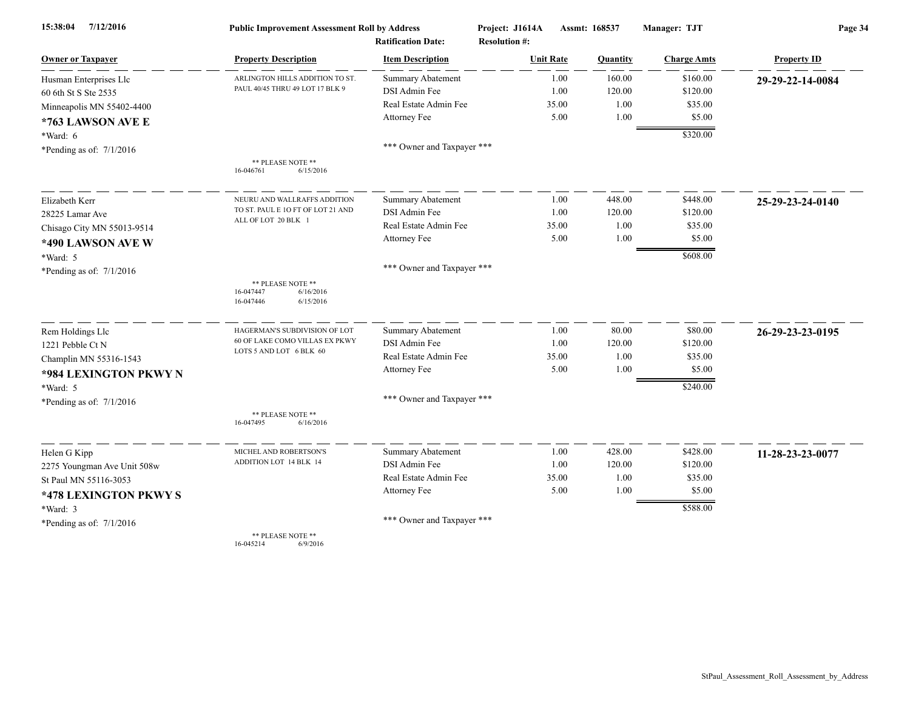| 7/12/2016<br>15:38:04       | <b>Public Improvement Assessment Roll by Address</b>                  |                                                      | Project: J1614A                          | Assmt: 168537 | Manager: TJT       | Page 34            |  |
|-----------------------------|-----------------------------------------------------------------------|------------------------------------------------------|------------------------------------------|---------------|--------------------|--------------------|--|
| <b>Owner or Taxpayer</b>    | <b>Property Description</b>                                           | <b>Ratification Date:</b><br><b>Item Description</b> | <b>Resolution #:</b><br><b>Unit Rate</b> | Quantity      | <b>Charge Amts</b> | <b>Property ID</b> |  |
| Husman Enterprises Llc      | ARLINGTON HILLS ADDITION TO ST.                                       | <b>Summary Abatement</b>                             | 1.00                                     | 160.00        | \$160.00           | 29-29-22-14-0084   |  |
| 60 6th St S Ste 2535        | PAUL 40/45 THRU 49 LOT 17 BLK 9                                       | DSI Admin Fee                                        | 1.00                                     | 120.00        | \$120.00           |                    |  |
| Minneapolis MN 55402-4400   |                                                                       | Real Estate Admin Fee                                | 35.00                                    | 1.00          | \$35.00            |                    |  |
| *763 LAWSON AVE E           |                                                                       | Attorney Fee                                         | 5.00                                     | 1.00          | \$5.00             |                    |  |
| $*Ward: 6$                  |                                                                       |                                                      |                                          |               | \$320.00           |                    |  |
| *Pending as of: $7/1/2016$  |                                                                       | *** Owner and Taxpayer ***                           |                                          |               |                    |                    |  |
|                             | ** PLEASE NOTE **<br>16-046761<br>6/15/2016                           |                                                      |                                          |               |                    |                    |  |
| Elizabeth Kerr              | NEURU AND WALLRAFFS ADDITION                                          | <b>Summary Abatement</b>                             | 1.00                                     | 448.00        | \$448.00           | 25-29-23-24-0140   |  |
| 28225 Lamar Ave             | TO ST. PAUL E 10 FT OF LOT 21 AND                                     | DSI Admin Fee                                        | 1.00                                     | 120.00        | \$120.00           |                    |  |
| Chisago City MN 55013-9514  | ALL OF LOT 20 BLK 1                                                   | Real Estate Admin Fee                                | 35.00                                    | 1.00          | \$35.00            |                    |  |
| *490 LAWSON AVE W           |                                                                       | Attorney Fee                                         | 5.00                                     | 1.00          | \$5.00             |                    |  |
| *Ward: 5                    |                                                                       |                                                      |                                          |               | \$608.00           |                    |  |
| *Pending as of: $7/1/2016$  |                                                                       | *** Owner and Taxpayer ***                           |                                          |               |                    |                    |  |
|                             | ** PLEASE NOTE **<br>6/16/2016<br>16-047447<br>16-047446<br>6/15/2016 |                                                      |                                          |               |                    |                    |  |
| Rem Holdings Llc            | HAGERMAN'S SUBDIVISION OF LOT                                         | Summary Abatement                                    | 1.00                                     | 80.00         | \$80.00            | 26-29-23-23-0195   |  |
| 1221 Pebble Ct N            | 60 OF LAKE COMO VILLAS EX PKWY                                        | DSI Admin Fee                                        | 1.00                                     | 120.00        | \$120.00           |                    |  |
| Champlin MN 55316-1543      | LOTS 5 AND LOT 6 BLK 60                                               | Real Estate Admin Fee                                | 35.00                                    | 1.00          | \$35.00            |                    |  |
| *984 LEXINGTON PKWY N       |                                                                       | Attorney Fee                                         | 5.00                                     | 1.00          | \$5.00             |                    |  |
| $*Ward: 5$                  |                                                                       |                                                      |                                          |               | \$240.00           |                    |  |
| *Pending as of: $7/1/2016$  |                                                                       | *** Owner and Taxpayer ***                           |                                          |               |                    |                    |  |
|                             | ** PLEASE NOTE **<br>16-047495<br>6/16/2016                           |                                                      |                                          |               |                    |                    |  |
| Helen G Kipp                | MICHEL AND ROBERTSON'S                                                | Summary Abatement                                    | 1.00                                     | 428.00        | \$428.00           | 11-28-23-23-0077   |  |
| 2275 Youngman Ave Unit 508w | ADDITION LOT 14 BLK 14                                                | DSI Admin Fee                                        | 1.00                                     | 120.00        | \$120.00           |                    |  |
| St Paul MN 55116-3053       |                                                                       | Real Estate Admin Fee                                | 35.00                                    | 1.00          | \$35.00            |                    |  |
| *478 LEXINGTON PKWY S       |                                                                       | Attorney Fee                                         | 5.00                                     | 1.00          | \$5.00             |                    |  |
| *Ward: 3                    |                                                                       |                                                      |                                          |               | \$588.00           |                    |  |
| *Pending as of: $7/1/2016$  |                                                                       | *** Owner and Taxpayer ***                           |                                          |               |                    |                    |  |
|                             | ** PLEASE NOTE **                                                     |                                                      |                                          |               |                    |                    |  |

16-045214 6/9/2016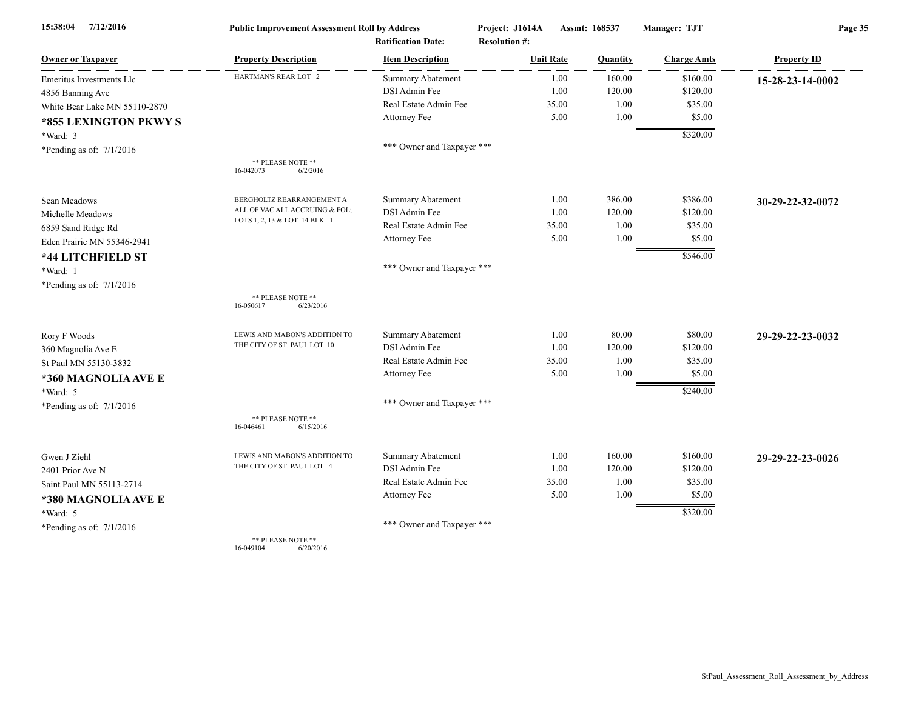| 15:38:04<br>7/12/2016         | <b>Public Improvement Assessment Roll by Address</b> |                            | Project: J1614A      | Assmt: 168537 |          | Manager: TJT         | Page 35            |  |
|-------------------------------|------------------------------------------------------|----------------------------|----------------------|---------------|----------|----------------------|--------------------|--|
|                               |                                                      | <b>Ratification Date:</b>  | <b>Resolution #:</b> |               |          |                      |                    |  |
| <b>Owner or Taxpayer</b>      | <b>Property Description</b>                          | <b>Item Description</b>    | <b>Unit Rate</b>     |               | Quantity | <b>Charge Amts</b>   | <b>Property ID</b> |  |
| Emeritus Investments Llc      | HARTMAN'S REAR LOT 2                                 | Summary Abatement          |                      | 1.00          | 160.00   | \$160.00             | 15-28-23-14-0002   |  |
| 4856 Banning Ave              |                                                      | DSI Admin Fee              |                      | 1.00          | 120.00   | \$120.00             |                    |  |
| White Bear Lake MN 55110-2870 |                                                      | Real Estate Admin Fee      |                      | 35.00         | 1.00     | \$35.00              |                    |  |
| *855 LEXINGTON PKWY S         |                                                      | Attorney Fee               |                      | 5.00          | 1.00     | \$5.00               |                    |  |
| *Ward: 3                      |                                                      |                            |                      |               |          | \$320.00             |                    |  |
| *Pending as of: $7/1/2016$    |                                                      | *** Owner and Taxpayer *** |                      |               |          |                      |                    |  |
|                               | ** PLEASE NOTE **<br>16-042073<br>6/2/2016           |                            |                      |               |          |                      |                    |  |
| Sean Meadows                  | BERGHOLTZ REARRANGEMENT A                            | Summary Abatement          |                      | 1.00          | 386.00   | \$386.00             | 30-29-22-32-0072   |  |
| Michelle Meadows              | ALL OF VAC ALL ACCRUING & FOL;                       | DSI Admin Fee              |                      | 1.00          | 120.00   | \$120.00             |                    |  |
| 6859 Sand Ridge Rd            | LOTS 1, 2, 13 & LOT 14 BLK 1                         | Real Estate Admin Fee      |                      | 35.00         | 1.00     | \$35.00              |                    |  |
| Eden Prairie MN 55346-2941    |                                                      | Attorney Fee               |                      | 5.00          | 1.00     | \$5.00               |                    |  |
| *44 LITCHFIELD ST             |                                                      |                            |                      |               |          | \$546.00             |                    |  |
| *Ward: 1                      |                                                      | *** Owner and Taxpayer *** |                      |               |          |                      |                    |  |
| *Pending as of: $7/1/2016$    |                                                      |                            |                      |               |          |                      |                    |  |
|                               | ** PLEASE NOTE **<br>6/23/2016<br>16-050617          |                            |                      |               |          |                      |                    |  |
| Rory F Woods                  | LEWIS AND MABON'S ADDITION TO                        | <b>Summary Abatement</b>   |                      | 1.00          | 80.00    | \$80.00              | 29-29-22-23-0032   |  |
| 360 Magnolia Ave E            | THE CITY OF ST. PAUL LOT 10                          | DSI Admin Fee              |                      | 1.00          | 120.00   | \$120.00             |                    |  |
| St Paul MN 55130-3832         |                                                      | Real Estate Admin Fee      |                      | 35.00         | 1.00     | \$35.00              |                    |  |
| *360 MAGNOLIA AVE E           |                                                      | Attorney Fee               |                      | 5.00          | 1.00     | \$5.00               |                    |  |
| *Ward: 5                      |                                                      |                            |                      |               |          | \$240.00             |                    |  |
| *Pending as of: 7/1/2016      |                                                      | *** Owner and Taxpayer *** |                      |               |          |                      |                    |  |
|                               | ** PLEASE NOTE **<br>16-046461<br>6/15/2016          |                            |                      |               |          |                      |                    |  |
| Gwen J Ziehl                  | LEWIS AND MABON'S ADDITION TO                        | Summary Abatement          |                      | 1.00          | 160.00   | \$160.00             | 29-29-22-23-0026   |  |
| 2401 Prior Ave N              | THE CITY OF ST. PAUL LOT 4                           | DSI Admin Fee              |                      | 1.00          | 120.00   | \$120.00             |                    |  |
| Saint Paul MN 55113-2714      |                                                      | Real Estate Admin Fee      |                      | 35.00         | 1.00     | \$35.00              |                    |  |
| *380 MAGNOLIA AVE E           |                                                      | Attorney Fee               |                      | 5.00          | 1.00     | \$5.00               |                    |  |
| *Ward: 5                      |                                                      |                            |                      |               |          | $\overline{$}320.00$ |                    |  |
| *Pending as of: $7/1/2016$    |                                                      | *** Owner and Taxpayer *** |                      |               |          |                      |                    |  |
|                               | ** PLEASE NOTE **                                    |                            |                      |               |          |                      |                    |  |

16-049104 6/20/2016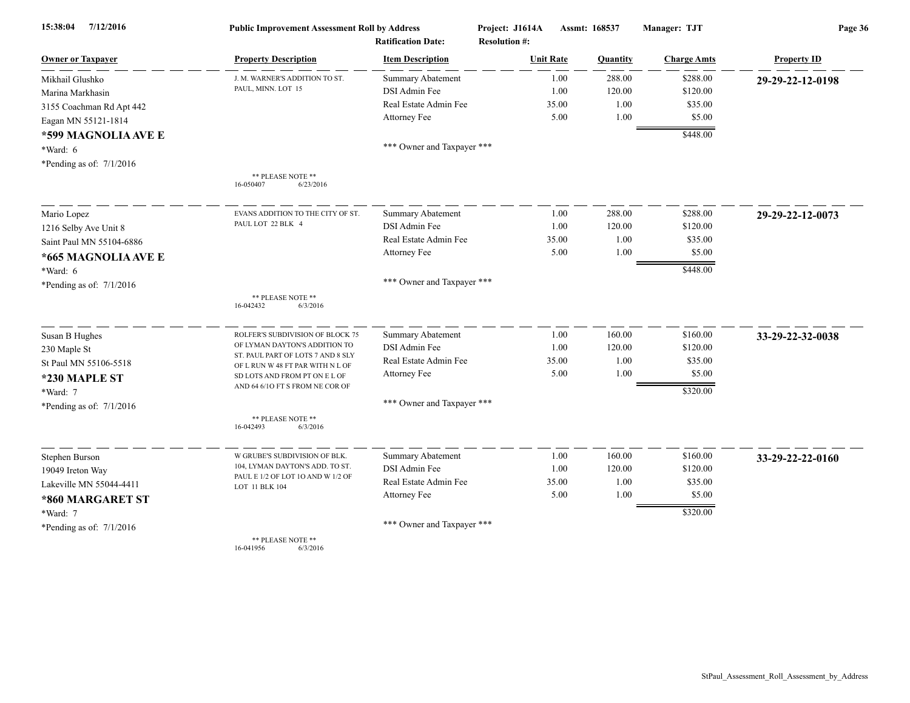| 15:38:04<br>7/12/2016      | <b>Public Improvement Assessment Roll by Address</b><br><b>Ratification Date:</b> |                            | Project: J1614A<br><b>Resolution #:</b> | Assmt: 168537 |                    | Page 36            |  |
|----------------------------|-----------------------------------------------------------------------------------|----------------------------|-----------------------------------------|---------------|--------------------|--------------------|--|
| <b>Owner or Taxpayer</b>   | <b>Property Description</b>                                                       | <b>Item Description</b>    | <b>Unit Rate</b>                        | Quantity      | <b>Charge Amts</b> | <b>Property ID</b> |  |
| Mikhail Glushko            | J. M. WARNER'S ADDITION TO ST.                                                    | Summary Abatement          | 1.00                                    | 288.00        | \$288.00           | 29-29-22-12-0198   |  |
| Marina Markhasin           | PAUL, MINN. LOT 15                                                                | DSI Admin Fee              | 1.00                                    | 120.00        | \$120.00           |                    |  |
| 3155 Coachman Rd Apt 442   |                                                                                   | Real Estate Admin Fee      | 35.00                                   | 1.00          | \$35.00            |                    |  |
| Eagan MN 55121-1814        |                                                                                   | Attorney Fee               | 5.00                                    | 1.00          | \$5.00             |                    |  |
| *599 MAGNOLIA AVE E        |                                                                                   |                            |                                         |               | \$448.00           |                    |  |
| *Ward: 6                   |                                                                                   | *** Owner and Taxpayer *** |                                         |               |                    |                    |  |
| *Pending as of: $7/1/2016$ |                                                                                   |                            |                                         |               |                    |                    |  |
|                            | ** PLEASE NOTE **<br>16-050407<br>6/23/2016                                       |                            |                                         |               |                    |                    |  |
| Mario Lopez                | EVANS ADDITION TO THE CITY OF ST.                                                 | Summary Abatement          | 1.00                                    | 288.00        | \$288.00           | 29-29-22-12-0073   |  |
| 1216 Selby Ave Unit 8      | PAUL LOT 22 BLK 4                                                                 | DSI Admin Fee              | 1.00                                    | 120.00        | \$120.00           |                    |  |
| Saint Paul MN 55104-6886   |                                                                                   | Real Estate Admin Fee      | 35.00                                   | 1.00          | \$35.00            |                    |  |
| *665 MAGNOLIA AVE E        |                                                                                   | Attorney Fee               | 5.00                                    | 1.00          | \$5.00             |                    |  |
| *Ward: 6                   |                                                                                   |                            |                                         |               | \$448.00           |                    |  |
| *Pending as of: $7/1/2016$ |                                                                                   | *** Owner and Taxpayer *** |                                         |               |                    |                    |  |
|                            | ** PLEASE NOTE **<br>16-042432<br>6/3/2016                                        |                            |                                         |               |                    |                    |  |
| Susan B Hughes             | ROLFER'S SUBDIVISION OF BLOCK 75                                                  | <b>Summary Abatement</b>   | 1.00                                    | 160.00        | \$160.00           | 33-29-22-32-0038   |  |
| 230 Maple St               | OF LYMAN DAYTON'S ADDITION TO                                                     | DSI Admin Fee              | 1.00                                    | 120.00        | \$120.00           |                    |  |
| St Paul MN 55106-5518      | ST. PAUL PART OF LOTS 7 AND 8 SLY<br>OF L RUN W 48 FT PAR WITH N L OF             | Real Estate Admin Fee      | 35.00                                   | 1.00          | \$35.00            |                    |  |
| *230 MAPLE ST              | SD LOTS AND FROM PT ON E L OF                                                     | Attorney Fee               | 5.00                                    | 1.00          | \$5.00             |                    |  |
| *Ward: 7                   | AND 64 6/10 FT S FROM NE COR OF                                                   |                            |                                         |               | \$320.00           |                    |  |
| *Pending as of: $7/1/2016$ |                                                                                   | *** Owner and Taxpayer *** |                                         |               |                    |                    |  |
|                            | ** PLEASE NOTE **<br>16-042493<br>6/3/2016                                        |                            |                                         |               |                    |                    |  |
| Stephen Burson             | W GRUBE'S SUBDIVISION OF BLK.                                                     | Summary Abatement          | 1.00                                    | 160.00        | \$160.00           | 33-29-22-22-0160   |  |
| 19049 Ireton Way           | 104, LYMAN DAYTON'S ADD. TO ST.                                                   | <b>DSI</b> Admin Fee       | 1.00                                    | 120.00        | \$120.00           |                    |  |
| Lakeville MN 55044-4411    | PAUL E 1/2 OF LOT 10 AND W 1/2 OF<br>LOT 11 BLK 104                               | Real Estate Admin Fee      | 35.00                                   | 1.00          | \$35.00            |                    |  |
| *860 MARGARET ST           |                                                                                   | Attorney Fee               | 5.00                                    | 1.00          | \$5.00             |                    |  |
| *Ward: 7                   |                                                                                   |                            |                                         |               | \$320.00           |                    |  |
| *Pending as of: $7/1/2016$ |                                                                                   | *** Owner and Taxpayer *** |                                         |               |                    |                    |  |
|                            | ** PLEASE NOTE **<br>16-041956<br>6/3/2016                                        |                            |                                         |               |                    |                    |  |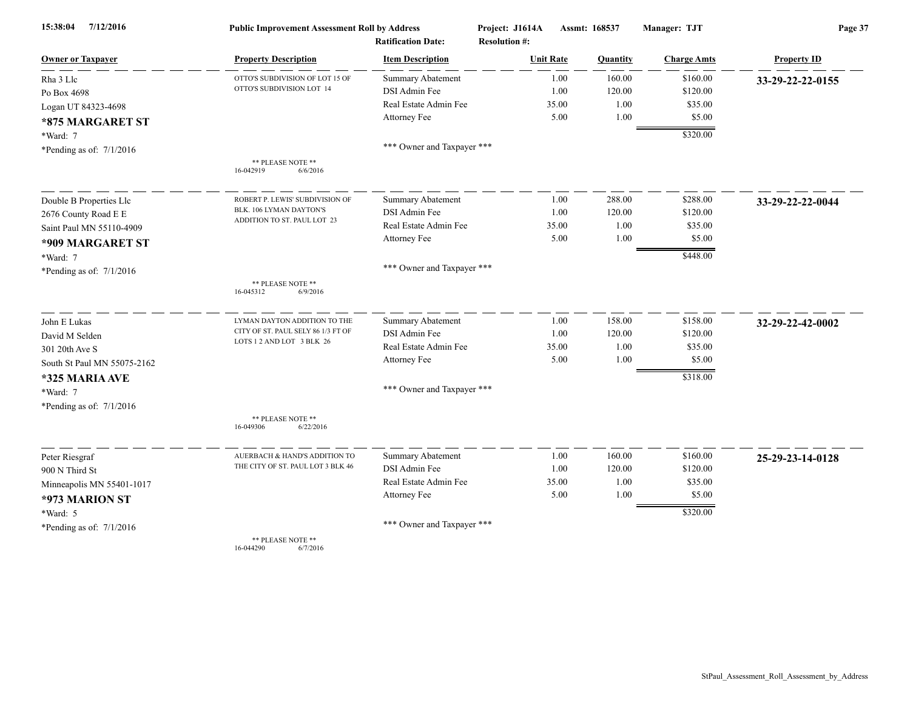| 7/12/2016<br>15:38:04       | <b>Public Improvement Assessment Roll by Address</b>         |                            | Project: J1614A      | Assmt: 168537 |          | Manager: TJT       | Page 37            |  |
|-----------------------------|--------------------------------------------------------------|----------------------------|----------------------|---------------|----------|--------------------|--------------------|--|
|                             |                                                              | <b>Ratification Date:</b>  | <b>Resolution #:</b> |               |          |                    |                    |  |
| <b>Owner or Taxpayer</b>    | <b>Property Description</b>                                  | <b>Item Description</b>    | <b>Unit Rate</b>     |               | Quantity | <b>Charge Amts</b> | <b>Property ID</b> |  |
| Rha 3 Llc                   | OTTO'S SUBDIVISION OF LOT 15 OF<br>OTTO'S SUBDIVISION LOT 14 | <b>Summary Abatement</b>   |                      | 1.00          | 160.00   | \$160.00           | 33-29-22-22-0155   |  |
| Po Box 4698                 |                                                              | DSI Admin Fee              |                      | 1.00          | 120.00   | \$120.00           |                    |  |
| Logan UT 84323-4698         |                                                              | Real Estate Admin Fee      |                      | 35.00         | 1.00     | \$35.00            |                    |  |
| *875 MARGARET ST            |                                                              | Attorney Fee               |                      | 5.00          | 1.00     | \$5.00             |                    |  |
| *Ward: 7                    |                                                              |                            |                      |               |          | \$320.00           |                    |  |
| *Pending as of: $7/1/2016$  |                                                              | *** Owner and Taxpayer *** |                      |               |          |                    |                    |  |
|                             | ** PLEASE NOTE **<br>16-042919<br>6/6/2016                   |                            |                      |               |          |                    |                    |  |
| Double B Properties Llc     | ROBERT P. LEWIS' SUBDIVISION OF                              | Summary Abatement          |                      | 1.00          | 288.00   | \$288.00           | 33-29-22-22-0044   |  |
| 2676 County Road E E        | BLK. 106 LYMAN DAYTON'S                                      | DSI Admin Fee              |                      | 1.00          | 120.00   | \$120.00           |                    |  |
| Saint Paul MN 55110-4909    | ADDITION TO ST. PAUL LOT 23                                  | Real Estate Admin Fee      |                      | 35.00         | 1.00     | \$35.00            |                    |  |
| *909 MARGARET ST            |                                                              | Attorney Fee               |                      | 5.00          | 1.00     | \$5.00             |                    |  |
| *Ward: 7                    |                                                              |                            |                      |               |          | \$448.00           |                    |  |
| *Pending as of: $7/1/2016$  |                                                              | *** Owner and Taxpayer *** |                      |               |          |                    |                    |  |
|                             | ** PLEASE NOTE **<br>16-045312<br>6/9/2016                   |                            |                      |               |          |                    |                    |  |
| John E Lukas                | LYMAN DAYTON ADDITION TO THE                                 | <b>Summary Abatement</b>   |                      | 1.00          | 158.00   | \$158.00           | 32-29-22-42-0002   |  |
| David M Selden              | CITY OF ST. PAUL SELY 86 1/3 FT OF                           | DSI Admin Fee              |                      | 1.00          | 120.00   | \$120.00           |                    |  |
| 301 20th Ave S              | LOTS 1 2 AND LOT 3 BLK 26                                    | Real Estate Admin Fee      |                      | 35.00         | 1.00     | \$35.00            |                    |  |
| South St Paul MN 55075-2162 |                                                              | Attorney Fee               |                      | 5.00          | 1.00     | \$5.00             |                    |  |
| *325 MARIA AVE              |                                                              |                            |                      |               |          | \$318.00           |                    |  |
| *Ward: 7                    |                                                              | *** Owner and Taxpayer *** |                      |               |          |                    |                    |  |
| *Pending as of: 7/1/2016    |                                                              |                            |                      |               |          |                    |                    |  |
|                             | ** PLEASE NOTE **<br>16-049306<br>6/22/2016                  |                            |                      |               |          |                    |                    |  |
| Peter Riesgraf              | AUERBACH & HAND'S ADDITION TO                                | Summary Abatement          |                      | 1.00          | 160.00   | \$160.00           | 25-29-23-14-0128   |  |
| 900 N Third St              | THE CITY OF ST. PAUL LOT 3 BLK 46                            | DSI Admin Fee              |                      | 1.00          | 120.00   | \$120.00           |                    |  |
| Minneapolis MN 55401-1017   |                                                              | Real Estate Admin Fee      |                      | 35.00         | 1.00     | \$35.00            |                    |  |
| *973 MARION ST              |                                                              | Attorney Fee               |                      | 5.00          | 1.00     | \$5.00             |                    |  |
| *Ward: 5                    |                                                              |                            |                      |               |          | \$320.00           |                    |  |
| *Pending as of: $7/1/2016$  |                                                              | *** Owner and Taxpayer *** |                      |               |          |                    |                    |  |
|                             | ** PLEASE NOTE **                                            |                            |                      |               |          |                    |                    |  |

16-044290 6/7/2016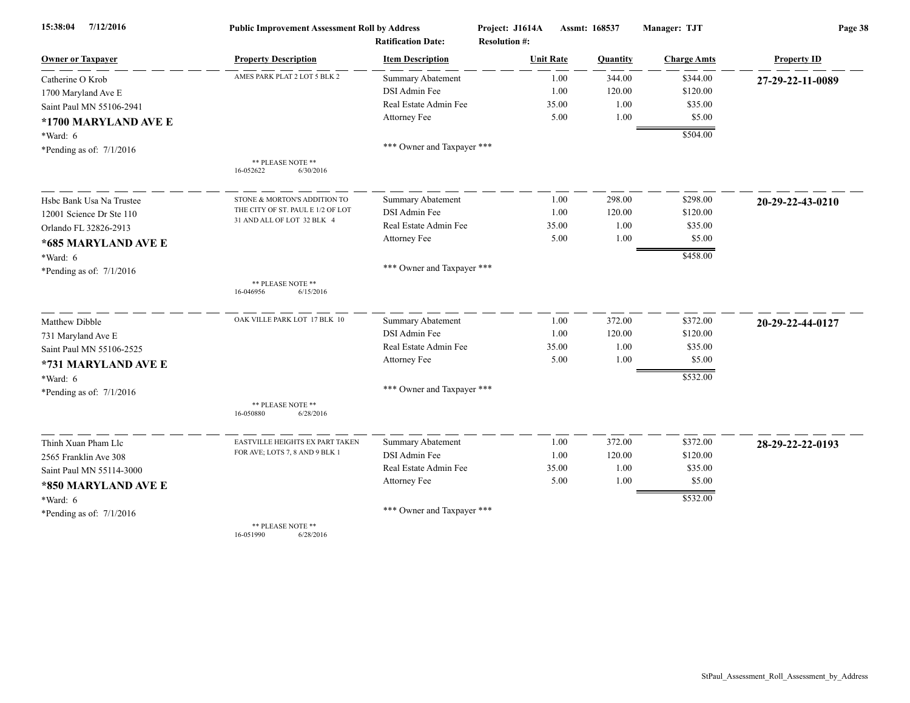| 7/12/2016<br>15:38:04      | <b>Public Improvement Assessment Roll by Address</b> |                            | Project: J1614A<br>Assmt: 168537 |                | Manager: TJT       | Page 38            |  |
|----------------------------|------------------------------------------------------|----------------------------|----------------------------------|----------------|--------------------|--------------------|--|
|                            |                                                      | <b>Ratification Date:</b>  | <b>Resolution #:</b>             |                |                    |                    |  |
| <b>Owner or Taxpayer</b>   | <b>Property Description</b>                          | <b>Item Description</b>    | <b>Unit Rate</b>                 | Quantity       | <b>Charge Amts</b> | <b>Property ID</b> |  |
| Catherine O Krob           | AMES PARK PLAT 2 LOT 5 BLK 2                         | Summary Abatement          |                                  | 344.00<br>1.00 | \$344.00           | 27-29-22-11-0089   |  |
| 1700 Maryland Ave E        |                                                      | DSI Admin Fee              |                                  | 120.00<br>1.00 | \$120.00           |                    |  |
| Saint Paul MN 55106-2941   |                                                      | Real Estate Admin Fee      | 35.00                            |                | 1.00<br>\$35.00    |                    |  |
| *1700 MARYLAND AVE E       |                                                      | Attorney Fee               |                                  | 5.00<br>1.00   | \$5.00             |                    |  |
| *Ward: 6                   |                                                      |                            |                                  |                | \$504.00           |                    |  |
| *Pending as of: $7/1/2016$ |                                                      | *** Owner and Taxpayer *** |                                  |                |                    |                    |  |
|                            | ** PLEASE NOTE **                                    |                            |                                  |                |                    |                    |  |
|                            | 16-052622<br>6/30/2016                               |                            |                                  |                |                    |                    |  |
| Hsbc Bank Usa Na Trustee   | STONE & MORTON'S ADDITION TO                         | Summary Abatement          |                                  | 298.00<br>1.00 | \$298.00           | 20-29-22-43-0210   |  |
| 12001 Science Dr Ste 110   | THE CITY OF ST. PAUL E 1/2 OF LOT                    | DSI Admin Fee              |                                  | 1.00<br>120.00 | \$120.00           |                    |  |
| Orlando FL 32826-2913      | 31 AND ALL OF LOT 32 BLK 4                           | Real Estate Admin Fee      | 35.00                            | 1.00           | \$35.00            |                    |  |
| *685 MARYLAND AVE E        |                                                      | Attorney Fee               |                                  | 5.00<br>1.00   | \$5.00             |                    |  |
| *Ward: 6                   |                                                      |                            |                                  |                | \$458.00           |                    |  |
| *Pending as of: $7/1/2016$ |                                                      | *** Owner and Taxpayer *** |                                  |                |                    |                    |  |
|                            | ** PLEASE NOTE **<br>16-046956<br>6/15/2016          |                            |                                  |                |                    |                    |  |
| Matthew Dibble             | OAK VILLE PARK LOT 17 BLK 10                         | Summary Abatement          |                                  | 372.00<br>1.00 | \$372.00           | 20-29-22-44-0127   |  |
| 731 Maryland Ave E         |                                                      | DSI Admin Fee              |                                  | 1.00<br>120.00 | \$120.00           |                    |  |
| Saint Paul MN 55106-2525   |                                                      | Real Estate Admin Fee      | 35.00                            |                | 1.00<br>\$35.00    |                    |  |
| *731 MARYLAND AVE E        |                                                      | Attorney Fee               |                                  | 5.00<br>1.00   | \$5.00             |                    |  |
| *Ward: 6                   |                                                      |                            |                                  |                | \$532.00           |                    |  |
| *Pending as of: $7/1/2016$ |                                                      | *** Owner and Taxpayer *** |                                  |                |                    |                    |  |
|                            | ** PLEASE NOTE **<br>16-050880<br>6/28/2016          |                            |                                  |                |                    |                    |  |
| Thinh Xuan Pham Llc        | EASTVILLE HEIGHTS EX PART TAKEN                      | Summary Abatement          |                                  | 372.00<br>1.00 | \$372.00           | 28-29-22-22-0193   |  |
| 2565 Franklin Ave 308      | FOR AVE; LOTS 7, 8 AND 9 BLK 1                       | DSI Admin Fee              |                                  | 1.00<br>120.00 | \$120.00           |                    |  |
| Saint Paul MN 55114-3000   |                                                      | Real Estate Admin Fee      | 35.00                            |                | 1.00<br>\$35.00    |                    |  |
| *850 MARYLAND AVE E        |                                                      | Attorney Fee               |                                  | 5.00<br>1.00   | \$5.00             |                    |  |
| *Ward: 6                   |                                                      |                            |                                  |                | \$532.00           |                    |  |
| *Pending as of: $7/1/2016$ |                                                      | *** Owner and Taxpayer *** |                                  |                |                    |                    |  |
|                            | ** PLEASE NOTE **                                    |                            |                                  |                |                    |                    |  |

16-051990 6/28/2016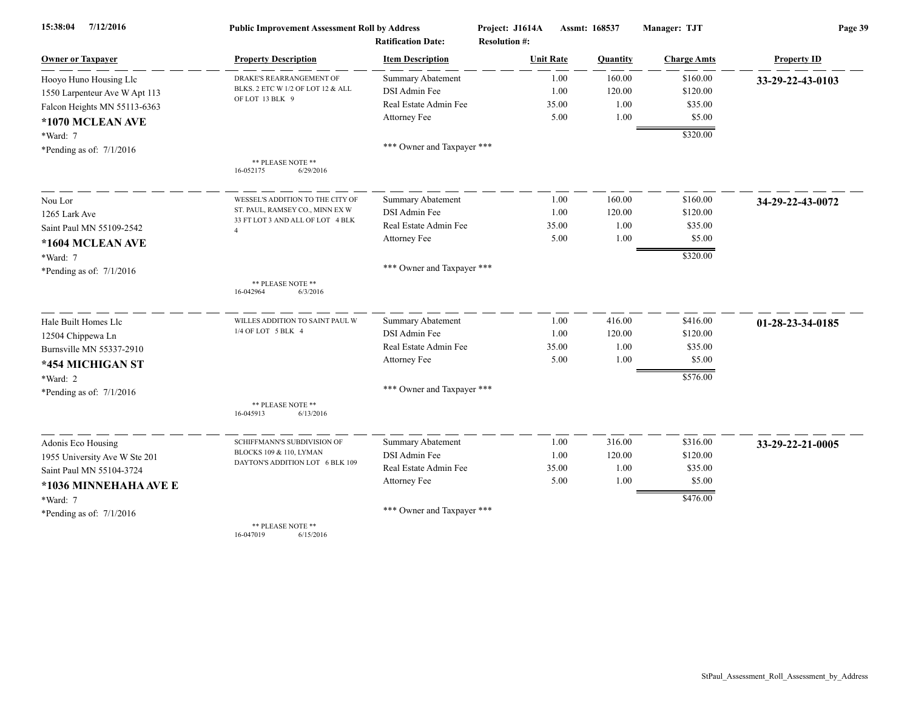| 7/12/2016<br>15:38:04         | <b>Public Improvement Assessment Roll by Address</b> |                            | Project: J1614A      | Assmt: 168537   |                    | Page 39            |  |
|-------------------------------|------------------------------------------------------|----------------------------|----------------------|-----------------|--------------------|--------------------|--|
|                               |                                                      | <b>Ratification Date:</b>  | <b>Resolution #:</b> |                 |                    |                    |  |
| <b>Owner or Taxpayer</b>      | <b>Property Description</b>                          | <b>Item Description</b>    | <b>Unit Rate</b>     | <b>Quantity</b> | <b>Charge Amts</b> | <b>Property ID</b> |  |
| Hooyo Huno Housing Llc        | DRAKE'S REARRANGEMENT OF                             | <b>Summary Abatement</b>   | 1.00                 | 160.00          | \$160.00           | 33-29-22-43-0103   |  |
| 1550 Larpenteur Ave W Apt 113 | BLKS. 2 ETC W 1/2 OF LOT 12 & ALL                    | DSI Admin Fee              | 1.00                 | 120.00          | \$120.00           |                    |  |
| Falcon Heights MN 55113-6363  | OF LOT 13 BLK 9                                      | Real Estate Admin Fee      | 35.00                | 1.00            | \$35.00            |                    |  |
| *1070 MCLEAN AVE              |                                                      | Attorney Fee               | 5.00                 | 1.00            | \$5.00             |                    |  |
| $*Ward: 7$                    |                                                      |                            |                      |                 | \$320.00           |                    |  |
| *Pending as of: $7/1/2016$    |                                                      | *** Owner and Taxpayer *** |                      |                 |                    |                    |  |
|                               | ** PLEASE NOTE **<br>16-052175<br>6/29/2016          |                            |                      |                 |                    |                    |  |
| Nou Lor                       | WESSEL'S ADDITION TO THE CITY OF                     | Summary Abatement          | 1.00                 | 160.00          | \$160.00           | 34-29-22-43-0072   |  |
| 1265 Lark Ave                 | ST. PAUL, RAMSEY CO., MINN EX W                      | DSI Admin Fee              | 1.00                 | 120.00          | \$120.00           |                    |  |
| Saint Paul MN 55109-2542      | 33 FT LOT 3 AND ALL OF LOT 4 BLK<br>$\overline{4}$   | Real Estate Admin Fee      | 35.00                | 1.00            | \$35.00            |                    |  |
| *1604 MCLEAN AVE              |                                                      | Attorney Fee               | 5.00                 | 1.00            | \$5.00             |                    |  |
| *Ward: 7                      |                                                      |                            |                      |                 | \$320.00           |                    |  |
| *Pending as of: $7/1/2016$    |                                                      | *** Owner and Taxpayer *** |                      |                 |                    |                    |  |
|                               | ** PLEASE NOTE **<br>16-042964<br>6/3/2016           |                            |                      |                 |                    |                    |  |
| Hale Built Homes Llc          | WILLES ADDITION TO SAINT PAUL W                      | <b>Summary Abatement</b>   | 1.00                 | 416.00          | \$416.00           | 01-28-23-34-0185   |  |
| 12504 Chippewa Ln             | 1/4 OF LOT 5 BLK 4                                   | DSI Admin Fee              | 1.00                 | 120.00          | \$120.00           |                    |  |
| Burnsville MN 55337-2910      |                                                      | Real Estate Admin Fee      | 35.00                | 1.00            | \$35.00            |                    |  |
| *454 MICHIGAN ST              |                                                      | Attorney Fee               | 5.00                 | 1.00            | \$5.00             |                    |  |
| *Ward: 2                      |                                                      |                            |                      |                 | \$576.00           |                    |  |
| *Pending as of: $7/1/2016$    |                                                      | *** Owner and Taxpayer *** |                      |                 |                    |                    |  |
|                               | ** PLEASE NOTE **<br>16-045913<br>6/13/2016          |                            |                      |                 |                    |                    |  |
| Adonis Eco Housing            | SCHIFFMANN'S SUBDIVISION OF                          | Summary Abatement          | 1.00                 | 316.00          | \$316.00           | 33-29-22-21-0005   |  |
| 1955 University Ave W Ste 201 | BLOCKS 109 & 110, LYMAN                              | DSI Admin Fee              | 1.00                 | 120.00          | \$120.00           |                    |  |
| Saint Paul MN 55104-3724      | DAYTON'S ADDITION LOT 6 BLK 109                      | Real Estate Admin Fee      | 35.00                | 1.00            | \$35.00            |                    |  |
| *1036 MINNEHAHA AVE E         |                                                      | Attorney Fee               | 5.00                 | 1.00            | \$5.00             |                    |  |
| $*Ward: 7$                    |                                                      |                            |                      |                 | \$476.00           |                    |  |
| *Pending as of: $7/1/2016$    |                                                      | *** Owner and Taxpayer *** |                      |                 |                    |                    |  |
|                               | ** PLEASE NOTE **                                    |                            |                      |                 |                    |                    |  |

16-047019 6/15/2016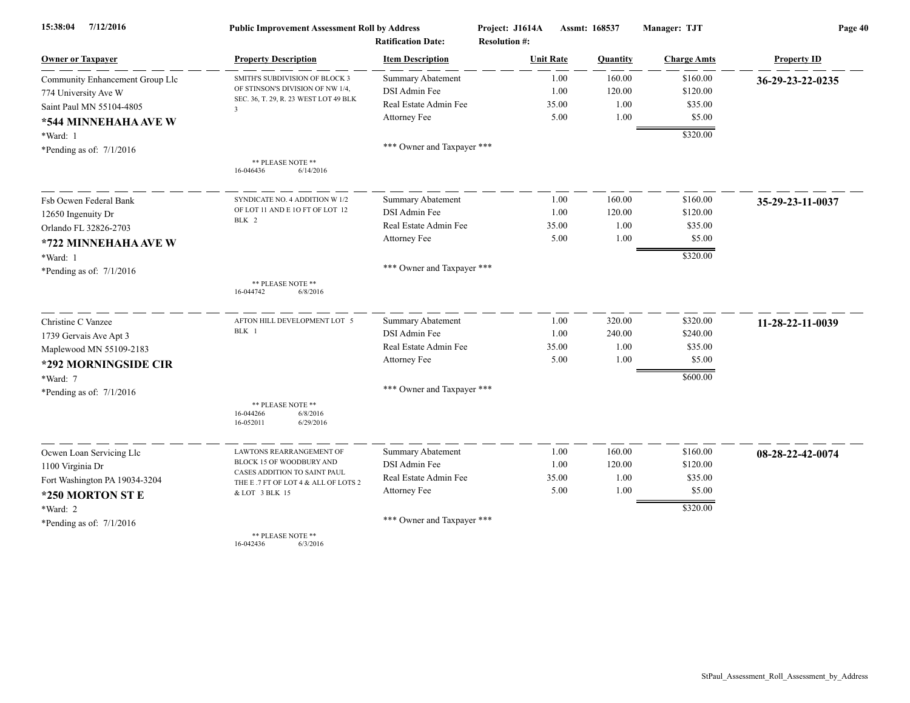| 7/12/2016<br>15:38:04                       | <b>Public Improvement Assessment Roll by Address</b><br><b>Ratification Date:</b> |                            | Project: J1614A<br><b>Resolution #:</b> |       | Assmt: 168537 | Manager: TJT       | Page 40            |  |
|---------------------------------------------|-----------------------------------------------------------------------------------|----------------------------|-----------------------------------------|-------|---------------|--------------------|--------------------|--|
| <b>Owner or Taxpayer</b>                    | <b>Property Description</b>                                                       | <b>Item Description</b>    | <b>Unit Rate</b>                        |       | Quantity      | <b>Charge Amts</b> | <b>Property ID</b> |  |
| Community Enhancement Group Llc             | SMITH'S SUBDIVISION OF BLOCK 3                                                    | <b>Summary Abatement</b>   |                                         | 1.00  | 160.00        | \$160.00           | 36-29-23-22-0235   |  |
| 774 University Ave W                        | OF STINSON'S DIVISION OF NW 1/4,                                                  | DSI Admin Fee              |                                         | 1.00  | 120.00        | \$120.00           |                    |  |
| Saint Paul MN 55104-4805                    | SEC. 36, T. 29, R. 23 WEST LOT 49 BLK<br>$\overline{\mathbf{3}}$                  | Real Estate Admin Fee      |                                         | 35.00 | 1.00          | \$35.00            |                    |  |
| *544 MINNEHAHA AVE W                        |                                                                                   | Attorney Fee               |                                         | 5.00  | 1.00          | \$5.00             |                    |  |
| *Ward: 1                                    |                                                                                   |                            |                                         |       |               | \$320.00           |                    |  |
| *Pending as of: $7/1/2016$                  |                                                                                   | *** Owner and Taxpayer *** |                                         |       |               |                    |                    |  |
|                                             | ** PLEASE NOTE **<br>6/14/2016<br>16-046436                                       |                            |                                         |       |               |                    |                    |  |
| Fsb Ocwen Federal Bank                      | SYNDICATE NO. 4 ADDITION W 1/2                                                    | <b>Summary Abatement</b>   |                                         | 1.00  | 160.00        | \$160.00           | 35-29-23-11-0037   |  |
| 12650 Ingenuity Dr<br>Orlando FL 32826-2703 | OF LOT 11 AND E 10 FT OF LOT 12                                                   | DSI Admin Fee              |                                         | 1.00  | 120.00        | \$120.00           |                    |  |
|                                             | BLK 2                                                                             | Real Estate Admin Fee      |                                         | 35.00 | 1.00          | \$35.00            |                    |  |
| *722 MINNEHAHA AVE W                        |                                                                                   | Attorney Fee               |                                         | 5.00  | 1.00          | \$5.00             |                    |  |
| *Ward: 1                                    |                                                                                   |                            |                                         |       |               | \$320.00           |                    |  |
| *Pending as of: $7/1/2016$                  |                                                                                   | *** Owner and Taxpayer *** |                                         |       |               |                    |                    |  |
|                                             | ** PLEASE NOTE **<br>16-044742<br>6/8/2016                                        |                            |                                         |       |               |                    |                    |  |
| Christine C Vanzee                          | AFTON HILL DEVELOPMENT LOT 5                                                      | <b>Summary Abatement</b>   |                                         | 1.00  | 320.00        | \$320.00           | 11-28-22-11-0039   |  |
| 1739 Gervais Ave Apt 3                      | BLK 1                                                                             | DSI Admin Fee              |                                         | 1.00  | 240.00        | \$240.00           |                    |  |
| Maplewood MN 55109-2183                     |                                                                                   | Real Estate Admin Fee      |                                         | 35.00 | 1.00          | \$35.00            |                    |  |
| *292 MORNINGSIDE CIR                        |                                                                                   | Attorney Fee               |                                         | 5.00  | 1.00          | \$5.00             |                    |  |
| *Ward: 7                                    |                                                                                   |                            |                                         |       |               | \$600.00           |                    |  |
| *Pending as of: $7/1/2016$                  |                                                                                   | *** Owner and Taxpayer *** |                                         |       |               |                    |                    |  |
|                                             | ** PLEASE NOTE **<br>16-044266<br>6/8/2016<br>16-052011<br>6/29/2016              |                            |                                         |       |               |                    |                    |  |
| Ocwen Loan Servicing Llc                    | LAWTONS REARRANGEMENT OF                                                          | Summary Abatement          |                                         | 1.00  | 160.00        | \$160.00           | 08-28-22-42-0074   |  |
| 1100 Virginia Dr                            | BLOCK 15 OF WOODBURY AND                                                          | DSI Admin Fee              |                                         | 1.00  | 120.00        | \$120.00           |                    |  |
| Fort Washington PA 19034-3204               | CASES ADDITION TO SAINT PAUL<br>THE E .7 FT OF LOT 4 & ALL OF LOTS 2              | Real Estate Admin Fee      |                                         | 35.00 | 1.00          | \$35.00            |                    |  |
| *250 MORTON ST E                            | & LOT 3 BLK 15                                                                    | Attorney Fee               |                                         | 5.00  | 1.00          | \$5.00             |                    |  |
| *Ward: 2                                    |                                                                                   |                            |                                         |       |               | \$320.00           |                    |  |
| *Pending as of: $7/1/2016$                  |                                                                                   | *** Owner and Taxpayer *** |                                         |       |               |                    |                    |  |
|                                             | ** PLEASE NOTE **                                                                 |                            |                                         |       |               |                    |                    |  |

16-042436 6/3/2016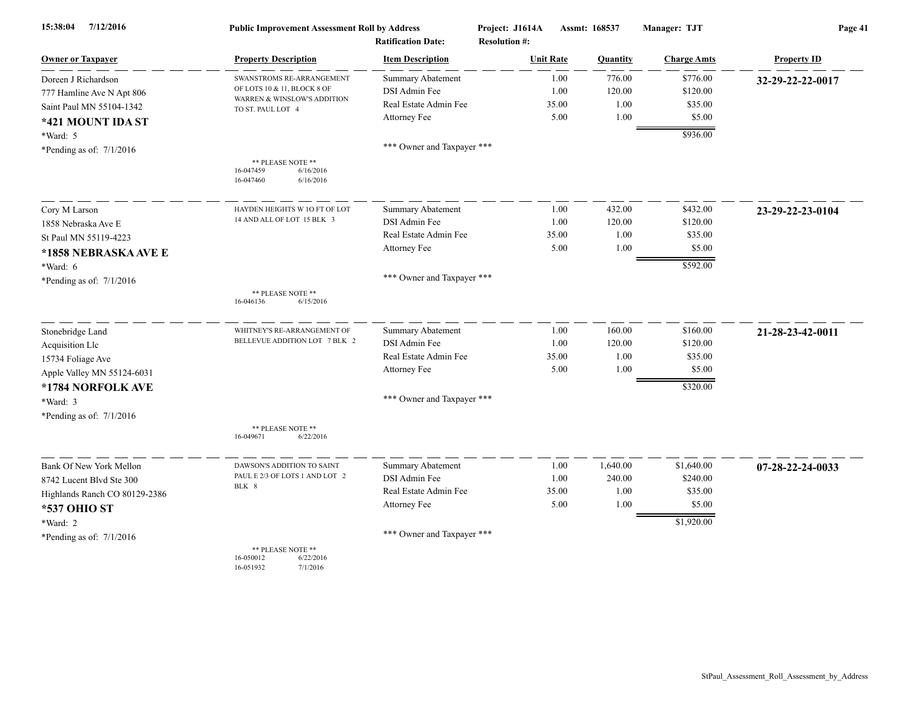| 7/12/2016<br>15:38:04         | <b>Public Improvement Assessment Roll by Address</b><br><b>Ratification Date:</b> |                            | Project: J1614A<br>Assmt: 168537<br><b>Resolution #:</b> |                 | Manager: TJT       | Page 41            |  |
|-------------------------------|-----------------------------------------------------------------------------------|----------------------------|----------------------------------------------------------|-----------------|--------------------|--------------------|--|
| <b>Owner or Taxpayer</b>      | <b>Property Description</b>                                                       | <b>Item Description</b>    | <b>Unit Rate</b>                                         | <b>Quantity</b> | <b>Charge Amts</b> | <b>Property ID</b> |  |
| Doreen J Richardson           | SWANSTROMS RE-ARRANGEMENT                                                         | <b>Summary Abatement</b>   | 1.00                                                     | 776.00          | \$776.00           | 32-29-22-22-0017   |  |
| 777 Hamline Ave N Apt 806     | OF LOTS 10 & 11, BLOCK 8 OF                                                       | DSI Admin Fee              | 1.00                                                     | 120.00          | \$120.00           |                    |  |
| Saint Paul MN 55104-1342      | WARREN & WINSLOW'S ADDITION<br>TO ST. PAUL LOT 4                                  | Real Estate Admin Fee      | 35.00                                                    | 1.00            | \$35.00            |                    |  |
| *421 MOUNT IDA ST             |                                                                                   | Attorney Fee               | 5.00                                                     | 1.00            | \$5.00             |                    |  |
| *Ward: 5                      |                                                                                   |                            |                                                          |                 | \$936.00           |                    |  |
| *Pending as of: $7/1/2016$    |                                                                                   | *** Owner and Taxpayer *** |                                                          |                 |                    |                    |  |
|                               | ** PLEASE NOTE **<br>16-047459<br>6/16/2016<br>16-047460<br>6/16/2016             |                            |                                                          |                 |                    |                    |  |
| Cory M Larson                 | HAYDEN HEIGHTS W 10 FT OF LOT                                                     | Summary Abatement          | 1.00                                                     | 432.00          | \$432.00           | 23-29-22-23-0104   |  |
| 1858 Nebraska Ave E           | 14 AND ALL OF LOT 15 BLK 3                                                        | DSI Admin Fee              | 1.00                                                     | 120.00          | \$120.00           |                    |  |
| St Paul MN 55119-4223         |                                                                                   | Real Estate Admin Fee      | 35.00                                                    | 1.00            | \$35.00            |                    |  |
| *1858 NEBRASKA AVE E          |                                                                                   | Attorney Fee               | 5.00                                                     | 1.00            | \$5.00             |                    |  |
| $*Ward: 6$                    |                                                                                   |                            |                                                          |                 | \$592.00           |                    |  |
| *Pending as of: $7/1/2016$    |                                                                                   | *** Owner and Taxpayer *** |                                                          |                 |                    |                    |  |
|                               | ** PLEASE NOTE **<br>16-046136<br>6/15/2016                                       |                            |                                                          |                 |                    |                    |  |
| Stonebridge Land              | WHITNEY'S RE-ARRANGEMENT OF                                                       | <b>Summary Abatement</b>   | 1.00                                                     | 160.00          | \$160.00           | 21-28-23-42-0011   |  |
| Acquisition Llc               | BELLEVUE ADDITION LOT 7 BLK 2                                                     | DSI Admin Fee              | 1.00                                                     | 120.00          | \$120.00           |                    |  |
| 15734 Foliage Ave             |                                                                                   | Real Estate Admin Fee      | 35.00                                                    | 1.00            | \$35.00            |                    |  |
| Apple Valley MN 55124-6031    |                                                                                   | Attorney Fee               | 5.00                                                     | 1.00            | \$5.00             |                    |  |
| *1784 NORFOLK AVE             |                                                                                   |                            |                                                          |                 | \$320.00           |                    |  |
| *Ward: 3                      |                                                                                   | *** Owner and Taxpayer *** |                                                          |                 |                    |                    |  |
| *Pending as of: $7/1/2016$    |                                                                                   |                            |                                                          |                 |                    |                    |  |
|                               | ** PLEASE NOTE **<br>16-049671<br>6/22/2016                                       |                            |                                                          |                 |                    |                    |  |
| Bank Of New York Mellon       | DAWSON'S ADDITION TO SAINT                                                        | Summary Abatement          | 1.00                                                     | 1,640.00        | \$1,640.00         | 07-28-22-24-0033   |  |
| 8742 Lucent Blvd Ste 300      | PAUL E 2/3 OF LOTS 1 AND LOT 2                                                    | DSI Admin Fee              | 1.00                                                     | 240.00          | \$240.00           |                    |  |
| Highlands Ranch CO 80129-2386 | BLK 8                                                                             | Real Estate Admin Fee      | 35.00                                                    | 1.00            | \$35.00            |                    |  |
| *537 OHIO ST                  |                                                                                   | Attorney Fee               | 5.00                                                     | 1.00            | \$5.00             |                    |  |
| *Ward: 2                      |                                                                                   |                            |                                                          |                 | \$1,920.00         |                    |  |
| *Pending as of: $7/1/2016$    |                                                                                   | *** Owner and Taxpayer *** |                                                          |                 |                    |                    |  |
|                               | ** PLEASE NOTE **<br>16-050012<br>6/22/2016<br>16-051932<br>7/1/2016              |                            |                                                          |                 |                    |                    |  |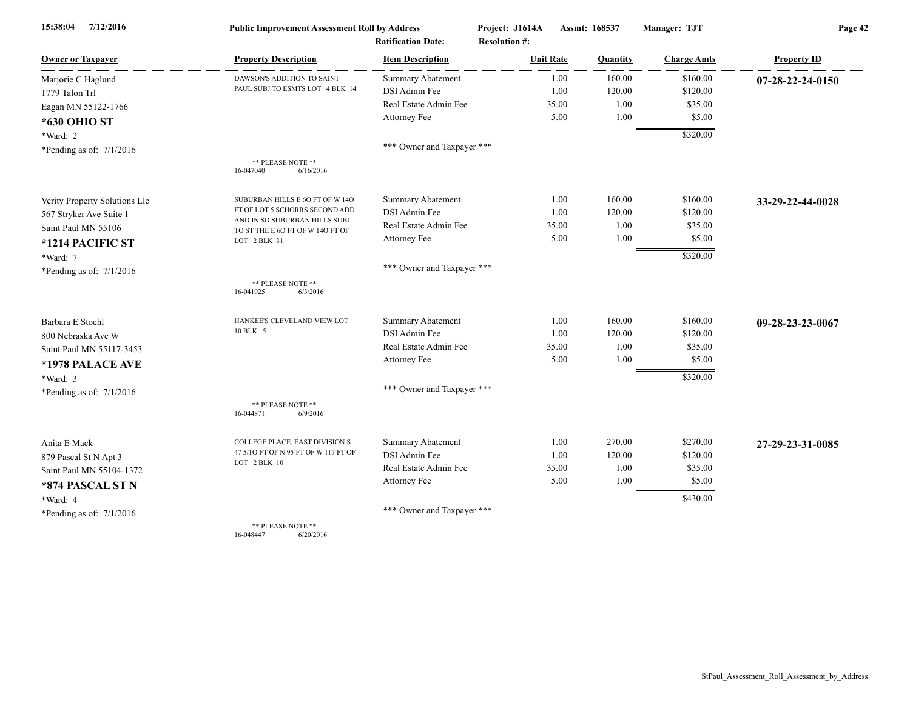| 7/12/2016<br>15:38:04         | <b>Public Improvement Assessment Roll by Address</b>              |                            | Project: J1614A      | Assmt: 168537   | Manager: TJT       | Page 42            |  |
|-------------------------------|-------------------------------------------------------------------|----------------------------|----------------------|-----------------|--------------------|--------------------|--|
|                               |                                                                   | <b>Ratification Date:</b>  | <b>Resolution #:</b> |                 |                    |                    |  |
| <b>Owner or Taxpayer</b>      | <b>Property Description</b>                                       | <b>Item Description</b>    | <b>Unit Rate</b>     | <b>Quantity</b> | <b>Charge Amts</b> | <b>Property ID</b> |  |
| Marjorie C Haglund            | DAWSON'S ADDITION TO SAINT                                        | <b>Summary Abatement</b>   | 1.00                 | 160.00          | \$160.00           | 07-28-22-24-0150   |  |
| 1779 Talon Trl                | PAUL SUBJ TO ESMTS LOT 4 BLK 14                                   | DSI Admin Fee              | 1.00                 | 120.00          | \$120.00           |                    |  |
| Eagan MN 55122-1766           |                                                                   | Real Estate Admin Fee      | 35.00                | 1.00            | \$35.00            |                    |  |
| *630 OHIO ST                  |                                                                   | Attorney Fee               | 5.00                 | 1.00            | \$5.00             |                    |  |
| *Ward: 2                      |                                                                   |                            |                      |                 | \$320.00           |                    |  |
| *Pending as of: $7/1/2016$    |                                                                   | *** Owner and Taxpayer *** |                      |                 |                    |                    |  |
|                               | ** PLEASE NOTE **<br>16-047040<br>6/16/2016                       |                            |                      |                 |                    |                    |  |
| Verity Property Solutions Llc | SUBURBAN HILLS E 60 FT OF W 140                                   | <b>Summary Abatement</b>   | 1.00                 | 160.00          | \$160.00           | 33-29-22-44-0028   |  |
| 567 Stryker Ave Suite 1       | FT OF LOT 5 SCHORRS SECOND ADD                                    | DSI Admin Fee              | 1.00                 | 120.00          | \$120.00           |                    |  |
| Saint Paul MN 55106           | AND IN SD SUBURBAN HILLS SUBJ<br>TO ST THE E 6O FT OF W 14O FT OF | Real Estate Admin Fee      | 35.00                | 1.00            | \$35.00            |                    |  |
| *1214 PACIFIC ST              | LOT 2 BLK 31                                                      | Attorney Fee               | 5.00                 | 1.00            | \$5.00             |                    |  |
| *Ward: 7                      |                                                                   |                            |                      |                 | \$320.00           |                    |  |
| *Pending as of: $7/1/2016$    |                                                                   | *** Owner and Taxpayer *** |                      |                 |                    |                    |  |
|                               | ** PLEASE NOTE **<br>6/3/2016<br>16-041925                        |                            |                      |                 |                    |                    |  |
| Barbara E Stochl              | HANKEE'S CLEVELAND VIEW LOT                                       | Summary Abatement          | 1.00                 | 160.00          | \$160.00           | 09-28-23-23-0067   |  |
| 800 Nebraska Ave W            | 10 BLK 5                                                          | DSI Admin Fee              | 1.00                 | 120.00          | \$120.00           |                    |  |
| Saint Paul MN 55117-3453      |                                                                   | Real Estate Admin Fee      | 35.00                | 1.00            | \$35.00            |                    |  |
| *1978 PALACE AVE              |                                                                   | Attorney Fee               | 5.00                 | 1.00            | \$5.00             |                    |  |
| $*Ward: 3$                    |                                                                   |                            |                      |                 | \$320.00           |                    |  |
| *Pending as of: $7/1/2016$    |                                                                   | *** Owner and Taxpayer *** |                      |                 |                    |                    |  |
|                               | ** PLEASE NOTE **<br>16-044871<br>6/9/2016                        |                            |                      |                 |                    |                    |  |
| Anita E Mack                  | COLLEGE PLACE, EAST DIVISION S                                    | Summary Abatement          | 1.00                 | 270.00          | \$270.00           | 27-29-23-31-0085   |  |
| 879 Pascal St N Apt 3         | 47 5/10 FT OF N 95 FT OF W 117 FT OF                              | DSI Admin Fee              | 1.00                 | 120.00          | \$120.00           |                    |  |
| Saint Paul MN 55104-1372      | LOT 2 BLK 10                                                      | Real Estate Admin Fee      | 35.00                | 1.00            | \$35.00            |                    |  |
| *874 PASCAL ST N              |                                                                   | Attorney Fee               | 5.00                 | 1.00            | \$5.00             |                    |  |
| *Ward: 4                      |                                                                   |                            |                      |                 | \$430.00           |                    |  |
| *Pending as of: $7/1/2016$    |                                                                   | *** Owner and Taxpayer *** |                      |                 |                    |                    |  |
|                               | ** PLEASE NOTE **                                                 |                            |                      |                 |                    |                    |  |

16-048447 6/20/2016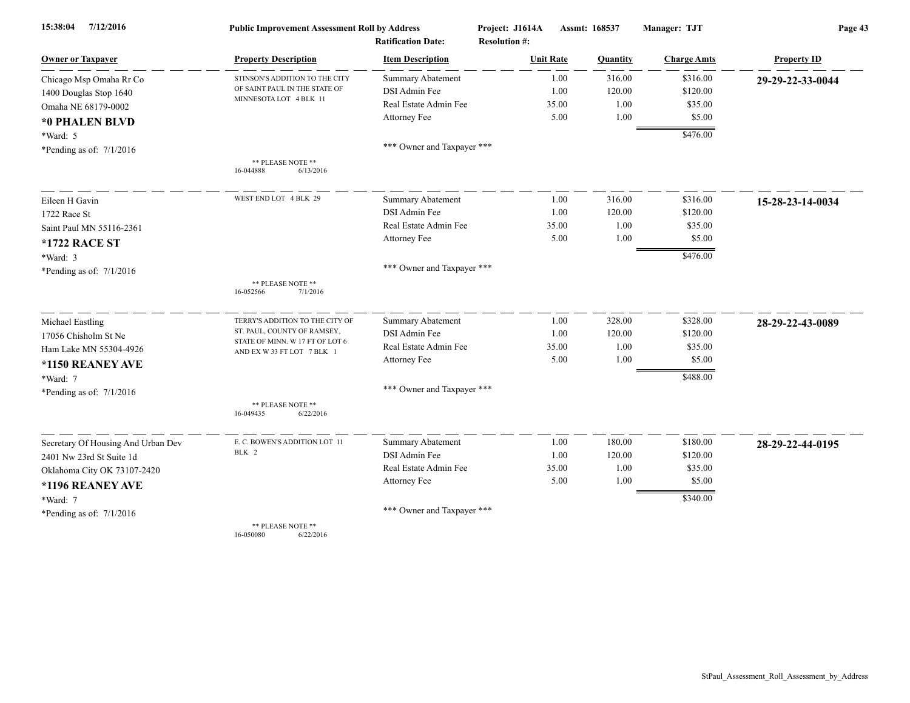| 7/12/2016<br>15:38:04              | <b>Public Improvement Assessment Roll by Address</b>           |                            | Project: J1614A      | Assmt: 168537 | Manager: TJT       | Page 43            |  |
|------------------------------------|----------------------------------------------------------------|----------------------------|----------------------|---------------|--------------------|--------------------|--|
|                                    |                                                                | <b>Ratification Date:</b>  | <b>Resolution #:</b> |               |                    |                    |  |
| <b>Owner or Taxpayer</b>           | <b>Property Description</b>                                    | <b>Item Description</b>    | <b>Unit Rate</b>     | Quantity      | <b>Charge Amts</b> | <b>Property ID</b> |  |
| Chicago Msp Omaha Rr Co            | STINSON'S ADDITION TO THE CITY                                 | Summary Abatement          | 1.00                 | 316.00        | \$316.00           | 29-29-22-33-0044   |  |
| 1400 Douglas Stop 1640             | OF SAINT PAUL IN THE STATE OF                                  | DSI Admin Fee              | 1.00                 | 120.00        | \$120.00           |                    |  |
| Omaha NE 68179-0002                | MINNESOTA LOT 4 BLK 11                                         | Real Estate Admin Fee      | 35.00                | 1.00          | \$35.00            |                    |  |
| *0 PHALEN BLVD                     |                                                                | Attorney Fee               | 5.00                 | 1.00          | \$5.00             |                    |  |
| $*Ward: 5$                         |                                                                |                            |                      |               | \$476.00           |                    |  |
| *Pending as of: $7/1/2016$         |                                                                | *** Owner and Taxpayer *** |                      |               |                    |                    |  |
|                                    | ** PLEASE NOTE **<br>16-044888<br>6/13/2016                    |                            |                      |               |                    |                    |  |
| Eileen H Gavin                     | WEST END LOT 4 BLK 29                                          | <b>Summary Abatement</b>   | 1.00                 | 316.00        | \$316.00           | 15-28-23-14-0034   |  |
| 1722 Race St                       |                                                                | DSI Admin Fee              | 1.00                 | 120.00        | \$120.00           |                    |  |
| Saint Paul MN 55116-2361           |                                                                | Real Estate Admin Fee      | 35.00                | 1.00          | \$35.00            |                    |  |
| *1722 RACE ST                      |                                                                | Attorney Fee               | 5.00                 | 1.00          | \$5.00             |                    |  |
| *Ward: 3                           |                                                                |                            |                      |               | \$476.00           |                    |  |
| *Pending as of: $7/1/2016$         |                                                                | *** Owner and Taxpayer *** |                      |               |                    |                    |  |
|                                    | ** PLEASE NOTE **<br>16-052566<br>7/1/2016                     |                            |                      |               |                    |                    |  |
| Michael Eastling                   | TERRY'S ADDITION TO THE CITY OF                                | <b>Summary Abatement</b>   | 1.00                 | 328.00        | \$328.00           | 28-29-22-43-0089   |  |
| 17056 Chisholm St Ne               | ST. PAUL, COUNTY OF RAMSEY,<br>STATE OF MINN. W 17 FT OF LOT 6 | DSI Admin Fee              | 1.00                 | 120.00        | \$120.00           |                    |  |
| Ham Lake MN 55304-4926             | AND EX W 33 FT LOT 7 BLK 1                                     | Real Estate Admin Fee      | 35.00                | 1.00          | \$35.00            |                    |  |
| *1150 REANEY AVE                   |                                                                | Attorney Fee               | 5.00                 | 1.00          | \$5.00             |                    |  |
| $*Ward: 7$                         |                                                                |                            |                      |               | \$488.00           |                    |  |
| *Pending as of: $7/1/2016$         |                                                                | *** Owner and Taxpayer *** |                      |               |                    |                    |  |
|                                    | ** PLEASE NOTE **<br>6/22/2016<br>16-049435                    |                            |                      |               |                    |                    |  |
| Secretary Of Housing And Urban Dev | E. C. BOWEN'S ADDITION LOT 11                                  | Summary Abatement          | 1.00                 | 180.00        | \$180.00           | 28-29-22-44-0195   |  |
| 2401 Nw 23rd St Suite 1d           | BLK 2                                                          | DSI Admin Fee              | 1.00                 | 120.00        | \$120.00           |                    |  |
| Oklahoma City OK 73107-2420        |                                                                | Real Estate Admin Fee      | 35.00                | 1.00          | \$35.00            |                    |  |
| *1196 REANEY AVE                   |                                                                | Attorney Fee               | 5.00                 | 1.00          | \$5.00             |                    |  |
| *Ward: 7                           |                                                                |                            |                      |               | \$340.00           |                    |  |
| *Pending as of: $7/1/2016$         |                                                                | *** Owner and Taxpayer *** |                      |               |                    |                    |  |
|                                    | ** PLEASE NOTE **                                              |                            |                      |               |                    |                    |  |

16-050080 6/22/2016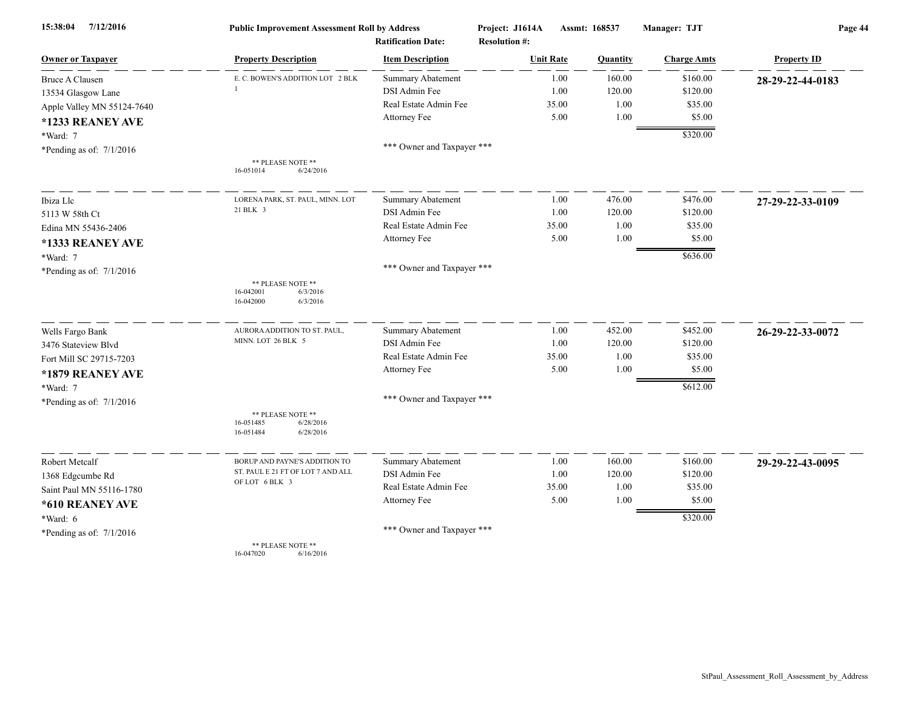| 7/12/2016<br>15:38:04      | <b>Public Improvement Assessment Roll by Address</b><br><b>Ratification Date:</b> |                            | Project: J1614A<br><b>Resolution #:</b> | Assmt: 168537 | Manager: TJT       | Page 44            |  |
|----------------------------|-----------------------------------------------------------------------------------|----------------------------|-----------------------------------------|---------------|--------------------|--------------------|--|
| <b>Owner or Taxpayer</b>   | <b>Property Description</b>                                                       | <b>Item Description</b>    | <b>Unit Rate</b>                        | Quantity      | <b>Charge Amts</b> | <b>Property ID</b> |  |
| <b>Bruce A Clausen</b>     | E. C. BOWEN'S ADDITION LOT 2 BLK                                                  | <b>Summary Abatement</b>   | 1.00                                    | 160.00        | \$160.00           | 28-29-22-44-0183   |  |
| 13534 Glasgow Lane         |                                                                                   | DSI Admin Fee              | 1.00                                    | 120.00        | \$120.00           |                    |  |
| Apple Valley MN 55124-7640 |                                                                                   | Real Estate Admin Fee      | 35.00                                   | 1.00          | \$35.00            |                    |  |
| *1233 REANEY AVE           |                                                                                   | Attorney Fee               | 5.00                                    | 1.00          | \$5.00             |                    |  |
| *Ward: 7                   |                                                                                   |                            |                                         |               | \$320.00           |                    |  |
| *Pending as of: $7/1/2016$ |                                                                                   | *** Owner and Taxpayer *** |                                         |               |                    |                    |  |
|                            | ** PLEASE NOTE **<br>6/24/2016<br>16-051014                                       |                            |                                         |               |                    |                    |  |
| Ibiza Llc                  | LORENA PARK, ST. PAUL, MINN. LOT                                                  | <b>Summary Abatement</b>   | 1.00                                    | 476.00        | \$476.00           | 27-29-22-33-0109   |  |
| 5113 W 58th Ct             | 21 BLK 3                                                                          | DSI Admin Fee              | 1.00                                    | 120.00        | \$120.00           |                    |  |
| Edina MN 55436-2406        |                                                                                   | Real Estate Admin Fee      | 35.00                                   | 1.00          | \$35.00            |                    |  |
| *1333 REANEY AVE           |                                                                                   | Attorney Fee               | 5.00                                    | 1.00          | \$5.00             |                    |  |
| *Ward: 7                   |                                                                                   |                            |                                         |               | \$636.00           |                    |  |
| *Pending as of: $7/1/2016$ |                                                                                   | *** Owner and Taxpayer *** |                                         |               |                    |                    |  |
|                            | ** PLEASE NOTE **<br>16-042001<br>6/3/2016<br>16-042000<br>6/3/2016               |                            |                                         |               |                    |                    |  |
| Wells Fargo Bank           | AURORA ADDITION TO ST. PAUL,                                                      | Summary Abatement          | 1.00                                    | 452.00        | \$452.00           | 26-29-22-33-0072   |  |
| 3476 Stateview Blvd        | MINN. LOT 26 BLK 5                                                                | DSI Admin Fee              | 1.00                                    | 120.00        | \$120.00           |                    |  |
| Fort Mill SC 29715-7203    |                                                                                   | Real Estate Admin Fee      | 35.00                                   | 1.00          | \$35.00            |                    |  |
| *1879 REANEY AVE           |                                                                                   | Attorney Fee               | 5.00                                    | 1.00          | \$5.00             |                    |  |
| *Ward: 7                   |                                                                                   |                            |                                         |               | \$612.00           |                    |  |
| *Pending as of: $7/1/2016$ |                                                                                   | *** Owner and Taxpayer *** |                                         |               |                    |                    |  |
|                            | ** PLEASE NOTE **<br>6/28/2016<br>16-051485<br>16-051484<br>6/28/2016             |                            |                                         |               |                    |                    |  |
| Robert Metcalf             | BORUP AND PAYNE'S ADDITION TO                                                     | <b>Summary Abatement</b>   | 1.00                                    | 160.00        | \$160.00           | 29-29-22-43-0095   |  |
| 1368 Edgcumbe Rd           | ST. PAUL E 21 FT OF LOT 7 AND ALL                                                 | DSI Admin Fee              | 1.00                                    | 120.00        | \$120.00           |                    |  |
| Saint Paul MN 55116-1780   | OF LOT 6 BLK 3                                                                    | Real Estate Admin Fee      | 35.00                                   | 1.00          | \$35.00            |                    |  |
| *610 REANEY AVE            |                                                                                   | Attorney Fee               | 5.00                                    | 1.00          | \$5.00             |                    |  |
| $*Ward: 6$                 |                                                                                   |                            |                                         |               | \$320.00           |                    |  |
| *Pending as of: $7/1/2016$ |                                                                                   | *** Owner and Taxpayer *** |                                         |               |                    |                    |  |
|                            | ** PLEASE NOTE **                                                                 |                            |                                         |               |                    |                    |  |

16-047020 6/16/2016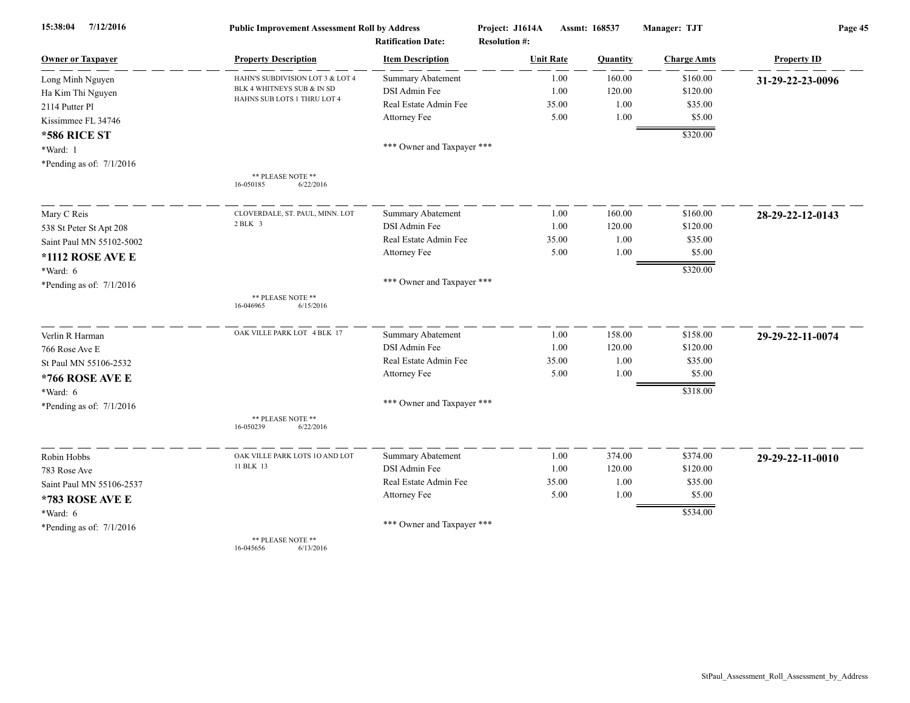| 7/12/2016<br>15:38:04      | <b>Public Improvement Assessment Roll by Address</b><br><b>Ratification Date:</b> |                            | Project: J1614A<br><b>Resolution #:</b> | Assmt: 168537 |          | Manager: TJT       | Page 45            |  |
|----------------------------|-----------------------------------------------------------------------------------|----------------------------|-----------------------------------------|---------------|----------|--------------------|--------------------|--|
| <b>Owner or Taxpayer</b>   | <b>Property Description</b>                                                       | <b>Item Description</b>    | <b>Unit Rate</b>                        |               | Quantity | <b>Charge Amts</b> | <b>Property ID</b> |  |
| Long Minh Nguyen           | HAHN'S SUBDIVISION LOT 3 & LOT 4                                                  | <b>Summary Abatement</b>   |                                         | 1.00          | 160.00   | \$160.00           | 31-29-22-23-0096   |  |
| Ha Kim Thi Nguyen          | BLK 4 WHITNEYS SUB & IN SD                                                        | DSI Admin Fee              |                                         | 1.00          | 120.00   | \$120.00           |                    |  |
| 2114 Putter Pl             | HAHNS SUB LOTS 1 THRU LOT 4                                                       | Real Estate Admin Fee      |                                         | 35.00         | 1.00     | \$35.00            |                    |  |
| Kissimmee FL 34746         |                                                                                   | Attorney Fee               |                                         | 5.00          | 1.00     | \$5.00             |                    |  |
| <b>*586 RICE ST</b>        |                                                                                   |                            |                                         |               |          | \$320.00           |                    |  |
| *Ward: 1                   |                                                                                   | *** Owner and Taxpayer *** |                                         |               |          |                    |                    |  |
| *Pending as of: $7/1/2016$ |                                                                                   |                            |                                         |               |          |                    |                    |  |
|                            | ** PLEASE NOTE **<br>16-050185<br>6/22/2016                                       |                            |                                         |               |          |                    |                    |  |
| Mary C Reis                | CLOVERDALE, ST. PAUL, MINN. LOT                                                   | Summary Abatement          |                                         | 1.00          | 160.00   | \$160.00           | 28-29-22-12-0143   |  |
| 538 St Peter St Apt 208    | 2 BLK 3                                                                           | DSI Admin Fee              |                                         | 1.00          | 120.00   | \$120.00           |                    |  |
| Saint Paul MN 55102-5002   |                                                                                   | Real Estate Admin Fee      |                                         | 35.00         | 1.00     | \$35.00            |                    |  |
| *1112 ROSE AVE E           |                                                                                   | Attorney Fee               |                                         | 5.00          | 1.00     | \$5.00             |                    |  |
| *Ward: 6                   |                                                                                   |                            |                                         |               |          | \$320.00           |                    |  |
| *Pending as of: $7/1/2016$ |                                                                                   | *** Owner and Taxpayer *** |                                         |               |          |                    |                    |  |
|                            | ** PLEASE NOTE **<br>16-046965<br>6/15/2016                                       |                            |                                         |               |          |                    |                    |  |
| Verlin R Harman            | OAK VILLE PARK LOT 4 BLK 17                                                       | <b>Summary Abatement</b>   |                                         | 1.00          | 158.00   | \$158.00           | 29-29-22-11-0074   |  |
| 766 Rose Ave E             |                                                                                   | DSI Admin Fee              |                                         | 1.00          | 120.00   | \$120.00           |                    |  |
| St Paul MN 55106-2532      |                                                                                   | Real Estate Admin Fee      |                                         | 35.00         | 1.00     | \$35.00            |                    |  |
| *766 ROSE AVE E            |                                                                                   | Attorney Fee               |                                         | 5.00          | 1.00     | \$5.00             |                    |  |
| *Ward: 6                   |                                                                                   |                            |                                         |               |          | \$318.00           |                    |  |
| *Pending as of: $7/1/2016$ |                                                                                   | *** Owner and Taxpayer *** |                                         |               |          |                    |                    |  |
|                            | ** PLEASE NOTE **<br>16-050239<br>6/22/2016                                       |                            |                                         |               |          |                    |                    |  |
| Robin Hobbs                | OAK VILLE PARK LOTS 10 AND LOT                                                    | <b>Summary Abatement</b>   |                                         | 1.00          | 374.00   | \$374.00           | 29-29-22-11-0010   |  |
| 783 Rose Ave               | 11 BLK 13                                                                         | DSI Admin Fee              |                                         | 1.00          | 120.00   | \$120.00           |                    |  |
| Saint Paul MN 55106-2537   |                                                                                   | Real Estate Admin Fee      |                                         | 35.00         | 1.00     | \$35.00            |                    |  |
| *783 ROSE AVE E            |                                                                                   | Attorney Fee               |                                         | 5.00          | 1.00     | \$5.00             |                    |  |
| *Ward: 6                   |                                                                                   |                            |                                         |               |          | \$534.00           |                    |  |
| *Pending as of: $7/1/2016$ |                                                                                   | *** Owner and Taxpayer *** |                                         |               |          |                    |                    |  |
|                            | ** PLEASE NOTE **<br>16-045656<br>6/13/2016                                       |                            |                                         |               |          |                    |                    |  |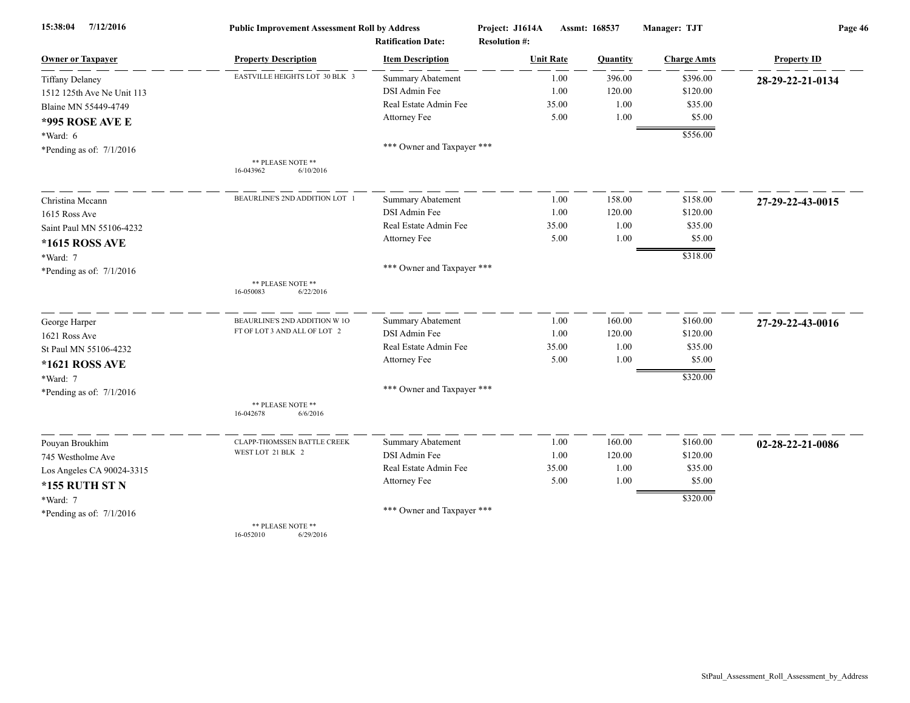| 15:38:04<br>7/12/2016      | <b>Public Improvement Assessment Roll by Address</b> |                                                      | Project: J1614A<br>Assmt: 168537         |          | Manager: TJT       | Page 46            |  |
|----------------------------|------------------------------------------------------|------------------------------------------------------|------------------------------------------|----------|--------------------|--------------------|--|
| <b>Owner or Taxpayer</b>   | <b>Property Description</b>                          | <b>Ratification Date:</b><br><b>Item Description</b> | <b>Resolution #:</b><br><b>Unit Rate</b> | Quantity | <b>Charge Amts</b> | <b>Property ID</b> |  |
| <b>Tiffany Delaney</b>     | EASTVILLE HEIGHTS LOT 30 BLK 3                       | Summary Abatement                                    | 1.00                                     | 396.00   | \$396.00           | 28-29-22-21-0134   |  |
| 1512 125th Ave Ne Unit 113 |                                                      | DSI Admin Fee                                        | 1.00                                     | 120.00   | \$120.00           |                    |  |
| Blaine MN 55449-4749       |                                                      | Real Estate Admin Fee                                | 35.00                                    | 1.00     | \$35.00            |                    |  |
| <b>*995 ROSE AVE E</b>     |                                                      | Attorney Fee                                         | 5.00                                     | 1.00     | \$5.00             |                    |  |
| *Ward: 6                   |                                                      |                                                      |                                          |          | \$556.00           |                    |  |
| *Pending as of: 7/1/2016   |                                                      | *** Owner and Taxpayer ***                           |                                          |          |                    |                    |  |
|                            | ** PLEASE NOTE **                                    |                                                      |                                          |          |                    |                    |  |
|                            | 16-043962<br>6/10/2016                               |                                                      |                                          |          |                    |                    |  |
| Christina Mecann           | BEAURLINE'S 2ND ADDITION LOT                         | Summary Abatement                                    | 1.00                                     | 158.00   | \$158.00           | 27-29-22-43-0015   |  |
| 1615 Ross Ave              |                                                      | DSI Admin Fee                                        | 1.00                                     | 120.00   | \$120.00           |                    |  |
| Saint Paul MN 55106-4232   |                                                      | Real Estate Admin Fee                                | 35.00                                    | 1.00     | \$35.00            |                    |  |
| *1615 ROSS AVE             |                                                      | Attorney Fee                                         | 5.00                                     | 1.00     | \$5.00             |                    |  |
| *Ward: 7                   |                                                      |                                                      |                                          |          | \$318.00           |                    |  |
| *Pending as of: $7/1/2016$ |                                                      | *** Owner and Taxpayer ***                           |                                          |          |                    |                    |  |
|                            | ** PLEASE NOTE **<br>6/22/2016<br>16-050083          |                                                      |                                          |          |                    |                    |  |
|                            |                                                      |                                                      |                                          |          |                    |                    |  |
| George Harper              | BEAURLINE'S 2ND ADDITION W 10                        | <b>Summary Abatement</b>                             | 1.00                                     | 160.00   | \$160.00           | 27-29-22-43-0016   |  |
| 1621 Ross Ave              | FT OF LOT 3 AND ALL OF LOT 2                         | DSI Admin Fee                                        | 1.00                                     | 120.00   | \$120.00           |                    |  |
| St Paul MN 55106-4232      |                                                      | Real Estate Admin Fee                                | 35.00                                    | 1.00     | \$35.00            |                    |  |
| *1621 ROSS AVE             |                                                      | Attorney Fee                                         | 5.00                                     | 1.00     | \$5.00             |                    |  |
| *Ward: 7                   |                                                      |                                                      |                                          |          | \$320.00           |                    |  |
| *Pending as of: $7/1/2016$ |                                                      | *** Owner and Taxpayer ***                           |                                          |          |                    |                    |  |
|                            | ** PLEASE NOTE **<br>16-042678<br>6/6/2016           |                                                      |                                          |          |                    |                    |  |
| Pouyan Broukhim            | CLAPP-THOMSSEN BATTLE CREEK                          | Summary Abatement                                    | 1.00                                     | 160.00   | \$160.00           | 02-28-22-21-0086   |  |
| 745 Westholme Ave          | WEST LOT 21 BLK 2                                    | DSI Admin Fee                                        | 1.00                                     | 120.00   | \$120.00           |                    |  |
| Los Angeles CA 90024-3315  |                                                      | Real Estate Admin Fee                                | 35.00                                    | 1.00     | \$35.00            |                    |  |
| <b>*155 RUTH ST N</b>      |                                                      | Attorney Fee                                         | 5.00                                     | 1.00     | \$5.00             |                    |  |
| *Ward: 7                   |                                                      |                                                      |                                          |          | \$320.00           |                    |  |
| *Pending as of: $7/1/2016$ |                                                      | *** Owner and Taxpayer ***                           |                                          |          |                    |                    |  |
|                            | ** PLEASE NOTE **                                    |                                                      |                                          |          |                    |                    |  |

16-052010 6/29/2016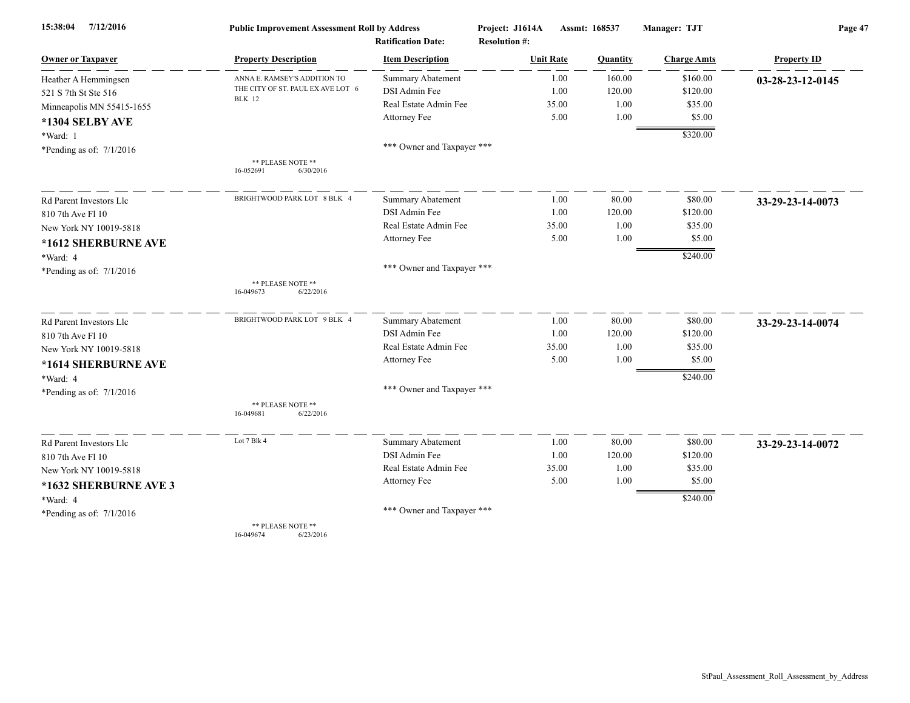| 7/12/2016<br>15:38:04      | <b>Public Improvement Assessment Roll by Address</b> |                            | Project: J1614A<br>Assmt: 168537 |                 | Manager: TJT       | Page 47            |  |
|----------------------------|------------------------------------------------------|----------------------------|----------------------------------|-----------------|--------------------|--------------------|--|
|                            |                                                      | <b>Ratification Date:</b>  | <b>Resolution #:</b>             |                 |                    |                    |  |
| <b>Owner or Taxpayer</b>   | <b>Property Description</b>                          | <b>Item Description</b>    | <b>Unit Rate</b>                 | <b>Quantity</b> | <b>Charge Amts</b> | <b>Property ID</b> |  |
| Heather A Hemmingsen       | ANNA E. RAMSEY'S ADDITION TO                         | <b>Summary Abatement</b>   | 1.00                             | 160.00          | \$160.00           | 03-28-23-12-0145   |  |
| 521 S 7th St Ste 516       | THE CITY OF ST. PAUL EX AVE LOT 6<br><b>BLK</b> 12   | DSI Admin Fee              | 1.00                             | 120.00          | \$120.00           |                    |  |
| Minneapolis MN 55415-1655  |                                                      | Real Estate Admin Fee      | 35.00                            | 1.00            | \$35.00            |                    |  |
| *1304 SELBY AVE            |                                                      | Attorney Fee               | 5.00                             | 1.00            | \$5.00             |                    |  |
| *Ward: 1                   |                                                      |                            |                                  |                 | \$320.00           |                    |  |
| *Pending as of: 7/1/2016   |                                                      | *** Owner and Taxpayer *** |                                  |                 |                    |                    |  |
|                            | ** PLEASE NOTE **<br>6/30/2016<br>16-052691          |                            |                                  |                 |                    |                    |  |
| Rd Parent Investors Llc    | BRIGHTWOOD PARK LOT 8 BLK 4                          | Summary Abatement          | 1.00                             | 80.00           | \$80.00            | 33-29-23-14-0073   |  |
| 810 7th Ave F1 10          |                                                      | DSI Admin Fee              | 1.00                             | 120.00          | \$120.00           |                    |  |
| New York NY 10019-5818     |                                                      | Real Estate Admin Fee      | 35.00                            | 1.00            | \$35.00            |                    |  |
| *1612 SHERBURNE AVE        |                                                      | Attorney Fee               | 5.00                             | 1.00            | \$5.00             |                    |  |
| *Ward: 4                   |                                                      |                            |                                  |                 | \$240.00           |                    |  |
| *Pending as of: $7/1/2016$ |                                                      | *** Owner and Taxpayer *** |                                  |                 |                    |                    |  |
|                            | ** PLEASE NOTE **<br>16-049673<br>6/22/2016          |                            |                                  |                 |                    |                    |  |
| Rd Parent Investors Llc    | BRIGHTWOOD PARK LOT 9 BLK 4                          | <b>Summary Abatement</b>   | 1.00                             | 80.00           | \$80.00            | 33-29-23-14-0074   |  |
| 810 7th Ave Fl 10          |                                                      | DSI Admin Fee              | 1.00                             | 120.00          | \$120.00           |                    |  |
| New York NY 10019-5818     |                                                      | Real Estate Admin Fee      | 35.00                            | 1.00            | \$35.00            |                    |  |
| *1614 SHERBURNE AVE        |                                                      | Attorney Fee               | 5.00                             | 1.00            | \$5.00             |                    |  |
| *Ward: 4                   |                                                      |                            |                                  |                 | \$240.00           |                    |  |
| *Pending as of: $7/1/2016$ |                                                      | *** Owner and Taxpayer *** |                                  |                 |                    |                    |  |
|                            | ** PLEASE NOTE **<br>16-049681<br>6/22/2016          |                            |                                  |                 |                    |                    |  |
| Rd Parent Investors Llc    | Lot 7 Blk 4                                          | Summary Abatement          | 1.00                             | 80.00           | \$80.00            | 33-29-23-14-0072   |  |
| 810 7th Ave Fl 10          |                                                      | DSI Admin Fee              | 1.00                             | 120.00          | \$120.00           |                    |  |
| New York NY 10019-5818     |                                                      | Real Estate Admin Fee      | 35.00                            | 1.00            | \$35.00            |                    |  |
| *1632 SHERBURNE AVE 3      |                                                      | Attorney Fee               | 5.00                             | 1.00            | \$5.00             |                    |  |
| *Ward: 4                   |                                                      |                            |                                  |                 | \$240.00           |                    |  |
| *Pending as of: $7/1/2016$ |                                                      | *** Owner and Taxpayer *** |                                  |                 |                    |                    |  |
|                            | ** PLEASE NOTE **                                    |                            |                                  |                 |                    |                    |  |

16-049674 6/23/2016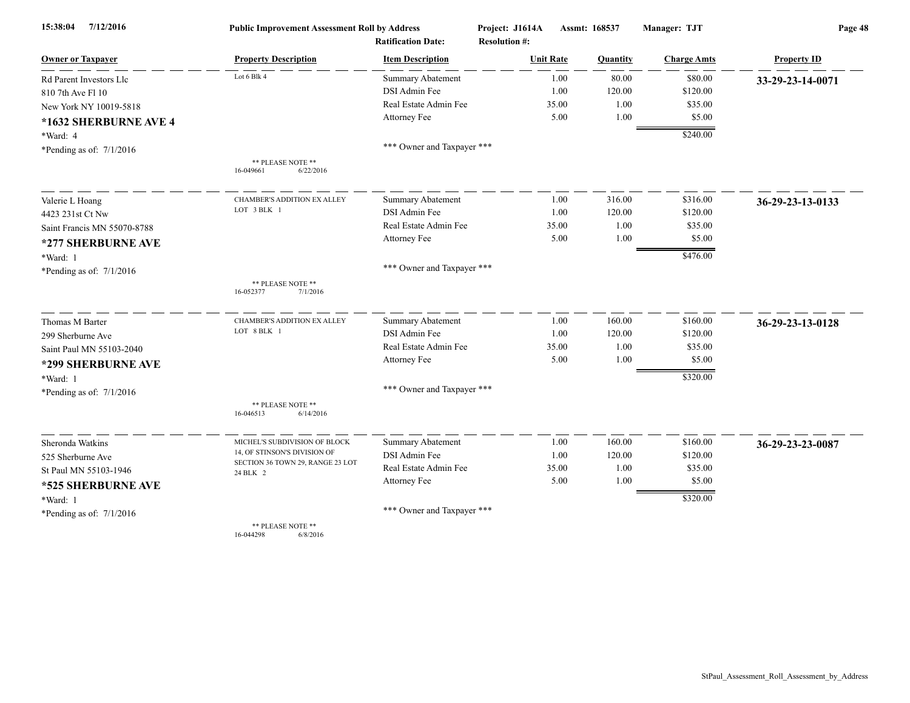| 15:38:04<br>7/12/2016       | <b>Public Improvement Assessment Roll by Address</b><br><b>Ratification Date:</b> |                            | Project: J1614A<br>Assmt: 168537<br><b>Resolution #:</b> |          | Manager: TJT       | Page 48            |  |
|-----------------------------|-----------------------------------------------------------------------------------|----------------------------|----------------------------------------------------------|----------|--------------------|--------------------|--|
| <b>Owner or Taxpayer</b>    | <b>Property Description</b>                                                       | <b>Item Description</b>    | <b>Unit Rate</b>                                         | Quantity | <b>Charge Amts</b> | <b>Property ID</b> |  |
| Rd Parent Investors Llc     | Lot 6 Blk 4                                                                       | Summary Abatement          | 1.00                                                     | 80.00    | \$80.00            | 33-29-23-14-0071   |  |
| 810 7th Ave Fl 10           |                                                                                   | DSI Admin Fee              | 1.00                                                     | 120.00   | \$120.00           |                    |  |
| New York NY 10019-5818      |                                                                                   | Real Estate Admin Fee      | 35.00                                                    | 1.00     | \$35.00            |                    |  |
| *1632 SHERBURNE AVE 4       |                                                                                   | Attorney Fee               | 5.00                                                     | 1.00     | \$5.00             |                    |  |
| *Ward: 4                    |                                                                                   |                            |                                                          |          | \$240.00           |                    |  |
| *Pending as of: $7/1/2016$  |                                                                                   | *** Owner and Taxpayer *** |                                                          |          |                    |                    |  |
|                             | ** PLEASE NOTE **<br>16-049661<br>6/22/2016                                       |                            |                                                          |          |                    |                    |  |
| Valerie L Hoang             | <b>CHAMBER'S ADDITION EX ALLEY</b>                                                | Summary Abatement          | 1.00                                                     | 316.00   | \$316.00           | 36-29-23-13-0133   |  |
| 4423 231st Ct Nw            | LOT 3 BLK 1                                                                       | DSI Admin Fee              | 1.00                                                     | 120.00   | \$120.00           |                    |  |
| Saint Francis MN 55070-8788 |                                                                                   | Real Estate Admin Fee      | 35.00                                                    | 1.00     | \$35.00            |                    |  |
| *277 SHERBURNE AVE          |                                                                                   | Attorney Fee               | 5.00                                                     | 1.00     | \$5.00             |                    |  |
| *Ward: 1                    |                                                                                   |                            |                                                          |          | \$476.00           |                    |  |
| *Pending as of: $7/1/2016$  |                                                                                   | *** Owner and Taxpayer *** |                                                          |          |                    |                    |  |
|                             | ** PLEASE NOTE **<br>16-052377<br>7/1/2016                                        |                            |                                                          |          |                    |                    |  |
| Thomas M Barter             | <b>CHAMBER'S ADDITION EX ALLEY</b>                                                | Summary Abatement          | 1.00                                                     | 160.00   | \$160.00           | 36-29-23-13-0128   |  |
| 299 Sherburne Ave           | LOT 8 BLK 1                                                                       | DSI Admin Fee              | 1.00                                                     | 120.00   | \$120.00           |                    |  |
| Saint Paul MN 55103-2040    |                                                                                   | Real Estate Admin Fee      | 35.00                                                    | 1.00     | \$35.00            |                    |  |
| *299 SHERBURNE AVE          |                                                                                   | Attorney Fee               | 5.00                                                     | 1.00     | \$5.00             |                    |  |
| *Ward: 1                    |                                                                                   |                            |                                                          |          | \$320.00           |                    |  |
| *Pending as of: $7/1/2016$  |                                                                                   | *** Owner and Taxpayer *** |                                                          |          |                    |                    |  |
|                             | ** PLEASE NOTE **<br>16-046513<br>6/14/2016                                       |                            |                                                          |          |                    |                    |  |
| Sheronda Watkins            | MICHEL'S SUBDIVISION OF BLOCK                                                     | <b>Summary Abatement</b>   | 1.00                                                     | 160.00   | \$160.00           | 36-29-23-23-0087   |  |
| 525 Sherburne Ave           | 14, OF STINSON'S DIVISION OF                                                      | DSI Admin Fee              | 1.00                                                     | 120.00   | \$120.00           |                    |  |
| St Paul MN 55103-1946       | SECTION 36 TOWN 29, RANGE 23 LOT<br>24 BLK 2                                      | Real Estate Admin Fee      | 35.00                                                    | 1.00     | \$35.00            |                    |  |
| *525 SHERBURNE AVE          |                                                                                   | Attorney Fee               | 5.00                                                     | 1.00     | \$5.00             |                    |  |
| *Ward: 1                    |                                                                                   |                            |                                                          |          | \$320.00           |                    |  |
| *Pending as of: $7/1/2016$  |                                                                                   | *** Owner and Taxpayer *** |                                                          |          |                    |                    |  |
|                             | ** PLEASE NOTE **                                                                 |                            |                                                          |          |                    |                    |  |

16-044298 6/8/2016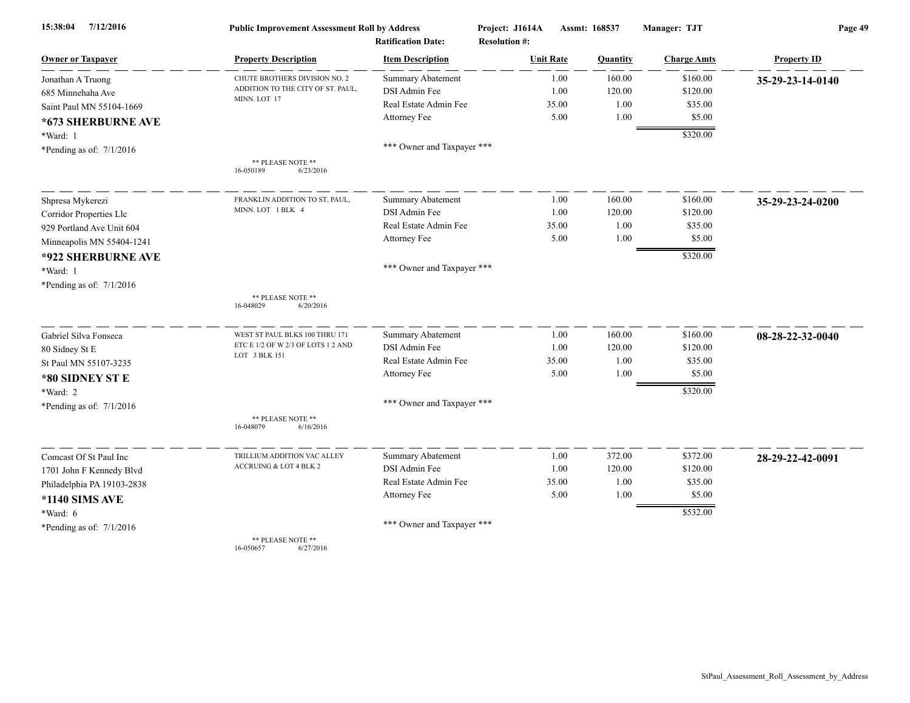| 7/12/2016<br>15:38:04      | <b>Public Improvement Assessment Roll by Address</b> |                                                      | Project: J1614A                          | Assmt: 168537  | Manager: TJT       | Page 49            |  |
|----------------------------|------------------------------------------------------|------------------------------------------------------|------------------------------------------|----------------|--------------------|--------------------|--|
| <b>Owner or Taxpayer</b>   | <b>Property Description</b>                          | <b>Ratification Date:</b><br><b>Item Description</b> | <b>Resolution #:</b><br><b>Unit Rate</b> | Quantity       | <b>Charge Amts</b> | <b>Property ID</b> |  |
| Jonathan A Truong          | CHUTE BROTHERS DIVISION NO. 2                        | Summary Abatement                                    |                                          | 160.00<br>1.00 | \$160.00           |                    |  |
| 685 Minnehaha Ave          | ADDITION TO THE CITY OF ST. PAUL,                    | DSI Admin Fee                                        |                                          | 1.00<br>120.00 | \$120.00           | 35-29-23-14-0140   |  |
| Saint Paul MN 55104-1669   | MINN. LOT 17                                         | Real Estate Admin Fee                                | 35.00                                    | 1.00           | \$35.00            |                    |  |
| *673 SHERBURNE AVE         |                                                      | Attorney Fee                                         |                                          | 5.00<br>1.00   | \$5.00             |                    |  |
|                            |                                                      |                                                      |                                          |                | \$320.00           |                    |  |
| *Ward: 1                   |                                                      | *** Owner and Taxpayer ***                           |                                          |                |                    |                    |  |
| *Pending as of: $7/1/2016$ | ** PLEASE NOTE **<br>16-050189<br>6/23/2016          |                                                      |                                          |                |                    |                    |  |
| Shpresa Mykerezi           | FRANKLIN ADDITION TO ST. PAUL.                       | <b>Summary Abatement</b>                             |                                          | 160.00<br>1.00 | \$160.00           | 35-29-23-24-0200   |  |
| Corridor Properties Llc    | MINN. LOT 1 BLK 4                                    | DSI Admin Fee                                        |                                          | 1.00<br>120.00 | \$120.00           |                    |  |
| 929 Portland Ave Unit 604  |                                                      | Real Estate Admin Fee                                | 35.00                                    | 1.00           | \$35.00            |                    |  |
| Minneapolis MN 55404-1241  |                                                      | Attorney Fee                                         |                                          | 5.00<br>1.00   | \$5.00             |                    |  |
| *922 SHERBURNE AVE         |                                                      |                                                      |                                          |                | \$320.00           |                    |  |
| *Ward: 1                   |                                                      | *** Owner and Taxpayer ***                           |                                          |                |                    |                    |  |
| *Pending as of: $7/1/2016$ |                                                      |                                                      |                                          |                |                    |                    |  |
|                            | ** PLEASE NOTE **<br>16-048029<br>6/20/2016          |                                                      |                                          |                |                    |                    |  |
| Gabriel Silva Fonseca      | WEST ST PAUL BLKS 100 THRU 171                       | <b>Summary Abatement</b>                             |                                          | 160.00<br>1.00 | \$160.00           | 08-28-22-32-0040   |  |
| 80 Sidney St E             | ETC E 1/2 OF W 2/3 OF LOTS 1 2 AND                   | DSI Admin Fee                                        |                                          | 120.00<br>1.00 | \$120.00           |                    |  |
| St Paul MN 55107-3235      | LOT 3 BLK 151                                        | Real Estate Admin Fee                                | 35.00                                    | 1.00           | \$35.00            |                    |  |
| *80 SIDNEY ST E            |                                                      | Attorney Fee                                         |                                          | 5.00<br>1.00   | \$5.00             |                    |  |
| *Ward: 2                   |                                                      |                                                      |                                          |                | \$320.00           |                    |  |
| *Pending as of: $7/1/2016$ |                                                      | *** Owner and Taxpayer ***                           |                                          |                |                    |                    |  |
|                            | ** PLEASE NOTE **<br>6/16/2016<br>16-048079          |                                                      |                                          |                |                    |                    |  |
| Comcast Of St Paul Inc     | TRILLIUM ADDITION VAC ALLEY                          | Summary Abatement                                    |                                          | 1.00<br>372.00 | \$372.00           | 28-29-22-42-0091   |  |
| 1701 John F Kennedy Blvd   | ACCRUING & LOT 4 BLK 2                               | DSI Admin Fee                                        |                                          | 1.00<br>120.00 | \$120.00           |                    |  |
| Philadelphia PA 19103-2838 |                                                      | Real Estate Admin Fee                                | 35.00                                    | 1.00           | \$35.00            |                    |  |
| <b>*1140 SIMS AVE</b>      |                                                      | Attorney Fee                                         |                                          | 5.00<br>1.00   | \$5.00             |                    |  |
| $*Ward: 6$                 |                                                      |                                                      |                                          |                | \$532.00           |                    |  |
| *Pending as of: $7/1/2016$ |                                                      | *** Owner and Taxpayer ***                           |                                          |                |                    |                    |  |
|                            | ** PLEASE NOTE **                                    |                                                      |                                          |                |                    |                    |  |

16-050657 6/27/2016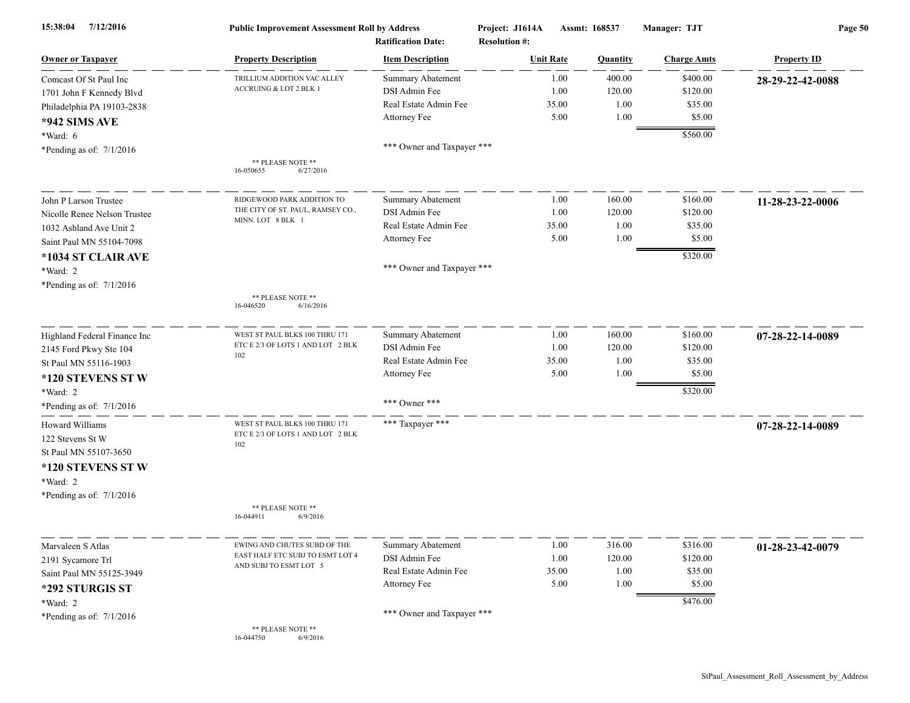| 7/12/2016<br>15:38:04               | <b>Public Improvement Assessment Roll by Address</b><br><b>Ratification Date:</b> |                            | Assmt: 168537<br>Project: J1614A<br><b>Resolution #:</b> |                 | Manager: TJT       | Page 50            |  |
|-------------------------------------|-----------------------------------------------------------------------------------|----------------------------|----------------------------------------------------------|-----------------|--------------------|--------------------|--|
| <b>Owner or Taxpayer</b>            | <b>Property Description</b>                                                       | <b>Item Description</b>    | <b>Unit Rate</b>                                         | <b>Quantity</b> | <b>Charge Amts</b> | <b>Property ID</b> |  |
| Comcast Of St Paul Inc              | TRILLIUM ADDITION VAC ALLEY                                                       | Summary Abatement          | 1.00                                                     | 400.00          | \$400.00           | 28-29-22-42-0088   |  |
| 1701 John F Kennedy Blvd            | ACCRUING & LOT 2 BLK 1                                                            | DSI Admin Fee              | 1.00                                                     | 120.00          | \$120.00           |                    |  |
| Philadelphia PA 19103-2838          |                                                                                   | Real Estate Admin Fee      | 35.00                                                    | 1.00            | \$35.00            |                    |  |
| *942 SIMS AVE                       |                                                                                   | Attorney Fee               | 5.00                                                     | 1.00            | \$5.00             |                    |  |
| $*Ward: 6$                          |                                                                                   |                            |                                                          |                 | \$560.00           |                    |  |
| *Pending as of: $7/1/2016$          |                                                                                   | *** Owner and Taxpayer *** |                                                          |                 |                    |                    |  |
|                                     | ** PLEASE NOTE **<br>16-050655<br>6/27/2016                                       |                            |                                                          |                 |                    |                    |  |
| John P Larson Trustee               | RIDGEWOOD PARK ADDITION TO                                                        | Summary Abatement          | 1.00                                                     | 160.00          | \$160.00           | 11-28-23-22-0006   |  |
| Nicolle Renee Nelson Trustee        | THE CITY OF ST. PAUL, RAMSEY CO.,                                                 | DSI Admin Fee              | 1.00                                                     | 120.00          | \$120.00           |                    |  |
| 1032 Ashland Ave Unit 2             | MINN. LOT 8 BLK 1                                                                 | Real Estate Admin Fee      | 35.00                                                    | 1.00            | \$35.00            |                    |  |
| Saint Paul MN 55104-7098            |                                                                                   | Attorney Fee               | 5.00                                                     | 1.00            | \$5.00             |                    |  |
| *1034 ST CLAIR AVE                  |                                                                                   |                            |                                                          |                 | \$320.00           |                    |  |
| *Ward: 2                            |                                                                                   | *** Owner and Taxpayer *** |                                                          |                 |                    |                    |  |
| *Pending as of: $7/1/2016$          |                                                                                   |                            |                                                          |                 |                    |                    |  |
|                                     | ** PLEASE NOTE **<br>16-046520<br>6/16/2016                                       |                            |                                                          |                 |                    |                    |  |
| Highland Federal Finance Inc        | WEST ST PAUL BLKS 100 THRU 171                                                    | <b>Summary Abatement</b>   | 1.00                                                     | 160.00          | \$160.00           | 07-28-22-14-0089   |  |
| 2145 Ford Pkwy Ste 104              | ETC E 2/3 OF LOTS 1 AND LOT 2 BLK<br>102                                          | DSI Admin Fee              | 1.00                                                     | 120.00          | \$120.00           |                    |  |
| St Paul MN 55116-1903               |                                                                                   | Real Estate Admin Fee      | 35.00                                                    | 1.00            | \$35.00            |                    |  |
| *120 STEVENS ST W                   |                                                                                   | Attorney Fee               | 5.00                                                     | 1.00            | \$5.00             |                    |  |
| *Ward: 2                            |                                                                                   |                            |                                                          |                 | \$320.00           |                    |  |
| *Pending as of: $7/1/2016$          |                                                                                   | *** Owner ***              |                                                          |                 |                    |                    |  |
| Howard Williams<br>122 Stevens St W | WEST ST PAUL BLKS 100 THRU 171<br>ETC E 2/3 OF LOTS 1 AND LOT 2 BLK<br>102        | *** Taxpayer ***           |                                                          |                 |                    | 07-28-22-14-0089   |  |
| St Paul MN 55107-3650               |                                                                                   |                            |                                                          |                 |                    |                    |  |
| *120 STEVENS ST W                   |                                                                                   |                            |                                                          |                 |                    |                    |  |
| *Ward: 2                            |                                                                                   |                            |                                                          |                 |                    |                    |  |
| *Pending as of: $7/1/2016$          |                                                                                   |                            |                                                          |                 |                    |                    |  |
|                                     | ** PLEASE NOTE **<br>16-044911<br>6/9/2016                                        |                            |                                                          |                 |                    |                    |  |
| Marvaleen S Atlas                   | EWING AND CHUTES SUBD OF THE                                                      | Summary Abatement          | 1.00                                                     | 316.00          | \$316.00           | 01-28-23-42-0079   |  |
| 2191 Sycamore Trl                   | EAST HALF ETC SUBJ TO ESMT LOT 4                                                  | DSI Admin Fee              | 1.00                                                     | 120.00          | \$120.00           |                    |  |
| Saint Paul MN 55125-3949            | AND SUBJ TO ESMT LOT 5                                                            | Real Estate Admin Fee      | 35.00                                                    | 1.00            | \$35.00            |                    |  |
| *292 STURGIS ST                     |                                                                                   | Attorney Fee               | 5.00                                                     | 1.00            | \$5.00             |                    |  |
| *Ward: 2                            |                                                                                   |                            |                                                          |                 | \$476.00           |                    |  |
| *Pending as of: $7/1/2016$          |                                                                                   | *** Owner and Taxpayer *** |                                                          |                 |                    |                    |  |
|                                     | ** PLEASE NOTE **<br>16-044750<br>6/9/2016                                        |                            |                                                          |                 |                    |                    |  |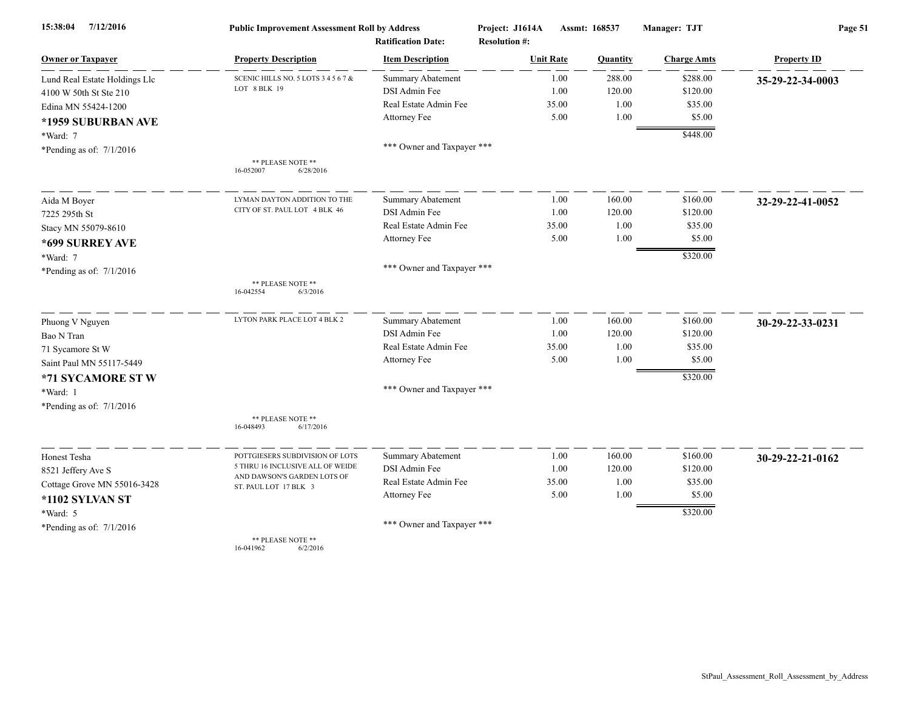| 15:38:04<br>7/12/2016         | <b>Public Improvement Assessment Roll by Address</b> |                            | Project: J1614A      |       | Assmt: 168537 | Manager: TJT       | Page 51            |  |
|-------------------------------|------------------------------------------------------|----------------------------|----------------------|-------|---------------|--------------------|--------------------|--|
|                               |                                                      | <b>Ratification Date:</b>  | <b>Resolution #:</b> |       |               |                    |                    |  |
| <b>Owner or Taxpayer</b>      | <b>Property Description</b>                          | <b>Item Description</b>    | <b>Unit Rate</b>     |       | Quantity      | <b>Charge Amts</b> | <b>Property ID</b> |  |
| Lund Real Estate Holdings Llc | SCENIC HILLS NO. 5 LOTS 3 4 5 6 7 &                  | <b>Summary Abatement</b>   |                      | 1.00  | 288.00        | \$288.00           | 35-29-22-34-0003   |  |
| 4100 W 50th St Ste 210        | LOT 8 BLK 19                                         | DSI Admin Fee              |                      | 1.00  | 120.00        | \$120.00           |                    |  |
| Edina MN 55424-1200           |                                                      | Real Estate Admin Fee      |                      | 35.00 | 1.00          | \$35.00            |                    |  |
| *1959 SUBURBAN AVE            |                                                      | Attorney Fee               |                      | 5.00  | 1.00          | \$5.00             |                    |  |
| *Ward: 7                      |                                                      |                            |                      |       |               | \$448.00           |                    |  |
| *Pending as of: $7/1/2016$    |                                                      | *** Owner and Taxpayer *** |                      |       |               |                    |                    |  |
|                               | ** PLEASE NOTE **<br>16-052007<br>6/28/2016          |                            |                      |       |               |                    |                    |  |
| Aida M Boyer                  | LYMAN DAYTON ADDITION TO THE                         | <b>Summary Abatement</b>   |                      | 1.00  | 160.00        | \$160.00           | 32-29-22-41-0052   |  |
| 7225 295th St                 | CITY OF ST. PAUL LOT 4 BLK 46                        | DSI Admin Fee              |                      | 1.00  | 120.00        | \$120.00           |                    |  |
| Stacy MN 55079-8610           |                                                      | Real Estate Admin Fee      |                      | 35.00 | 1.00          | \$35.00            |                    |  |
| *699 SURREY AVE               |                                                      | Attorney Fee               |                      | 5.00  | 1.00          | \$5.00             |                    |  |
| *Ward: 7                      |                                                      |                            |                      |       |               | \$320.00           |                    |  |
| *Pending as of: $7/1/2016$    |                                                      | *** Owner and Taxpayer *** |                      |       |               |                    |                    |  |
|                               | ** PLEASE NOTE **<br>6/3/2016<br>16-042554           |                            |                      |       |               |                    |                    |  |
| Phuong V Nguyen               | LYTON PARK PLACE LOT 4 BLK 2                         | <b>Summary Abatement</b>   |                      | 1.00  | 160.00        | \$160.00           | 30-29-22-33-0231   |  |
| Bao N Tran                    |                                                      | DSI Admin Fee              |                      | 1.00  | 120.00        | \$120.00           |                    |  |
| 71 Sycamore St W              |                                                      | Real Estate Admin Fee      |                      | 35.00 | 1.00          | \$35.00            |                    |  |
| Saint Paul MN 55117-5449      |                                                      | Attorney Fee               |                      | 5.00  | 1.00          | \$5.00             |                    |  |
| *71 SYCAMORE STW              |                                                      |                            |                      |       |               | \$320.00           |                    |  |
| *Ward: 1                      |                                                      | *** Owner and Taxpayer *** |                      |       |               |                    |                    |  |
| *Pending as of: $7/1/2016$    |                                                      |                            |                      |       |               |                    |                    |  |
|                               | ** PLEASE NOTE **<br>16-048493<br>6/17/2016          |                            |                      |       |               |                    |                    |  |
| Honest Tesha                  | POTTGIESERS SUBDIVISION OF LOTS                      | <b>Summary Abatement</b>   |                      | 1.00  | 160.00        | \$160.00           | 30-29-22-21-0162   |  |
| 8521 Jeffery Ave S            | 5 THRU 16 INCLUSIVE ALL OF WEIDE                     | DSI Admin Fee              |                      | 1.00  | 120.00        | \$120.00           |                    |  |
| Cottage Grove MN 55016-3428   | AND DAWSON'S GARDEN LOTS OF<br>ST. PAUL LOT 17 BLK 3 | Real Estate Admin Fee      |                      | 35.00 | 1.00          | \$35.00            |                    |  |
| *1102 SYLVAN ST               |                                                      | Attorney Fee               |                      | 5.00  | 1.00          | \$5.00             |                    |  |
| *Ward: 5                      |                                                      |                            |                      |       |               | \$320.00           |                    |  |
| *Pending as of: $7/1/2016$    |                                                      | *** Owner and Taxpayer *** |                      |       |               |                    |                    |  |
|                               | ** PLEASE NOTE **<br>16-041962<br>6/2/2016           |                            |                      |       |               |                    |                    |  |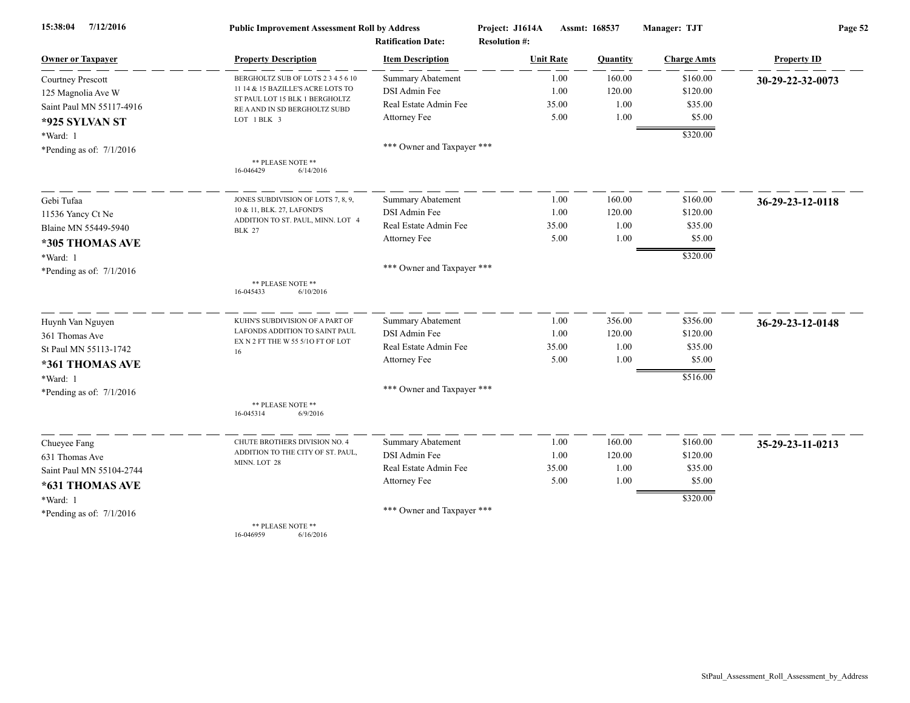| 7/12/2016<br>15:38:04      | <b>Public Improvement Assessment Roll by Address</b>            |                            | Project: J1614A      | Assmt: 168537 | Manager: TJT       | Page 52            |  |
|----------------------------|-----------------------------------------------------------------|----------------------------|----------------------|---------------|--------------------|--------------------|--|
|                            |                                                                 | <b>Ratification Date:</b>  | <b>Resolution #:</b> |               |                    |                    |  |
| <b>Owner or Taxpayer</b>   | <b>Property Description</b>                                     | <b>Item Description</b>    | <b>Unit Rate</b>     | Quantity      | <b>Charge Amts</b> | <b>Property ID</b> |  |
| Courtney Prescott          | BERGHOLTZ SUB OF LOTS 2 3 4 5 6 10                              | <b>Summary Abatement</b>   | 1.00                 | 160.00        | \$160.00           | 30-29-22-32-0073   |  |
| 125 Magnolia Ave W         | 11 14 & 15 BAZILLE'S ACRE LOTS TO                               | DSI Admin Fee              | 1.00                 | 120.00        | \$120.00           |                    |  |
| Saint Paul MN 55117-4916   | ST PAUL LOT 15 BLK 1 BERGHOLTZ<br>RE A AND IN SD BERGHOLTZ SUBD | Real Estate Admin Fee      | 35.00                | 1.00          | \$35.00            |                    |  |
| *925 SYLVAN ST             | LOT 1 BLK 3                                                     | Attorney Fee               | 5.00                 | 1.00          | \$5.00             |                    |  |
| *Ward: 1                   |                                                                 |                            |                      |               | \$320.00           |                    |  |
| *Pending as of: $7/1/2016$ |                                                                 | *** Owner and Taxpayer *** |                      |               |                    |                    |  |
|                            | ** PLEASE NOTE **                                               |                            |                      |               |                    |                    |  |
|                            | 16-046429<br>6/14/2016                                          |                            |                      |               |                    |                    |  |
| Gebi Tufaa                 | JONES SUBDIVISION OF LOTS 7, 8, 9,                              | <b>Summary Abatement</b>   | 1.00                 | 160.00        | \$160.00           | 36-29-23-12-0118   |  |
| 11536 Yancy Ct Ne          | 10 & 11, BLK. 27, LAFOND'S                                      | DSI Admin Fee              | 1.00                 | 120.00        | \$120.00           |                    |  |
| Blaine MN 55449-5940       | ADDITION TO ST. PAUL, MINN. LOT 4<br><b>BLK 27</b>              | Real Estate Admin Fee      | 35.00                | 1.00          | \$35.00            |                    |  |
| *305 THOMAS AVE            |                                                                 | Attorney Fee               | 5.00                 | 1.00          | \$5.00             |                    |  |
| *Ward: 1                   |                                                                 |                            |                      |               | \$320.00           |                    |  |
| *Pending as of: $7/1/2016$ |                                                                 | *** Owner and Taxpayer *** |                      |               |                    |                    |  |
|                            | ** PLEASE NOTE **<br>16-045433<br>6/10/2016                     |                            |                      |               |                    |                    |  |
|                            |                                                                 |                            |                      |               |                    |                    |  |
| Huynh Van Nguyen           | KUHN'S SUBDIVISION OF A PART OF                                 | Summary Abatement          | 1.00                 | 356.00        | \$356.00           | 36-29-23-12-0148   |  |
| 361 Thomas Ave             | LAFONDS ADDITION TO SAINT PAUL                                  | DSI Admin Fee              | 1.00                 | 120.00        | \$120.00           |                    |  |
| St Paul MN 55113-1742      | EX N 2 FT THE W 55 5/10 FT OF LOT<br>16                         | Real Estate Admin Fee      | 35.00                | 1.00          | \$35.00            |                    |  |
| *361 THOMAS AVE            |                                                                 | Attorney Fee               | 5.00                 | 1.00          | \$5.00             |                    |  |
| *Ward: 1                   |                                                                 |                            |                      |               | \$516.00           |                    |  |
| *Pending as of: $7/1/2016$ |                                                                 | *** Owner and Taxpayer *** |                      |               |                    |                    |  |
|                            | ** PLEASE NOTE **<br>16-045314<br>6/9/2016                      |                            |                      |               |                    |                    |  |
| Chueyee Fang               | CHUTE BROTHERS DIVISION NO. 4                                   | Summary Abatement          | 1.00                 | 160.00        | \$160.00           | 35-29-23-11-0213   |  |
| 631 Thomas Ave             | ADDITION TO THE CITY OF ST. PAUL,                               | DSI Admin Fee              | 1.00                 | 120.00        | \$120.00           |                    |  |
| Saint Paul MN 55104-2744   | MINN. LOT 28                                                    | Real Estate Admin Fee      | 35.00                | 1.00          | \$35.00            |                    |  |
| *631 THOMAS AVE            |                                                                 | Attorney Fee               | 5.00                 | 1.00          | \$5.00             |                    |  |
|                            |                                                                 |                            |                      |               | \$320.00           |                    |  |
| *Ward: 1                   |                                                                 | *** Owner and Taxpayer *** |                      |               |                    |                    |  |
| *Pending as of: $7/1/2016$ | ** PLEASE NOTE **                                               |                            |                      |               |                    |                    |  |

16-046959 6/16/2016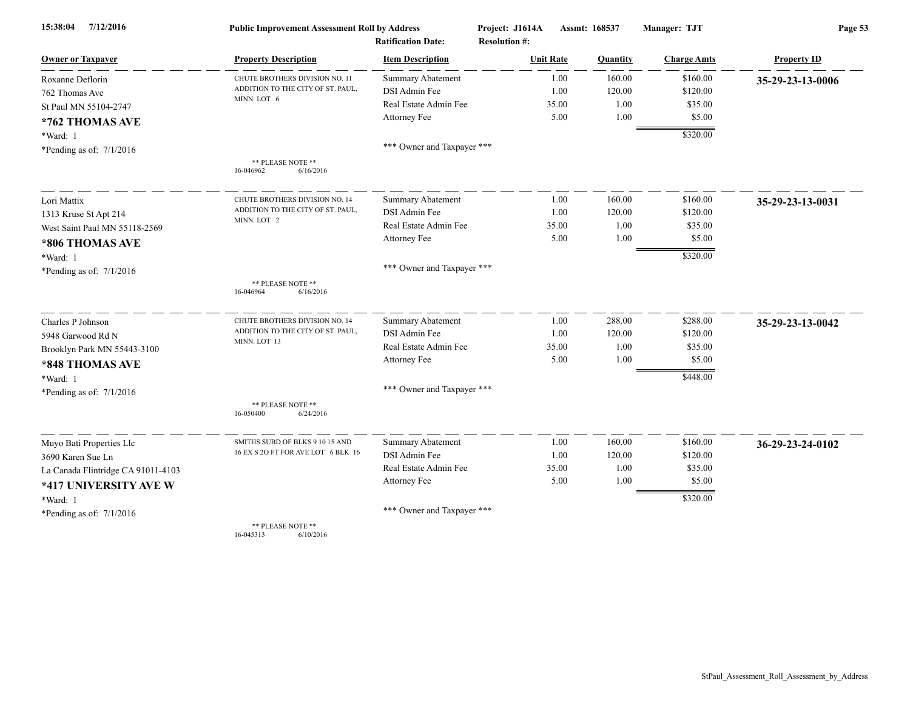| 7/12/2016<br>15:38:04              | <b>Public Improvement Assessment Roll by Address</b> |                            | Project: J1614A      | Assmt: 168537 | Manager: TJT       | Page 53            |  |
|------------------------------------|------------------------------------------------------|----------------------------|----------------------|---------------|--------------------|--------------------|--|
|                                    |                                                      | <b>Ratification Date:</b>  | <b>Resolution #:</b> |               |                    |                    |  |
| <b>Owner or Taxpayer</b>           | <b>Property Description</b>                          | <b>Item Description</b>    | <b>Unit Rate</b>     | Quantity      | <b>Charge Amts</b> | <b>Property ID</b> |  |
| Roxanne Deflorin                   | CHUTE BROTHERS DIVISION NO. 11                       | <b>Summary Abatement</b>   | 1.00                 | 160.00        | \$160.00           | 35-29-23-13-0006   |  |
| 762 Thomas Ave                     | ADDITION TO THE CITY OF ST. PAUL,<br>MINN. LOT 6     | DSI Admin Fee              | 1.00                 | 120.00        | \$120.00           |                    |  |
| St Paul MN 55104-2747              |                                                      | Real Estate Admin Fee      | 35.00                | 1.00          | \$35.00            |                    |  |
| *762 THOMAS AVE                    |                                                      | Attorney Fee               | 5.00                 | 1.00          | \$5.00             |                    |  |
| *Ward: 1                           |                                                      |                            |                      |               | \$320.00           |                    |  |
| *Pending as of: $7/1/2016$         |                                                      | *** Owner and Taxpayer *** |                      |               |                    |                    |  |
|                                    | ** PLEASE NOTE **<br>16-046962<br>6/16/2016          |                            |                      |               |                    |                    |  |
| Lori Mattix                        | CHUTE BROTHERS DIVISION NO. 14                       | <b>Summary Abatement</b>   | 1.00                 | 160.00        | \$160.00           | 35-29-23-13-0031   |  |
| 1313 Kruse St Apt 214              | ADDITION TO THE CITY OF ST. PAUL,                    | DSI Admin Fee              | 1.00                 | 120.00        | \$120.00           |                    |  |
| West Saint Paul MN 55118-2569      | MINN. LOT 2                                          | Real Estate Admin Fee      | 35.00                | 1.00          | \$35.00            |                    |  |
| *806 THOMAS AVE                    |                                                      | Attorney Fee               | 5.00                 | 1.00          | \$5.00             |                    |  |
| *Ward: 1                           |                                                      |                            |                      |               | \$320.00           |                    |  |
| *Pending as of: $7/1/2016$         |                                                      | *** Owner and Taxpayer *** |                      |               |                    |                    |  |
|                                    | ** PLEASE NOTE **<br>16-046964<br>6/16/2016          |                            |                      |               |                    |                    |  |
| Charles P Johnson                  | CHUTE BROTHERS DIVISION NO. 14                       | Summary Abatement          | 1.00                 | 288.00        | \$288.00           | 35-29-23-13-0042   |  |
| 5948 Garwood Rd N                  | ADDITION TO THE CITY OF ST. PAUL,<br>MINN. LOT 13    | DSI Admin Fee              | 1.00                 | 120.00        | \$120.00           |                    |  |
| Brooklyn Park MN 55443-3100        |                                                      | Real Estate Admin Fee      | 35.00                | 1.00          | \$35.00            |                    |  |
| *848 THOMAS AVE                    |                                                      | Attorney Fee               | 5.00                 | 1.00          | \$5.00             |                    |  |
| *Ward: 1                           |                                                      |                            |                      |               | \$448.00           |                    |  |
| *Pending as of: $7/1/2016$         |                                                      | *** Owner and Taxpayer *** |                      |               |                    |                    |  |
|                                    | ** PLEASE NOTE **<br>16-050400<br>6/24/2016          |                            |                      |               |                    |                    |  |
| Muyo Bati Properties Llc           | SMITHS SUBD OF BLKS 9 10 15 AND                      | Summary Abatement          | 1.00                 | 160.00        | \$160.00           | 36-29-23-24-0102   |  |
| 3690 Karen Sue Ln                  | 16 EX S 2O FT FOR AVE LOT 6 BLK 16                   | DSI Admin Fee              | 1.00                 | 120.00        | \$120.00           |                    |  |
| La Canada Flintridge CA 91011-4103 |                                                      | Real Estate Admin Fee      | 35.00                | 1.00          | \$35.00            |                    |  |
| *417 UNIVERSITY AVE W              |                                                      | Attorney Fee               | 5.00                 | 1.00          | \$5.00             |                    |  |
| *Ward: 1                           |                                                      |                            |                      |               | \$320.00           |                    |  |
| *Pending as of: $7/1/2016$         |                                                      | *** Owner and Taxpayer *** |                      |               |                    |                    |  |
|                                    | ** PLEASE NOTE **                                    |                            |                      |               |                    |                    |  |

16-045313 6/10/2016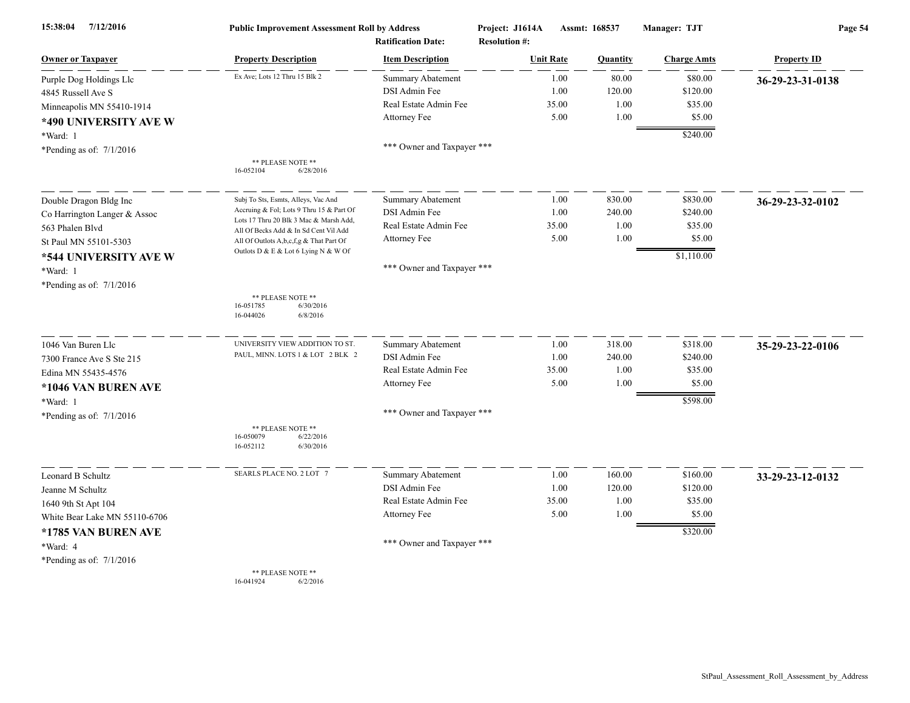| 7/12/2016<br>15:38:04         | <b>Public Improvement Assessment Roll by Address</b><br><b>Ratification Date:</b> |                            | Project: J1614A<br><b>Resolution #:</b> | Assmt: 168537 |          | Manager: TJT       | Page 54            |
|-------------------------------|-----------------------------------------------------------------------------------|----------------------------|-----------------------------------------|---------------|----------|--------------------|--------------------|
| <b>Owner or Taxpayer</b>      | <b>Property Description</b>                                                       | <b>Item Description</b>    | <b>Unit Rate</b>                        |               | Quantity | <b>Charge Amts</b> | <b>Property ID</b> |
| Purple Dog Holdings Llc       | Ex Ave; Lots 12 Thru 15 Blk 2                                                     | Summary Abatement          |                                         | 1.00          | 80.00    | \$80.00            | 36-29-23-31-0138   |
| 4845 Russell Ave S            |                                                                                   | DSI Admin Fee              |                                         | 1.00          | 120.00   | \$120.00           |                    |
| Minneapolis MN 55410-1914     |                                                                                   | Real Estate Admin Fee      |                                         | 35.00         | 1.00     | \$35.00            |                    |
| *490 UNIVERSITY AVE W         |                                                                                   | Attorney Fee               |                                         | 5.00          | 1.00     | \$5.00             |                    |
| *Ward: 1                      |                                                                                   |                            |                                         |               |          | \$240.00           |                    |
| *Pending as of: $7/1/2016$    |                                                                                   | *** Owner and Taxpayer *** |                                         |               |          |                    |                    |
|                               | ** PLEASE NOTE **<br>16-052104<br>6/28/2016                                       |                            |                                         |               |          |                    |                    |
| Double Dragon Bldg Inc        | Subj To Sts, Esmts, Alleys, Vac And                                               | <b>Summary Abatement</b>   |                                         | 1.00          | 830.00   | \$830.00           | 36-29-23-32-0102   |
| Co Harrington Langer & Assoc  | Accruing & Fol; Lots 9 Thru 15 & Part Of                                          | DSI Admin Fee              |                                         | 1.00          | 240.00   | \$240.00           |                    |
| 563 Phalen Blvd               | Lots 17 Thru 20 Blk 3 Mac & Marsh Add,<br>All Of Becks Add & In Sd Cent Vil Add   | Real Estate Admin Fee      |                                         | 35.00         | 1.00     | \$35.00            |                    |
| St Paul MN 55101-5303         | All Of Outlots A,b,c,f,g & That Part Of                                           | Attorney Fee               |                                         | 5.00          | 1.00     | \$5.00             |                    |
| *544 UNIVERSITY AVE W         | Outlots D & E & Lot 6 Lying N & W Of                                              |                            |                                         |               |          | \$1,110.00         |                    |
| *Ward: 1                      |                                                                                   | *** Owner and Taxpayer *** |                                         |               |          |                    |                    |
| *Pending as of: $7/1/2016$    |                                                                                   |                            |                                         |               |          |                    |                    |
|                               | ** PLEASE NOTE **<br>16-051785<br>6/30/2016<br>16-044026<br>6/8/2016              |                            |                                         |               |          |                    |                    |
| 1046 Van Buren Llc            | UNIVERSITY VIEW ADDITION TO ST                                                    | <b>Summary Abatement</b>   |                                         | 1.00          | 318.00   | \$318.00           | 35-29-23-22-0106   |
| 7300 France Ave S Ste 215     | PAUL, MINN. LOTS 1 & LOT 2 BLK 2                                                  | DSI Admin Fee              |                                         | 1.00          | 240.00   | \$240.00           |                    |
| Edina MN 55435-4576           |                                                                                   | Real Estate Admin Fee      |                                         | 35.00         | 1.00     | \$35.00            |                    |
| *1046 VAN BUREN AVE           |                                                                                   | Attorney Fee               |                                         | 5.00          | 1.00     | \$5.00             |                    |
| *Ward: 1                      |                                                                                   |                            |                                         |               |          | \$598.00           |                    |
| *Pending as of: $7/1/2016$    |                                                                                   | *** Owner and Taxpayer *** |                                         |               |          |                    |                    |
|                               | ** PLEASE NOTE **<br>6/22/2016<br>16-050079<br>16-052112<br>6/30/2016             |                            |                                         |               |          |                    |                    |
| Leonard B Schultz             | SEARLS PLACE NO. 2 LOT 7                                                          | <b>Summary Abatement</b>   |                                         | 1.00          | 160.00   | \$160.00           | 33-29-23-12-0132   |
| Jeanne M Schultz              |                                                                                   | DSI Admin Fee              |                                         | 1.00          | 120.00   | \$120.00           |                    |
| 1640 9th St Apt 104           |                                                                                   | Real Estate Admin Fee      |                                         | 35.00         | 1.00     | \$35.00            |                    |
| White Bear Lake MN 55110-6706 |                                                                                   | Attorney Fee               |                                         | 5.00          | 1.00     | \$5.00             |                    |
| *1785 VAN BUREN AVE           |                                                                                   |                            |                                         |               |          | \$320.00           |                    |
| *Ward: 4                      |                                                                                   | *** Owner and Taxpayer *** |                                         |               |          |                    |                    |
| *Pending as of: $7/1/2016$    |                                                                                   |                            |                                         |               |          |                    |                    |
|                               | ** PLEASE NOTE **<br>16-041924<br>6/2/2016                                        |                            |                                         |               |          |                    |                    |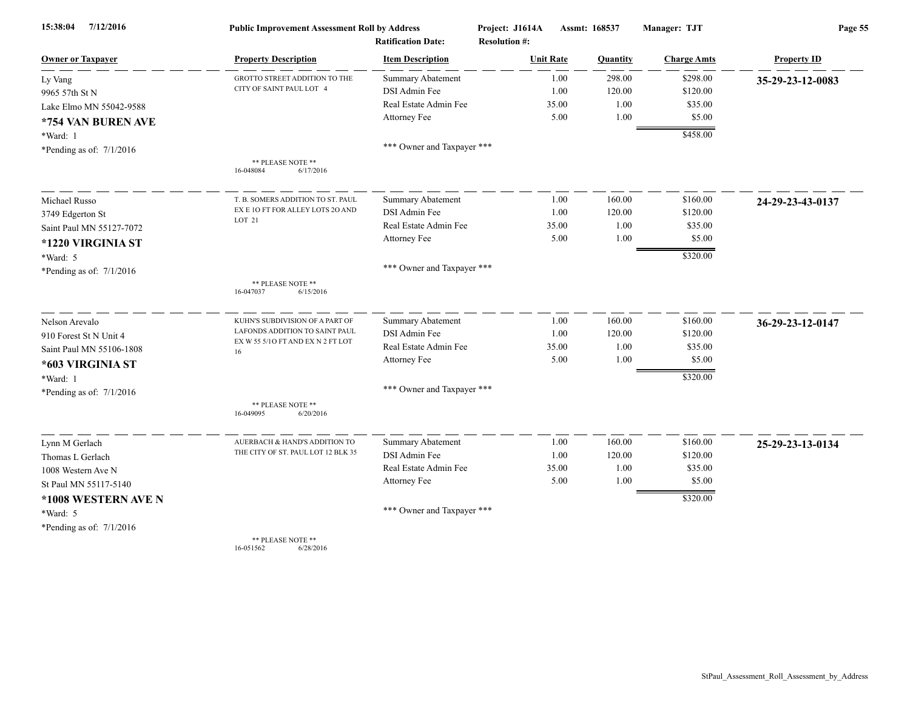| 7/12/2016<br>15:38:04      | <b>Public Improvement Assessment Roll by Address</b><br><b>Ratification Date:</b> |                            | Project: J1614A<br><b>Resolution #:</b> | Assmt: 168537    |          | Manager: TJT       | Page 55            |  |
|----------------------------|-----------------------------------------------------------------------------------|----------------------------|-----------------------------------------|------------------|----------|--------------------|--------------------|--|
| <b>Owner or Taxpayer</b>   | <b>Property Description</b>                                                       | <b>Item Description</b>    |                                         | <b>Unit Rate</b> | Quantity | <b>Charge Amts</b> | <b>Property ID</b> |  |
| Ly Vang                    | GROTTO STREET ADDITION TO THE                                                     | <b>Summary Abatement</b>   |                                         | 1.00             | 298.00   | \$298.00           | 35-29-23-12-0083   |  |
| 9965 57th St N             | CITY OF SAINT PAUL LOT 4                                                          | DSI Admin Fee              |                                         | 1.00             | 120.00   | \$120.00           |                    |  |
| Lake Elmo MN 55042-9588    |                                                                                   | Real Estate Admin Fee      |                                         | 35.00            | 1.00     | \$35.00            |                    |  |
| *754 VAN BUREN AVE         |                                                                                   | Attorney Fee               |                                         | 5.00             | 1.00     | \$5.00             |                    |  |
| *Ward: 1                   |                                                                                   |                            |                                         |                  |          | \$458.00           |                    |  |
| *Pending as of: $7/1/2016$ |                                                                                   | *** Owner and Taxpayer *** |                                         |                  |          |                    |                    |  |
|                            | ** PLEASE NOTE **<br>16-048084<br>6/17/2016                                       |                            |                                         |                  |          |                    |                    |  |
| Michael Russo              | T. B. SOMERS ADDITION TO ST. PAUL                                                 | <b>Summary Abatement</b>   |                                         | 1.00             | 160.00   | \$160.00           | 24-29-23-43-0137   |  |
| 3749 Edgerton St           | EX E 10 FT FOR ALLEY LOTS 20 AND                                                  | DSI Admin Fee              |                                         | 1.00             | 120.00   | \$120.00           |                    |  |
| Saint Paul MN 55127-7072   | LOT 21                                                                            | Real Estate Admin Fee      |                                         | 35.00            | 1.00     | \$35.00            |                    |  |
| *1220 VIRGINIA ST          |                                                                                   | Attorney Fee               |                                         | 5.00             | 1.00     | \$5.00             |                    |  |
| *Ward: 5                   |                                                                                   |                            |                                         |                  |          | \$320.00           |                    |  |
| *Pending as of: $7/1/2016$ |                                                                                   | *** Owner and Taxpayer *** |                                         |                  |          |                    |                    |  |
|                            | ** PLEASE NOTE **<br>16-047037<br>6/15/2016                                       |                            |                                         |                  |          |                    |                    |  |
| Nelson Arevalo             | KUHN'S SUBDIVISION OF A PART OF                                                   | <b>Summary Abatement</b>   |                                         | 1.00             | 160.00   | \$160.00           | 36-29-23-12-0147   |  |
| 910 Forest St N Unit 4     | LAFONDS ADDITION TO SAINT PAUL                                                    | DSI Admin Fee              |                                         | 1.00             | 120.00   | \$120.00           |                    |  |
| Saint Paul MN 55106-1808   | EX W 55 5/10 FT AND EX N 2 FT LOT<br>16                                           | Real Estate Admin Fee      |                                         | 35.00            | 1.00     | \$35.00            |                    |  |
| *603 VIRGINIA ST           |                                                                                   | Attorney Fee               |                                         | 5.00             | 1.00     | \$5.00             |                    |  |
| *Ward: 1                   |                                                                                   |                            |                                         |                  |          | \$320.00           |                    |  |
| *Pending as of: $7/1/2016$ |                                                                                   | *** Owner and Taxpayer *** |                                         |                  |          |                    |                    |  |
|                            | ** PLEASE NOTE **<br>16-049095<br>6/20/2016                                       |                            |                                         |                  |          |                    |                    |  |
| Lynn M Gerlach             | AUERBACH & HAND'S ADDITION TO                                                     | Summary Abatement          |                                         | 1.00             | 160.00   | \$160.00           | 25-29-23-13-0134   |  |
| Thomas L Gerlach           | THE CITY OF ST. PAUL LOT 12 BLK 35                                                | DSI Admin Fee              |                                         | 1.00             | 120.00   | \$120.00           |                    |  |
| 1008 Western Ave N         |                                                                                   | Real Estate Admin Fee      |                                         | 35.00            | 1.00     | \$35.00            |                    |  |
| St Paul MN 55117-5140      |                                                                                   | Attorney Fee               |                                         | 5.00             | 1.00     | \$5.00             |                    |  |
| *1008 WESTERN AVE N        |                                                                                   |                            |                                         |                  |          | \$320.00           |                    |  |
| *Ward: 5                   |                                                                                   | *** Owner and Taxpayer *** |                                         |                  |          |                    |                    |  |
| *Pending as of: $7/1/2016$ |                                                                                   |                            |                                         |                  |          |                    |                    |  |
|                            | ** PLEASE NOTE **                                                                 |                            |                                         |                  |          |                    |                    |  |

16-051562 6/28/2016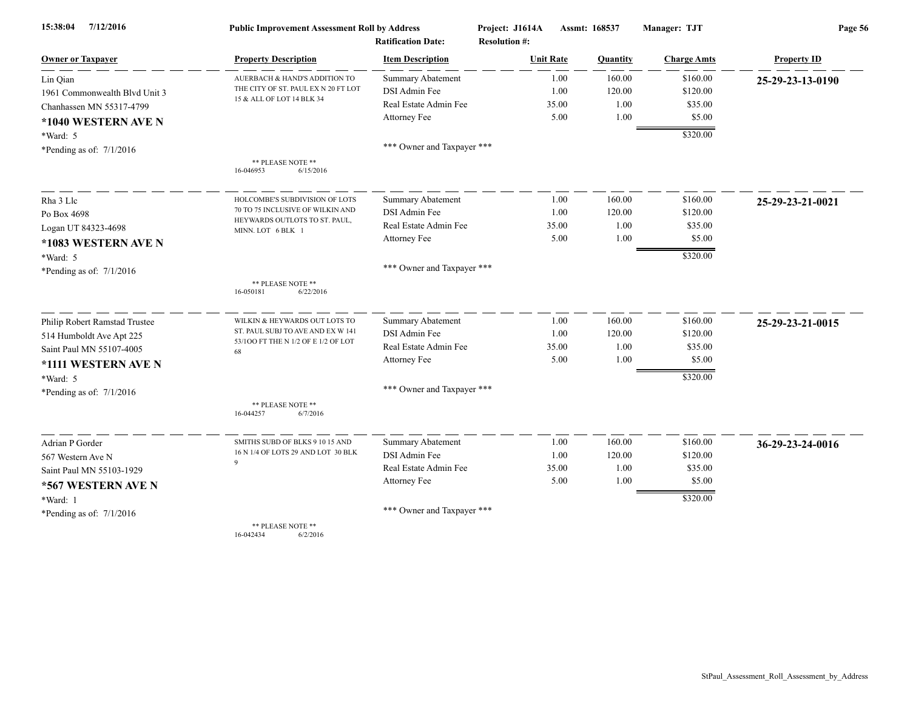| 7/12/2016<br>15:38:04         | <b>Public Improvement Assessment Roll by Address</b>             |                            | Project: J1614A      | Assmt: 168537 | Manager: TJT       | Page 56            |  |
|-------------------------------|------------------------------------------------------------------|----------------------------|----------------------|---------------|--------------------|--------------------|--|
|                               |                                                                  | <b>Ratification Date:</b>  | <b>Resolution #:</b> |               |                    |                    |  |
| <b>Owner or Taxpayer</b>      | <b>Property Description</b>                                      | <b>Item Description</b>    | <b>Unit Rate</b>     | Quantity      | <b>Charge Amts</b> | <b>Property ID</b> |  |
| Lin Oian                      | AUERBACH & HAND'S ADDITION TO                                    | <b>Summary Abatement</b>   | 1.00                 | 160.00        | \$160.00           | 25-29-23-13-0190   |  |
| 1961 Commonwealth Blvd Unit 3 | THE CITY OF ST. PAUL EX N 20 FT LOT<br>15 & ALL OF LOT 14 BLK 34 | DSI Admin Fee              | 1.00                 | 120.00        | \$120.00           |                    |  |
| Chanhassen MN 55317-4799      |                                                                  | Real Estate Admin Fee      | 35.00                | 1.00          | \$35.00            |                    |  |
| *1040 WESTERN AVE N           |                                                                  | Attorney Fee               | 5.00                 | 1.00          | \$5.00             |                    |  |
| *Ward: 5                      |                                                                  |                            |                      |               | \$320.00           |                    |  |
| *Pending as of: $7/1/2016$    |                                                                  | *** Owner and Taxpayer *** |                      |               |                    |                    |  |
|                               | ** PLEASE NOTE **<br>16-046953<br>6/15/2016                      |                            |                      |               |                    |                    |  |
| Rha 3 Llc                     | HOLCOMBE'S SUBDIVISION OF LOTS                                   | <b>Summary Abatement</b>   | 1.00                 | 160.00        | \$160.00           | 25-29-23-21-0021   |  |
| Po Box 4698                   | 70 TO 75 INCLUSIVE OF WILKIN AND                                 | DSI Admin Fee              | 1.00                 | 120.00        | \$120.00           |                    |  |
| Logan UT 84323-4698           | HEYWARDS OUTLOTS TO ST. PAUL,<br>MINN. LOT 6 BLK 1               | Real Estate Admin Fee      | 35.00                | 1.00          | \$35.00            |                    |  |
| *1083 WESTERN AVE N           |                                                                  | Attorney Fee               | 5.00                 | 1.00          | \$5.00             |                    |  |
| $*Ward: 5$                    |                                                                  |                            |                      |               | \$320.00           |                    |  |
| *Pending as of: $7/1/2016$    |                                                                  | *** Owner and Taxpayer *** |                      |               |                    |                    |  |
|                               | ** PLEASE NOTE **<br>16-050181<br>6/22/2016                      |                            |                      |               |                    |                    |  |
| Philip Robert Ramstad Trustee | WILKIN & HEYWARDS OUT LOTS TO                                    | Summary Abatement          | 1.00                 | 160.00        | \$160.00           | 25-29-23-21-0015   |  |
| 514 Humboldt Ave Apt 225      | ST. PAUL SUBJ TO AVE AND EX W 141                                | DSI Admin Fee              | 1.00                 | 120.00        | \$120.00           |                    |  |
| Saint Paul MN 55107-4005      | 53/100 FT THE N 1/2 OF E 1/2 OF LOT<br>68                        | Real Estate Admin Fee      | 35.00                | 1.00          | \$35.00            |                    |  |
| *1111 WESTERN AVE N           |                                                                  | Attorney Fee               | 5.00                 | 1.00          | \$5.00             |                    |  |
| $*Ward: 5$                    |                                                                  |                            |                      |               | \$320.00           |                    |  |
| *Pending as of: $7/1/2016$    |                                                                  | *** Owner and Taxpayer *** |                      |               |                    |                    |  |
|                               | ** PLEASE NOTE **<br>16-044257<br>6/7/2016                       |                            |                      |               |                    |                    |  |
| Adrian P Gorder               | SMITHS SUBD OF BLKS 9 10 15 AND                                  | Summary Abatement          | 1.00                 | 160.00        | \$160.00           | 36-29-23-24-0016   |  |
| 567 Western Ave N             | 16 N 1/4 OF LOTS 29 AND LOT 30 BLK                               | DSI Admin Fee              | 1.00                 | 120.00        | \$120.00           |                    |  |
| Saint Paul MN 55103-1929      | $\mathbf Q$                                                      | Real Estate Admin Fee      | 35.00                | 1.00          | \$35.00            |                    |  |
| *567 WESTERN AVE N            |                                                                  | Attorney Fee               | 5.00                 | 1.00          | \$5.00             |                    |  |
| *Ward: 1                      |                                                                  |                            |                      |               | \$320.00           |                    |  |
| *Pending as of: $7/1/2016$    |                                                                  | *** Owner and Taxpayer *** |                      |               |                    |                    |  |
|                               | ** PLEASE NOTE **                                                |                            |                      |               |                    |                    |  |

16-042434 6/2/2016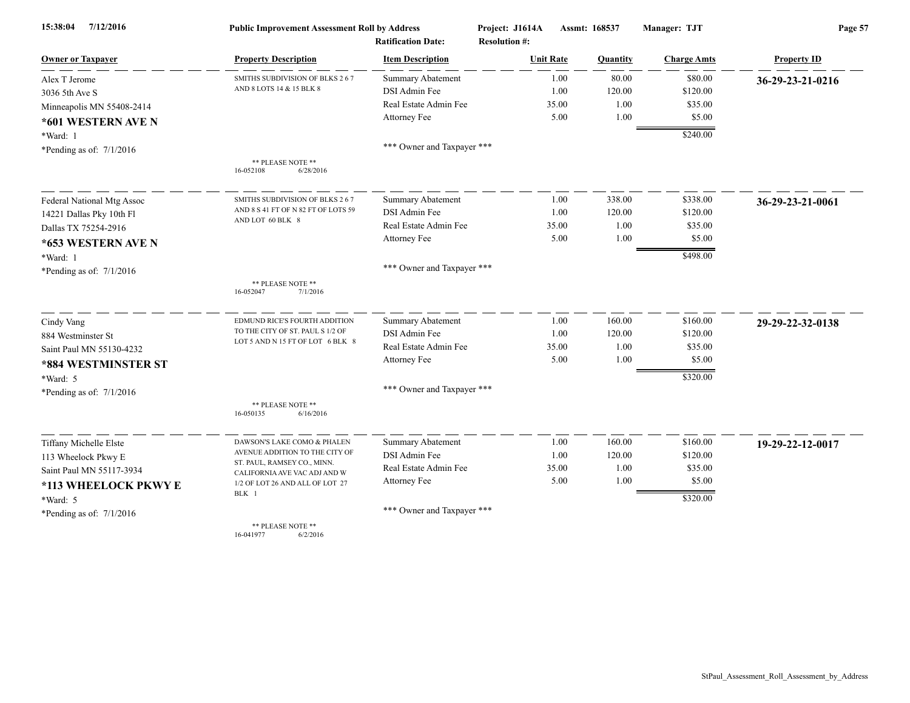| 15:38:04<br>7/12/2016      | <b>Public Improvement Assessment Roll by Address</b><br><b>Ratification Date:</b> |                            | Project: J1614A  | Assmt: 168537<br><b>Resolution #:</b> |                    | Page 57            |  |
|----------------------------|-----------------------------------------------------------------------------------|----------------------------|------------------|---------------------------------------|--------------------|--------------------|--|
| <b>Owner or Taxpayer</b>   | <b>Property Description</b>                                                       | <b>Item Description</b>    | <b>Unit Rate</b> | Quantity                              | <b>Charge Amts</b> | <b>Property ID</b> |  |
| Alex T Jerome              | SMITHS SUBDIVISION OF BLKS 2 6 7                                                  | Summary Abatement          | 1.00             | 80.00                                 | \$80.00            | 36-29-23-21-0216   |  |
| 3036 5th Ave S             | AND 8 LOTS 14 & 15 BLK 8                                                          | DSI Admin Fee              | 1.00             | 120.00                                | \$120.00           |                    |  |
| Minneapolis MN 55408-2414  |                                                                                   | Real Estate Admin Fee      | 35.00            | 1.00                                  | \$35.00            |                    |  |
| *601 WESTERN AVE N         |                                                                                   | Attorney Fee               | 5.00             | 1.00                                  | \$5.00             |                    |  |
| *Ward: 1                   |                                                                                   |                            |                  |                                       | \$240.00           |                    |  |
| *Pending as of: $7/1/2016$ |                                                                                   | *** Owner and Taxpayer *** |                  |                                       |                    |                    |  |
|                            | ** PLEASE NOTE **<br>6/28/2016<br>16-052108                                       |                            |                  |                                       |                    |                    |  |
| Federal National Mtg Assoc | SMITHS SUBDIVISION OF BLKS 267                                                    | Summary Abatement          | 1.00             | 338.00                                | \$338.00           | 36-29-23-21-0061   |  |
| 14221 Dallas Pky 10th Fl   | AND 8 S 41 FT OF N 82 FT OF LOTS 59                                               | DSI Admin Fee              | 1.00             | 120.00                                | \$120.00           |                    |  |
| Dallas TX 75254-2916       | AND LOT 60 BLK 8                                                                  | Real Estate Admin Fee      | 35.00            | 1.00                                  | \$35.00            |                    |  |
| *653 WESTERN AVE N         |                                                                                   | Attorney Fee               | 5.00             | 1.00                                  | \$5.00             |                    |  |
| *Ward: 1                   |                                                                                   |                            |                  |                                       | \$498.00           |                    |  |
| *Pending as of: $7/1/2016$ |                                                                                   | *** Owner and Taxpayer *** |                  |                                       |                    |                    |  |
|                            | ** PLEASE NOTE **<br>16-052047<br>7/1/2016                                        |                            |                  |                                       |                    |                    |  |
| Cindy Vang                 | EDMUND RICE'S FOURTH ADDITION                                                     | Summary Abatement          | 1.00             | 160.00                                | \$160.00           | 29-29-22-32-0138   |  |
| 884 Westminster St         | TO THE CITY OF ST. PAUL S 1/2 OF                                                  | DSI Admin Fee              | 1.00             | 120.00                                | \$120.00           |                    |  |
| Saint Paul MN 55130-4232   | LOT 5 AND N 15 FT OF LOT 6 BLK 8                                                  | Real Estate Admin Fee      | 35.00            | 1.00                                  | \$35.00            |                    |  |
| *884 WESTMINSTER ST        |                                                                                   | Attorney Fee               | 5.00             | 1.00                                  | \$5.00             |                    |  |
| *Ward: 5                   |                                                                                   |                            |                  |                                       | \$320.00           |                    |  |
| *Pending as of: $7/1/2016$ |                                                                                   | *** Owner and Taxpayer *** |                  |                                       |                    |                    |  |
|                            | ** PLEASE NOTE **<br>6/16/2016<br>16-050135                                       |                            |                  |                                       |                    |                    |  |
| Tiffany Michelle Elste     | DAWSON'S LAKE COMO & PHALEN                                                       | Summary Abatement          | 1.00             | 160.00                                | \$160.00           | 19-29-22-12-0017   |  |
| 113 Wheelock Pkwy E        | AVENUE ADDITION TO THE CITY OF                                                    | DSI Admin Fee              | 1.00             | 120.00                                | \$120.00           |                    |  |
| Saint Paul MN 55117-3934   | ST. PAUL, RAMSEY CO., MINN.<br>CALIFORNIA AVE VAC ADJ AND W                       | Real Estate Admin Fee      | 35.00            | 1.00                                  | \$35.00            |                    |  |
| *113 WHEELOCK PKWY E       | 1/2 OF LOT 26 AND ALL OF LOT 27                                                   | Attorney Fee               | 5.00             | 1.00                                  | \$5.00             |                    |  |
| *Ward: 5                   | BLK 1                                                                             |                            |                  |                                       | \$320.00           |                    |  |
| *Pending as of: $7/1/2016$ |                                                                                   | *** Owner and Taxpayer *** |                  |                                       |                    |                    |  |
|                            | ** PLEASE NOTE **<br>16-041977<br>6/2/2016                                        |                            |                  |                                       |                    |                    |  |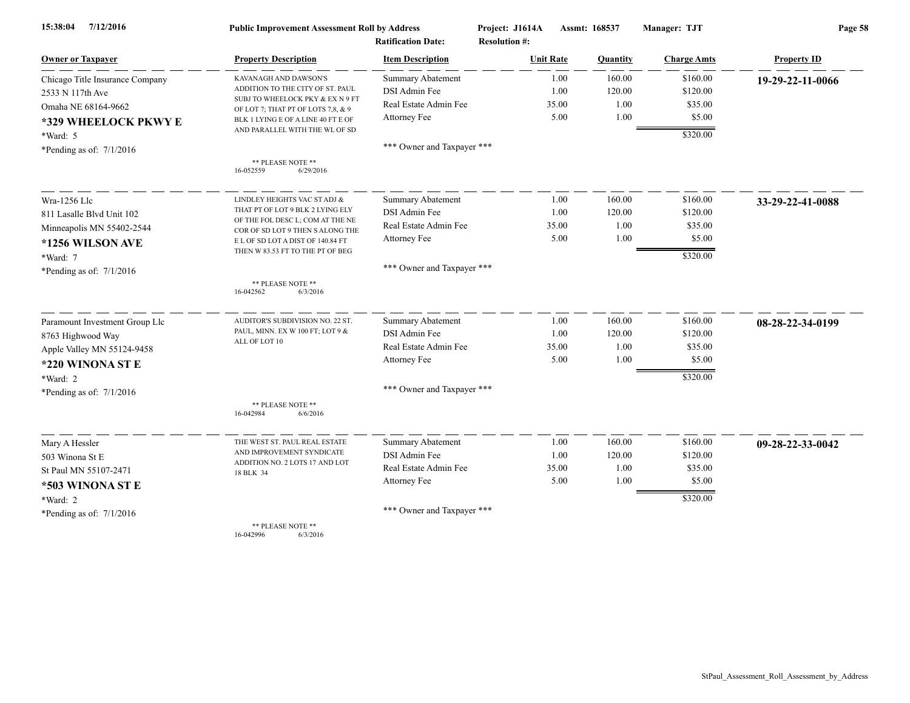| 7/12/2016<br>15:38:04           | <b>Public Improvement Assessment Roll by Address</b>                   |                            | Project: J1614A      | Assmt: 168537 | Manager: TJT       | Page 58            |  |
|---------------------------------|------------------------------------------------------------------------|----------------------------|----------------------|---------------|--------------------|--------------------|--|
|                                 |                                                                        | <b>Ratification Date:</b>  | <b>Resolution #:</b> |               |                    |                    |  |
| <b>Owner or Taxpayer</b>        | <b>Property Description</b>                                            | <b>Item Description</b>    | <b>Unit Rate</b>     | Quantity      | <b>Charge Amts</b> | <b>Property ID</b> |  |
| Chicago Title Insurance Company | KAVANAGH AND DAWSON'S                                                  | <b>Summary Abatement</b>   | 1.00                 | 160.00        | \$160.00           | 19-29-22-11-0066   |  |
| 2533 N 117th Ave                | ADDITION TO THE CITY OF ST. PAUL                                       | DSI Admin Fee              | 1.00                 | 120.00        | \$120.00           |                    |  |
| Omaha NE 68164-9662             | SUBJ TO WHEELOCK PKY & EX N 9 FT<br>OF LOT 7; THAT PT OF LOTS 7,8, & 9 | Real Estate Admin Fee      | 35.00                | 1.00          | \$35.00            |                    |  |
| *329 WHEELOCK PKWY E            | BLK 1 LYING E OF A LINE 40 FT E OF                                     | Attorney Fee               | 5.00                 | 1.00          | \$5.00             |                    |  |
| *Ward: 5                        | AND PARALLEL WITH THE WL OF SD                                         |                            |                      |               | \$320.00           |                    |  |
| *Pending as of: 7/1/2016        |                                                                        | *** Owner and Taxpayer *** |                      |               |                    |                    |  |
|                                 | ** PLEASE NOTE **<br>16-052559<br>6/29/2016                            |                            |                      |               |                    |                    |  |
|                                 |                                                                        |                            |                      |               |                    |                    |  |
| Wra-1256 Llc                    | LINDLEY HEIGHTS VAC ST ADJ &                                           | Summary Abatement          | 1.00                 | 160.00        | \$160.00           | 33-29-22-41-0088   |  |
| 811 Lasalle Blvd Unit 102       | THAT PT OF LOT 9 BLK 2 LYING ELY                                       | DSI Admin Fee              | 1.00                 | 120.00        | \$120.00           |                    |  |
| Minneapolis MN 55402-2544       | OF THE FOL DESC L; COM AT THE NE<br>COR OF SD LOT 9 THEN S ALONG THE   | Real Estate Admin Fee      | 35.00                | 1.00          | \$35.00            |                    |  |
| *1256 WILSON AVE                | E L OF SD LOT A DIST OF 140.84 FT                                      | Attorney Fee               | 5.00                 | 1.00          | \$5.00             |                    |  |
| *Ward: 7                        | THEN W 83.53 FT TO THE PT OF BEG                                       |                            |                      |               | \$320.00           |                    |  |
| *Pending as of: $7/1/2016$      |                                                                        | *** Owner and Taxpayer *** |                      |               |                    |                    |  |
|                                 | ** PLEASE NOTE **                                                      |                            |                      |               |                    |                    |  |
|                                 | 16-042562<br>6/3/2016                                                  |                            |                      |               |                    |                    |  |
| Paramount Investment Group Llc  | AUDITOR'S SUBDIVISION NO. 22 ST.                                       | <b>Summary Abatement</b>   | 1.00                 | 160.00        | \$160.00           | 08-28-22-34-0199   |  |
| 8763 Highwood Way               | PAUL, MINN. EX W 100 FT; LOT 9 &                                       | DSI Admin Fee              | 1.00                 | 120.00        | \$120.00           |                    |  |
| Apple Valley MN 55124-9458      | ALL OF LOT 10                                                          | Real Estate Admin Fee      | 35.00                | 1.00          | \$35.00            |                    |  |
| *220 WINONA ST E                |                                                                        | Attorney Fee               | 5.00                 | 1.00          | \$5.00             |                    |  |
| *Ward: 2                        |                                                                        |                            |                      |               | \$320.00           |                    |  |
| *Pending as of: $7/1/2016$      |                                                                        | *** Owner and Taxpayer *** |                      |               |                    |                    |  |
|                                 | ** PLEASE NOTE **<br>16-042984<br>6/6/2016                             |                            |                      |               |                    |                    |  |
|                                 |                                                                        | Summary Abatement          | 1.00                 | 160.00        | \$160.00           |                    |  |
| Mary A Hessler                  | THE WEST ST. PAUL REAL ESTATE<br>AND IMPROVEMENT SYNDICATE             | DSI Admin Fee              | 1.00                 | 120.00        | \$120.00           | 09-28-22-33-0042   |  |
| 503 Winona St E                 | ADDITION NO. 2 LOTS 17 AND LOT                                         | Real Estate Admin Fee      | 35.00                | 1.00          | \$35.00            |                    |  |
| St Paul MN 55107-2471           | 18 BLK 34                                                              | Attorney Fee               | 5.00                 | 1.00          | \$5.00             |                    |  |
| *503 WINONA ST E                |                                                                        |                            |                      |               |                    |                    |  |
| *Ward: 2                        |                                                                        | *** Owner and Taxpayer *** |                      |               | \$320.00           |                    |  |
| *Pending as of: $7/1/2016$      |                                                                        |                            |                      |               |                    |                    |  |
|                                 | ** PLEASE NOTE **                                                      |                            |                      |               |                    |                    |  |

16-042996 6/3/2016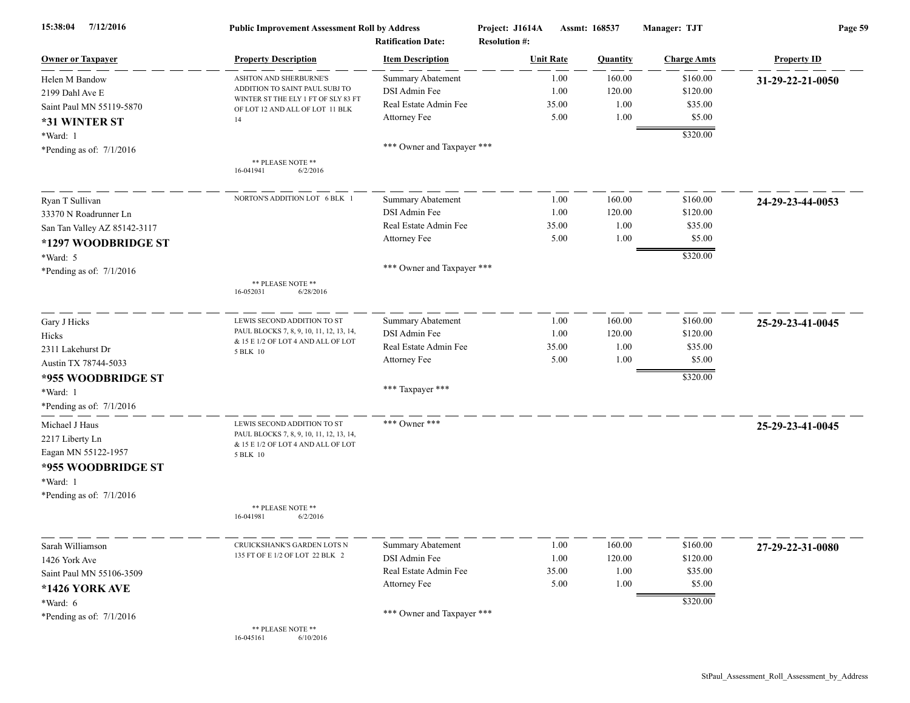| 7/12/2016<br>15:38:04                                                                      | <b>Public Improvement Assessment Roll by Address</b><br><b>Ratification Date:</b>                                         |                            | Assmt: 168537<br>Project: J1614A<br><b>Resolution #:</b> |          | Manager: TJT       | Page 59            |  |
|--------------------------------------------------------------------------------------------|---------------------------------------------------------------------------------------------------------------------------|----------------------------|----------------------------------------------------------|----------|--------------------|--------------------|--|
| <b>Owner or Taxpayer</b>                                                                   | <b>Property Description</b>                                                                                               | <b>Item Description</b>    | <b>Unit Rate</b>                                         | Quantity | <b>Charge Amts</b> | <b>Property ID</b> |  |
| Helen M Bandow                                                                             | ASHTON AND SHERBURNE'S                                                                                                    | <b>Summary Abatement</b>   | 1.00                                                     | 160.00   | \$160.00           | 31-29-22-21-0050   |  |
| 2199 Dahl Ave E                                                                            | ADDITION TO SAINT PAUL SUBJ TO                                                                                            | DSI Admin Fee              | 1.00                                                     | 120.00   | \$120.00           |                    |  |
| Saint Paul MN 55119-5870                                                                   | WINTER ST THE ELY 1 FT OF SLY 83 FT<br>OF LOT 12 AND ALL OF LOT 11 BLK                                                    | Real Estate Admin Fee      | 35.00                                                    | 1.00     | \$35.00            |                    |  |
| *31 WINTER ST                                                                              | 14                                                                                                                        | Attorney Fee               | 5.00                                                     | 1.00     | \$5.00             |                    |  |
| *Ward: 1                                                                                   |                                                                                                                           |                            |                                                          |          | \$320.00           |                    |  |
| *Pending as of: $7/1/2016$                                                                 |                                                                                                                           | *** Owner and Taxpayer *** |                                                          |          |                    |                    |  |
|                                                                                            | ** PLEASE NOTE **<br>16-041941<br>6/2/2016                                                                                |                            |                                                          |          |                    |                    |  |
| Ryan T Sullivan                                                                            | NORTON'S ADDITION LOT 6 BLK                                                                                               | <b>Summary Abatement</b>   | 1.00                                                     | 160.00   | \$160.00           | 24-29-23-44-0053   |  |
| 33370 N Roadrunner Ln                                                                      |                                                                                                                           | DSI Admin Fee              | 1.00                                                     | 120.00   | \$120.00           |                    |  |
| San Tan Valley AZ 85142-3117                                                               |                                                                                                                           | Real Estate Admin Fee      | 35.00                                                    | 1.00     | \$35.00            |                    |  |
| *1297 WOODBRIDGE ST                                                                        |                                                                                                                           | Attorney Fee               | 5.00                                                     | 1.00     | \$5.00             |                    |  |
| *Ward: 5                                                                                   |                                                                                                                           |                            |                                                          |          | \$320.00           |                    |  |
| *Pending as of: $7/1/2016$                                                                 |                                                                                                                           | *** Owner and Taxpayer *** |                                                          |          |                    |                    |  |
|                                                                                            | ** PLEASE NOTE **<br>16-052031<br>6/28/2016                                                                               |                            |                                                          |          |                    |                    |  |
| Gary J Hicks                                                                               | LEWIS SECOND ADDITION TO ST                                                                                               | <b>Summary Abatement</b>   | 1.00                                                     | 160.00   | \$160.00           | 25-29-23-41-0045   |  |
| Hicks                                                                                      | PAUL BLOCKS 7, 8, 9, 10, 11, 12, 13, 14,<br>& 15 E 1/2 OF LOT 4 AND ALL OF LOT                                            | DSI Admin Fee              | 1.00                                                     | 120.00   | \$120.00           |                    |  |
| 2311 Lakehurst Dr                                                                          | 5 BLK 10                                                                                                                  | Real Estate Admin Fee      | 35.00                                                    | 1.00     | \$35.00            |                    |  |
| Austin TX 78744-5033                                                                       |                                                                                                                           | Attorney Fee               | 5.00                                                     | 1.00     | \$5.00             |                    |  |
| *955 WOODBRIDGE ST                                                                         |                                                                                                                           |                            |                                                          |          | \$320.00           |                    |  |
| *Ward: 1                                                                                   |                                                                                                                           | *** Taxpayer ***           |                                                          |          |                    |                    |  |
| *Pending as of: $7/1/2016$                                                                 |                                                                                                                           |                            |                                                          |          |                    |                    |  |
| Michael J Haus<br>2217 Liberty Ln<br>Eagan MN 55122-1957<br>*955 WOODBRIDGE ST<br>*Ward: 1 | LEWIS SECOND ADDITION TO ST<br>PAUL BLOCKS 7, 8, 9, 10, 11, 12, 13, 14,<br>& 15 E 1/2 OF LOT 4 AND ALL OF LOT<br>5 BLK 10 | *** Owner ***              |                                                          |          |                    | 25-29-23-41-0045   |  |
| *Pending as of: $7/1/2016$                                                                 | ** PLEASE NOTE **<br>6/2/2016<br>16-041981                                                                                |                            |                                                          |          |                    |                    |  |
| Sarah Williamson                                                                           | CRUICKSHANK'S GARDEN LOTS N                                                                                               | <b>Summary Abatement</b>   | 1.00                                                     | 160.00   | \$160.00           | 27-29-22-31-0080   |  |
| 1426 York Ave                                                                              | 135 FT OF E 1/2 OF LOT 22 BLK 2                                                                                           | DSI Admin Fee              | 1.00                                                     | 120.00   | \$120.00           |                    |  |
| Saint Paul MN 55106-3509                                                                   |                                                                                                                           | Real Estate Admin Fee      | 35.00                                                    | 1.00     | \$35.00            |                    |  |
| *1426 YORK AVE                                                                             |                                                                                                                           | Attorney Fee               | 5.00                                                     | 1.00     | \$5.00             |                    |  |
| *Ward: 6                                                                                   |                                                                                                                           |                            |                                                          |          | \$320.00           |                    |  |
| *Pending as of: $7/1/2016$                                                                 |                                                                                                                           | *** Owner and Taxpayer *** |                                                          |          |                    |                    |  |
|                                                                                            | ** PLEASE NOTE **<br>16-045161<br>6/10/2016                                                                               |                            |                                                          |          |                    |                    |  |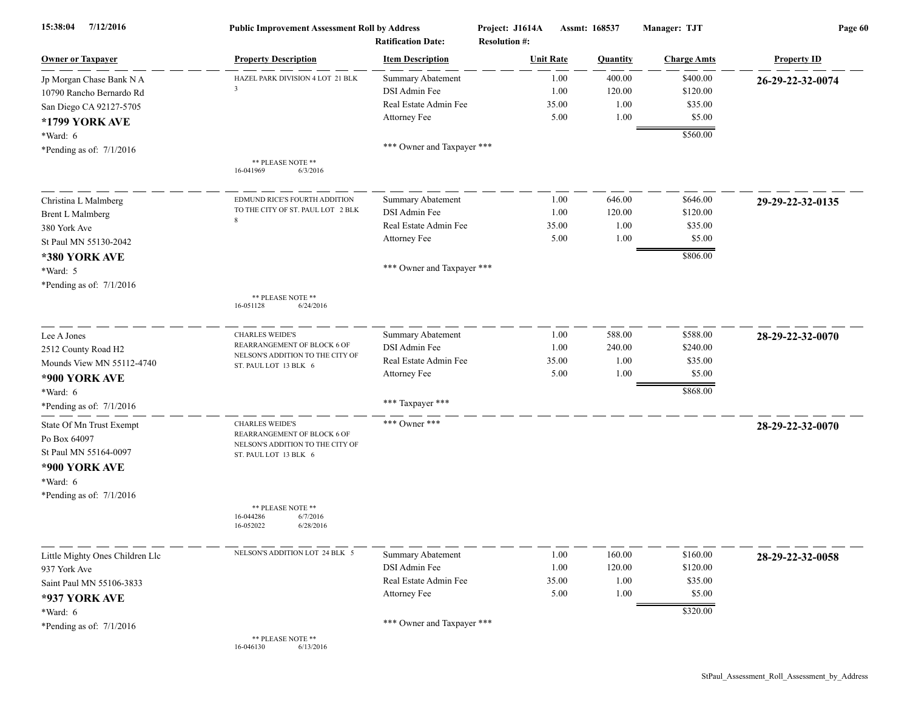| 7/12/2016<br>15:38:04                                                                                                                               | <b>Public Improvement Assessment Roll by Address</b><br><b>Ratification Date:</b>                                                                                                          |                                                                                                                  | Project: J1614A<br>Assmt: 168537<br><b>Resolution #:</b> |                                  | Manager: TJT                                          | Page 60            |  |
|-----------------------------------------------------------------------------------------------------------------------------------------------------|--------------------------------------------------------------------------------------------------------------------------------------------------------------------------------------------|------------------------------------------------------------------------------------------------------------------|----------------------------------------------------------|----------------------------------|-------------------------------------------------------|--------------------|--|
| <b>Owner or Taxpayer</b>                                                                                                                            | <b>Property Description</b>                                                                                                                                                                | <b>Item Description</b>                                                                                          | <b>Unit Rate</b>                                         | <b>Quantity</b>                  | <b>Charge Amts</b>                                    | <b>Property ID</b> |  |
| Jp Morgan Chase Bank N A<br>10790 Rancho Bernardo Rd<br>San Diego CA 92127-5705<br>*1799 YORK AVE                                                   | HAZEL PARK DIVISION 4 LOT 21 BLK<br>3                                                                                                                                                      | <b>Summary Abatement</b><br><b>DSI</b> Admin Fee<br>Real Estate Admin Fee<br>Attorney Fee                        | 1.00<br>1.00<br>35.00<br>5.00                            | 400.00<br>120.00<br>1.00<br>1.00 | \$400.00<br>\$120.00<br>\$35.00<br>\$5.00             | 26-29-22-32-0074   |  |
| *Ward: 6<br>*Pending as of: $7/1/2016$                                                                                                              | ** PLEASE NOTE **<br>6/3/2016<br>16-041969                                                                                                                                                 | *** Owner and Taxpayer ***                                                                                       |                                                          |                                  | \$560.00                                              |                    |  |
| Christina L Malmberg<br><b>Brent L Malmberg</b><br>380 York Ave<br>St Paul MN 55130-2042<br>*380 YORK AVE<br>*Ward: 5<br>*Pending as of: $7/1/2016$ | EDMUND RICE'S FOURTH ADDITION<br>TO THE CITY OF ST. PAUL LOT 2 BLK<br>8<br>** PLEASE NOTE **<br>16-051128<br>6/24/2016                                                                     | <b>Summary Abatement</b><br>DSI Admin Fee<br>Real Estate Admin Fee<br>Attorney Fee<br>*** Owner and Taxpayer *** | 1.00<br>1.00<br>35.00<br>5.00                            | 646.00<br>120.00<br>1.00<br>1.00 | \$646.00<br>\$120.00<br>\$35.00<br>\$5.00<br>\$806.00 | 29-29-22-32-0135   |  |
| Lee A Jones<br>2512 County Road H2<br>Mounds View MN 55112-4740<br>*900 YORK AVE<br>*Ward: $6$<br>*Pending as of: $7/1/2016$                        | <b>CHARLES WEIDE'S</b><br>REARRANGEMENT OF BLOCK 6 OF<br>NELSON'S ADDITION TO THE CITY OF<br>ST. PAUL LOT 13 BLK 6                                                                         | <b>Summary Abatement</b><br>DSI Admin Fee<br>Real Estate Admin Fee<br>Attorney Fee<br>*** Taxpayer ***           | 1.00<br>1.00<br>35.00<br>5.00                            | 588.00<br>240.00<br>1.00<br>1.00 | \$588.00<br>\$240.00<br>\$35.00<br>\$5.00<br>\$868.00 | 28-29-22-32-0070   |  |
| State Of Mn Trust Exempt<br>Po Box 64097<br>St Paul MN 55164-0097<br>*900 YORK AVE<br>*Ward: 6<br>*Pending as of: $7/1/2016$                        | <b>CHARLES WEIDE'S</b><br>REARRANGEMENT OF BLOCK 6 OF<br>NELSON'S ADDITION TO THE CITY OF<br>ST. PAUL LOT 13 BLK 6<br>** PLEASE NOTE **<br>16-044286<br>6/7/2016<br>16-052022<br>6/28/2016 | *** Owner ***                                                                                                    |                                                          |                                  |                                                       | 28-29-22-32-0070   |  |
| Little Mighty Ones Children Llc<br>937 York Ave<br>Saint Paul MN 55106-3833<br>*937 YORK AVE<br>$*Ward: 6$<br>*Pending as of: $7/1/2016$            | NELSON'S ADDITION LOT 24 BLK 5<br>** PLEASE NOTE **<br>6/13/2016<br>16-046130                                                                                                              | <b>Summary Abatement</b><br>DSI Admin Fee<br>Real Estate Admin Fee<br>Attorney Fee<br>*** Owner and Taxpayer *** | 1.00<br>1.00<br>35.00<br>5.00                            | 160.00<br>120.00<br>1.00<br>1.00 | \$160.00<br>\$120.00<br>\$35.00<br>\$5.00<br>\$320.00 | 28-29-22-32-0058   |  |